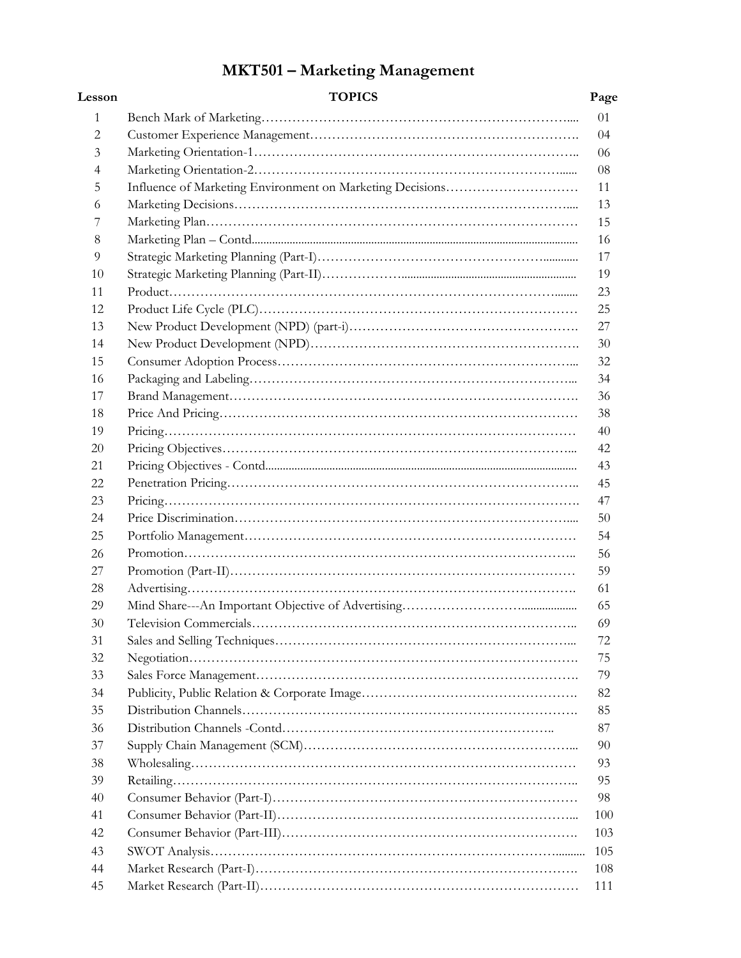# **MKT501 – Marketing Management**

| Lesson       | <b>TOPICS</b> | Page |
|--------------|---------------|------|
| $\mathbf{1}$ |               | 01   |
| 2            |               | 04   |
| 3            |               | 06   |
| 4            |               | 08   |
| 5            |               | 11   |
| 6            |               | 13   |
| 7            |               | 15   |
| 8            |               | 16   |
| 9            |               | 17   |
| 10           |               | 19   |
| 11           |               | 23   |
| 12           |               | 25   |
| 13           |               | 27   |
| 14           |               | 30   |
| 15           |               | 32   |
| 16           |               | 34   |
| 17           |               | 36   |
| 18           |               | 38   |
| 19           |               | 40   |
| 20           |               | 42   |
| 21           |               | 43   |
| 22           |               | 45   |
| 23           |               | 47   |
| 24           |               | 50   |
| 25           |               | 54   |
| 26           |               | 56   |
| 27           |               | 59   |
| 28           |               | 61   |
| 29           |               | 65   |
| 30           |               | 69   |
| 31           |               | 72   |
| 32           |               | 75   |
| 33           |               | 79   |
| 34           |               | 82   |
| 35           |               | 85   |
| 36           |               | 87   |
| 37           |               | 90   |
| 38           |               | 93   |
| 39           |               | 95   |
| 40           |               | 98   |
| 41           |               | 100  |
| 42           |               | 103  |
| 43           |               | 105  |
| 44           |               | 108  |
| 45           |               | 111  |
|              |               |      |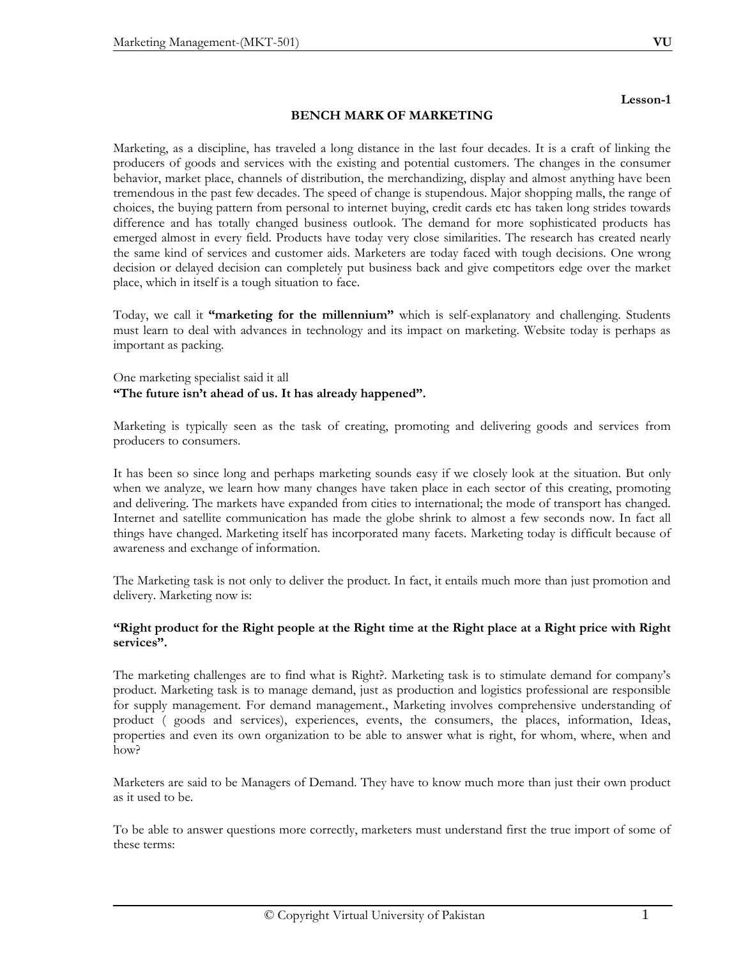# **BENCH MARK OF MARKETING**

Marketing, as a discipline, has traveled a long distance in the last four decades. It is a craft of linking the producers of goods and services with the existing and potential customers. The changes in the consumer behavior, market place, channels of distribution, the merchandizing, display and almost anything have been tremendous in the past few decades. The speed of change is stupendous. Major shopping malls, the range of choices, the buying pattern from personal to internet buying, credit cards etc has taken long strides towards difference and has totally changed business outlook. The demand for more sophisticated products has emerged almost in every field. Products have today very close similarities. The research has created nearly the same kind of services and customer aids. Marketers are today faced with tough decisions. One wrong decision or delayed decision can completely put business back and give competitors edge over the market place, which in itself is a tough situation to face.

Today, we call it **"marketing for the millennium"** which is self-explanatory and challenging. Students must learn to deal with advances in technology and its impact on marketing. Website today is perhaps as important as packing.

One marketing specialist said it all **"The future isn't ahead of us. It has already happened".** 

Marketing is typically seen as the task of creating, promoting and delivering goods and services from producers to consumers.

It has been so since long and perhaps marketing sounds easy if we closely look at the situation. But only when we analyze, we learn how many changes have taken place in each sector of this creating, promoting and delivering. The markets have expanded from cities to international; the mode of transport has changed. Internet and satellite communication has made the globe shrink to almost a few seconds now. In fact all things have changed. Marketing itself has incorporated many facets. Marketing today is difficult because of awareness and exchange of information.

The Marketing task is not only to deliver the product. In fact, it entails much more than just promotion and delivery. Marketing now is:

#### **"Right product for the Right people at the Right time at the Right place at a Right price with Right services".**

The marketing challenges are to find what is Right?. Marketing task is to stimulate demand for company's product. Marketing task is to manage demand, just as production and logistics professional are responsible for supply management. For demand management., Marketing involves comprehensive understanding of product ( goods and services), experiences, events, the consumers, the places, information, Ideas, properties and even its own organization to be able to answer what is right, for whom, where, when and how?

Marketers are said to be Managers of Demand. They have to know much more than just their own product as it used to be.

To be able to answer questions more correctly, marketers must understand first the true import of some of these terms: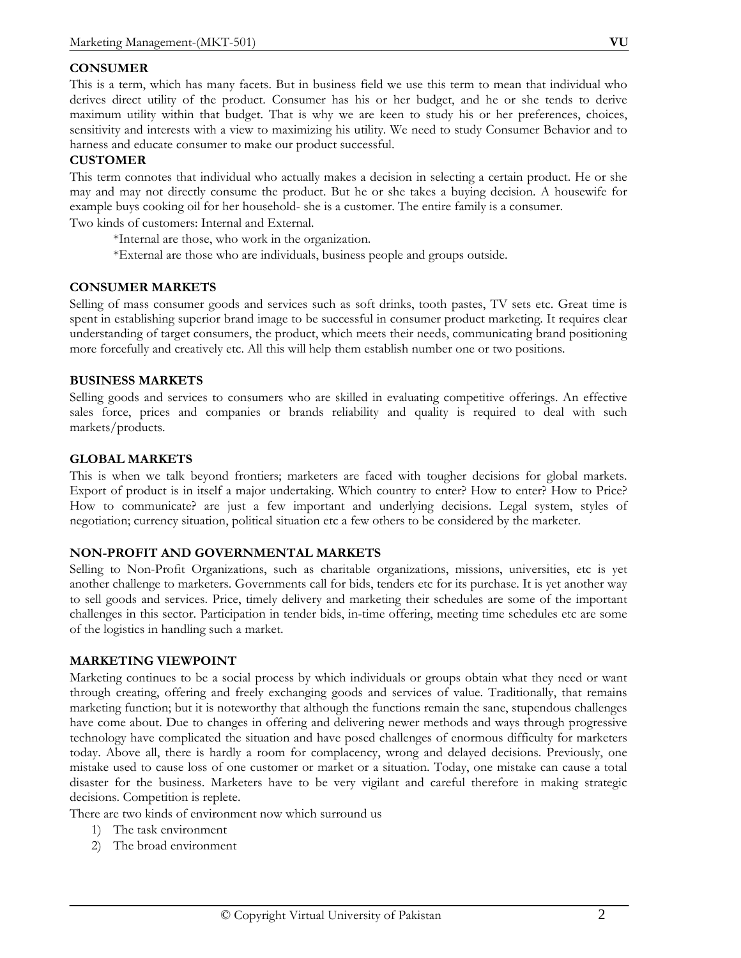#### **CONSUMER**

This is a term, which has many facets. But in business field we use this term to mean that individual who derives direct utility of the product. Consumer has his or her budget, and he or she tends to derive maximum utility within that budget. That is why we are keen to study his or her preferences, choices, sensitivity and interests with a view to maximizing his utility. We need to study Consumer Behavior and to harness and educate consumer to make our product successful.

#### **CUSTOMER**

This term connotes that individual who actually makes a decision in selecting a certain product. He or she may and may not directly consume the product. But he or she takes a buying decision. A housewife for example buys cooking oil for her household- she is a customer. The entire family is a consumer. Two kinds of customers: Internal and External.

\*Internal are those, who work in the organization.

\*External are those who are individuals, business people and groups outside.

#### **CONSUMER MARKETS**

Selling of mass consumer goods and services such as soft drinks, tooth pastes, TV sets etc. Great time is spent in establishing superior brand image to be successful in consumer product marketing. It requires clear understanding of target consumers, the product, which meets their needs, communicating brand positioning more forcefully and creatively etc. All this will help them establish number one or two positions.

#### **BUSINESS MARKETS**

Selling goods and services to consumers who are skilled in evaluating competitive offerings. An effective sales force, prices and companies or brands reliability and quality is required to deal with such markets/products.

#### **GLOBAL MARKETS**

This is when we talk beyond frontiers; marketers are faced with tougher decisions for global markets. Export of product is in itself a major undertaking. Which country to enter? How to enter? How to Price? How to communicate? are just a few important and underlying decisions. Legal system, styles of negotiation; currency situation, political situation etc a few others to be considered by the marketer.

#### **NON-PROFIT AND GOVERNMENTAL MARKETS**

Selling to Non-Profit Organizations, such as charitable organizations, missions, universities, etc is yet another challenge to marketers. Governments call for bids, tenders etc for its purchase. It is yet another way to sell goods and services. Price, timely delivery and marketing their schedules are some of the important challenges in this sector. Participation in tender bids, in-time offering, meeting time schedules etc are some of the logistics in handling such a market.

#### **MARKETING VIEWPOINT**

Marketing continues to be a social process by which individuals or groups obtain what they need or want through creating, offering and freely exchanging goods and services of value. Traditionally, that remains marketing function; but it is noteworthy that although the functions remain the sane, stupendous challenges have come about. Due to changes in offering and delivering newer methods and ways through progressive technology have complicated the situation and have posed challenges of enormous difficulty for marketers today. Above all, there is hardly a room for complacency, wrong and delayed decisions. Previously, one mistake used to cause loss of one customer or market or a situation. Today, one mistake can cause a total disaster for the business. Marketers have to be very vigilant and careful therefore in making strategic decisions. Competition is replete.

There are two kinds of environment now which surround us

- 1) The task environment
- 2) The broad environment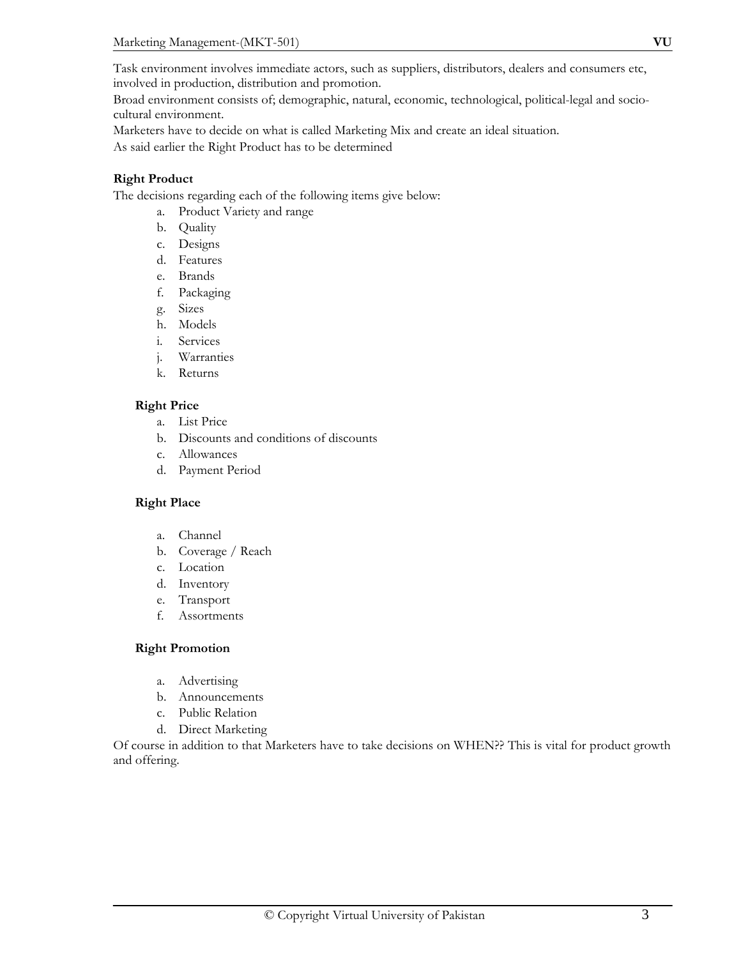Task environment involves immediate actors, such as suppliers, distributors, dealers and consumers etc, involved in production, distribution and promotion.

Broad environment consists of; demographic, natural, economic, technological, political-legal and sociocultural environment.

Marketers have to decide on what is called Marketing Mix and create an ideal situation.

As said earlier the Right Product has to be determined

# **Right Product**

The decisions regarding each of the following items give below:

- a. Product Variety and range
- b. Quality
- c. Designs
- d. Features
- e. Brands
- f. Packaging
- g. Sizes
- h. Models
- i. Services
- j. Warranties
- k. Returns

#### **Right Price**

- a. List Price
- b. Discounts and conditions of discounts
- c. Allowances
- d. Payment Period

# **Right Place**

- a. Channel
- b. Coverage / Reach
- c. Location
- d. Inventory
- e. Transport
- f. Assortments

# **Right Promotion**

- a. Advertising
- b. Announcements
- c. Public Relation
- d. Direct Marketing

Of course in addition to that Marketers have to take decisions on WHEN?? This is vital for product growth and offering.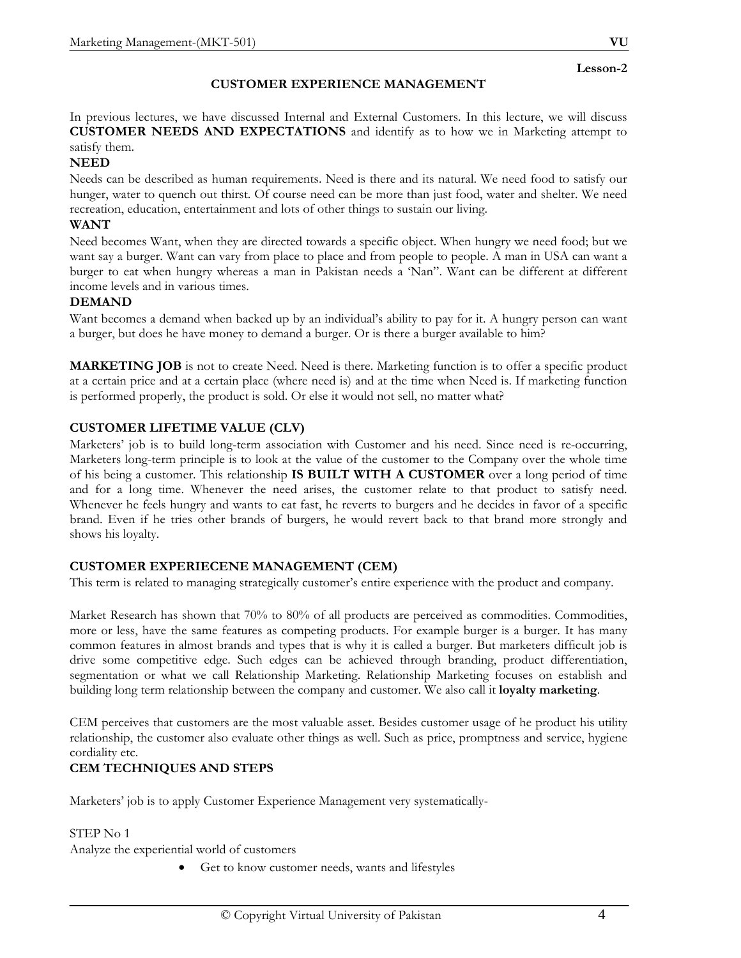#### **CUSTOMER EXPERIENCE MANAGEMENT**

In previous lectures, we have discussed Internal and External Customers. In this lecture, we will discuss **CUSTOMER NEEDS AND EXPECTATIONS** and identify as to how we in Marketing attempt to satisfy them.

# **NEED**

Needs can be described as human requirements. Need is there and its natural. We need food to satisfy our hunger, water to quench out thirst. Of course need can be more than just food, water and shelter. We need recreation, education, entertainment and lots of other things to sustain our living.

#### **WANT**

Need becomes Want, when they are directed towards a specific object. When hungry we need food; but we want say a burger. Want can vary from place to place and from people to people. A man in USA can want a burger to eat when hungry whereas a man in Pakistan needs a 'Nan". Want can be different at different income levels and in various times.

# **DEMAND**

Want becomes a demand when backed up by an individual's ability to pay for it. A hungry person can want a burger, but does he have money to demand a burger. Or is there a burger available to him?

**MARKETING JOB** is not to create Need. Need is there. Marketing function is to offer a specific product at a certain price and at a certain place (where need is) and at the time when Need is. If marketing function is performed properly, the product is sold. Or else it would not sell, no matter what?

# **CUSTOMER LIFETIME VALUE (CLV)**

Marketers' job is to build long-term association with Customer and his need. Since need is re-occurring, Marketers long-term principle is to look at the value of the customer to the Company over the whole time of his being a customer. This relationship **IS BUILT WITH A CUSTOMER** over a long period of time and for a long time. Whenever the need arises, the customer relate to that product to satisfy need. Whenever he feels hungry and wants to eat fast, he reverts to burgers and he decides in favor of a specific brand. Even if he tries other brands of burgers, he would revert back to that brand more strongly and shows his loyalty.

# **CUSTOMER EXPERIECENE MANAGEMENT (CEM)**

This term is related to managing strategically customer's entire experience with the product and company.

Market Research has shown that 70% to 80% of all products are perceived as commodities. Commodities, more or less, have the same features as competing products. For example burger is a burger. It has many common features in almost brands and types that is why it is called a burger. But marketers difficult job is drive some competitive edge. Such edges can be achieved through branding, product differentiation, segmentation or what we call Relationship Marketing. Relationship Marketing focuses on establish and building long term relationship between the company and customer. We also call it **loyalty marketing**.

CEM perceives that customers are the most valuable asset. Besides customer usage of he product his utility relationship, the customer also evaluate other things as well. Such as price, promptness and service, hygiene cordiality etc.

# **CEM TECHNIQUES AND STEPS**

Marketers' job is to apply Customer Experience Management very systematically-

#### STEP No 1

Analyze the experiential world of customers

• Get to know customer needs, wants and lifestyles

**Lesson-2**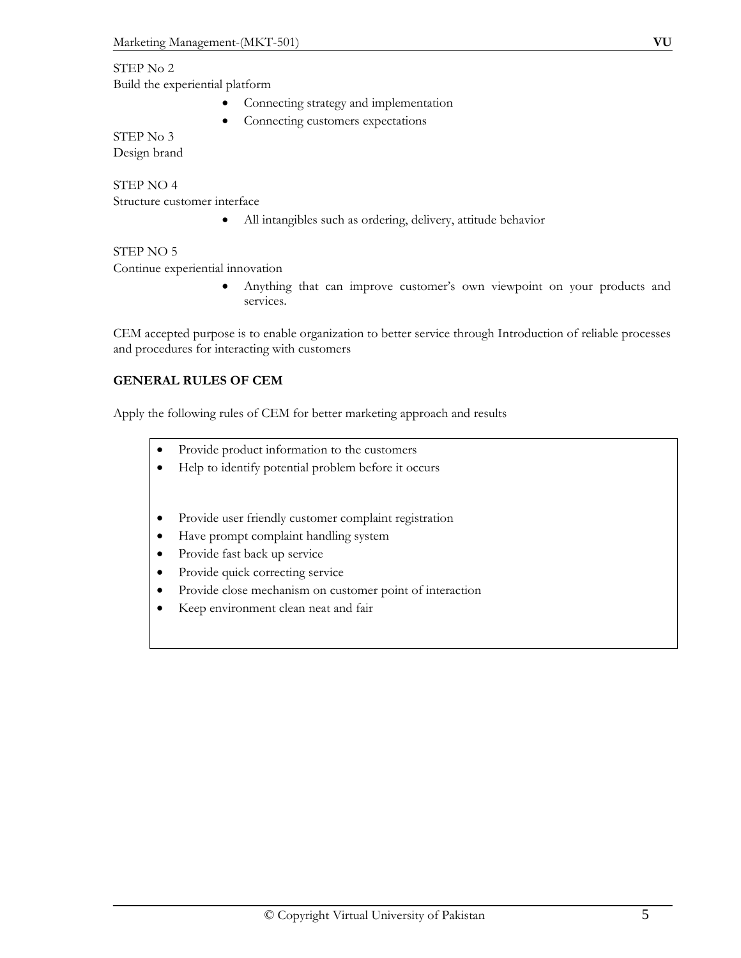# STEP No 2

Build the experiential platform

- Connecting strategy and implementation
- Connecting customers expectations

STEP No 3 Design brand

STEP NO 4 Structure customer interface

• All intangibles such as ordering, delivery, attitude behavior

#### STEP NO 5

Continue experiential innovation

• Anything that can improve customer's own viewpoint on your products and services.

CEM accepted purpose is to enable organization to better service through Introduction of reliable processes and procedures for interacting with customers

#### **GENERAL RULES OF CEM**

Apply the following rules of CEM for better marketing approach and results

- Provide product information to the customers
- Help to identify potential problem before it occurs
- Provide user friendly customer complaint registration
- Have prompt complaint handling system
- Provide fast back up service
- Provide quick correcting service
- Provide close mechanism on customer point of interaction
- Keep environment clean neat and fair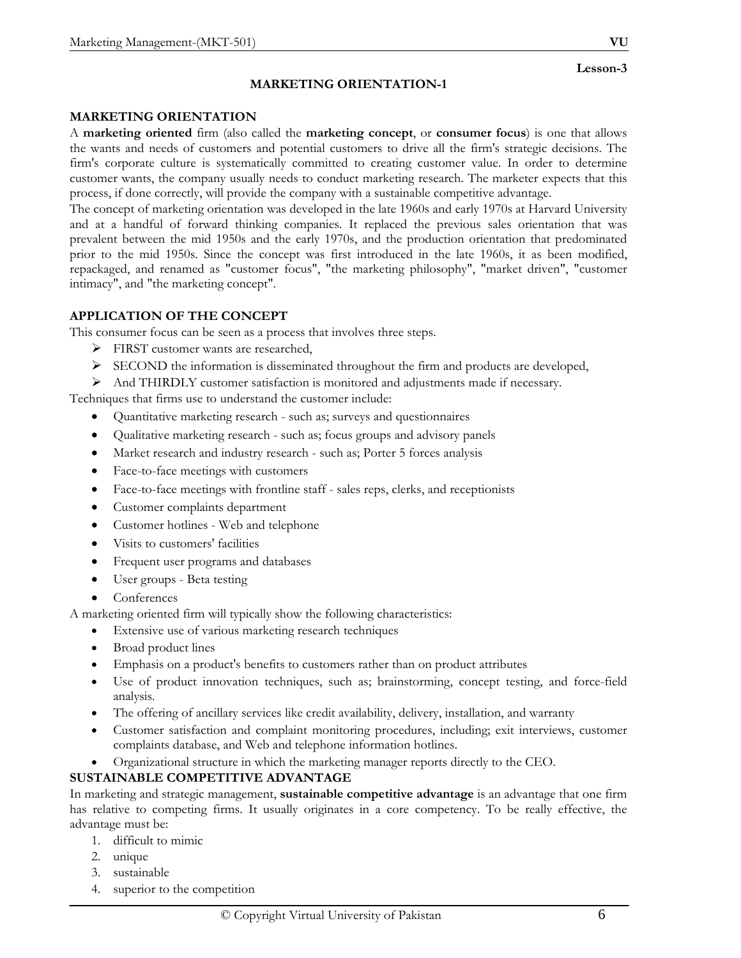#### **MARKETING ORIENTATION-1**

#### **MARKETING ORIENTATION**

A **marketing oriented** firm (also called the **marketing concept**, or **consumer focus**) is one that allows the wants and needs of customers and potential customers to drive all the firm's strategic decisions. The firm's corporate culture is systematically committed to creating customer value. In order to determine customer wants, the company usually needs to conduct marketing research. The marketer expects that this process, if done correctly, will provide the company with a sustainable competitive advantage.

The concept of marketing orientation was developed in the late 1960s and early 1970s at Harvard University and at a handful of forward thinking companies. It replaced the previous sales orientation that was prevalent between the mid 1950s and the early 1970s, and the production orientation that predominated prior to the mid 1950s. Since the concept was first introduced in the late 1960s, it as been modified, repackaged, and renamed as "customer focus", "the marketing philosophy", "market driven", "customer intimacy", and "the marketing concept".

#### **APPLICATION OF THE CONCEPT**

This consumer focus can be seen as a process that involves three steps.

- ¾ FIRST customer wants are researched,
- $\triangleright$  SECOND the information is disseminated throughout the firm and products are developed,
- $\triangleright$  And THIRDLY customer satisfaction is monitored and adjustments made if necessary.

Techniques that firms use to understand the customer include:

- Quantitative marketing research such as; surveys and questionnaires
- Qualitative marketing research such as; focus groups and advisory panels
- Market research and industry research such as; Porter 5 forces analysis
- Face-to-face meetings with customers
- Face-to-face meetings with frontline staff sales reps, clerks, and receptionists
- Customer complaints department
- Customer hotlines Web and telephone
- Visits to customers' facilities
- Frequent user programs and databases
- User groups Beta testing
- Conferences

A marketing oriented firm will typically show the following characteristics:

- Extensive use of various marketing research techniques
- Broad product lines
- Emphasis on a product's benefits to customers rather than on product attributes
- Use of product innovation techniques, such as; brainstorming, concept testing, and force-field analysis.
- The offering of ancillary services like credit availability, delivery, installation, and warranty
- Customer satisfaction and complaint monitoring procedures, including; exit interviews, customer complaints database, and Web and telephone information hotlines.
- Organizational structure in which the marketing manager reports directly to the CEO.

# **SUSTAINABLE COMPETITIVE ADVANTAGE**

In marketing and strategic management, **sustainable competitive advantage** is an advantage that one firm has relative to competing firms. It usually originates in a core competency. To be really effective, the advantage must be:

- 1. difficult to mimic
- 2. unique
- 3. sustainable
- 4. superior to the competition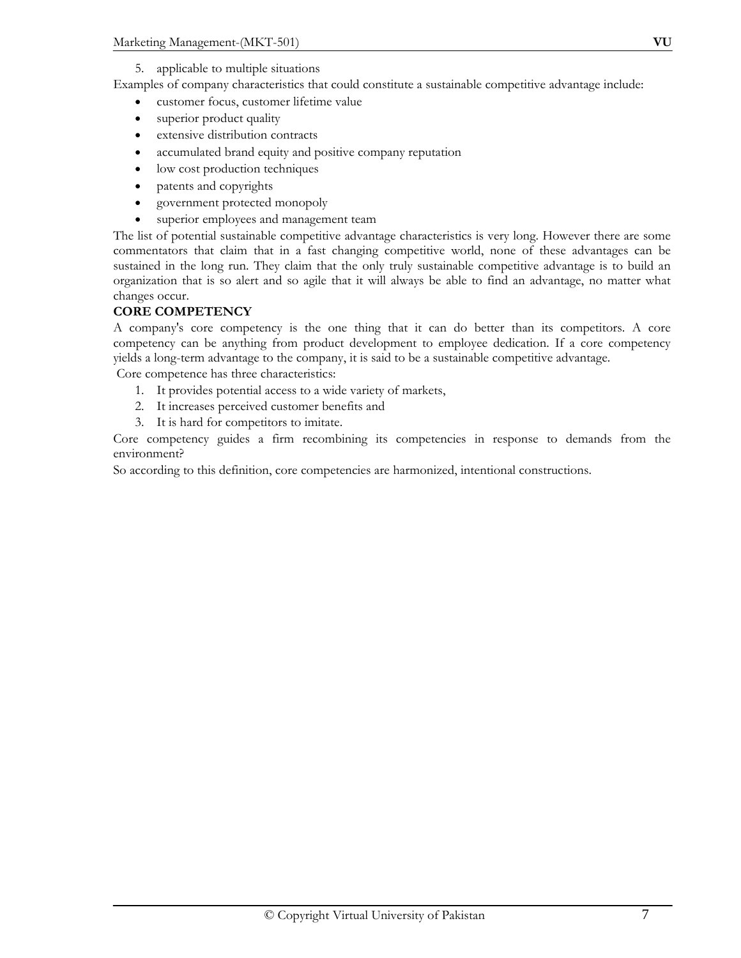5. applicable to multiple situations

Examples of company characteristics that could constitute a sustainable competitive advantage include:

- customer focus, customer lifetime value
- superior product quality
- extensive distribution contracts
- accumulated brand equity and positive company reputation
- low cost production techniques
- patents and copyrights
- government protected monopoly
- superior employees and management team

The list of potential sustainable competitive advantage characteristics is very long. However there are some commentators that claim that in a fast changing competitive world, none of these advantages can be sustained in the long run. They claim that the only truly sustainable competitive advantage is to build an organization that is so alert and so agile that it will always be able to find an advantage, no matter what changes occur.

#### **CORE COMPETENCY**

A company's core competency is the one thing that it can do better than its competitors. A core competency can be anything from product development to employee dedication. If a core competency yields a long-term advantage to the company, it is said to be a sustainable competitive advantage.

Core competence has three characteristics:

- 1. It provides potential access to a wide variety of markets,
- 2. It increases perceived customer benefits and
- 3. It is hard for competitors to imitate.

Core competency guides a firm recombining its competencies in response to demands from the environment?

So according to this definition, core competencies are harmonized, intentional constructions.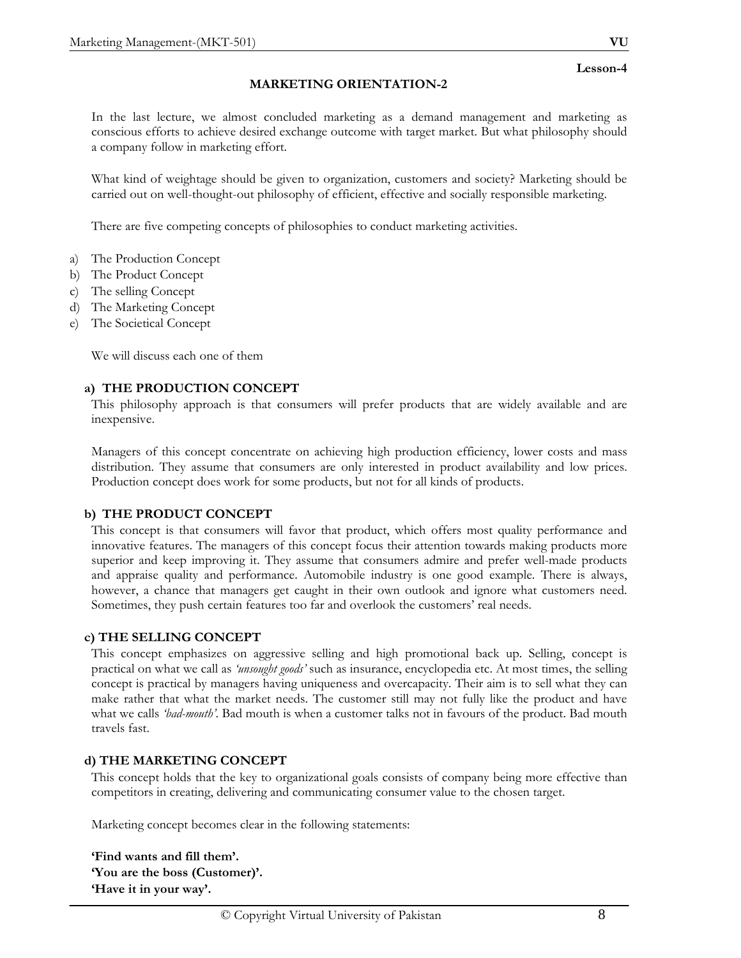#### **MARKETING ORIENTATION-2**

In the last lecture, we almost concluded marketing as a demand management and marketing as conscious efforts to achieve desired exchange outcome with target market. But what philosophy should a company follow in marketing effort.

What kind of weightage should be given to organization, customers and society? Marketing should be carried out on well-thought-out philosophy of efficient, effective and socially responsible marketing.

There are five competing concepts of philosophies to conduct marketing activities.

- a) The Production Concept
- b) The Product Concept
- c) The selling Concept
- d) The Marketing Concept
- e) The Societical Concept

We will discuss each one of them

#### **a) THE PRODUCTION CONCEPT**

This philosophy approach is that consumers will prefer products that are widely available and are inexpensive.

Managers of this concept concentrate on achieving high production efficiency, lower costs and mass distribution. They assume that consumers are only interested in product availability and low prices. Production concept does work for some products, but not for all kinds of products.

#### **b) THE PRODUCT CONCEPT**

This concept is that consumers will favor that product, which offers most quality performance and innovative features. The managers of this concept focus their attention towards making products more superior and keep improving it. They assume that consumers admire and prefer well-made products and appraise quality and performance. Automobile industry is one good example. There is always, however, a chance that managers get caught in their own outlook and ignore what customers need. Sometimes, they push certain features too far and overlook the customers' real needs.

#### **c) THE SELLING CONCEPT**

This concept emphasizes on aggressive selling and high promotional back up. Selling, concept is practical on what we call as *'unsought goods'* such as insurance, encyclopedia etc. At most times, the selling concept is practical by managers having uniqueness and overcapacity. Their aim is to sell what they can make rather that what the market needs. The customer still may not fully like the product and have what we calls *'bad-mouth'*. Bad mouth is when a customer talks not in favours of the product. Bad mouth travels fast.

#### **d) THE MARKETING CONCEPT**

This concept holds that the key to organizational goals consists of company being more effective than competitors in creating, delivering and communicating consumer value to the chosen target.

Marketing concept becomes clear in the following statements:

**'Find wants and fill them'. 'You are the boss (Customer)'. 'Have it in your way'.**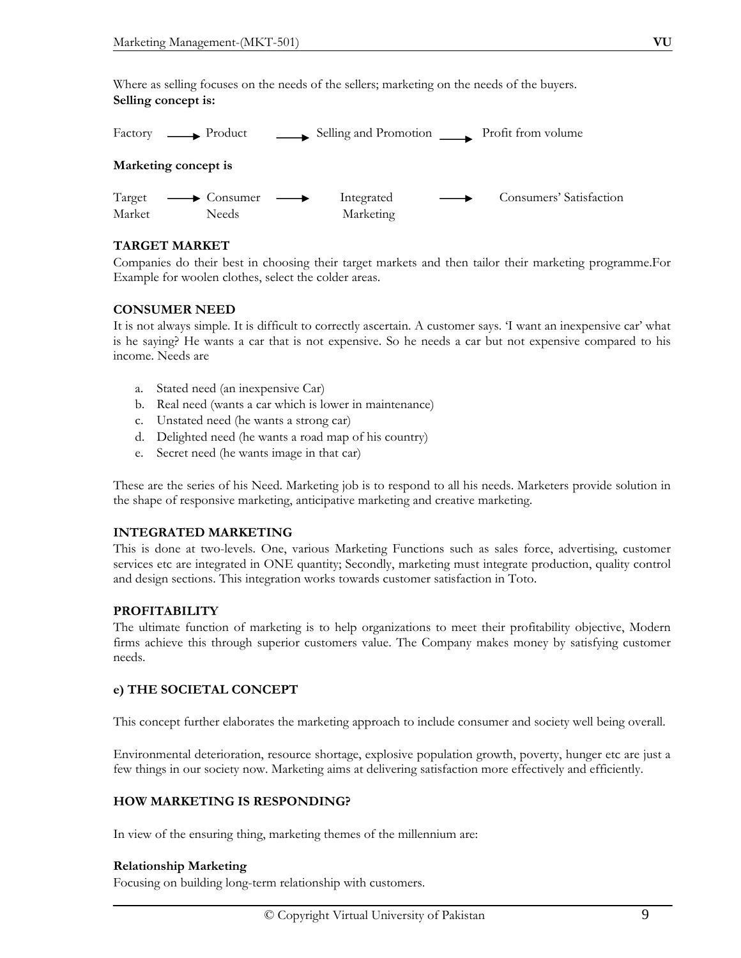

#### **Marketing concept is**

Target — Consumer — Integrated — Consumers' Satisfaction Market Needs Marketing

# **TARGET MARKET**

Companies do their best in choosing their target markets and then tailor their marketing programme.For Example for woolen clothes, select the colder areas.

# **CONSUMER NEED**

It is not always simple. It is difficult to correctly ascertain. A customer says. 'I want an inexpensive car' what is he saying? He wants a car that is not expensive. So he needs a car but not expensive compared to his income. Needs are

- a. Stated need (an inexpensive Car)
- b. Real need (wants a car which is lower in maintenance)
- c. Unstated need (he wants a strong car)
- d. Delighted need (he wants a road map of his country)
- e. Secret need (he wants image in that car)

These are the series of his Need. Marketing job is to respond to all his needs. Marketers provide solution in the shape of responsive marketing, anticipative marketing and creative marketing.

#### **INTEGRATED MARKETING**

This is done at two-levels. One, various Marketing Functions such as sales force, advertising, customer services etc are integrated in ONE quantity; Secondly, marketing must integrate production, quality control and design sections. This integration works towards customer satisfaction in Toto.

#### **PROFITABILITY**

The ultimate function of marketing is to help organizations to meet their profitability objective, Modern firms achieve this through superior customers value. The Company makes money by satisfying customer needs.

#### **e) THE SOCIETAL CONCEPT**

This concept further elaborates the marketing approach to include consumer and society well being overall.

Environmental deterioration, resource shortage, explosive population growth, poverty, hunger etc are just a few things in our society now. Marketing aims at delivering satisfaction more effectively and efficiently.

#### **HOW MARKETING IS RESPONDING?**

In view of the ensuring thing, marketing themes of the millennium are:

#### **Relationship Marketing**

Focusing on building long-term relationship with customers.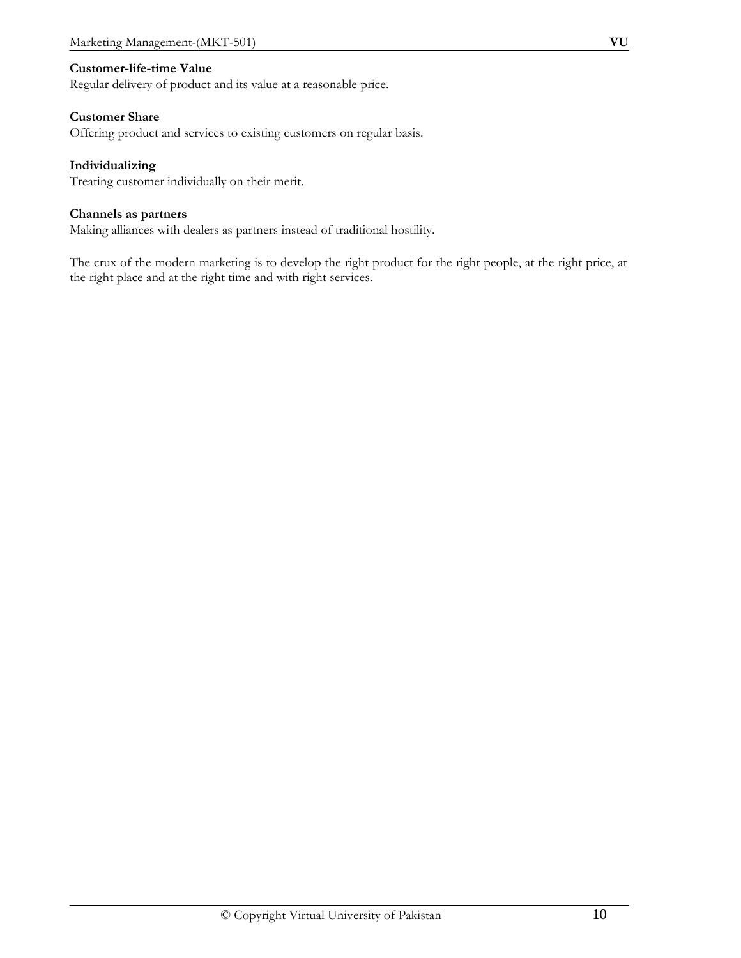#### **Customer-life-time Value**

Regular delivery of product and its value at a reasonable price.

#### **Customer Share**

Offering product and services to existing customers on regular basis.

#### **Individualizing**

Treating customer individually on their merit.

#### **Channels as partners**

Making alliances with dealers as partners instead of traditional hostility.

The crux of the modern marketing is to develop the right product for the right people, at the right price, at the right place and at the right time and with right services.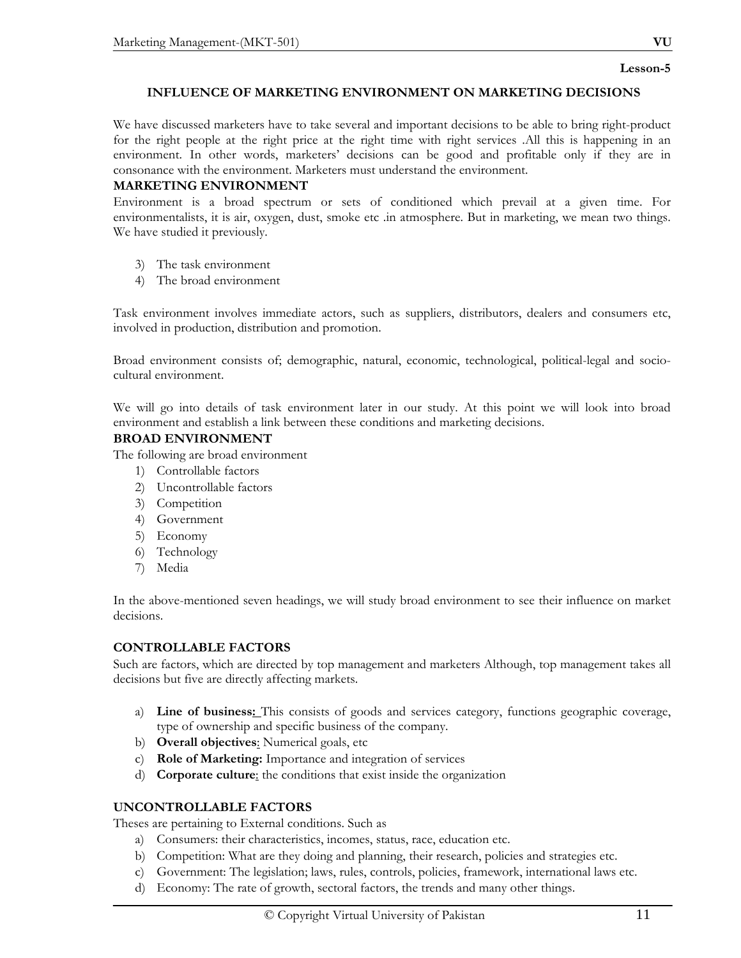#### **INFLUENCE OF MARKETING ENVIRONMENT ON MARKETING DECISIONS**

We have discussed marketers have to take several and important decisions to be able to bring right-product for the right people at the right price at the right time with right services .All this is happening in an environment. In other words, marketers' decisions can be good and profitable only if they are in consonance with the environment. Marketers must understand the environment.

#### **MARKETING ENVIRONMENT**

Environment is a broad spectrum or sets of conditioned which prevail at a given time. For environmentalists, it is air, oxygen, dust, smoke etc .in atmosphere. But in marketing, we mean two things. We have studied it previously.

- 3) The task environment
- 4) The broad environment

Task environment involves immediate actors, such as suppliers, distributors, dealers and consumers etc, involved in production, distribution and promotion.

Broad environment consists of; demographic, natural, economic, technological, political-legal and sociocultural environment.

We will go into details of task environment later in our study. At this point we will look into broad environment and establish a link between these conditions and marketing decisions.

#### **BROAD ENVIRONMENT**

The following are broad environment

- 1) Controllable factors
- 2) Uncontrollable factors
- 3) Competition
- 4) Government
- 5) Economy
- 6) Technology
- 7) Media

In the above-mentioned seven headings, we will study broad environment to see their influence on market decisions.

#### **CONTROLLABLE FACTORS**

Such are factors, which are directed by top management and marketers Although, top management takes all decisions but five are directly affecting markets.

- a) **Line of business:** This consists of goods and services category, functions geographic coverage, type of ownership and specific business of the company.
- b) **Overall objectives**: Numerical goals, etc
- c) **Role of Marketing:** Importance and integration of services
- d) **Corporate culture**: the conditions that exist inside the organization

#### **UNCONTROLLABLE FACTORS**

Theses are pertaining to External conditions. Such as

- a) Consumers: their characteristics, incomes, status, race, education etc.
- b) Competition: What are they doing and planning, their research, policies and strategies etc.
- c) Government: The legislation; laws, rules, controls, policies, framework, international laws etc.
- d) Economy: The rate of growth, sectoral factors, the trends and many other things.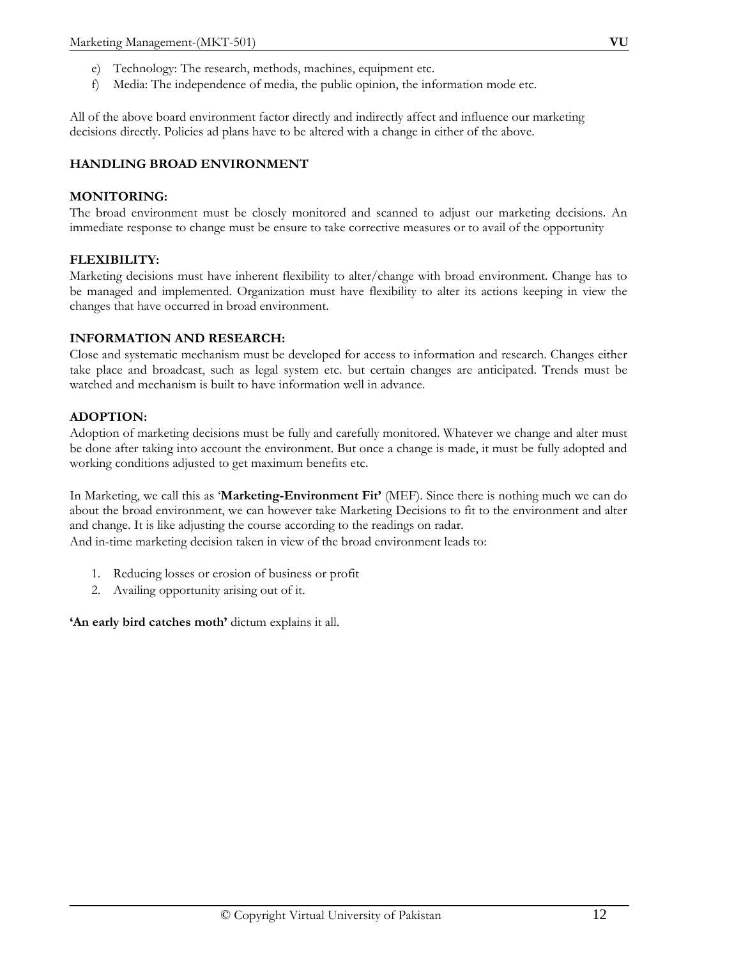f) Media: The independence of media, the public opinion, the information mode etc.

All of the above board environment factor directly and indirectly affect and influence our marketing decisions directly. Policies ad plans have to be altered with a change in either of the above.

#### **HANDLING BROAD ENVIRONMENT**

#### **MONITORING:**

The broad environment must be closely monitored and scanned to adjust our marketing decisions. An immediate response to change must be ensure to take corrective measures or to avail of the opportunity

#### **FLEXIBILITY:**

Marketing decisions must have inherent flexibility to alter/change with broad environment. Change has to be managed and implemented. Organization must have flexibility to alter its actions keeping in view the changes that have occurred in broad environment.

#### **INFORMATION AND RESEARCH:**

Close and systematic mechanism must be developed for access to information and research. Changes either take place and broadcast, such as legal system etc. but certain changes are anticipated. Trends must be watched and mechanism is built to have information well in advance.

#### **ADOPTION:**

Adoption of marketing decisions must be fully and carefully monitored. Whatever we change and alter must be done after taking into account the environment. But once a change is made, it must be fully adopted and working conditions adjusted to get maximum benefits etc.

In Marketing, we call this as '**Marketing-Environment Fit'** (MEF). Since there is nothing much we can do about the broad environment, we can however take Marketing Decisions to fit to the environment and alter and change. It is like adjusting the course according to the readings on radar. And in-time marketing decision taken in view of the broad environment leads to:

- 1. Reducing losses or erosion of business or profit
- 2. Availing opportunity arising out of it.

**'An early bird catches moth'** dictum explains it all.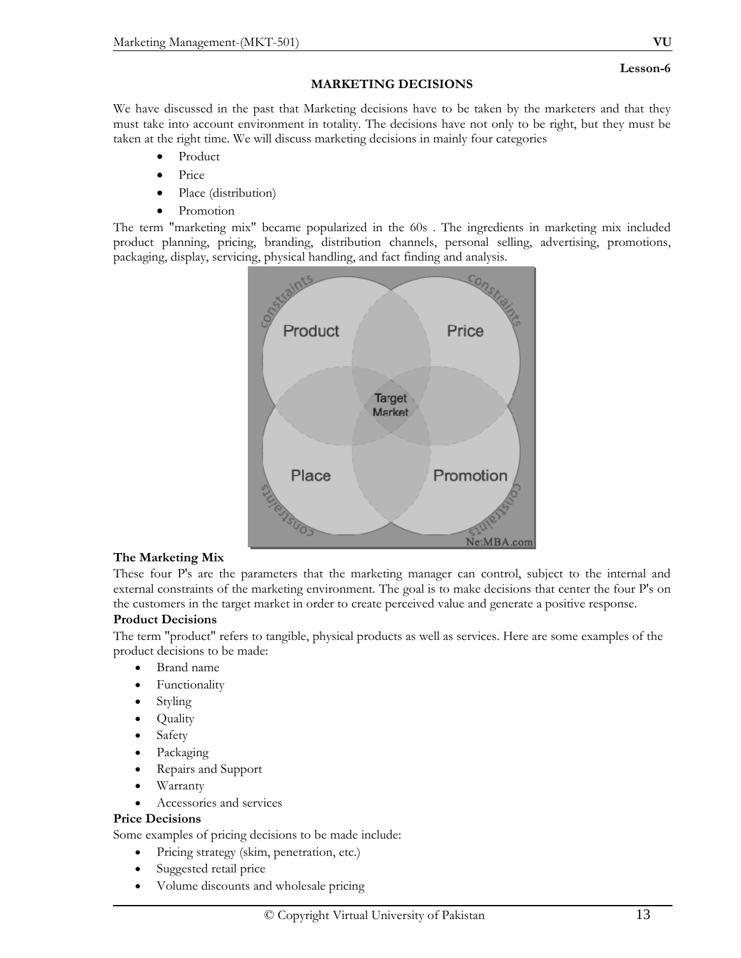#### **MARKETING DECISIONS**

We have discussed in the past that Marketing decisions have to be taken by the marketers and that they must take into account environment in totality. The decisions have not only to be right, but they must be taken at the right time. We will discuss marketing decisions in mainly four categories

- Product
- Price
- Place (distribution)
- **Promotion**

The term "marketing mix" became popularized in the 60s . The ingredients in marketing mix included product planning, pricing, branding, distribution channels, personal selling, advertising, promotions, packaging, display, servicing, physical handling, and fact finding and analysis.



#### **The Marketing Mix**

These four P's are the parameters that the marketing manager can control, subject to the internal and external constraints of the marketing environment. The goal is to make decisions that center the four P's on the customers in the target market in order to create perceived value and generate a positive response.

#### **Product Decisions**

The term "product" refers to tangible, physical products as well as services. Here are some examples of the product decisions to be made:

- Brand name
- **Functionality**
- Styling
- Quality
- Safety
- Packaging
- Repairs and Support
- Warranty
- Accessories and services

#### **Price Decisions**

Some examples of pricing decisions to be made include:

- Pricing strategy (skim, penetration, etc.)
- Suggested retail price
- Volume discounts and wholesale pricing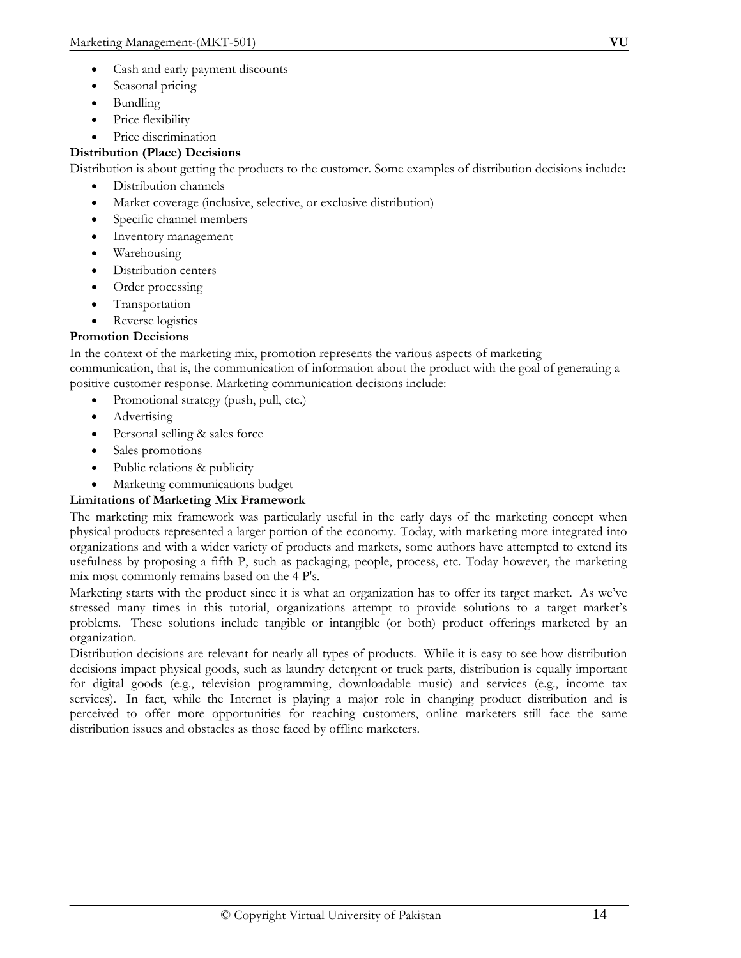- Cash and early payment discounts
- Seasonal pricing
- Bundling
- Price flexibility

# • Price discrimination

#### **Distribution (Place) Decisions**

Distribution is about getting the products to the customer. Some examples of distribution decisions include:

- Distribution channels
- Market coverage (inclusive, selective, or exclusive distribution)
- Specific channel members
- Inventory management
- Warehousing
- Distribution centers
- Order processing
- Transportation
- Reverse logistics

# **Promotion Decisions**

In the context of the marketing mix, promotion represents the various aspects of marketing communication, that is, the communication of information about the product with the goal of generating a positive customer response. Marketing communication decisions include:

- Promotional strategy (push, pull, etc.)
- Advertising
- Personal selling & sales force
- Sales promotions
- Public relations & publicity
- Marketing communications budget

# **Limitations of Marketing Mix Framework**

The marketing mix framework was particularly useful in the early days of the marketing concept when physical products represented a larger portion of the economy. Today, with marketing more integrated into organizations and with a wider variety of products and markets, some authors have attempted to extend its usefulness by proposing a fifth P, such as packaging, people, process, etc. Today however, the marketing mix most commonly remains based on the 4 P's.

Marketing starts with the product since it is what an organization has to offer its target market. As we've stressed many times in this tutorial, organizations attempt to provide solutions to a target market's problems. These solutions include tangible or intangible (or both) product offerings marketed by an organization.

Distribution decisions are relevant for nearly all types of products. While it is easy to see how distribution decisions impact physical goods, such as laundry detergent or truck parts, distribution is equally important for digital goods (e.g., television programming, downloadable music) and services (e.g., income tax services). In fact, while the Internet is playing a major role in changing product distribution and is perceived to offer more opportunities for reaching customers, online marketers still face the same distribution issues and obstacles as those faced by offline marketers.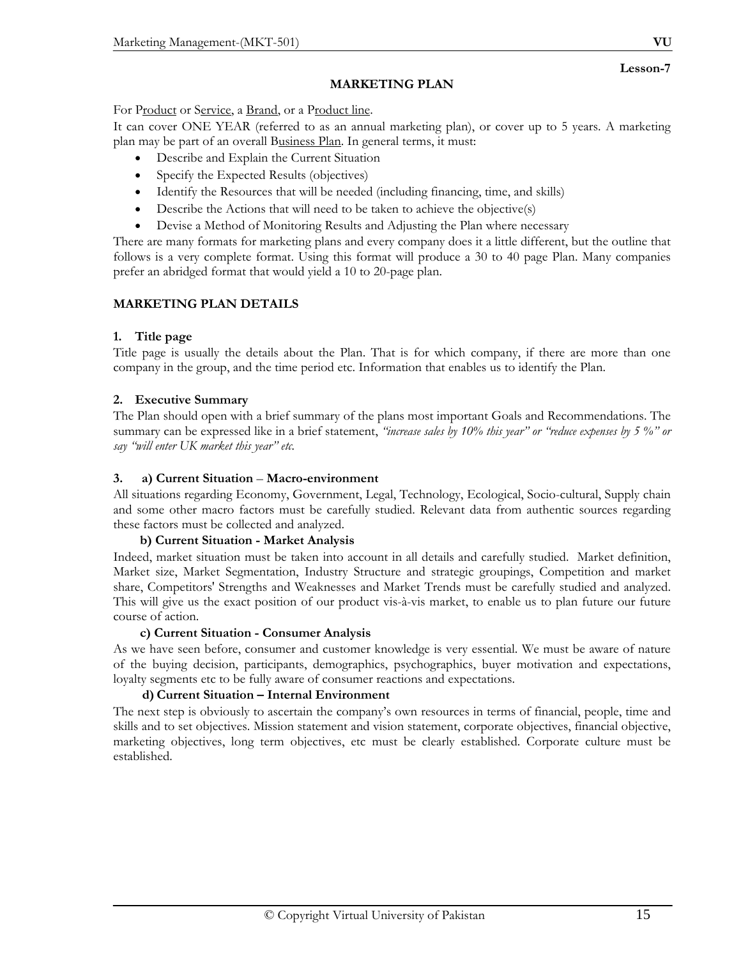# **MARKETING PLAN**

For Product or Service, a Brand, or a Product line.

It can cover ONE YEAR (referred to as an annual marketing plan), or cover up to 5 years. A marketing plan may be part of an overall Business Plan. In general terms, it must:

- Describe and Explain the Current Situation
- Specify the Expected Results (objectives)
- Identify the Resources that will be needed (including financing, time, and skills)
- Describe the Actions that will need to be taken to achieve the objective(s)
- Devise a Method of Monitoring Results and Adjusting the Plan where necessary

There are many formats for marketing plans and every company does it a little different, but the outline that follows is a very complete format. Using this format will produce a 30 to 40 page Plan. Many companies prefer an abridged format that would yield a 10 to 20-page plan.

# **MARKETING PLAN DETAILS**

# **1. Title page**

Title page is usually the details about the Plan. That is for which company, if there are more than one company in the group, and the time period etc. Information that enables us to identify the Plan.

# **2. Executive Summary**

The Plan should open with a brief summary of the plans most important Goals and Recommendations. The summary can be expressed like in a brief statement, *"increase sales by 10% this year" or "reduce expenses by 5 %" or say "will enter UK market this year" etc.* 

# **3. a) Current Situation** – **Macro-environment**

All situations regarding Economy, Government, Legal, Technology, Ecological, Socio-cultural, Supply chain and some other macro factors must be carefully studied. Relevant data from authentic sources regarding these factors must be collected and analyzed.

# **b) Current Situation - Market Analysis**

Indeed, market situation must be taken into account in all details and carefully studied. Market definition, Market size, Market Segmentation, Industry Structure and strategic groupings, Competition and market share, Competitors' Strengths and Weaknesses and Market Trends must be carefully studied and analyzed. This will give us the exact position of our product vis-à-vis market, to enable us to plan future our future course of action.

# **c) Current Situation - Consumer Analysis**

As we have seen before, consumer and customer knowledge is very essential. We must be aware of nature of the buying decision, participants, demographics, psychographics, buyer motivation and expectations, loyalty segments etc to be fully aware of consumer reactions and expectations.

# **d) Current Situation – Internal Environment**

The next step is obviously to ascertain the company's own resources in terms of financial, people, time and skills and to set objectives. Mission statement and vision statement, corporate objectives, financial objective, marketing objectives, long term objectives, etc must be clearly established. Corporate culture must be established.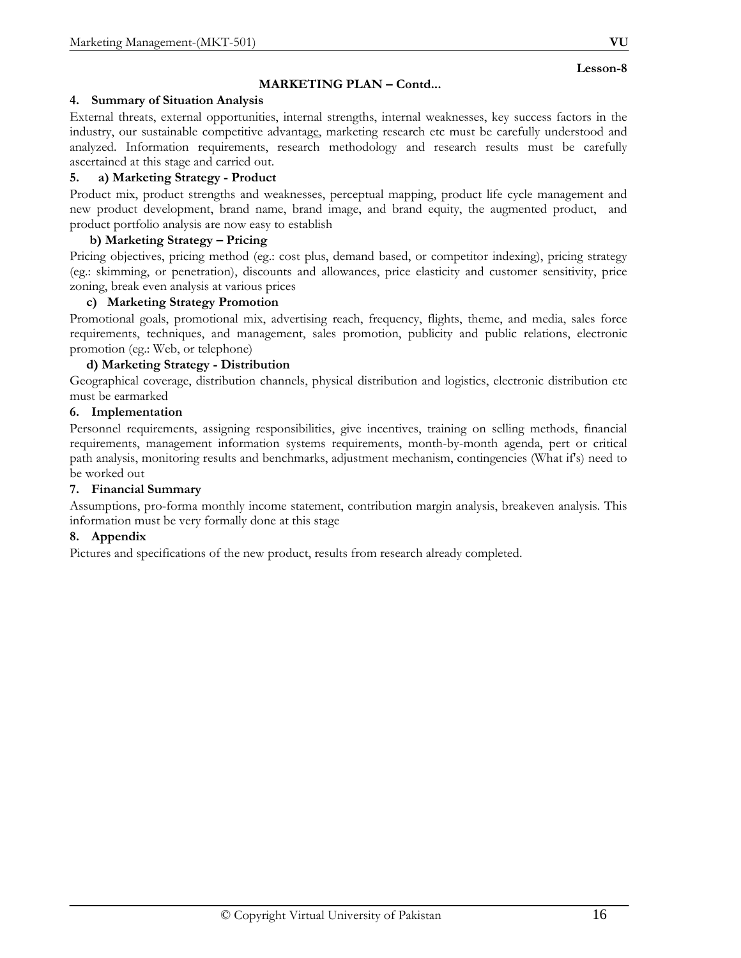# **MARKETING PLAN – Contd...**

# **4. Summary of Situation Analysis**

External threats, external opportunities, internal strengths, internal weaknesses, key success factors in the industry, our sustainable competitive advantage, marketing research etc must be carefully understood and analyzed. Information requirements, research methodology and research results must be carefully ascertained at this stage and carried out.

# **5. a) Marketing Strategy - Product**

Product mix, product strengths and weaknesses, perceptual mapping, product life cycle management and new product development, brand name, brand image, and brand equity, the augmented product, and product portfolio analysis are now easy to establish

# **b) Marketing Strategy – Pricing**

Pricing objectives, pricing method (eg.: cost plus, demand based, or competitor indexing), pricing strategy (eg.: skimming, or penetration), discounts and allowances, price elasticity and customer sensitivity, price zoning, break even analysis at various prices

# **c) Marketing Strategy Promotion**

Promotional goals, promotional mix, advertising reach, frequency, flights, theme, and media, sales force requirements, techniques, and management, sales promotion, publicity and public relations, electronic promotion (eg.: Web, or telephone)

# **d) Marketing Strategy - Distribution**

Geographical coverage, distribution channels, physical distribution and logistics, electronic distribution etc must be earmarked

# **6. Implementation**

Personnel requirements, assigning responsibilities, give incentives, training on selling methods, financial requirements, management information systems requirements, month-by-month agenda, pert or critical path analysis, monitoring results and benchmarks, adjustment mechanism, contingencies (What if's) need to be worked out

# **7. Financial Summary**

Assumptions, pro-forma monthly income statement, contribution margin analysis, breakeven analysis. This information must be very formally done at this stage

# **8. Appendix**

Pictures and specifications of the new product, results from research already completed.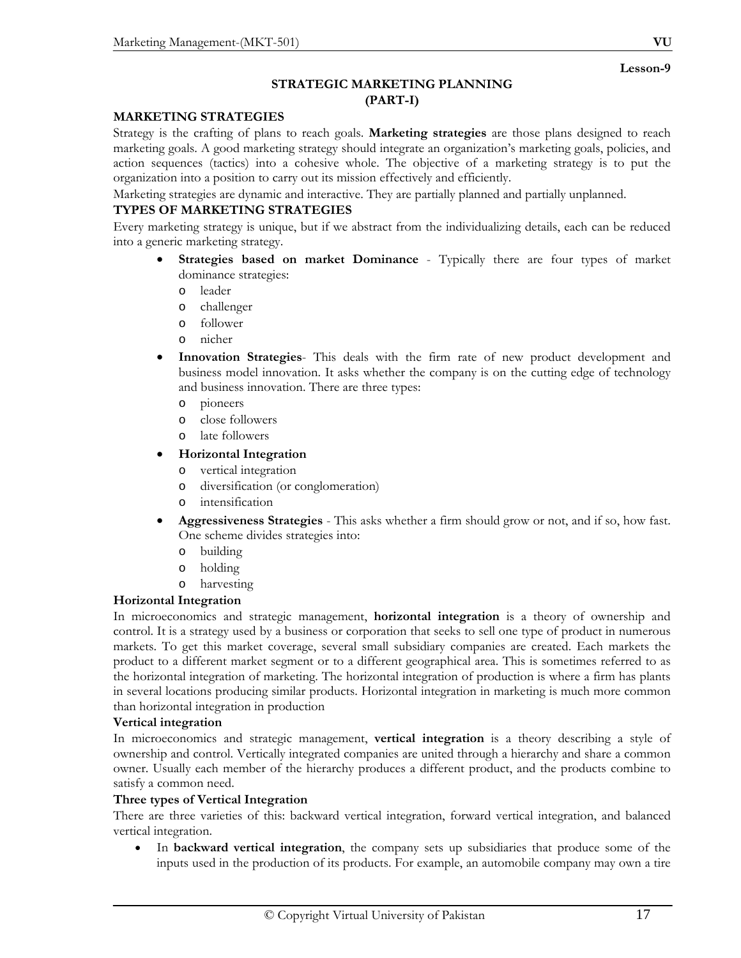# **STRATEGIC MARKETING PLANNING (PART-I)**

# **MARKETING STRATEGIES**

Strategy is the crafting of plans to reach goals. **Marketing strategies** are those plans designed to reach marketing goals. A good marketing strategy should integrate an organization's marketing goals, policies, and action sequences (tactics) into a cohesive whole. The objective of a marketing strategy is to put the organization into a position to carry out its mission effectively and efficiently.

Marketing strategies are dynamic and interactive. They are partially planned and partially unplanned.

# **TYPES OF MARKETING STRATEGIES**

Every marketing strategy is unique, but if we abstract from the individualizing details, each can be reduced into a generic marketing strategy.

- **Strategies based on market Dominance** Typically there are four types of market dominance strategies:
	- o leader
	- o challenger
	- o follower
	- o nicher
- **Innovation Strategies** This deals with the firm rate of new product development and business model innovation. It asks whether the company is on the cutting edge of technology and business innovation. There are three types:
	- o pioneers
	- o close followers
	- o late followers

#### • **Horizontal Integration**

- o vertical integration
- o diversification (or conglomeration)
- o intensification
- **Aggressiveness Strategies** This asks whether a firm should grow or not, and if so, how fast. One scheme divides strategies into:
	- o building
	- o holding
	- o harvesting

# **Horizontal Integration**

In microeconomics and strategic management, **horizontal integration** is a theory of ownership and control. It is a strategy used by a business or corporation that seeks to sell one type of product in numerous markets. To get this market coverage, several small subsidiary companies are created. Each markets the product to a different market segment or to a different geographical area. This is sometimes referred to as the horizontal integration of marketing. The horizontal integration of production is where a firm has plants in several locations producing similar products. Horizontal integration in marketing is much more common than horizontal integration in production

#### **Vertical integration**

In microeconomics and strategic management, **vertical integration** is a theory describing a style of ownership and control. Vertically integrated companies are united through a hierarchy and share a common owner. Usually each member of the hierarchy produces a different product, and the products combine to satisfy a common need.

#### **Three types of Vertical Integration**

There are three varieties of this: backward vertical integration, forward vertical integration, and balanced vertical integration.

• In **backward vertical integration**, the company sets up subsidiaries that produce some of the inputs used in the production of its products. For example, an automobile company may own a tire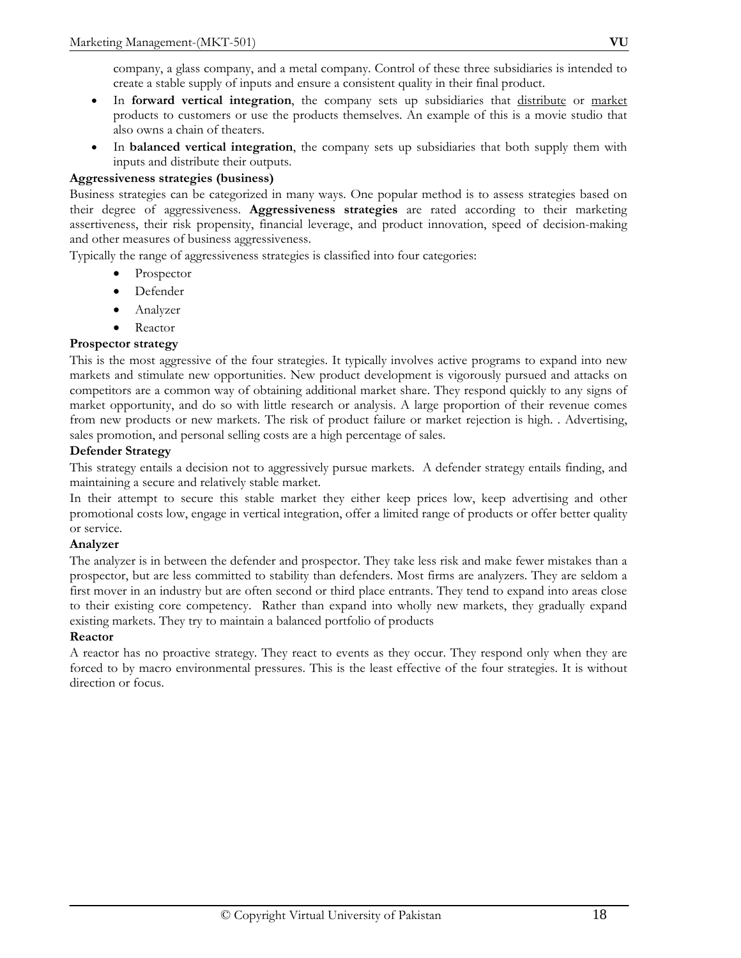company, a glass company, and a metal company. Control of these three subsidiaries is intended to create a stable supply of inputs and ensure a consistent quality in their final product.

- In **forward vertical integration**, the company sets up subsidiaries that distribute or market products to customers or use the products themselves. An example of this is a movie studio that also owns a chain of theaters.
- In **balanced vertical integration**, the company sets up subsidiaries that both supply them with inputs and distribute their outputs.

#### **Aggressiveness strategies (business)**

Business strategies can be categorized in many ways. One popular method is to assess strategies based on their degree of aggressiveness. **Aggressiveness strategies** are rated according to their marketing assertiveness, their risk propensity, financial leverage, and product innovation, speed of decision-making and other measures of business aggressiveness.

Typically the range of aggressiveness strategies is classified into four categories:

- **Prospector**
- Defender
- Analyzer
- Reactor

#### **Prospector strategy**

This is the most aggressive of the four strategies. It typically involves active programs to expand into new markets and stimulate new opportunities. New product development is vigorously pursued and attacks on competitors are a common way of obtaining additional market share. They respond quickly to any signs of market opportunity, and do so with little research or analysis. A large proportion of their revenue comes from new products or new markets. The risk of product failure or market rejection is high. . Advertising, sales promotion, and personal selling costs are a high percentage of sales.

#### **Defender Strategy**

This strategy entails a decision not to aggressively pursue markets. A defender strategy entails finding, and maintaining a secure and relatively stable market.

In their attempt to secure this stable market they either keep prices low, keep advertising and other promotional costs low, engage in vertical integration, offer a limited range of products or offer better quality or service.

#### **Analyzer**

The analyzer is in between the defender and prospector. They take less risk and make fewer mistakes than a prospector, but are less committed to stability than defenders. Most firms are analyzers. They are seldom a first mover in an industry but are often second or third place entrants. They tend to expand into areas close to their existing core competency. Rather than expand into wholly new markets, they gradually expand existing markets. They try to maintain a balanced portfolio of products

#### **Reactor**

A reactor has no proactive strategy. They react to events as they occur. They respond only when they are forced to by macro environmental pressures. This is the least effective of the four strategies. It is without direction or focus.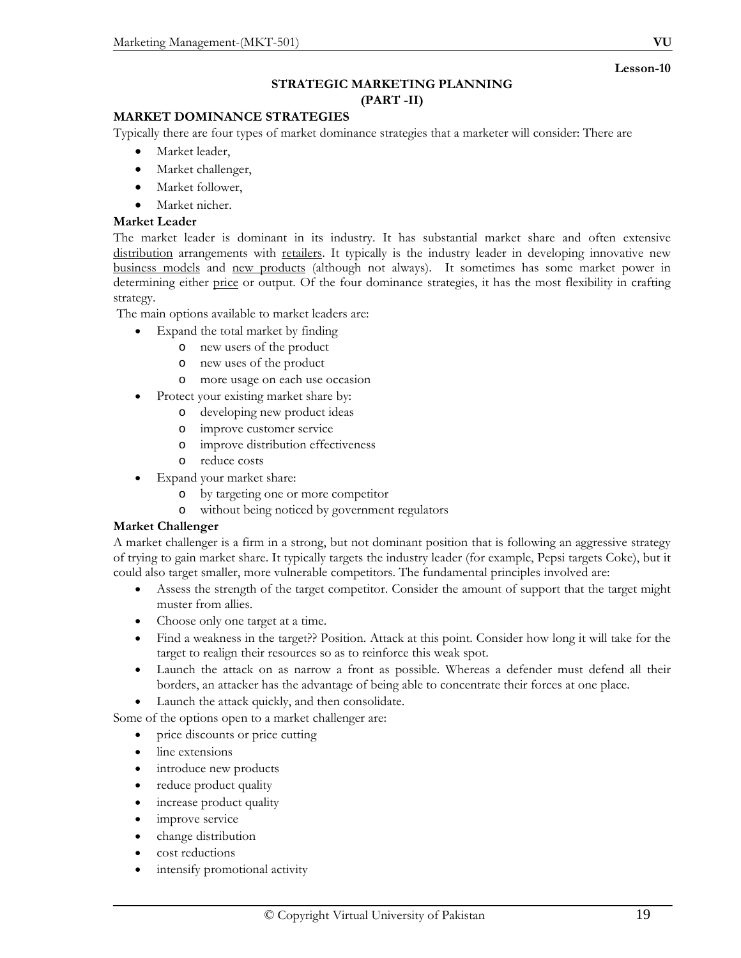# **STRATEGIC MARKETING PLANNING (PART -II)**

# **MARKET DOMINANCE STRATEGIES**

Typically there are four types of market dominance strategies that a marketer will consider: There are

- Market leader,
- Market challenger,
- Market follower,
- Market nicher.

#### **Market Leader**

The market leader is dominant in its industry. It has substantial market share and often extensive distribution arrangements with retailers. It typically is the industry leader in developing innovative new business models and new products (although not always). It sometimes has some market power in determining either price or output. Of the four dominance strategies, it has the most flexibility in crafting strategy.

The main options available to market leaders are:

- Expand the total market by finding
	- o new users of the product
	- o new uses of the product

o more usage on each use occasion

- Protect your existing market share by:
	- o developing new product ideas
	- o improve customer service
	- o improve distribution effectiveness
	- o reduce costs
- Expand your market share:
	- by targeting one or more competitor
	- o without being noticed by government regulators

#### **Market Challenger**

A market challenger is a firm in a strong, but not dominant position that is following an aggressive strategy of trying to gain market share. It typically targets the industry leader (for example, Pepsi targets Coke), but it could also target smaller, more vulnerable competitors. The fundamental principles involved are:

- Assess the strength of the target competitor. Consider the amount of support that the target might muster from allies.
- Choose only one target at a time.
- Find a weakness in the target?? Position. Attack at this point. Consider how long it will take for the target to realign their resources so as to reinforce this weak spot.
- Launch the attack on as narrow a front as possible. Whereas a defender must defend all their borders, an attacker has the advantage of being able to concentrate their forces at one place.
- Launch the attack quickly, and then consolidate.

Some of the options open to a market challenger are:

- price discounts or price cutting
- line extensions
- introduce new products
- reduce product quality
- increase product quality
- improve service
- change distribution
- cost reductions
- intensify promotional activity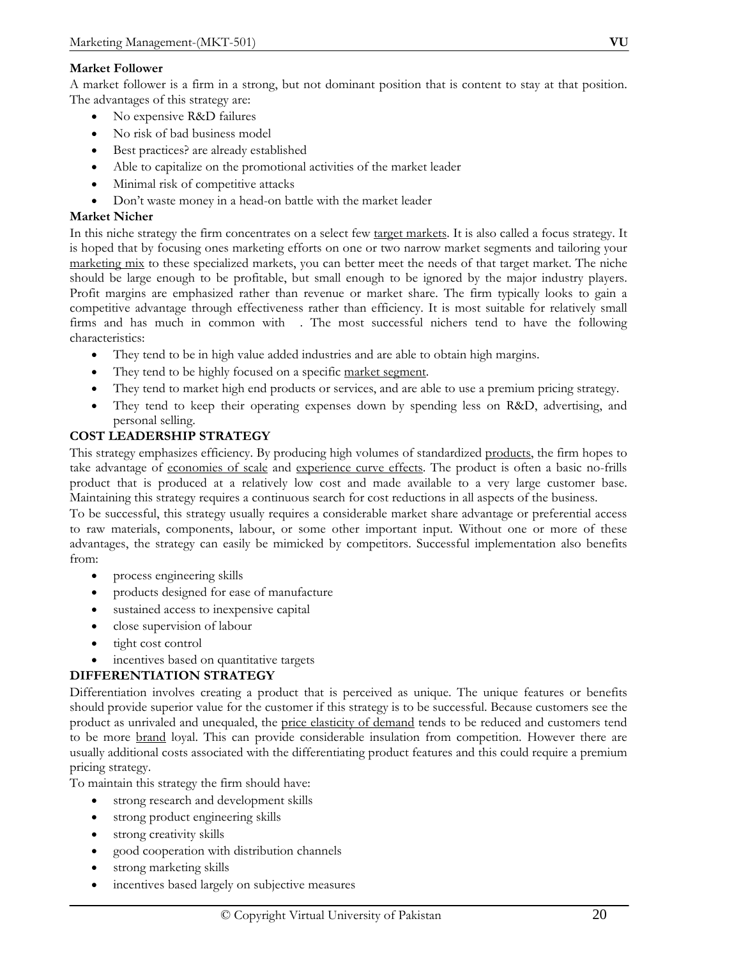#### **Market Follower**

A market follower is a firm in a strong, but not dominant position that is content to stay at that position. The advantages of this strategy are:

- No expensive R&D failures
- No risk of bad business model
- Best practices? are already established
- Able to capitalize on the promotional activities of the market leader
- Minimal risk of competitive attacks
- Don't waste money in a head-on battle with the market leader

# **Market Nicher**

In this niche strategy the firm concentrates on a select few target markets. It is also called a focus strategy. It is hoped that by focusing ones marketing efforts on one or two narrow market segments and tailoring your marketing mix to these specialized markets, you can better meet the needs of that target market. The niche should be large enough to be profitable, but small enough to be ignored by the major industry players. Profit margins are emphasized rather than revenue or market share. The firm typically looks to gain a competitive advantage through effectiveness rather than efficiency. It is most suitable for relatively small firms and has much in common with . The most successful nichers tend to have the following characteristics:

- They tend to be in high value added industries and are able to obtain high margins.
- They tend to be highly focused on a specific market segment.
- They tend to market high end products or services, and are able to use a premium pricing strategy.
- They tend to keep their operating expenses down by spending less on R&D, advertising, and personal selling.

# **COST LEADERSHIP STRATEGY**

This strategy emphasizes efficiency. By producing high volumes of standardized products, the firm hopes to take advantage of economies of scale and experience curve effects. The product is often a basic no-frills product that is produced at a relatively low cost and made available to a very large customer base. Maintaining this strategy requires a continuous search for cost reductions in all aspects of the business.

To be successful, this strategy usually requires a considerable market share advantage or preferential access to raw materials, components, labour, or some other important input. Without one or more of these advantages, the strategy can easily be mimicked by competitors. Successful implementation also benefits from:

- process engineering skills
- products designed for ease of manufacture
- sustained access to inexpensive capital
- close supervision of labour
- tight cost control
- incentives based on quantitative targets

# **DIFFERENTIATION STRATEGY**

Differentiation involves creating a product that is perceived as unique. The unique features or benefits should provide superior value for the customer if this strategy is to be successful. Because customers see the product as unrivaled and unequaled, the price elasticity of demand tends to be reduced and customers tend to be more brand loyal. This can provide considerable insulation from competition. However there are usually additional costs associated with the differentiating product features and this could require a premium pricing strategy.

To maintain this strategy the firm should have:

- strong research and development skills
- strong product engineering skills
- strong creativity skills
- good cooperation with distribution channels
- strong marketing skills
- incentives based largely on subjective measures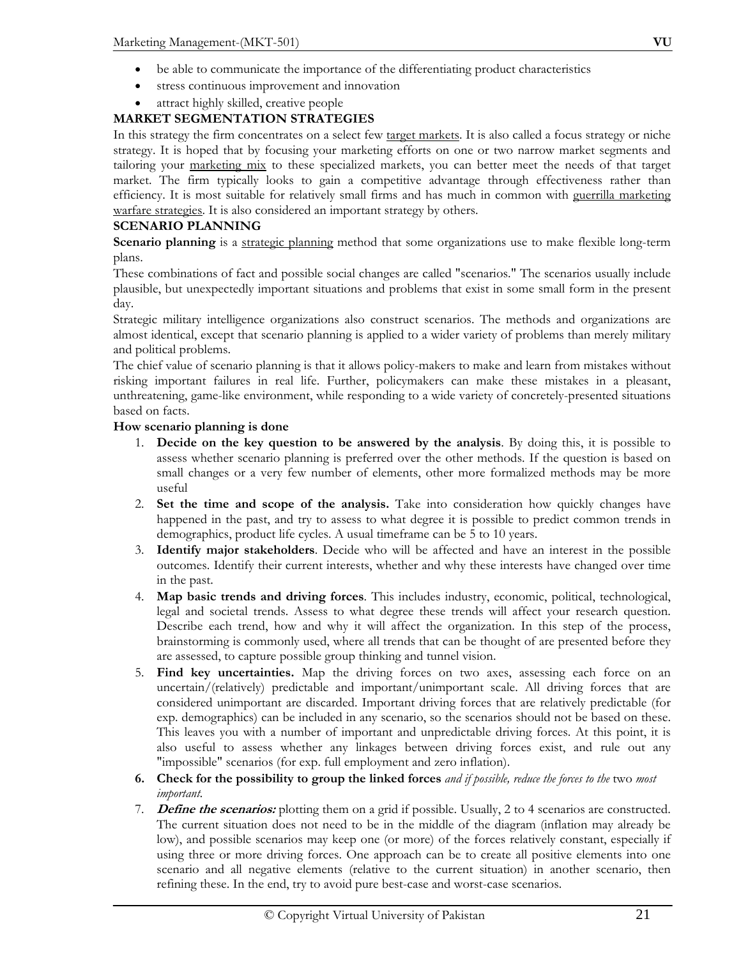- be able to communicate the importance of the differentiating product characteristics
- stress continuous improvement and innovation
- attract highly skilled, creative people

# **MARKET SEGMENTATION STRATEGIES**

In this strategy the firm concentrates on a select few target markets. It is also called a focus strategy or niche strategy. It is hoped that by focusing your marketing efforts on one or two narrow market segments and tailoring your marketing mix to these specialized markets, you can better meet the needs of that target market. The firm typically looks to gain a competitive advantage through effectiveness rather than efficiency. It is most suitable for relatively small firms and has much in common with guerrilla marketing warfare strategies. It is also considered an important strategy by others.

# **SCENARIO PLANNING**

**Scenario planning** is a strategic planning method that some organizations use to make flexible long-term plans.

These combinations of fact and possible social changes are called "scenarios." The scenarios usually include plausible, but unexpectedly important situations and problems that exist in some small form in the present day.

Strategic military intelligence organizations also construct scenarios. The methods and organizations are almost identical, except that scenario planning is applied to a wider variety of problems than merely military and political problems.

The chief value of scenario planning is that it allows policy-makers to make and learn from mistakes without risking important failures in real life. Further, policymakers can make these mistakes in a pleasant, unthreatening, game-like environment, while responding to a wide variety of concretely-presented situations based on facts.

#### **How scenario planning is done**

- 1. **Decide on the key question to be answered by the analysis**. By doing this, it is possible to assess whether scenario planning is preferred over the other methods. If the question is based on small changes or a very few number of elements, other more formalized methods may be more useful
- 2. **Set the time and scope of the analysis.** Take into consideration how quickly changes have happened in the past, and try to assess to what degree it is possible to predict common trends in demographics, product life cycles. A usual timeframe can be 5 to 10 years.
- 3. **Identify major stakeholders**. Decide who will be affected and have an interest in the possible outcomes. Identify their current interests, whether and why these interests have changed over time in the past.
- 4. **Map basic trends and driving forces**. This includes industry, economic, political, technological, legal and societal trends. Assess to what degree these trends will affect your research question. Describe each trend, how and why it will affect the organization. In this step of the process, brainstorming is commonly used, where all trends that can be thought of are presented before they are assessed, to capture possible group thinking and tunnel vision.
- 5. **Find key uncertainties.** Map the driving forces on two axes, assessing each force on an uncertain/(relatively) predictable and important/unimportant scale. All driving forces that are considered unimportant are discarded. Important driving forces that are relatively predictable (for exp. demographics) can be included in any scenario, so the scenarios should not be based on these. This leaves you with a number of important and unpredictable driving forces. At this point, it is also useful to assess whether any linkages between driving forces exist, and rule out any "impossible" scenarios (for exp. full employment and zero inflation).
- **6. Check for the possibility to group the linked forces** *and if possible, reduce the forces to the* two *most important.*
- 7. **Define the scenarios:** plotting them on a grid if possible. Usually, 2 to 4 scenarios are constructed. The current situation does not need to be in the middle of the diagram (inflation may already be low), and possible scenarios may keep one (or more) of the forces relatively constant, especially if using three or more driving forces. One approach can be to create all positive elements into one scenario and all negative elements (relative to the current situation) in another scenario, then refining these. In the end, try to avoid pure best-case and worst-case scenarios.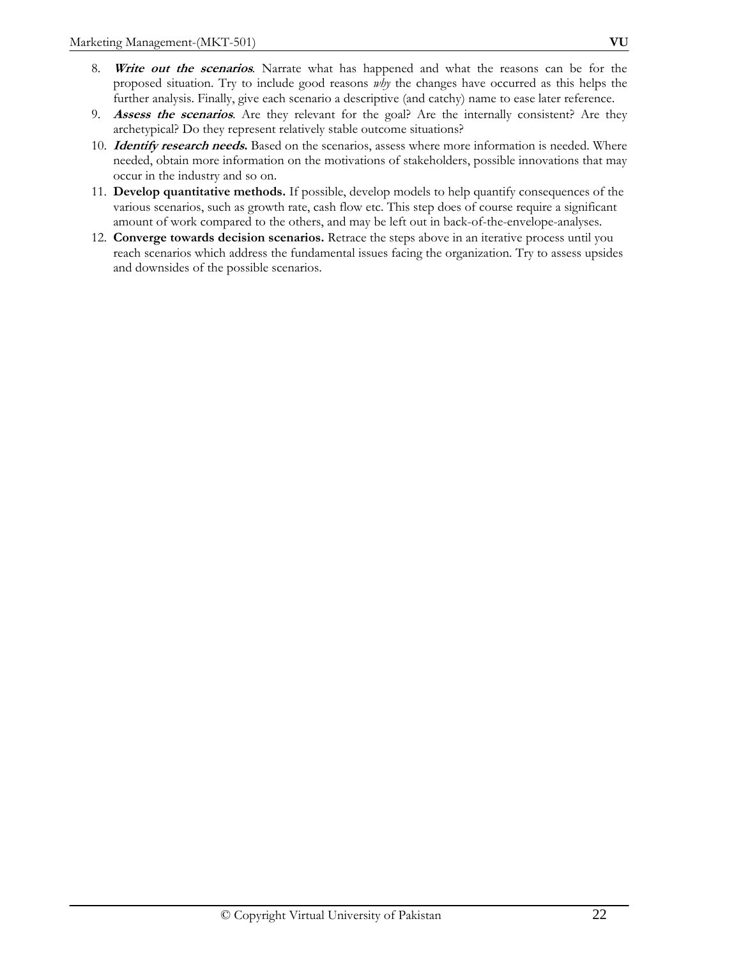- 8. **Write out the scenarios***.* Narrate what has happened and what the reasons can be for the proposed situation. Try to include good reasons *why* the changes have occurred as this helps the further analysis. Finally, give each scenario a descriptive (and catchy) name to ease later reference.
- 9. **Assess the scenarios**. Are they relevant for the goal? Are the internally consistent? Are they archetypical? Do they represent relatively stable outcome situations?
- 10. **Identify research needs.** Based on the scenarios, assess where more information is needed. Where needed, obtain more information on the motivations of stakeholders, possible innovations that may occur in the industry and so on.
- 11. **Develop quantitative methods.** If possible, develop models to help quantify consequences of the various scenarios, such as growth rate, cash flow etc. This step does of course require a significant amount of work compared to the others, and may be left out in back-of-the-envelope-analyses.
- 12. **Converge towards decision scenarios.** Retrace the steps above in an iterative process until you reach scenarios which address the fundamental issues facing the organization. Try to assess upsides and downsides of the possible scenarios.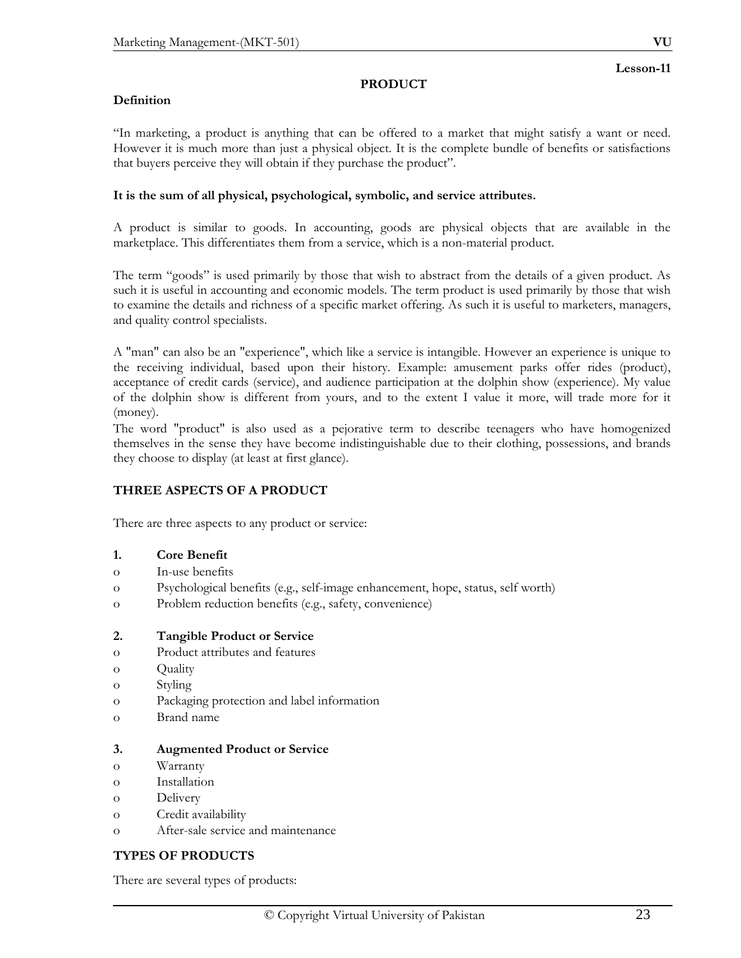#### **PRODUCT**

# **Definition**

"In marketing, a product is anything that can be offered to a market that might satisfy a want or need. However it is much more than just a physical object. It is the complete bundle of benefits or satisfactions that buyers perceive they will obtain if they purchase the product".

#### **It is the sum of all physical, psychological, symbolic, and service attributes.**

A product is similar to goods. In accounting, goods are physical objects that are available in the marketplace. This differentiates them from a service, which is a non-material product.

The term "goods" is used primarily by those that wish to abstract from the details of a given product. As such it is useful in accounting and economic models. The term product is used primarily by those that wish to examine the details and richness of a specific market offering. As such it is useful to marketers, managers, and quality control specialists.

A "man" can also be an "experience", which like a service is intangible. However an experience is unique to the receiving individual, based upon their history. Example: amusement parks offer rides (product), acceptance of credit cards (service), and audience participation at the dolphin show (experience). My value of the dolphin show is different from yours, and to the extent I value it more, will trade more for it (money).

The word "product" is also used as a pejorative term to describe teenagers who have homogenized themselves in the sense they have become indistinguishable due to their clothing, possessions, and brands they choose to display (at least at first glance).

# **THREE ASPECTS OF A PRODUCT**

There are three aspects to any product or service:

#### **1. Core Benefit**

- o In-use benefits
- o Psychological benefits (e.g., self-image enhancement, hope, status, self worth)
- o Problem reduction benefits (e.g., safety, convenience)

#### **2. Tangible Product or Service**

- o Product attributes and features
- o Quality
- o Styling
- o Packaging protection and label information
- o Brand name

#### **3. Augmented Product or Service**

- o Warranty
- o Installation
- o Delivery
- o Credit availability
- o After-sale service and maintenance

#### **TYPES OF PRODUCTS**

There are several types of products: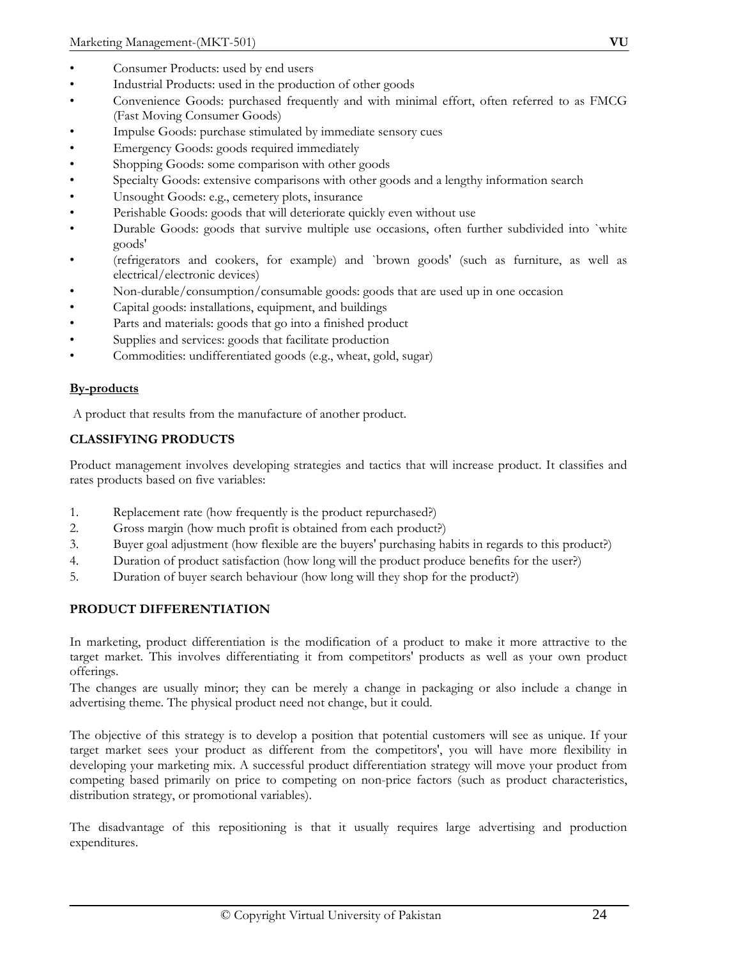- Consumer Products: used by end users
- Industrial Products: used in the production of other goods
- Convenience Goods: purchased frequently and with minimal effort, often referred to as FMCG (Fast Moving Consumer Goods)
- Impulse Goods: purchase stimulated by immediate sensory cues
- Emergency Goods: goods required immediately
- Shopping Goods: some comparison with other goods
- Specialty Goods: extensive comparisons with other goods and a lengthy information search
- Unsought Goods: e.g., cemetery plots, insurance
- Perishable Goods: goods that will deteriorate quickly even without use
- Durable Goods: goods that survive multiple use occasions, often further subdivided into `white goods'
- (refrigerators and cookers, for example) and `brown goods' (such as furniture, as well as electrical/electronic devices)
- Non-durable/consumption/consumable goods: goods that are used up in one occasion
- Capital goods: installations, equipment, and buildings
- Parts and materials: goods that go into a finished product
- Supplies and services: goods that facilitate production
- Commodities: undifferentiated goods (e.g., wheat, gold, sugar)

#### **By-products**

A product that results from the manufacture of another product.

# **CLASSIFYING PRODUCTS**

Product management involves developing strategies and tactics that will increase product. It classifies and rates products based on five variables:

- 1. Replacement rate (how frequently is the product repurchased?)
- 2. Gross margin (how much profit is obtained from each product?)
- 3. Buyer goal adjustment (how flexible are the buyers' purchasing habits in regards to this product?)
- 4. Duration of product satisfaction (how long will the product produce benefits for the user?)
- 5. Duration of buyer search behaviour (how long will they shop for the product?)

# **PRODUCT DIFFERENTIATION**

In marketing, product differentiation is the modification of a product to make it more attractive to the target market. This involves differentiating it from competitors' products as well as your own product offerings.

The changes are usually minor; they can be merely a change in packaging or also include a change in advertising theme. The physical product need not change, but it could.

The objective of this strategy is to develop a position that potential customers will see as unique. If your target market sees your product as different from the competitors', you will have more flexibility in developing your marketing mix. A successful product differentiation strategy will move your product from competing based primarily on price to competing on non-price factors (such as product characteristics, distribution strategy, or promotional variables).

The disadvantage of this repositioning is that it usually requires large advertising and production expenditures.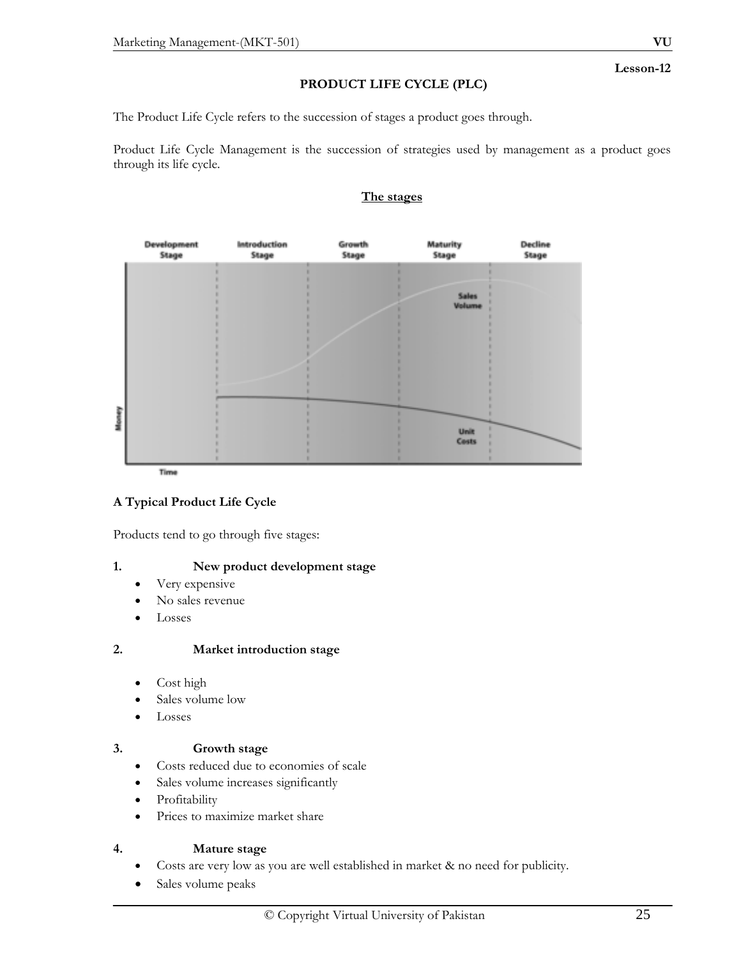# **PRODUCT LIFE CYCLE (PLC)**

The Product Life Cycle refers to the succession of stages a product goes through.

Product Life Cycle Management is the succession of strategies used by management as a product goes through its life cycle.

# **The stages**



# **A Typical Product Life Cycle**

Products tend to go through five stages:

# **1. New product development stage**

- Very expensive
- No sales revenue
- Losses

# **2. Market introduction stage**

- Cost high
- Sales volume low
- Losses

# **3. Growth stage**

- Costs reduced due to economies of scale
- Sales volume increases significantly
- Profitability
- Prices to maximize market share

# **4. Mature stage**

- Costs are very low as you are well established in market & no need for publicity.
- Sales volume peaks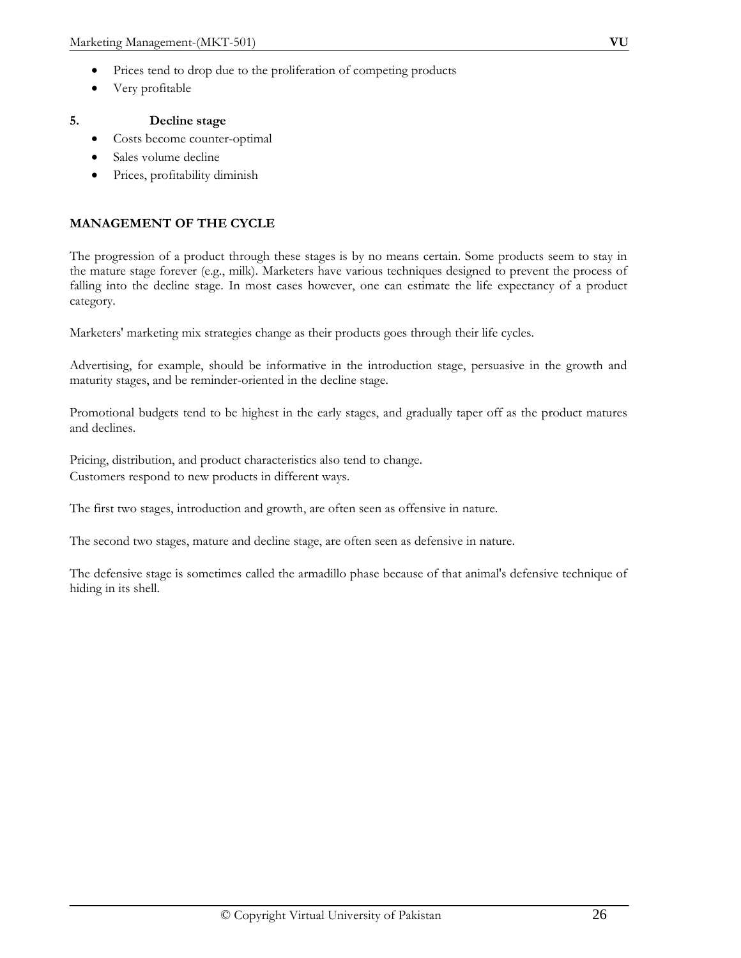- Prices tend to drop due to the proliferation of competing products
- Very profitable
- 

# **5. Decline stage**

- Costs become counter-optimal
- Sales volume decline
- Prices, profitability diminish

# **MANAGEMENT OF THE CYCLE**

The progression of a product through these stages is by no means certain. Some products seem to stay in the mature stage forever (e.g., milk). Marketers have various techniques designed to prevent the process of falling into the decline stage. In most cases however, one can estimate the life expectancy of a product category.

Marketers' marketing mix strategies change as their products goes through their life cycles.

Advertising, for example, should be informative in the introduction stage, persuasive in the growth and maturity stages, and be reminder-oriented in the decline stage.

Promotional budgets tend to be highest in the early stages, and gradually taper off as the product matures and declines.

Pricing, distribution, and product characteristics also tend to change. Customers respond to new products in different ways.

The first two stages, introduction and growth, are often seen as offensive in nature.

The second two stages, mature and decline stage, are often seen as defensive in nature.

The defensive stage is sometimes called the armadillo phase because of that animal's defensive technique of hiding in its shell.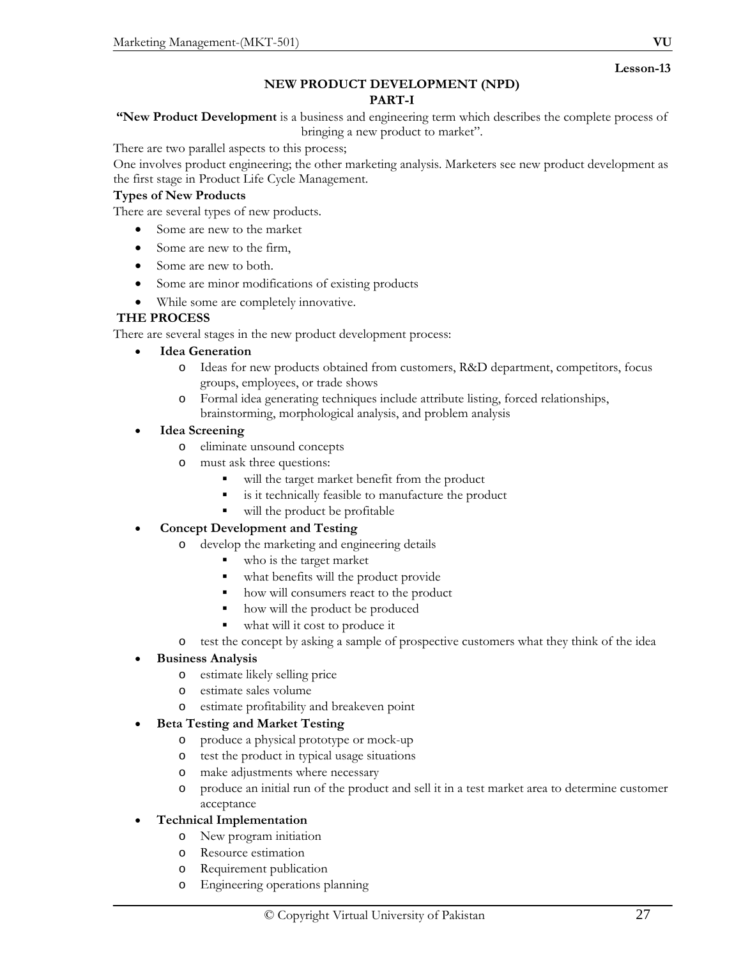# **NEW PRODUCT DEVELOPMENT (NPD) PART-I**

**"New Product Development** is a business and engineering term which describes the complete process of bringing a new product to market".

There are two parallel aspects to this process;

One involves product engineering; the other marketing analysis. Marketers see new product development as the first stage in Product Life Cycle Management.

# **Types of New Products**

There are several types of new products.

- Some are new to the market
- Some are new to the firm,
- Some are new to both.
- Some are minor modifications of existing products
- While some are completely innovative.

# **THE PROCESS**

There are several stages in the new product development process:

#### • **Idea Generation**

- Ideas for new products obtained from customers, R&D department, competitors, focus groups, employees, or trade shows
- o Formal idea generating techniques include attribute listing, forced relationships, brainstorming, morphological analysis, and problem analysis
- • **Idea Screening** 
	- o eliminate unsound concepts
	- o must ask three questions:
		- will the target market benefit from the product
		- **is it technically feasible to manufacture the product**
		- will the product be profitable

# • **Concept Development and Testing**

- develop the marketing and engineering details
	- who is the target market
	- what benefits will the product provide
	- how will consumers react to the product
	- how will the product be produced
	- what will it cost to produce it
- o test the concept by asking a sample of prospective customers what they think of the idea
- **Business Analysis** 
	- o estimate likely selling price
	- o estimate sales volume
	- o estimate profitability and breakeven point

# • **Beta Testing and Market Testing**

- o produce a physical prototype or mock-up
- o test the product in typical usage situations
- o make adjustments where necessary
- o produce an initial run of the product and sell it in a test market area to determine customer acceptance
- **Technical Implementation** 
	- o New program initiation
	- o Resource estimation
	- o Requirement publication
	- o Engineering operations planning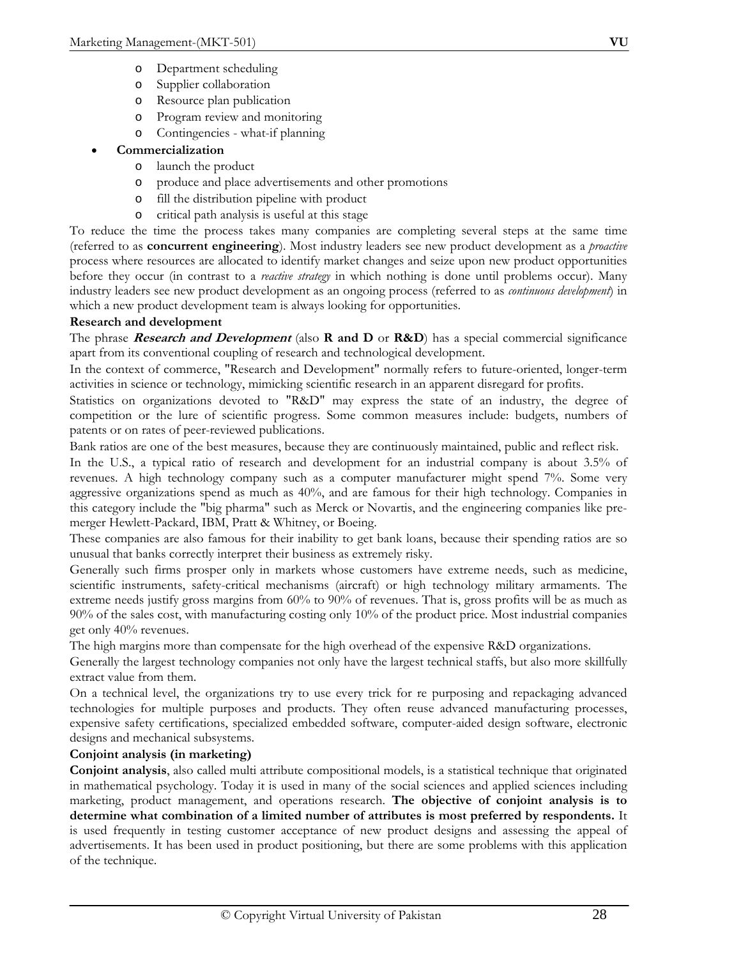- o Department scheduling
- o Supplier collaboration
- o Resource plan publication
- o Program review and monitoring
- o Contingencies what-if planning

# • **Commercialization**

- o launch the product
- o produce and place advertisements and other promotions
- o fill the distribution pipeline with product
- o critical path analysis is useful at this stage

To reduce the time the process takes many companies are completing several steps at the same time (referred to as **concurrent engineering**). Most industry leaders see new product development as a *proactive* process where resources are allocated to identify market changes and seize upon new product opportunities before they occur (in contrast to a *reactive strategy* in which nothing is done until problems occur). Many industry leaders see new product development as an ongoing process (referred to as *continuous development*) in which a new product development team is always looking for opportunities.

# **Research and development**

The phrase **Research and Development** (also **R and D** or **R&D**) has a special commercial significance apart from its conventional coupling of research and technological development.

In the context of commerce, "Research and Development" normally refers to future-oriented, longer-term activities in science or technology, mimicking scientific research in an apparent disregard for profits.

Statistics on organizations devoted to "R&D" may express the state of an industry, the degree of competition or the lure of scientific progress. Some common measures include: budgets, numbers of patents or on rates of peer-reviewed publications.

Bank ratios are one of the best measures, because they are continuously maintained, public and reflect risk.

In the U.S., a typical ratio of research and development for an industrial company is about 3.5% of revenues. A high technology company such as a computer manufacturer might spend 7%. Some very aggressive organizations spend as much as 40%, and are famous for their high technology. Companies in this category include the "big pharma" such as Merck or Novartis, and the engineering companies like premerger Hewlett-Packard, IBM, Pratt & Whitney, or Boeing.

These companies are also famous for their inability to get bank loans, because their spending ratios are so unusual that banks correctly interpret their business as extremely risky.

Generally such firms prosper only in markets whose customers have extreme needs, such as medicine, scientific instruments, safety-critical mechanisms (aircraft) or high technology military armaments. The extreme needs justify gross margins from 60% to 90% of revenues. That is, gross profits will be as much as 90% of the sales cost, with manufacturing costing only 10% of the product price. Most industrial companies get only 40% revenues.

The high margins more than compensate for the high overhead of the expensive R&D organizations.

Generally the largest technology companies not only have the largest technical staffs, but also more skillfully extract value from them.

On a technical level, the organizations try to use every trick for re purposing and repackaging advanced technologies for multiple purposes and products. They often reuse advanced manufacturing processes, expensive safety certifications, specialized embedded software, computer-aided design software, electronic designs and mechanical subsystems.

# **Conjoint analysis (in marketing)**

**Conjoint analysis**, also called multi attribute compositional models, is a statistical technique that originated in mathematical psychology. Today it is used in many of the social sciences and applied sciences including marketing, product management, and operations research. **The objective of conjoint analysis is to determine what combination of a limited number of attributes is most preferred by respondents.** It is used frequently in testing customer acceptance of new product designs and assessing the appeal of advertisements. It has been used in product positioning, but there are some problems with this application of the technique.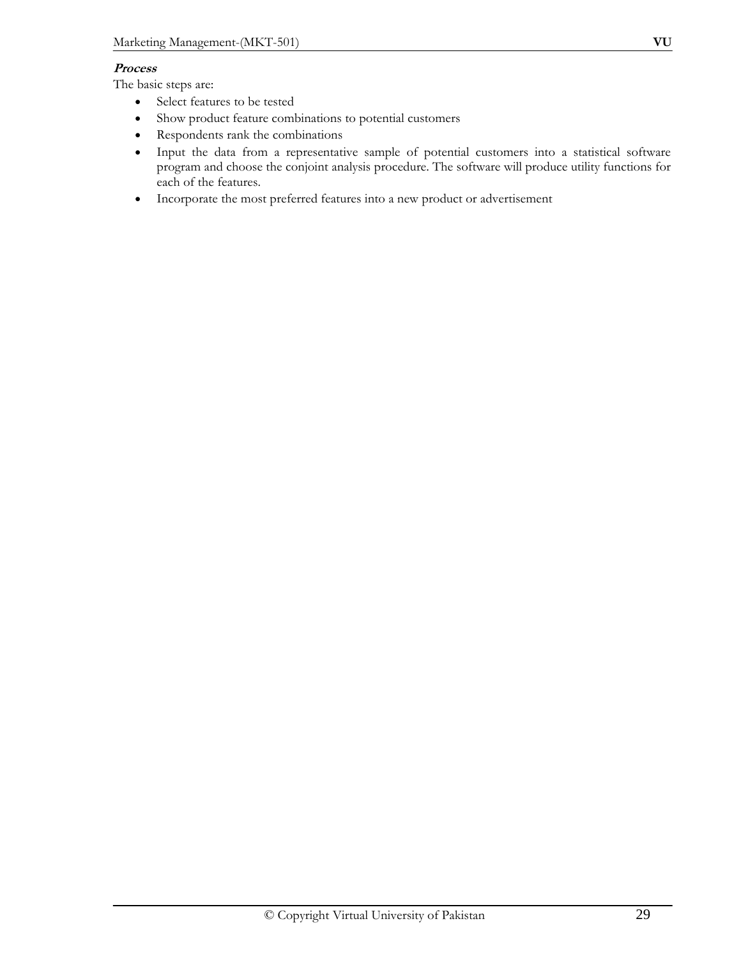#### **Process**

The basic steps are:

- Select features to be tested
- Show product feature combinations to potential customers
- Respondents rank the combinations
- Input the data from a representative sample of potential customers into a statistical software program and choose the conjoint analysis procedure. The software will produce utility functions for each of the features.
- Incorporate the most preferred features into a new product or advertisement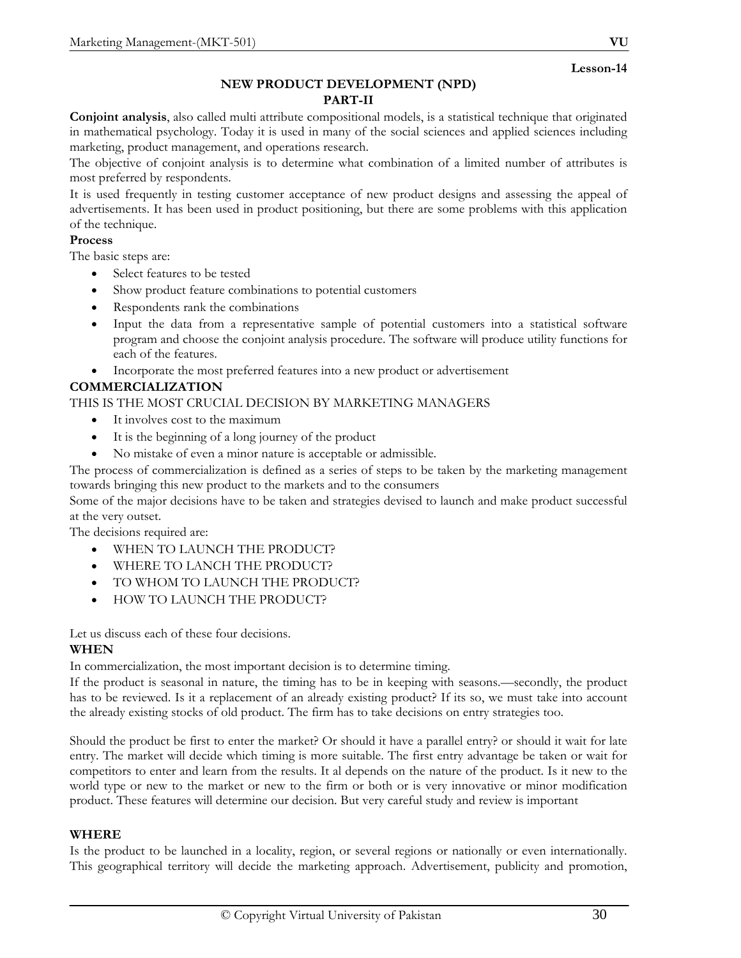# **NEW PRODUCT DEVELOPMENT (NPD) PART-II**

**Conjoint analysis**, also called multi attribute compositional models, is a statistical technique that originated in mathematical psychology. Today it is used in many of the social sciences and applied sciences including marketing, product management, and operations research.

The objective of conjoint analysis is to determine what combination of a limited number of attributes is most preferred by respondents.

It is used frequently in testing customer acceptance of new product designs and assessing the appeal of advertisements. It has been used in product positioning, but there are some problems with this application of the technique.

# **Process**

The basic steps are:

- Select features to be tested
- Show product feature combinations to potential customers
- Respondents rank the combinations
- Input the data from a representative sample of potential customers into a statistical software program and choose the conjoint analysis procedure. The software will produce utility functions for each of the features.
- Incorporate the most preferred features into a new product or advertisement

# **COMMERCIALIZATION**

THIS IS THE MOST CRUCIAL DECISION BY MARKETING MANAGERS

- It involves cost to the maximum
- It is the beginning of a long journey of the product
- No mistake of even a minor nature is acceptable or admissible.

The process of commercialization is defined as a series of steps to be taken by the marketing management towards bringing this new product to the markets and to the consumers

Some of the major decisions have to be taken and strategies devised to launch and make product successful at the very outset.

The decisions required are:

- WHEN TO LAUNCH THE PRODUCT?
- WHERE TO LANCH THE PRODUCT?
- TO WHOM TO LAUNCH THE PRODUCT?
- HOW TO LAUNCH THE PRODUCT?

Let us discuss each of these four decisions.

# **WHEN**

In commercialization, the most important decision is to determine timing.

If the product is seasonal in nature, the timing has to be in keeping with seasons.—secondly, the product has to be reviewed. Is it a replacement of an already existing product? If its so, we must take into account the already existing stocks of old product. The firm has to take decisions on entry strategies too.

Should the product be first to enter the market? Or should it have a parallel entry? or should it wait for late entry. The market will decide which timing is more suitable. The first entry advantage be taken or wait for competitors to enter and learn from the results. It al depends on the nature of the product. Is it new to the world type or new to the market or new to the firm or both or is very innovative or minor modification product. These features will determine our decision. But very careful study and review is important

#### **WHERE**

Is the product to be launched in a locality, region, or several regions or nationally or even internationally. This geographical territory will decide the marketing approach. Advertisement, publicity and promotion,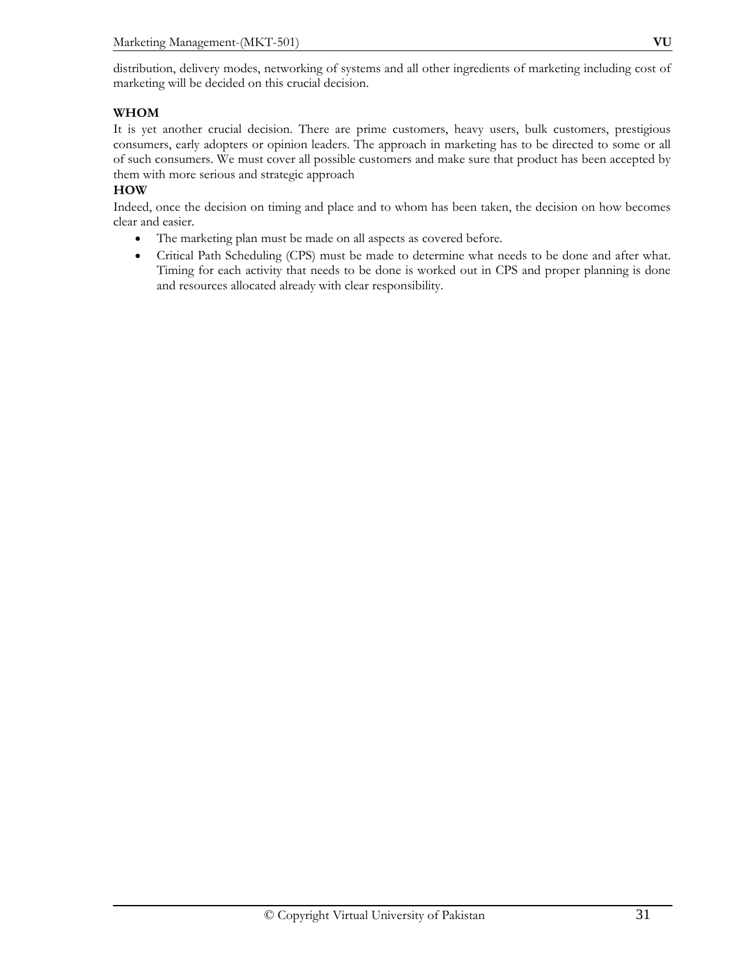marketing will be decided on this crucial decision.

# **WHOM**

It is yet another crucial decision. There are prime customers, heavy users, bulk customers, prestigious consumers, early adopters or opinion leaders. The approach in marketing has to be directed to some or all of such consumers. We must cover all possible customers and make sure that product has been accepted by them with more serious and strategic approach

# **HOW**

Indeed, once the decision on timing and place and to whom has been taken, the decision on how becomes clear and easier.

- The marketing plan must be made on all aspects as covered before.
- Critical Path Scheduling (CPS) must be made to determine what needs to be done and after what. Timing for each activity that needs to be done is worked out in CPS and proper planning is done and resources allocated already with clear responsibility.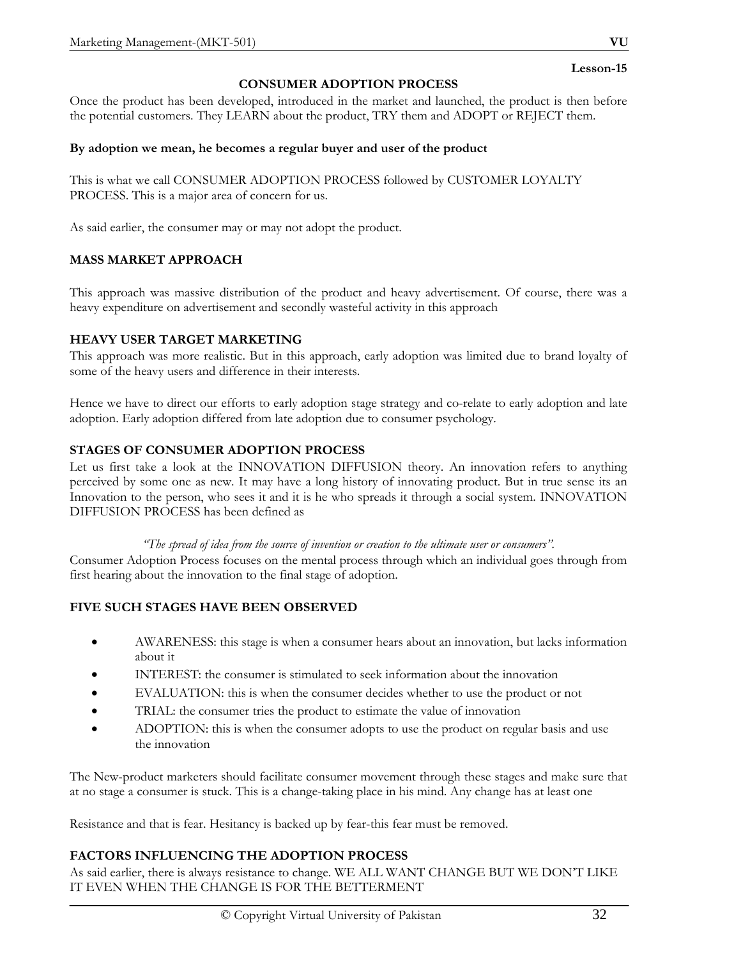#### **CONSUMER ADOPTION PROCESS**

Once the product has been developed, introduced in the market and launched, the product is then before the potential customers. They LEARN about the product, TRY them and ADOPT or REJECT them.

#### **By adoption we mean, he becomes a regular buyer and user of the product**

This is what we call CONSUMER ADOPTION PROCESS followed by CUSTOMER LOYALTY PROCESS. This is a major area of concern for us.

As said earlier, the consumer may or may not adopt the product.

# **MASS MARKET APPROACH**

This approach was massive distribution of the product and heavy advertisement. Of course, there was a heavy expenditure on advertisement and secondly wasteful activity in this approach

# **HEAVY USER TARGET MARKETING**

This approach was more realistic. But in this approach, early adoption was limited due to brand loyalty of some of the heavy users and difference in their interests.

Hence we have to direct our efforts to early adoption stage strategy and co-relate to early adoption and late adoption. Early adoption differed from late adoption due to consumer psychology.

# **STAGES OF CONSUMER ADOPTION PROCESS**

Let us first take a look at the INNOVATION DIFFUSION theory. An innovation refers to anything perceived by some one as new. It may have a long history of innovating product. But in true sense its an Innovation to the person, who sees it and it is he who spreads it through a social system. INNOVATION DIFFUSION PROCESS has been defined as

*"The spread of idea from the source of invention or creation to the ultimate user or consumers".* 

Consumer Adoption Process focuses on the mental process through which an individual goes through from first hearing about the innovation to the final stage of adoption.

# **FIVE SUCH STAGES HAVE BEEN OBSERVED**

- AWARENESS: this stage is when a consumer hears about an innovation, but lacks information about it
- INTEREST: the consumer is stimulated to seek information about the innovation
- EVALUATION: this is when the consumer decides whether to use the product or not
- TRIAL: the consumer tries the product to estimate the value of innovation
- ADOPTION: this is when the consumer adopts to use the product on regular basis and use the innovation

The New-product marketers should facilitate consumer movement through these stages and make sure that at no stage a consumer is stuck. This is a change-taking place in his mind. Any change has at least one

Resistance and that is fear. Hesitancy is backed up by fear-this fear must be removed.

# **FACTORS INFLUENCING THE ADOPTION PROCESS**

As said earlier, there is always resistance to change. WE ALL WANT CHANGE BUT WE DON'T LIKE IT EVEN WHEN THE CHANGE IS FOR THE BETTERMENT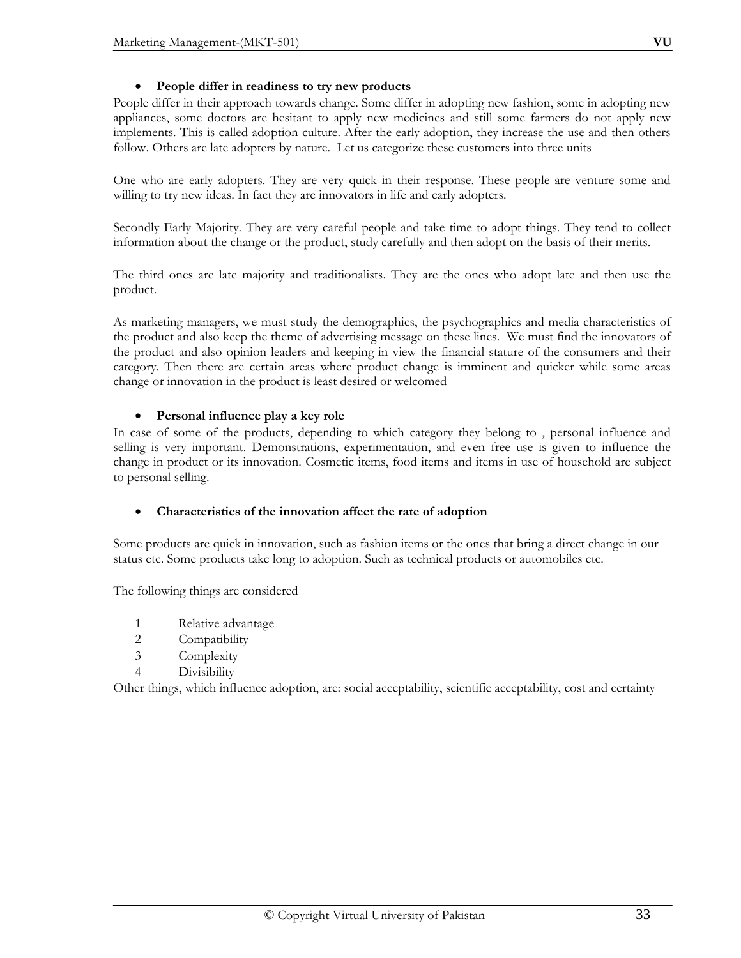# • **People differ in readiness to try new products**

People differ in their approach towards change. Some differ in adopting new fashion, some in adopting new appliances, some doctors are hesitant to apply new medicines and still some farmers do not apply new implements. This is called adoption culture. After the early adoption, they increase the use and then others follow. Others are late adopters by nature. Let us categorize these customers into three units

One who are early adopters. They are very quick in their response. These people are venture some and willing to try new ideas. In fact they are innovators in life and early adopters.

Secondly Early Majority. They are very careful people and take time to adopt things. They tend to collect information about the change or the product, study carefully and then adopt on the basis of their merits.

The third ones are late majority and traditionalists. They are the ones who adopt late and then use the product.

As marketing managers, we must study the demographics, the psychographics and media characteristics of the product and also keep the theme of advertising message on these lines. We must find the innovators of the product and also opinion leaders and keeping in view the financial stature of the consumers and their category. Then there are certain areas where product change is imminent and quicker while some areas change or innovation in the product is least desired or welcomed

#### • **Personal influence play a key role**

In case of some of the products, depending to which category they belong to , personal influence and selling is very important. Demonstrations, experimentation, and even free use is given to influence the change in product or its innovation. Cosmetic items, food items and items in use of household are subject to personal selling.

#### • **Characteristics of the innovation affect the rate of adoption**

Some products are quick in innovation, such as fashion items or the ones that bring a direct change in our status etc. Some products take long to adoption. Such as technical products or automobiles etc.

The following things are considered

- 1 Relative advantage
- 2 Compatibility
- 3 Complexity
- 4 Divisibility

Other things, which influence adoption, are: social acceptability, scientific acceptability, cost and certainty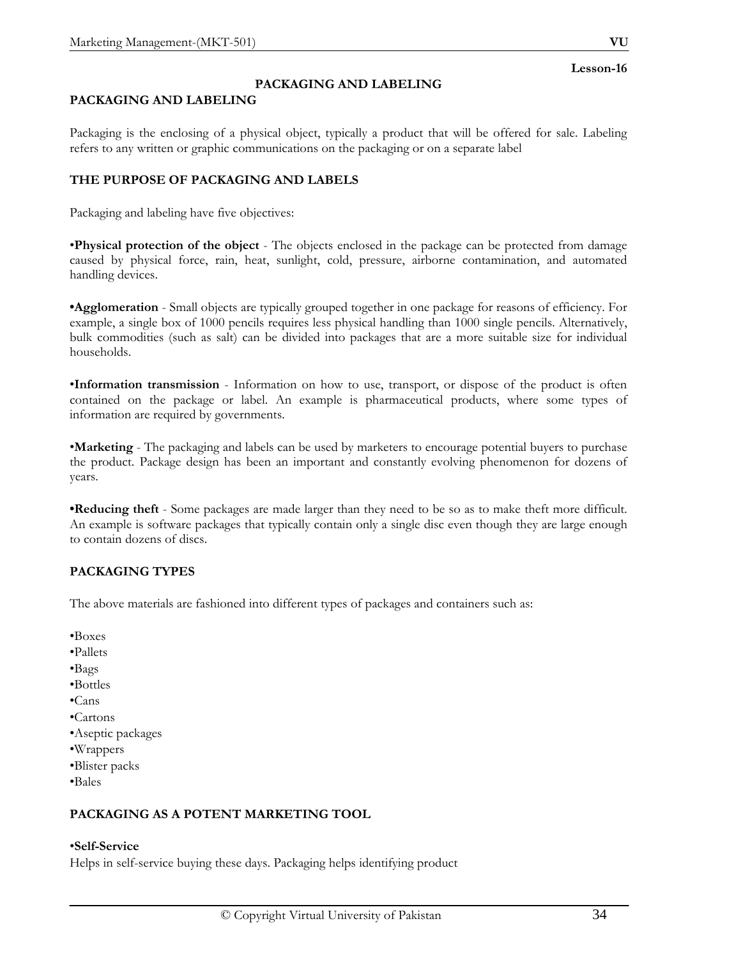#### **PACKAGING AND LABELING**

#### **PACKAGING AND LABELING**

Packaging is the enclosing of a physical object, typically a product that will be offered for sale. Labeling refers to any written or graphic communications on the packaging or on a separate label

#### **THE PURPOSE OF PACKAGING AND LABELS**

Packaging and labeling have five objectives:

•**Physical protection of the object** - The objects enclosed in the package can be protected from damage caused by physical force, rain, heat, sunlight, cold, pressure, airborne contamination, and automated handling devices.

**•Agglomeration** - Small objects are typically grouped together in one package for reasons of efficiency. For example, a single box of 1000 pencils requires less physical handling than 1000 single pencils. Alternatively, bulk commodities (such as salt) can be divided into packages that are a more suitable size for individual households.

•**Information transmission** - Information on how to use, transport, or dispose of the product is often contained on the package or label. An example is pharmaceutical products, where some types of information are required by governments.

•**Marketing** - The packaging and labels can be used by marketers to encourage potential buyers to purchase the product. Package design has been an important and constantly evolving phenomenon for dozens of years.

**•Reducing theft** - Some packages are made larger than they need to be so as to make theft more difficult. An example is software packages that typically contain only a single disc even though they are large enough to contain dozens of discs.

#### **PACKAGING TYPES**

The above materials are fashioned into different types of packages and containers such as:

•Boxes

- •Pallets
- •Bags
- •Bottles
- •Cans
- •Cartons
- •Aseptic packages
- •Wrappers
- •Blister packs
- •Bales

#### **PACKAGING AS A POTENT MARKETING TOOL**

#### •**Self-Service**

Helps in self-service buying these days. Packaging helps identifying product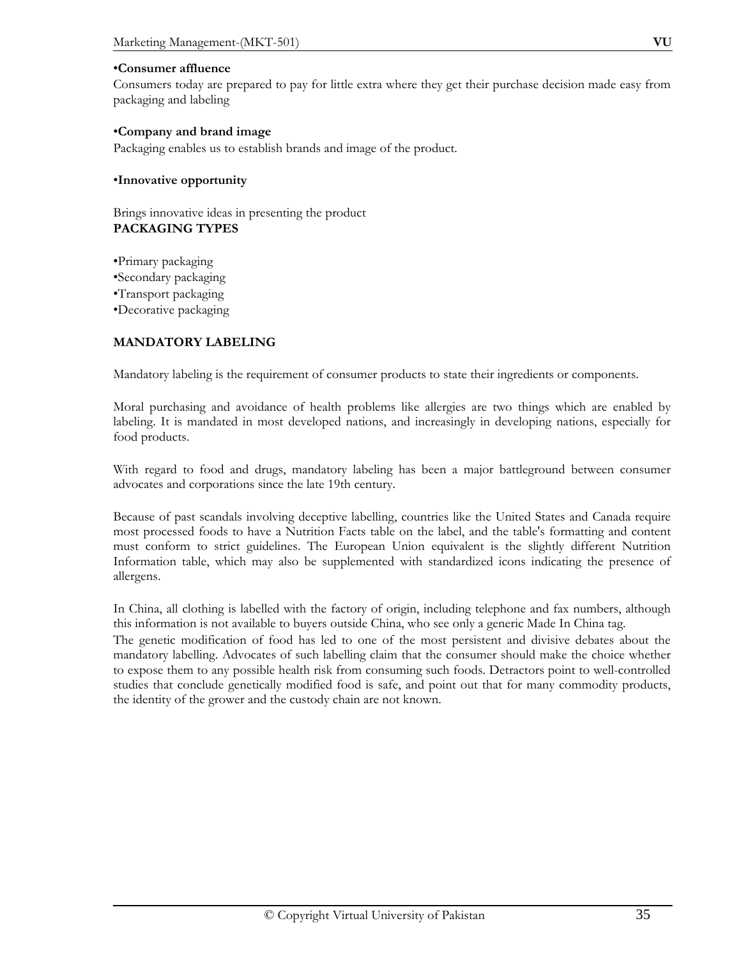#### •**Consumer affluence**

Consumers today are prepared to pay for little extra where they get their purchase decision made easy from packaging and labeling

#### •**Company and brand image**

Packaging enables us to establish brands and image of the product.

#### •**Innovative opportunity**

Brings innovative ideas in presenting the product **PACKAGING TYPES** 

•Primary packaging •Secondary packaging •Transport packaging •Decorative packaging

#### **MANDATORY LABELING**

Mandatory labeling is the requirement of consumer products to state their ingredients or components.

Moral purchasing and avoidance of health problems like allergies are two things which are enabled by labeling. It is mandated in most developed nations, and increasingly in developing nations, especially for food products.

With regard to food and drugs, mandatory labeling has been a major battleground between consumer advocates and corporations since the late 19th century.

Because of past scandals involving deceptive labelling, countries like the United States and Canada require most processed foods to have a Nutrition Facts table on the label, and the table's formatting and content must conform to strict guidelines. The European Union equivalent is the slightly different Nutrition Information table, which may also be supplemented with standardized icons indicating the presence of allergens.

In China, all clothing is labelled with the factory of origin, including telephone and fax numbers, although this information is not available to buyers outside China, who see only a generic Made In China tag.

The genetic modification of food has led to one of the most persistent and divisive debates about the mandatory labelling. Advocates of such labelling claim that the consumer should make the choice whether to expose them to any possible health risk from consuming such foods. Detractors point to well-controlled studies that conclude genetically modified food is safe, and point out that for many commodity products, the identity of the grower and the custody chain are not known.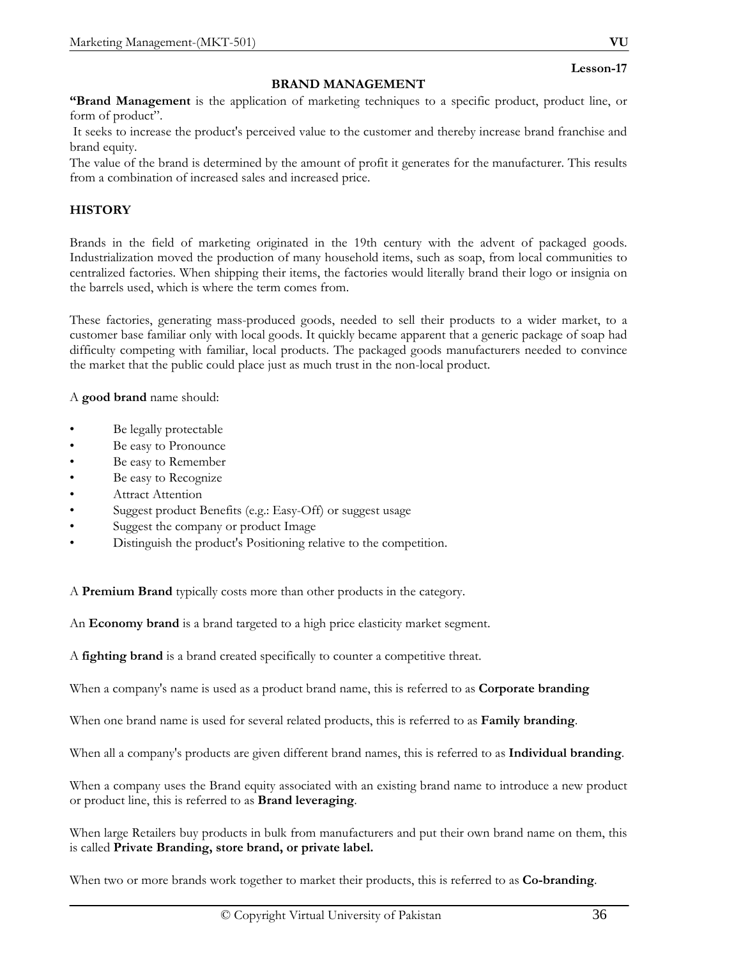#### **Lesson-17**

#### **BRAND MANAGEMENT**

**"Brand Management** is the application of marketing techniques to a specific product, product line, or form of product".

 It seeks to increase the product's perceived value to the customer and thereby increase brand franchise and brand equity.

The value of the brand is determined by the amount of profit it generates for the manufacturer. This results from a combination of increased sales and increased price.

### **HISTORY**

Brands in the field of marketing originated in the 19th century with the advent of packaged goods. Industrialization moved the production of many household items, such as soap, from local communities to centralized factories. When shipping their items, the factories would literally brand their logo or insignia on the barrels used, which is where the term comes from.

These factories, generating mass-produced goods, needed to sell their products to a wider market, to a customer base familiar only with local goods. It quickly became apparent that a generic package of soap had difficulty competing with familiar, local products. The packaged goods manufacturers needed to convince the market that the public could place just as much trust in the non-local product.

A **good brand** name should:

- Be legally protectable
- Be easy to Pronounce
- Be easy to Remember
- Be easy to Recognize
- **Attract Attention**
- Suggest product Benefits (e.g.: Easy-Off) or suggest usage
- Suggest the company or product Image
- Distinguish the product's Positioning relative to the competition.

A **Premium Brand** typically costs more than other products in the category.

An **Economy brand** is a brand targeted to a high price elasticity market segment.

A **fighting brand** is a brand created specifically to counter a competitive threat.

When a company's name is used as a product brand name, this is referred to as **Corporate branding** 

When one brand name is used for several related products, this is referred to as **Family branding**.

When all a company's products are given different brand names, this is referred to as **Individual branding**.

When a company uses the Brand equity associated with an existing brand name to introduce a new product or product line, this is referred to as **Brand leveraging**.

When large Retailers buy products in bulk from manufacturers and put their own brand name on them, this is called **Private Branding, store brand, or private label.** 

When two or more brands work together to market their products, this is referred to as **Co-branding**.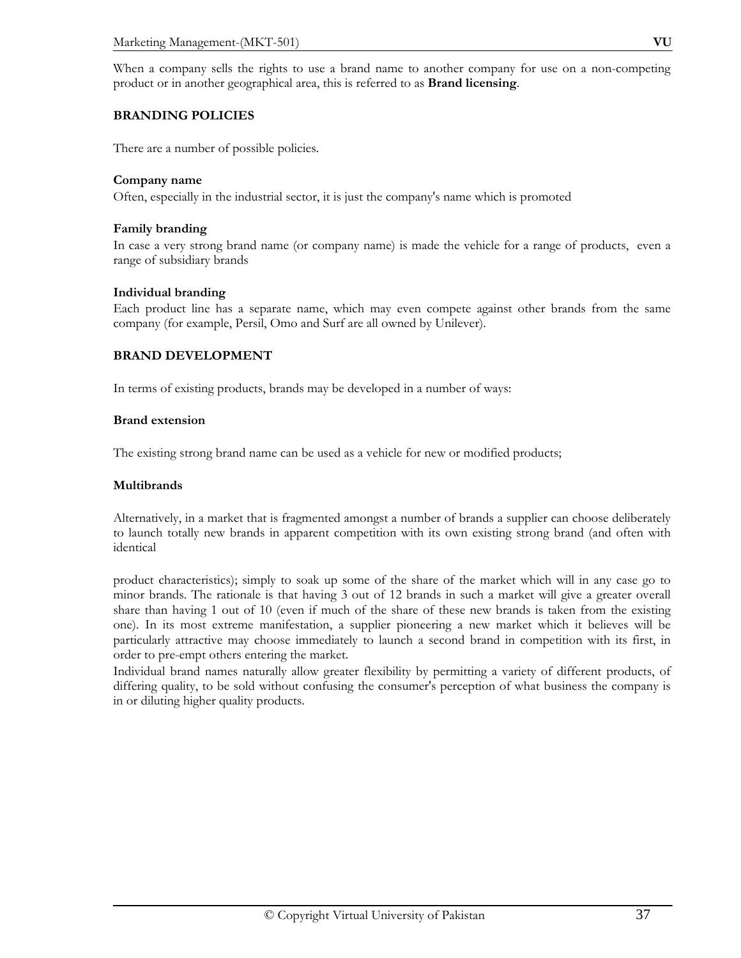## **BRANDING POLICIES**

There are a number of possible policies.

#### **Company name**

Often, especially in the industrial sector, it is just the company's name which is promoted

#### **Family branding**

In case a very strong brand name (or company name) is made the vehicle for a range of products, even a range of subsidiary brands

### **Individual branding**

Each product line has a separate name, which may even compete against other brands from the same company (for example, Persil, Omo and Surf are all owned by Unilever).

## **BRAND DEVELOPMENT**

In terms of existing products, brands may be developed in a number of ways:

#### **Brand extension**

The existing strong brand name can be used as a vehicle for new or modified products;

#### **Multibrands**

Alternatively, in a market that is fragmented amongst a number of brands a supplier can choose deliberately to launch totally new brands in apparent competition with its own existing strong brand (and often with identical

product characteristics); simply to soak up some of the share of the market which will in any case go to minor brands. The rationale is that having 3 out of 12 brands in such a market will give a greater overall share than having 1 out of 10 (even if much of the share of these new brands is taken from the existing one). In its most extreme manifestation, a supplier pioneering a new market which it believes will be particularly attractive may choose immediately to launch a second brand in competition with its first, in order to pre-empt others entering the market.

Individual brand names naturally allow greater flexibility by permitting a variety of different products, of differing quality, to be sold without confusing the consumer's perception of what business the company is in or diluting higher quality products.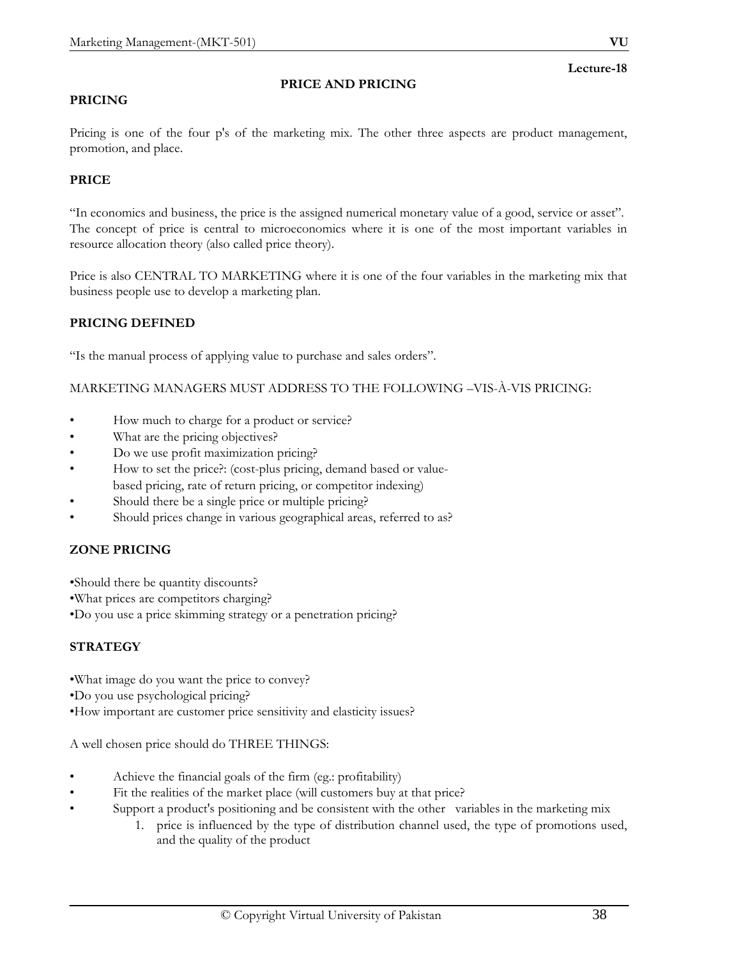## **PRICE AND PRICING**

## **PRICING**

Pricing is one of the four p's of the marketing mix. The other three aspects are product management, promotion, and place.

## **PRICE**

"In economics and business, the price is the assigned numerical monetary value of a good, service or asset". The concept of price is central to microeconomics where it is one of the most important variables in resource allocation theory (also called price theory).

Price is also CENTRAL TO MARKETING where it is one of the four variables in the marketing mix that business people use to develop a marketing plan.

# **PRICING DEFINED**

"Is the manual process of applying value to purchase and sales orders".

MARKETING MANAGERS MUST ADDRESS TO THE FOLLOWING –VIS-À-VIS PRICING:

- How much to charge for a product or service?
- What are the pricing objectives?
- Do we use profit maximization pricing?
- How to set the price?: (cost-plus pricing, demand based or value based pricing, rate of return pricing, or competitor indexing)
- Should there be a single price or multiple pricing?
- Should prices change in various geographical areas, referred to as?

## **ZONE PRICING**

•Should there be quantity discounts?

•What prices are competitors charging?

•Do you use a price skimming strategy or a penetration pricing?

## **STRATEGY**

- •What image do you want the price to convey?
- •Do you use psychological pricing?
- •How important are customer price sensitivity and elasticity issues?

A well chosen price should do THREE THINGS:

- Achieve the financial goals of the firm (eg.: profitability)
- Fit the realities of the market place (will customers buy at that price?
- Support a product's positioning and be consistent with the other variables in the marketing mix
	- 1. price is influenced by the type of distribution channel used, the type of promotions used, and the quality of the product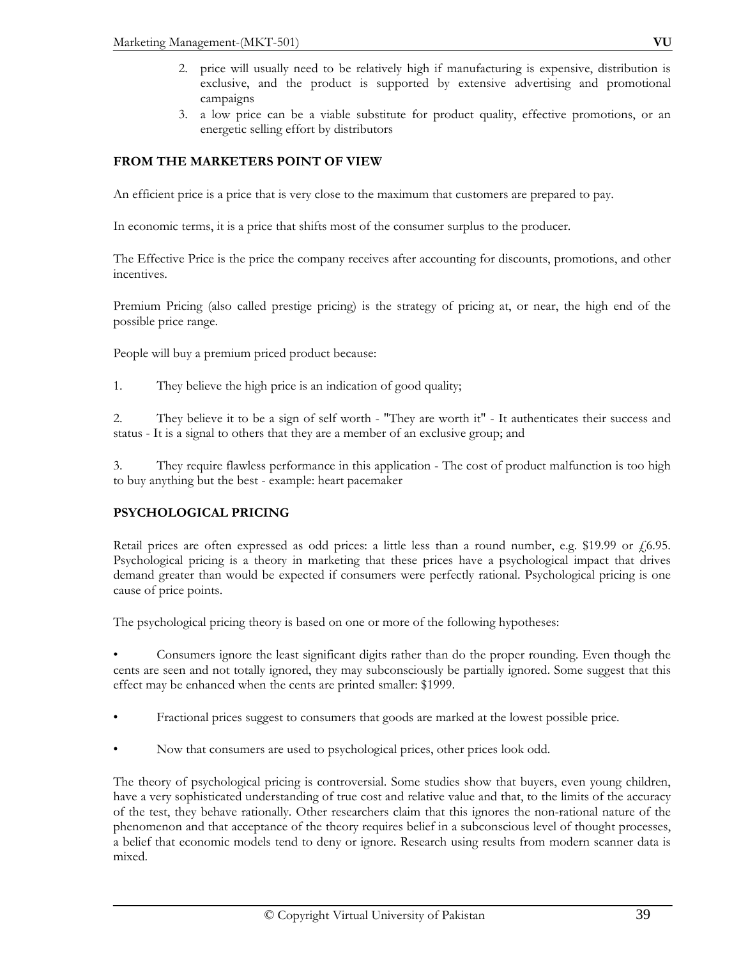- 2. price will usually need to be relatively high if manufacturing is expensive, distribution is exclusive, and the product is supported by extensive advertising and promotional campaigns
- 3. a low price can be a viable substitute for product quality, effective promotions, or an energetic selling effort by distributors

# **FROM THE MARKETERS POINT OF VIEW**

An efficient price is a price that is very close to the maximum that customers are prepared to pay.

In economic terms, it is a price that shifts most of the consumer surplus to the producer.

The Effective Price is the price the company receives after accounting for discounts, promotions, and other incentives.

Premium Pricing (also called prestige pricing) is the strategy of pricing at, or near, the high end of the possible price range.

People will buy a premium priced product because:

1. They believe the high price is an indication of good quality;

2. They believe it to be a sign of self worth - "They are worth it" - It authenticates their success and status - It is a signal to others that they are a member of an exclusive group; and

3. They require flawless performance in this application - The cost of product malfunction is too high to buy anything but the best - example: heart pacemaker

# **PSYCHOLOGICAL PRICING**

Retail prices are often expressed as odd prices: a little less than a round number, e.g. \$19.99 or  $f(6.95.$ Psychological pricing is a theory in marketing that these prices have a psychological impact that drives demand greater than would be expected if consumers were perfectly rational. Psychological pricing is one cause of price points.

The psychological pricing theory is based on one or more of the following hypotheses:

• Consumers ignore the least significant digits rather than do the proper rounding. Even though the cents are seen and not totally ignored, they may subconsciously be partially ignored. Some suggest that this effect may be enhanced when the cents are printed smaller: \$1999.

- Fractional prices suggest to consumers that goods are marked at the lowest possible price.
- Now that consumers are used to psychological prices, other prices look odd.

The theory of psychological pricing is controversial. Some studies show that buyers, even young children, have a very sophisticated understanding of true cost and relative value and that, to the limits of the accuracy of the test, they behave rationally. Other researchers claim that this ignores the non-rational nature of the phenomenon and that acceptance of the theory requires belief in a subconscious level of thought processes, a belief that economic models tend to deny or ignore. Research using results from modern scanner data is mixed.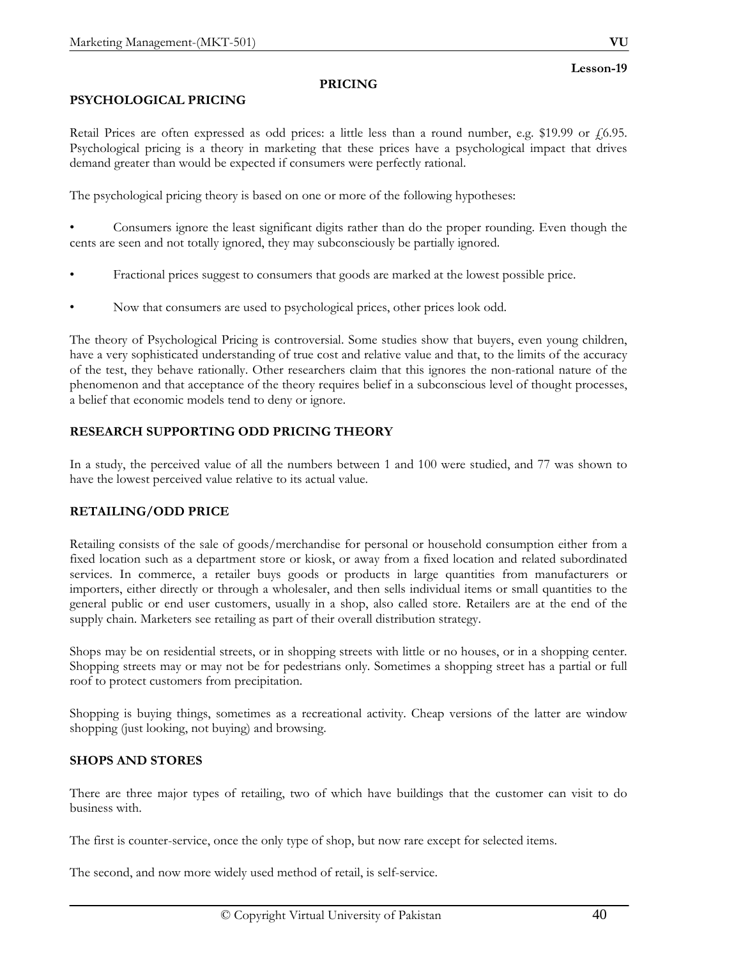### **PRICING**

### **PSYCHOLOGICAL PRICING**

Retail Prices are often expressed as odd prices: a little less than a round number, e.g. \$19.99 or  $\sqrt{6.95}$ . Psychological pricing is a theory in marketing that these prices have a psychological impact that drives demand greater than would be expected if consumers were perfectly rational.

The psychological pricing theory is based on one or more of the following hypotheses:

• Consumers ignore the least significant digits rather than do the proper rounding. Even though the cents are seen and not totally ignored, they may subconsciously be partially ignored.

- Fractional prices suggest to consumers that goods are marked at the lowest possible price.
- Now that consumers are used to psychological prices, other prices look odd.

The theory of Psychological Pricing is controversial. Some studies show that buyers, even young children, have a very sophisticated understanding of true cost and relative value and that, to the limits of the accuracy of the test, they behave rationally. Other researchers claim that this ignores the non-rational nature of the phenomenon and that acceptance of the theory requires belief in a subconscious level of thought processes, a belief that economic models tend to deny or ignore.

# **RESEARCH SUPPORTING ODD PRICING THEORY**

In a study, the perceived value of all the numbers between 1 and 100 were studied, and 77 was shown to have the lowest perceived value relative to its actual value.

## **RETAILING/ODD PRICE**

Retailing consists of the sale of goods/merchandise for personal or household consumption either from a fixed location such as a department store or kiosk, or away from a fixed location and related subordinated services. In commerce, a retailer buys goods or products in large quantities from manufacturers or importers, either directly or through a wholesaler, and then sells individual items or small quantities to the general public or end user customers, usually in a shop, also called store. Retailers are at the end of the supply chain. Marketers see retailing as part of their overall distribution strategy.

Shops may be on residential streets, or in shopping streets with little or no houses, or in a shopping center. Shopping streets may or may not be for pedestrians only. Sometimes a shopping street has a partial or full roof to protect customers from precipitation.

Shopping is buying things, sometimes as a recreational activity. Cheap versions of the latter are window shopping (just looking, not buying) and browsing.

## **SHOPS AND STORES**

There are three major types of retailing, two of which have buildings that the customer can visit to do business with.

The first is counter-service, once the only type of shop, but now rare except for selected items.

The second, and now more widely used method of retail, is self-service.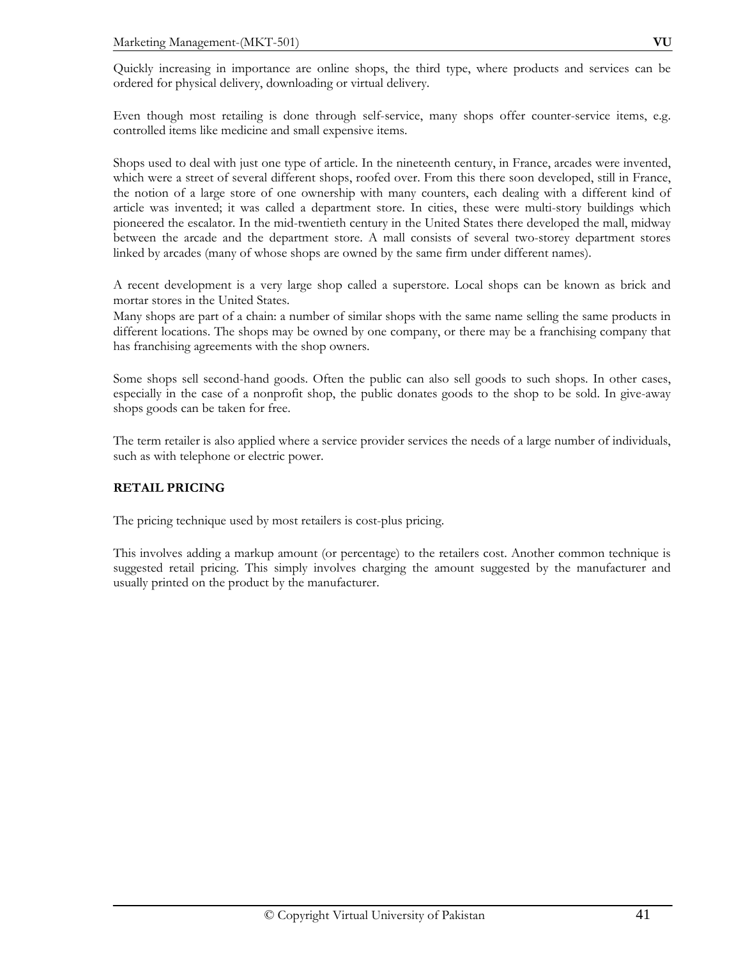Even though most retailing is done through self-service, many shops offer counter-service items, e.g. controlled items like medicine and small expensive items.

Shops used to deal with just one type of article. In the nineteenth century, in France, arcades were invented, which were a street of several different shops, roofed over. From this there soon developed, still in France, the notion of a large store of one ownership with many counters, each dealing with a different kind of article was invented; it was called a department store. In cities, these were multi-story buildings which pioneered the escalator. In the mid-twentieth century in the United States there developed the mall, midway between the arcade and the department store. A mall consists of several two-storey department stores linked by arcades (many of whose shops are owned by the same firm under different names).

A recent development is a very large shop called a superstore. Local shops can be known as brick and mortar stores in the United States.

Many shops are part of a chain: a number of similar shops with the same name selling the same products in different locations. The shops may be owned by one company, or there may be a franchising company that has franchising agreements with the shop owners.

Some shops sell second-hand goods. Often the public can also sell goods to such shops. In other cases, especially in the case of a nonprofit shop, the public donates goods to the shop to be sold. In give-away shops goods can be taken for free.

The term retailer is also applied where a service provider services the needs of a large number of individuals, such as with telephone or electric power.

## **RETAIL PRICING**

The pricing technique used by most retailers is cost-plus pricing.

This involves adding a markup amount (or percentage) to the retailers cost. Another common technique is suggested retail pricing. This simply involves charging the amount suggested by the manufacturer and usually printed on the product by the manufacturer.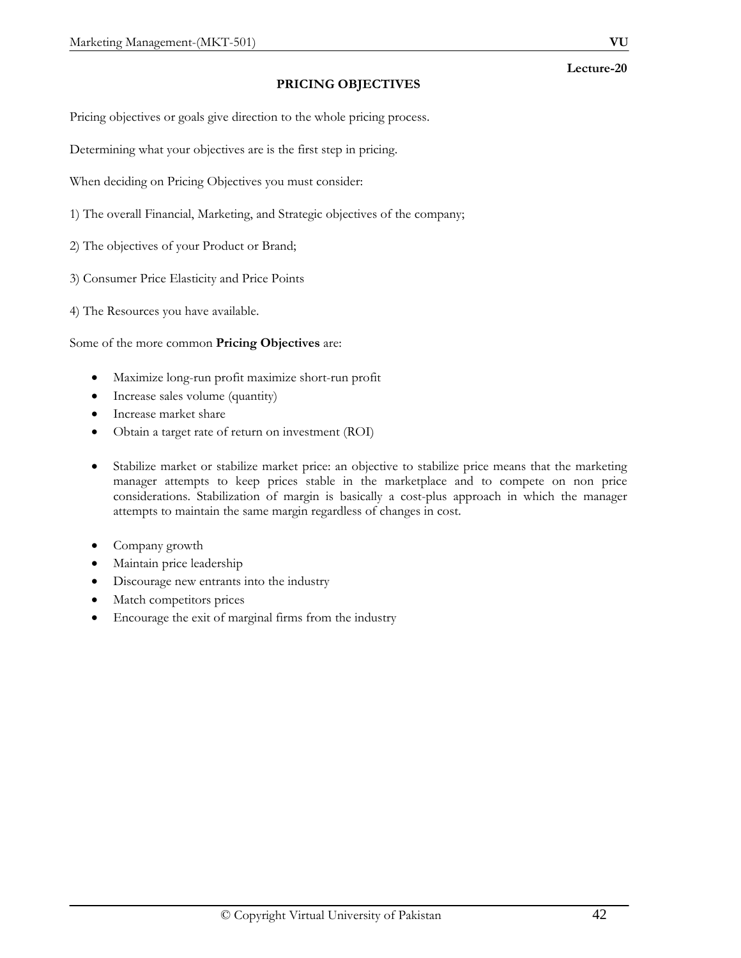### **PRICING OBJECTIVES**

Pricing objectives or goals give direction to the whole pricing process.

Determining what your objectives are is the first step in pricing.

When deciding on Pricing Objectives you must consider:

- 1) The overall Financial, Marketing, and Strategic objectives of the company;
- 2) The objectives of your Product or Brand;
- 3) Consumer Price Elasticity and Price Points
- 4) The Resources you have available.

Some of the more common **Pricing Objectives** are:

- Maximize long-run profit maximize short-run profit
- Increase sales volume (quantity)
- Increase market share
- Obtain a target rate of return on investment (ROI)
- Stabilize market or stabilize market price: an objective to stabilize price means that the marketing manager attempts to keep prices stable in the marketplace and to compete on non price considerations. Stabilization of margin is basically a cost-plus approach in which the manager attempts to maintain the same margin regardless of changes in cost.
- Company growth
- Maintain price leadership
- Discourage new entrants into the industry
- Match competitors prices
- Encourage the exit of marginal firms from the industry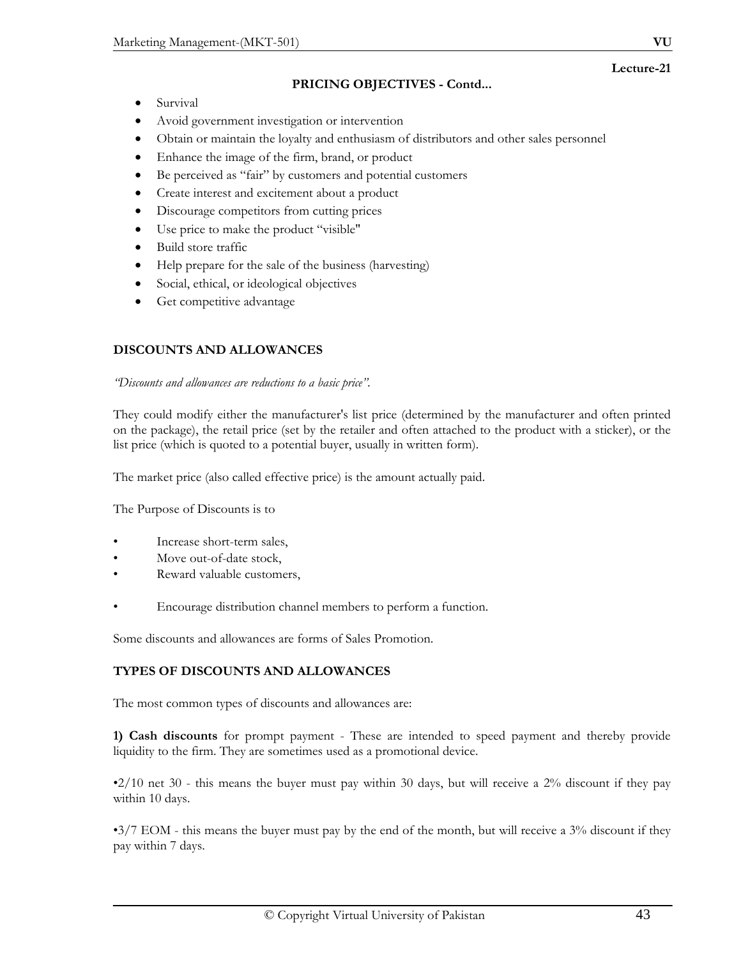# **PRICING OBJECTIVES - Contd...**

- Survival
- Avoid government investigation or intervention
- Obtain or maintain the loyalty and enthusiasm of distributors and other sales personnel
- Enhance the image of the firm, brand, or product
- Be perceived as "fair" by customers and potential customers
- Create interest and excitement about a product
- Discourage competitors from cutting prices
- Use price to make the product "visible"
- Build store traffic
- Help prepare for the sale of the business (harvesting)
- Social, ethical, or ideological objectives
- Get competitive advantage

# **DISCOUNTS AND ALLOWANCES**

## *"Discounts and allowances are reductions to a basic price".*

They could modify either the manufacturer's list price (determined by the manufacturer and often printed on the package), the retail price (set by the retailer and often attached to the product with a sticker), or the list price (which is quoted to a potential buyer, usually in written form).

The market price (also called effective price) is the amount actually paid.

The Purpose of Discounts is to

- Increase short-term sales,
- Move out-of-date stock,
- Reward valuable customers,
- Encourage distribution channel members to perform a function.

Some discounts and allowances are forms of Sales Promotion.

# **TYPES OF DISCOUNTS AND ALLOWANCES**

The most common types of discounts and allowances are:

**1) Cash discounts** for prompt payment - These are intended to speed payment and thereby provide liquidity to the firm. They are sometimes used as a promotional device.

 $\cdot$ 2/10 net 30 - this means the buyer must pay within 30 days, but will receive a 2% discount if they pay within 10 days.

•3/7 EOM - this means the buyer must pay by the end of the month, but will receive a 3% discount if they pay within 7 days.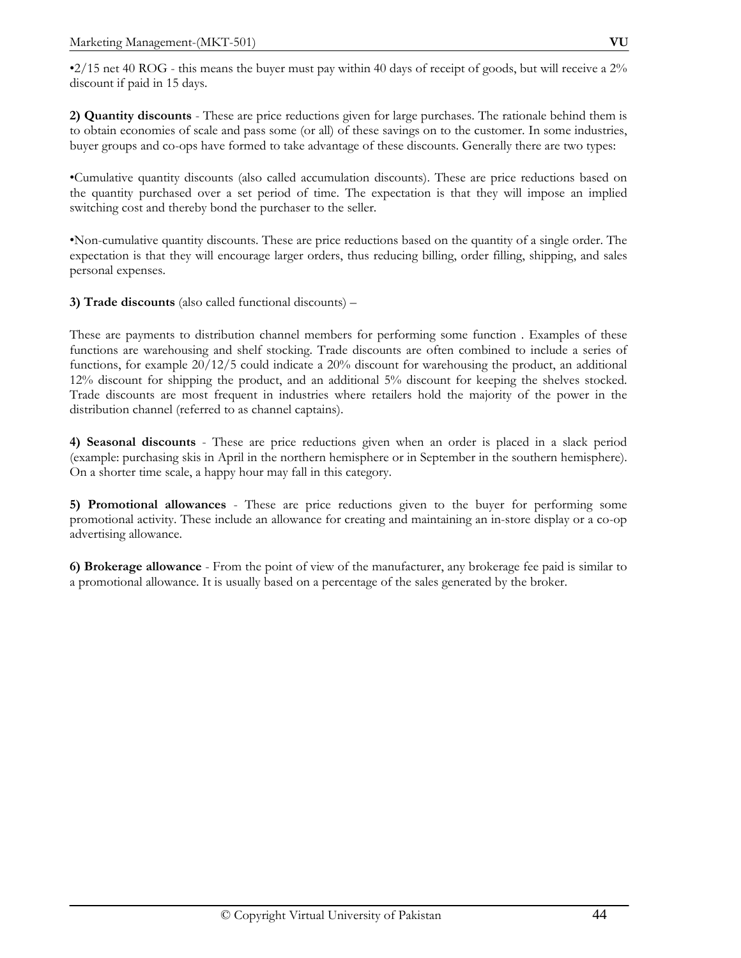$\cdot$ 2/15 net 40 ROG - this means the buyer must pay within 40 days of receipt of goods, but will receive a 2% discount if paid in 15 days.

**2) Quantity discounts** - These are price reductions given for large purchases. The rationale behind them is to obtain economies of scale and pass some (or all) of these savings on to the customer. In some industries, buyer groups and co-ops have formed to take advantage of these discounts. Generally there are two types:

•Cumulative quantity discounts (also called accumulation discounts). These are price reductions based on the quantity purchased over a set period of time. The expectation is that they will impose an implied switching cost and thereby bond the purchaser to the seller.

•Non-cumulative quantity discounts. These are price reductions based on the quantity of a single order. The expectation is that they will encourage larger orders, thus reducing billing, order filling, shipping, and sales personal expenses.

**3) Trade discounts** (also called functional discounts) –

These are payments to distribution channel members for performing some function . Examples of these functions are warehousing and shelf stocking. Trade discounts are often combined to include a series of functions, for example 20/12/5 could indicate a 20% discount for warehousing the product, an additional 12% discount for shipping the product, and an additional 5% discount for keeping the shelves stocked. Trade discounts are most frequent in industries where retailers hold the majority of the power in the distribution channel (referred to as channel captains).

**4) Seasonal discounts** - These are price reductions given when an order is placed in a slack period (example: purchasing skis in April in the northern hemisphere or in September in the southern hemisphere). On a shorter time scale, a happy hour may fall in this category.

**5) Promotional allowances** - These are price reductions given to the buyer for performing some promotional activity. These include an allowance for creating and maintaining an in-store display or a co-op advertising allowance.

**6) Brokerage allowance** - From the point of view of the manufacturer, any brokerage fee paid is similar to a promotional allowance. It is usually based on a percentage of the sales generated by the broker.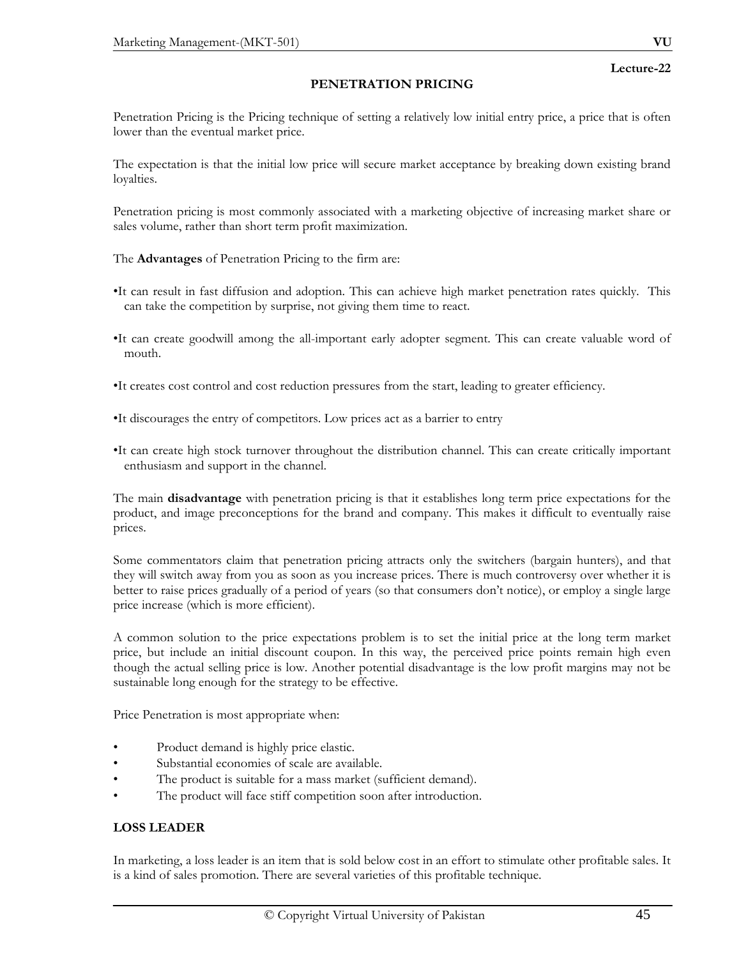### **Lecture-22**

### **PENETRATION PRICING**

Penetration Pricing is the Pricing technique of setting a relatively low initial entry price, a price that is often lower than the eventual market price.

The expectation is that the initial low price will secure market acceptance by breaking down existing brand loyalties.

Penetration pricing is most commonly associated with a marketing objective of increasing market share or sales volume, rather than short term profit maximization.

The **Advantages** of Penetration Pricing to the firm are:

- •It can result in fast diffusion and adoption. This can achieve high market penetration rates quickly. This can take the competition by surprise, not giving them time to react.
- •It can create goodwill among the all-important early adopter segment. This can create valuable word of mouth.
- •It creates cost control and cost reduction pressures from the start, leading to greater efficiency.
- •It discourages the entry of competitors. Low prices act as a barrier to entry
- •It can create high stock turnover throughout the distribution channel. This can create critically important enthusiasm and support in the channel.

The main **disadvantage** with penetration pricing is that it establishes long term price expectations for the product, and image preconceptions for the brand and company. This makes it difficult to eventually raise prices.

Some commentators claim that penetration pricing attracts only the switchers (bargain hunters), and that they will switch away from you as soon as you increase prices. There is much controversy over whether it is better to raise prices gradually of a period of years (so that consumers don't notice), or employ a single large price increase (which is more efficient).

A common solution to the price expectations problem is to set the initial price at the long term market price, but include an initial discount coupon. In this way, the perceived price points remain high even though the actual selling price is low. Another potential disadvantage is the low profit margins may not be sustainable long enough for the strategy to be effective.

Price Penetration is most appropriate when:

- Product demand is highly price elastic.
- Substantial economies of scale are available.
- The product is suitable for a mass market (sufficient demand).
- The product will face stiff competition soon after introduction.

## **LOSS LEADER**

In marketing, a loss leader is an item that is sold below cost in an effort to stimulate other profitable sales. It is a kind of sales promotion. There are several varieties of this profitable technique.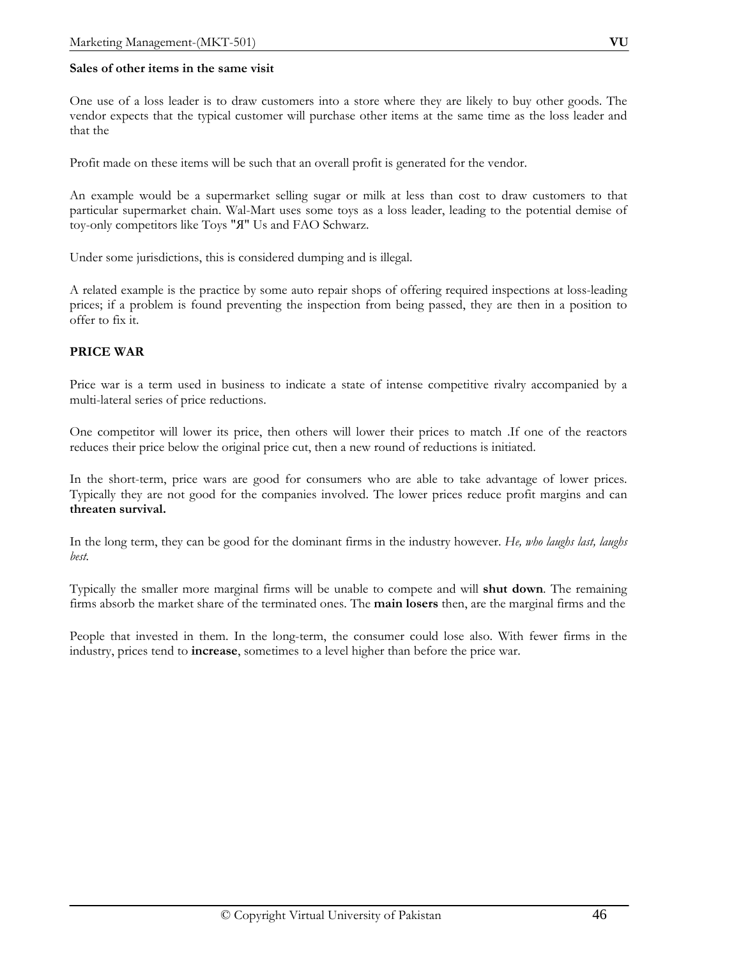#### **Sales of other items in the same visit**

One use of a loss leader is to draw customers into a store where they are likely to buy other goods. The vendor expects that the typical customer will purchase other items at the same time as the loss leader and that the

Profit made on these items will be such that an overall profit is generated for the vendor.

An example would be a supermarket selling sugar or milk at less than cost to draw customers to that particular supermarket chain. Wal-Mart uses some toys as a loss leader, leading to the potential demise of toy-only competitors like Toys "Я" Us and FAO Schwarz.

Under some jurisdictions, this is considered dumping and is illegal.

A related example is the practice by some auto repair shops of offering required inspections at loss-leading prices; if a problem is found preventing the inspection from being passed, they are then in a position to offer to fix it.

## **PRICE WAR**

Price war is a term used in business to indicate a state of intense competitive rivalry accompanied by a multi-lateral series of price reductions.

One competitor will lower its price, then others will lower their prices to match .If one of the reactors reduces their price below the original price cut, then a new round of reductions is initiated.

In the short-term, price wars are good for consumers who are able to take advantage of lower prices. Typically they are not good for the companies involved. The lower prices reduce profit margins and can **threaten survival.** 

In the long term, they can be good for the dominant firms in the industry however. *He, who laughs last, laughs best.*

Typically the smaller more marginal firms will be unable to compete and will **shut down**. The remaining firms absorb the market share of the terminated ones. The **main losers** then, are the marginal firms and the

People that invested in them. In the long-term, the consumer could lose also. With fewer firms in the industry, prices tend to **increase**, sometimes to a level higher than before the price war.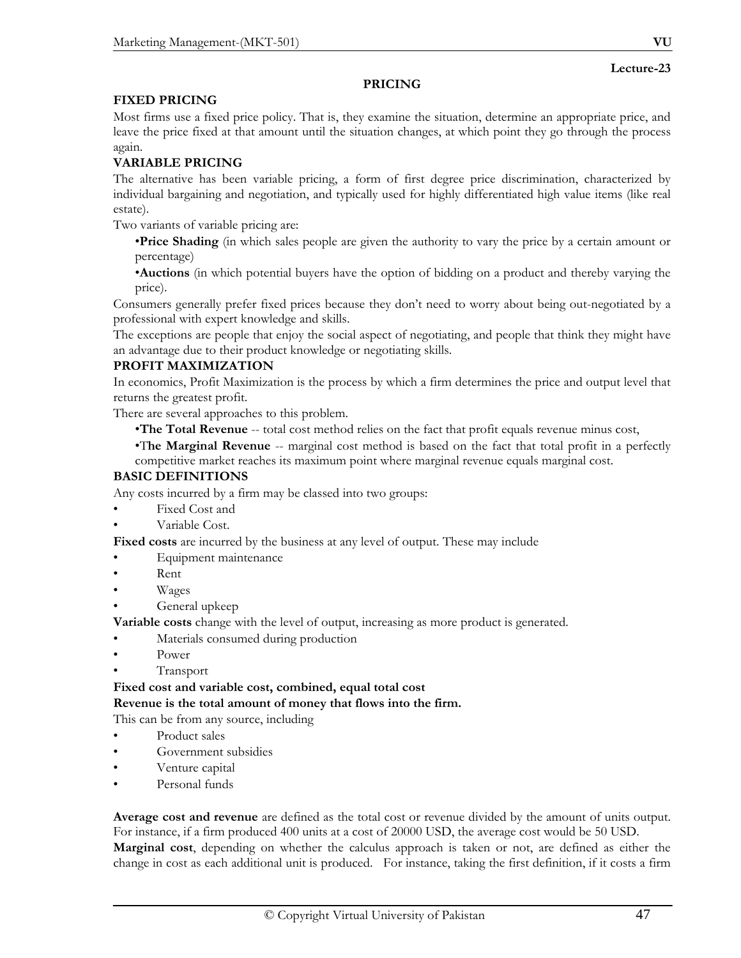#### **Lecture-23**

### **PRICING**

# **FIXED PRICING**

Most firms use a fixed price policy. That is, they examine the situation, determine an appropriate price, and leave the price fixed at that amount until the situation changes, at which point they go through the process again.

# **VARIABLE PRICING**

The alternative has been variable pricing, a form of first degree price discrimination, characterized by individual bargaining and negotiation, and typically used for highly differentiated high value items (like real estate).

Two variants of variable pricing are:

•**Price Shading** (in which sales people are given the authority to vary the price by a certain amount or percentage)

•**Auctions** (in which potential buyers have the option of bidding on a product and thereby varying the price).

Consumers generally prefer fixed prices because they don't need to worry about being out-negotiated by a professional with expert knowledge and skills.

The exceptions are people that enjoy the social aspect of negotiating, and people that think they might have an advantage due to their product knowledge or negotiating skills.

## **PROFIT MAXIMIZATION**

In economics, Profit Maximization is the process by which a firm determines the price and output level that returns the greatest profit.

There are several approaches to this problem.

- •**The Total Revenue** -- total cost method relies on the fact that profit equals revenue minus cost,
- •T**he Marginal Revenue** -- marginal cost method is based on the fact that total profit in a perfectly competitive market reaches its maximum point where marginal revenue equals marginal cost.

# **BASIC DEFINITIONS**

Any costs incurred by a firm may be classed into two groups:

- Fixed Cost and
- Variable Cost.

**Fixed costs** are incurred by the business at any level of output. These may include

- Equipment maintenance
- Rent
- Wages
- General upkeep

**Variable costs** change with the level of output, increasing as more product is generated.

- Materials consumed during production
- Power
- **Transport**

**Fixed cost and variable cost, combined, equal total cost** 

**Revenue is the total amount of money that flows into the firm.** 

This can be from any source, including

- Product sales
- Government subsidies
- Venture capital
- Personal funds

**Average cost and revenue** are defined as the total cost or revenue divided by the amount of units output. For instance, if a firm produced 400 units at a cost of 20000 USD, the average cost would be 50 USD.

**Marginal cost**, depending on whether the calculus approach is taken or not, are defined as either the change in cost as each additional unit is produced. For instance, taking the first definition, if it costs a firm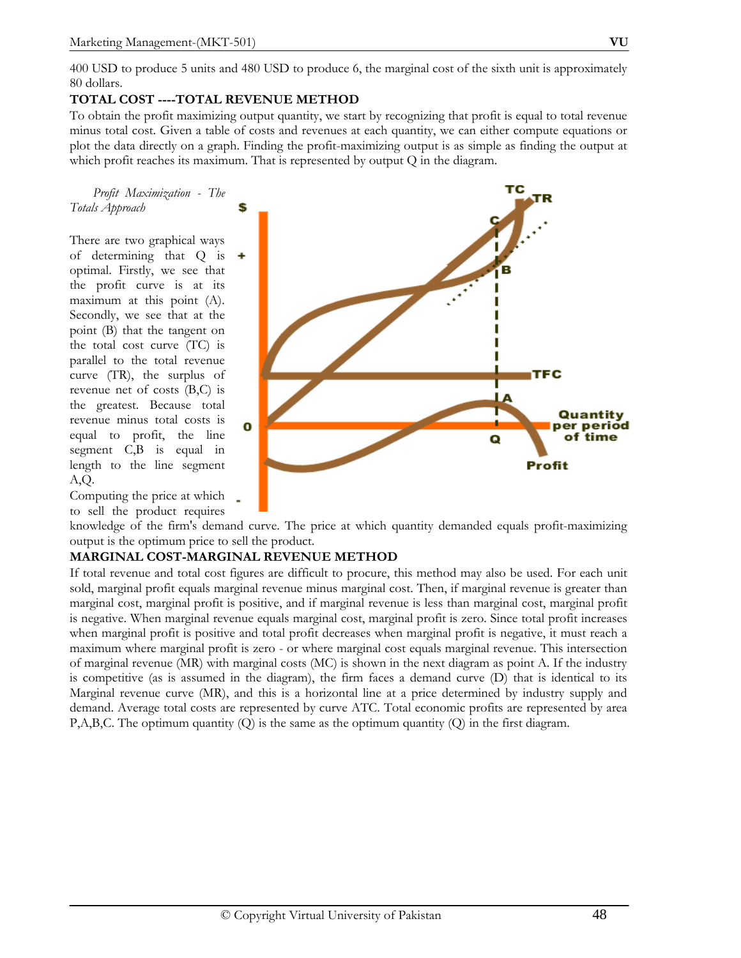400 USD to produce 5 units and 480 USD to produce 6, the marginal cost of the sixth unit is approximately 80 dollars.

# **TOTAL COST ----TOTAL REVENUE METHOD**

To obtain the profit maximizing output quantity, we start by recognizing that profit is equal to total revenue minus total cost. Given a table of costs and revenues at each quantity, we can either compute equations or plot the data directly on a graph. Finding the profit-maximizing output is as simple as finding the output at which profit reaches its maximum. That is represented by output Q in the diagram.

 *Profit Maximization - The Totals Approach*

There are two graphical ways of determining that Q is optimal. Firstly, we see that the profit curve is at its maximum at this point (A). Secondly, we see that at the point (B) that the tangent on the total cost curve (TC) is parallel to the total revenue curve (TR), the surplus of revenue net of costs (B,C) is the greatest. Because total revenue minus total costs is equal to profit, the line segment C<sub>,</sub>B is equal in length to the line segment A,Q.

Computing the price at which to sell the product requires



knowledge of the firm's demand curve. The price at which quantity demanded equals profit-maximizing output is the optimum price to sell the product.

# **MARGINAL COST-MARGINAL REVENUE METHOD**

If total revenue and total cost figures are difficult to procure, this method may also be used. For each unit sold, marginal profit equals marginal revenue minus marginal cost. Then, if marginal revenue is greater than marginal cost, marginal profit is positive, and if marginal revenue is less than marginal cost, marginal profit is negative. When marginal revenue equals marginal cost, marginal profit is zero. Since total profit increases when marginal profit is positive and total profit decreases when marginal profit is negative, it must reach a maximum where marginal profit is zero - or where marginal cost equals marginal revenue. This intersection of marginal revenue (MR) with marginal costs (MC) is shown in the next diagram as point A. If the industry is competitive (as is assumed in the diagram), the firm faces a demand curve (D) that is identical to its Marginal revenue curve (MR), and this is a horizontal line at a price determined by industry supply and demand. Average total costs are represented by curve ATC. Total economic profits are represented by area P,A,B,C. The optimum quantity (Q) is the same as the optimum quantity (Q) in the first diagram.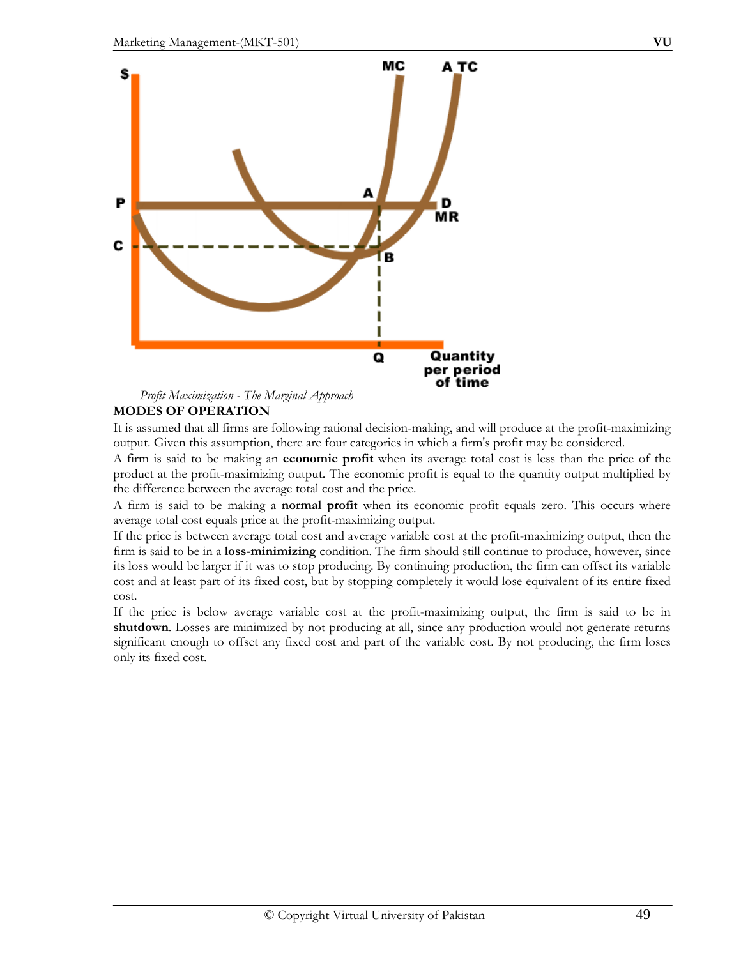

## **MODES OF OPERATION**

It is assumed that all firms are following rational decision-making, and will produce at the profit-maximizing output. Given this assumption, there are four categories in which a firm's profit may be considered.

A firm is said to be making an **economic profit** when its average total cost is less than the price of the product at the profit-maximizing output. The economic profit is equal to the quantity output multiplied by the difference between the average total cost and the price.

A firm is said to be making a **normal profit** when its economic profit equals zero. This occurs where average total cost equals price at the profit-maximizing output.

If the price is between average total cost and average variable cost at the profit-maximizing output, then the firm is said to be in a **loss-minimizing** condition. The firm should still continue to produce, however, since its loss would be larger if it was to stop producing. By continuing production, the firm can offset its variable cost and at least part of its fixed cost, but by stopping completely it would lose equivalent of its entire fixed cost.

If the price is below average variable cost at the profit-maximizing output, the firm is said to be in **shutdown**. Losses are minimized by not producing at all, since any production would not generate returns significant enough to offset any fixed cost and part of the variable cost. By not producing, the firm loses only its fixed cost.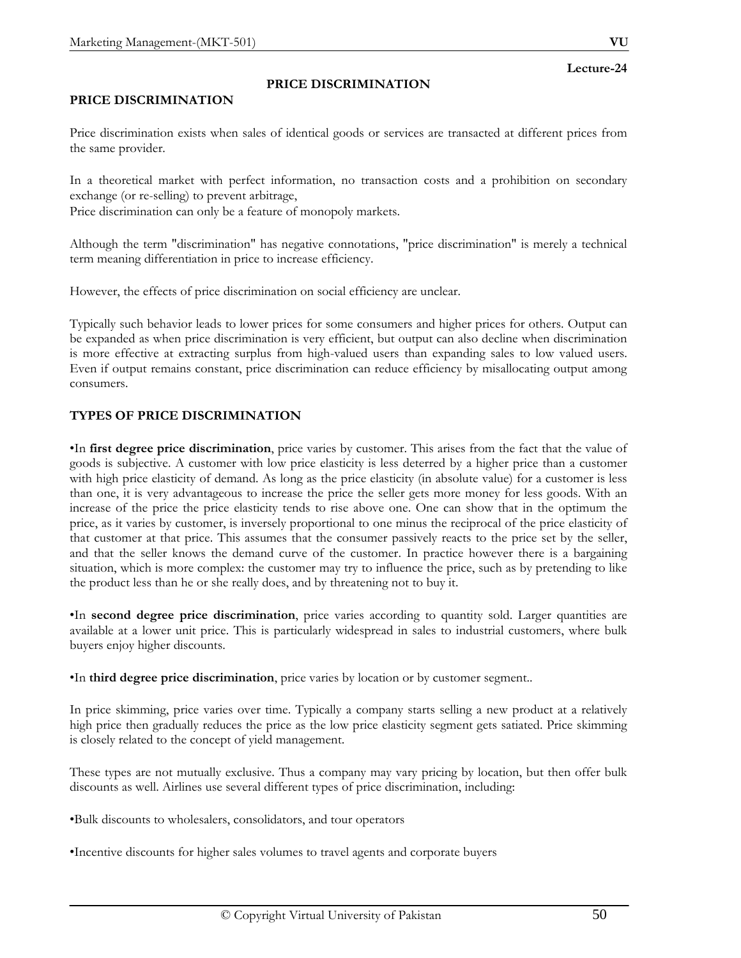### **Lecture-24**

### **PRICE DISCRIMINATION**

### **PRICE DISCRIMINATION**

Price discrimination exists when sales of identical goods or services are transacted at different prices from the same provider.

In a theoretical market with perfect information, no transaction costs and a prohibition on secondary exchange (or re-selling) to prevent arbitrage,

Price discrimination can only be a feature of monopoly markets.

Although the term "discrimination" has negative connotations, "price discrimination" is merely a technical term meaning differentiation in price to increase efficiency.

However, the effects of price discrimination on social efficiency are unclear.

Typically such behavior leads to lower prices for some consumers and higher prices for others. Output can be expanded as when price discrimination is very efficient, but output can also decline when discrimination is more effective at extracting surplus from high-valued users than expanding sales to low valued users. Even if output remains constant, price discrimination can reduce efficiency by misallocating output among consumers.

## **TYPES OF PRICE DISCRIMINATION**

•In **first degree price discrimination**, price varies by customer. This arises from the fact that the value of goods is subjective. A customer with low price elasticity is less deterred by a higher price than a customer with high price elasticity of demand. As long as the price elasticity (in absolute value) for a customer is less than one, it is very advantageous to increase the price the seller gets more money for less goods. With an increase of the price the price elasticity tends to rise above one. One can show that in the optimum the price, as it varies by customer, is inversely proportional to one minus the reciprocal of the price elasticity of that customer at that price. This assumes that the consumer passively reacts to the price set by the seller, and that the seller knows the demand curve of the customer. In practice however there is a bargaining situation, which is more complex: the customer may try to influence the price, such as by pretending to like the product less than he or she really does, and by threatening not to buy it.

•In **second degree price discrimination**, price varies according to quantity sold. Larger quantities are available at a lower unit price. This is particularly widespread in sales to industrial customers, where bulk buyers enjoy higher discounts.

•In **third degree price discrimination**, price varies by location or by customer segment..

In price skimming, price varies over time. Typically a company starts selling a new product at a relatively high price then gradually reduces the price as the low price elasticity segment gets satiated. Price skimming is closely related to the concept of yield management.

These types are not mutually exclusive. Thus a company may vary pricing by location, but then offer bulk discounts as well. Airlines use several different types of price discrimination, including:

- •Bulk discounts to wholesalers, consolidators, and tour operators
- •Incentive discounts for higher sales volumes to travel agents and corporate buyers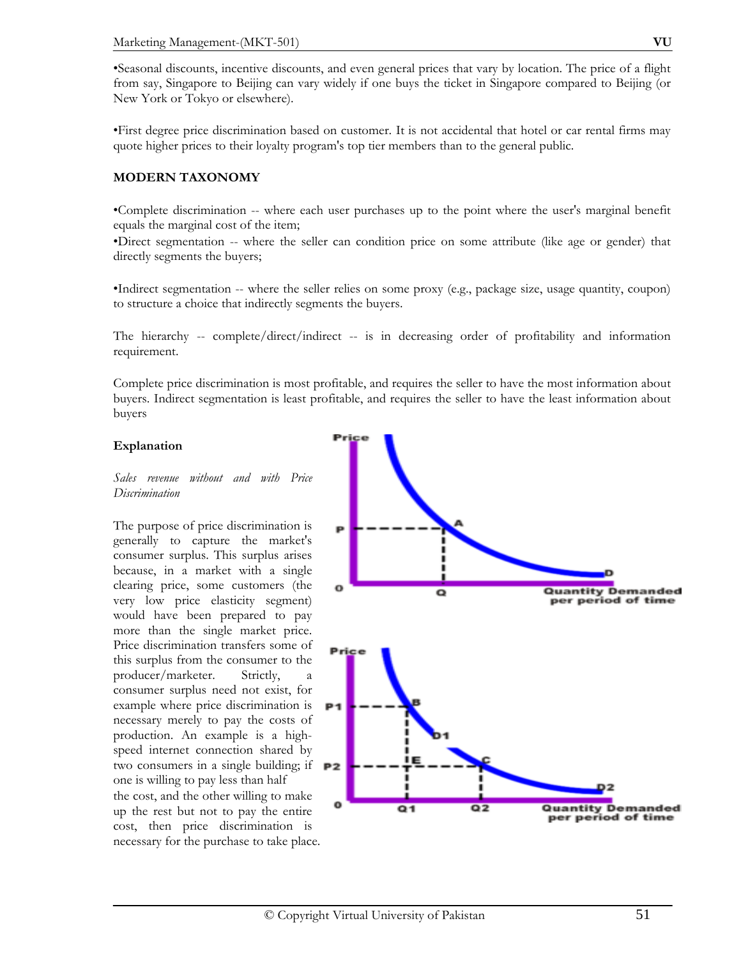•Seasonal discounts, incentive discounts, and even general prices that vary by location. The price of a flight from say, Singapore to Beijing can vary widely if one buys the ticket in Singapore compared to Beijing (or New York or Tokyo or elsewhere).

•First degree price discrimination based on customer. It is not accidental that hotel or car rental firms may quote higher prices to their loyalty program's top tier members than to the general public.

### **MODERN TAXONOMY**

•Complete discrimination -- where each user purchases up to the point where the user's marginal benefit equals the marginal cost of the item;

•Direct segmentation -- where the seller can condition price on some attribute (like age or gender) that directly segments the buyers;

•Indirect segmentation -- where the seller relies on some proxy (e.g., package size, usage quantity, coupon) to structure a choice that indirectly segments the buyers.

The hierarchy -- complete/direct/indirect -- is in decreasing order of profitability and information requirement.

Complete price discrimination is most profitable, and requires the seller to have the most information about buyers. Indirect segmentation is least profitable, and requires the seller to have the least information about buyers

### **Explanation**

*Sales revenue without and with Price Discrimination* 

The purpose of price discrimination is generally to capture the market's consumer surplus. This surplus arises because, in a market with a single clearing price, some customers (the very low price elasticity segment) would have been prepared to pay more than the single market price. Price discrimination transfers some of this surplus from the consumer to the producer/marketer. Strictly, consumer surplus need not exist, for example where price discrimination is necessary merely to pay the costs of production. An example is a highspeed internet connection shared by two consumers in a single building; if one is willing to pay less than half the cost, and the other willing to make up the rest but not to pay the entire cost, then price discrimination is necessary for the purchase to take place.

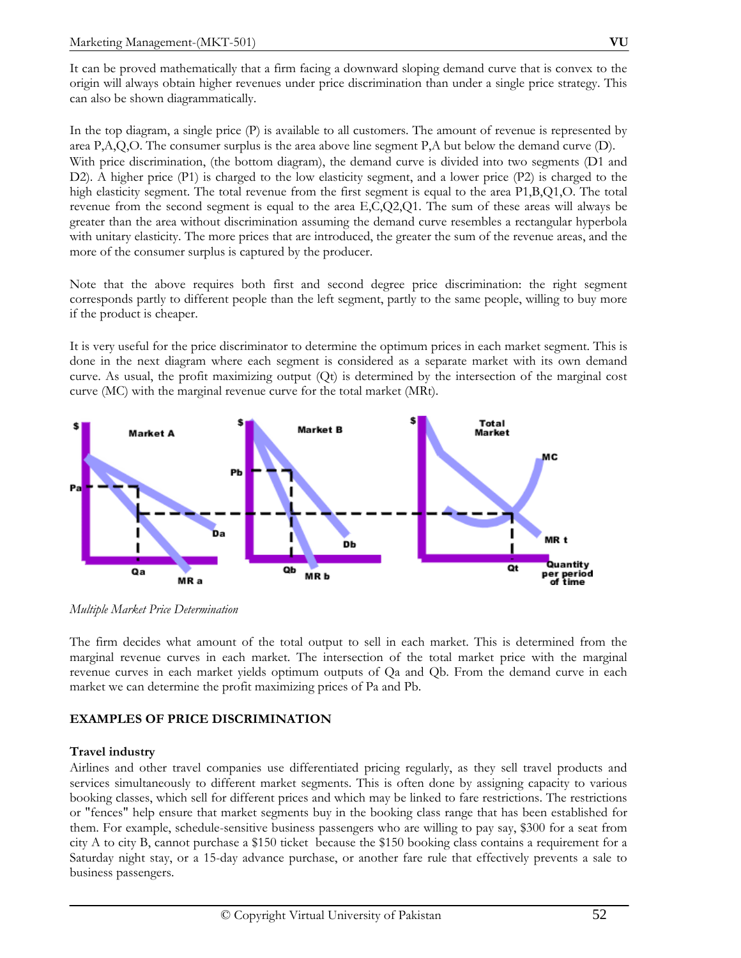It can be proved mathematically that a firm facing a downward sloping demand curve that is convex to the origin will always obtain higher revenues under price discrimination than under a single price strategy. This can also be shown diagrammatically.

In the top diagram, a single price (P) is available to all customers. The amount of revenue is represented by area P,A,Q,O. The consumer surplus is the area above line segment P,A but below the demand curve (D). With price discrimination, (the bottom diagram), the demand curve is divided into two segments (D1 and D2). A higher price (P1) is charged to the low elasticity segment, and a lower price (P2) is charged to the high elasticity segment. The total revenue from the first segment is equal to the area P1,B,Q1,O. The total revenue from the second segment is equal to the area E,C,Q2,Q1. The sum of these areas will always be greater than the area without discrimination assuming the demand curve resembles a rectangular hyperbola with unitary elasticity. The more prices that are introduced, the greater the sum of the revenue areas, and the more of the consumer surplus is captured by the producer.

Note that the above requires both first and second degree price discrimination: the right segment corresponds partly to different people than the left segment, partly to the same people, willing to buy more if the product is cheaper.

It is very useful for the price discriminator to determine the optimum prices in each market segment. This is done in the next diagram where each segment is considered as a separate market with its own demand curve. As usual, the profit maximizing output (Qt) is determined by the intersection of the marginal cost curve (MC) with the marginal revenue curve for the total market (MRt).



*Multiple Market Price Determination* 

The firm decides what amount of the total output to sell in each market. This is determined from the marginal revenue curves in each market. The intersection of the total market price with the marginal revenue curves in each market yields optimum outputs of Qa and Qb. From the demand curve in each market we can determine the profit maximizing prices of Pa and Pb.

# **EXAMPLES OF PRICE DISCRIMINATION**

## **Travel industry**

Airlines and other travel companies use differentiated pricing regularly, as they sell travel products and services simultaneously to different market segments. This is often done by assigning capacity to various booking classes, which sell for different prices and which may be linked to fare restrictions. The restrictions or "fences" help ensure that market segments buy in the booking class range that has been established for them. For example, schedule-sensitive business passengers who are willing to pay say, \$300 for a seat from city A to city B, cannot purchase a \$150 ticket because the \$150 booking class contains a requirement for a Saturday night stay, or a 15-day advance purchase, or another fare rule that effectively prevents a sale to business passengers.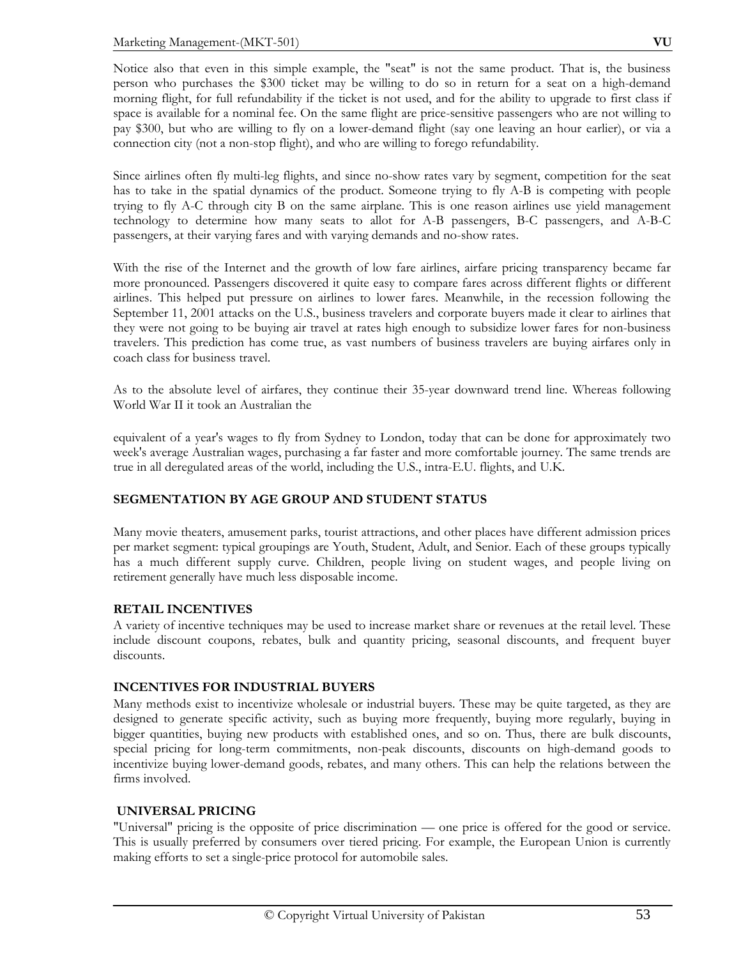Notice also that even in this simple example, the "seat" is not the same product. That is, the business person who purchases the \$300 ticket may be willing to do so in return for a seat on a high-demand morning flight, for full refundability if the ticket is not used, and for the ability to upgrade to first class if space is available for a nominal fee. On the same flight are price-sensitive passengers who are not willing to pay \$300, but who are willing to fly on a lower-demand flight (say one leaving an hour earlier), or via a connection city (not a non-stop flight), and who are willing to forego refundability.

Since airlines often fly multi-leg flights, and since no-show rates vary by segment, competition for the seat has to take in the spatial dynamics of the product. Someone trying to fly A-B is competing with people trying to fly A-C through city B on the same airplane. This is one reason airlines use yield management technology to determine how many seats to allot for A-B passengers, B-C passengers, and A-B-C passengers, at their varying fares and with varying demands and no-show rates.

With the rise of the Internet and the growth of low fare airlines, airfare pricing transparency became far more pronounced. Passengers discovered it quite easy to compare fares across different flights or different airlines. This helped put pressure on airlines to lower fares. Meanwhile, in the recession following the September 11, 2001 attacks on the U.S., business travelers and corporate buyers made it clear to airlines that they were not going to be buying air travel at rates high enough to subsidize lower fares for non-business travelers. This prediction has come true, as vast numbers of business travelers are buying airfares only in coach class for business travel.

As to the absolute level of airfares, they continue their 35-year downward trend line. Whereas following World War II it took an Australian the

equivalent of a year's wages to fly from Sydney to London, today that can be done for approximately two week's average Australian wages, purchasing a far faster and more comfortable journey. The same trends are true in all deregulated areas of the world, including the U.S., intra-E.U. flights, and U.K.

## **SEGMENTATION BY AGE GROUP AND STUDENT STATUS**

Many movie theaters, amusement parks, tourist attractions, and other places have different admission prices per market segment: typical groupings are Youth, Student, Adult, and Senior. Each of these groups typically has a much different supply curve. Children, people living on student wages, and people living on retirement generally have much less disposable income.

### **RETAIL INCENTIVES**

A variety of incentive techniques may be used to increase market share or revenues at the retail level. These include discount coupons, rebates, bulk and quantity pricing, seasonal discounts, and frequent buyer discounts.

### **INCENTIVES FOR INDUSTRIAL BUYERS**

Many methods exist to incentivize wholesale or industrial buyers. These may be quite targeted, as they are designed to generate specific activity, such as buying more frequently, buying more regularly, buying in bigger quantities, buying new products with established ones, and so on. Thus, there are bulk discounts, special pricing for long-term commitments, non-peak discounts, discounts on high-demand goods to incentivize buying lower-demand goods, rebates, and many others. This can help the relations between the firms involved.

### **UNIVERSAL PRICING**

"Universal" pricing is the opposite of price discrimination — one price is offered for the good or service. This is usually preferred by consumers over tiered pricing. For example, the European Union is currently making efforts to set a single-price protocol for automobile sales.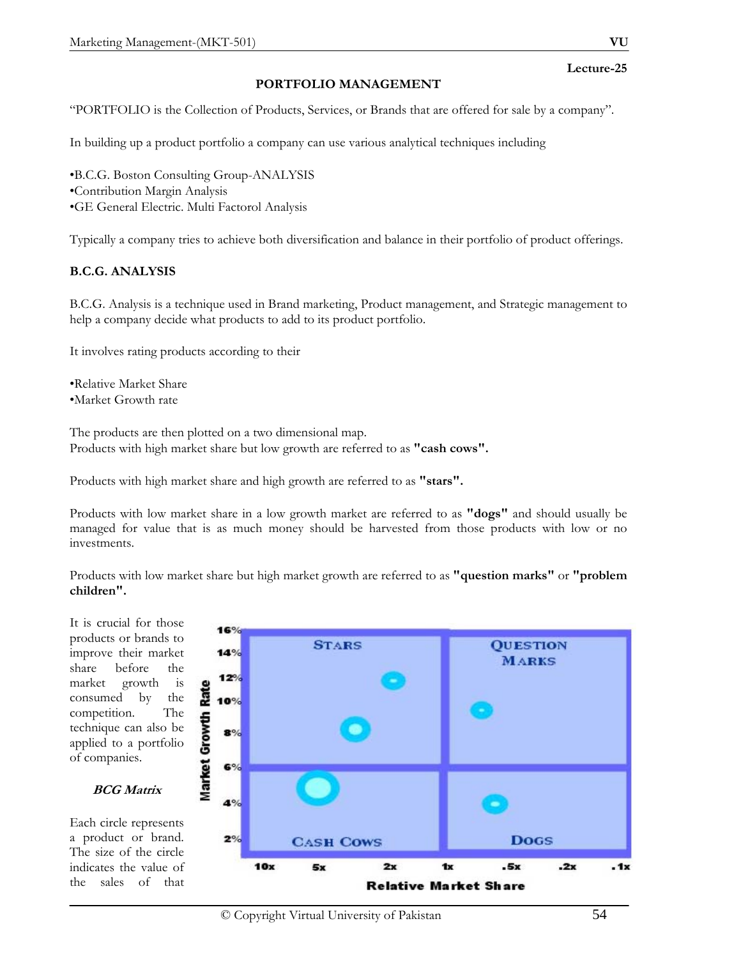### **Lecture-25**

### **PORTFOLIO MANAGEMENT**

"PORTFOLIO is the Collection of Products, Services, or Brands that are offered for sale by a company".

In building up a product portfolio a company can use various analytical techniques including

•B.C.G. Boston Consulting Group-ANALYSIS •Contribution Margin Analysis •GE General Electric. Multi Factorol Analysis

Typically a company tries to achieve both diversification and balance in their portfolio of product offerings.

# **B.C.G. ANALYSIS**

B.C.G. Analysis is a technique used in Brand marketing, Product management, and Strategic management to help a company decide what products to add to its product portfolio.

It involves rating products according to their

•Relative Market Share •Market Growth rate

The products are then plotted on a two dimensional map. Products with high market share but low growth are referred to as **"cash cows".** 

Products with high market share and high growth are referred to as **"stars".**

Products with low market share in a low growth market are referred to as **"dogs"** and should usually be managed for value that is as much money should be harvested from those products with low or no investments.

Products with low market share but high market growth are referred to as **"question marks"** or **"problem children".**

It is crucial for those products or brands to improve their market share before the market growth is consumed by the competition. The technique can also be applied to a portfolio of companies.



# **BCG Matrix**

Each circle represents a product or brand. The size of the circle indicates the value of the sales of that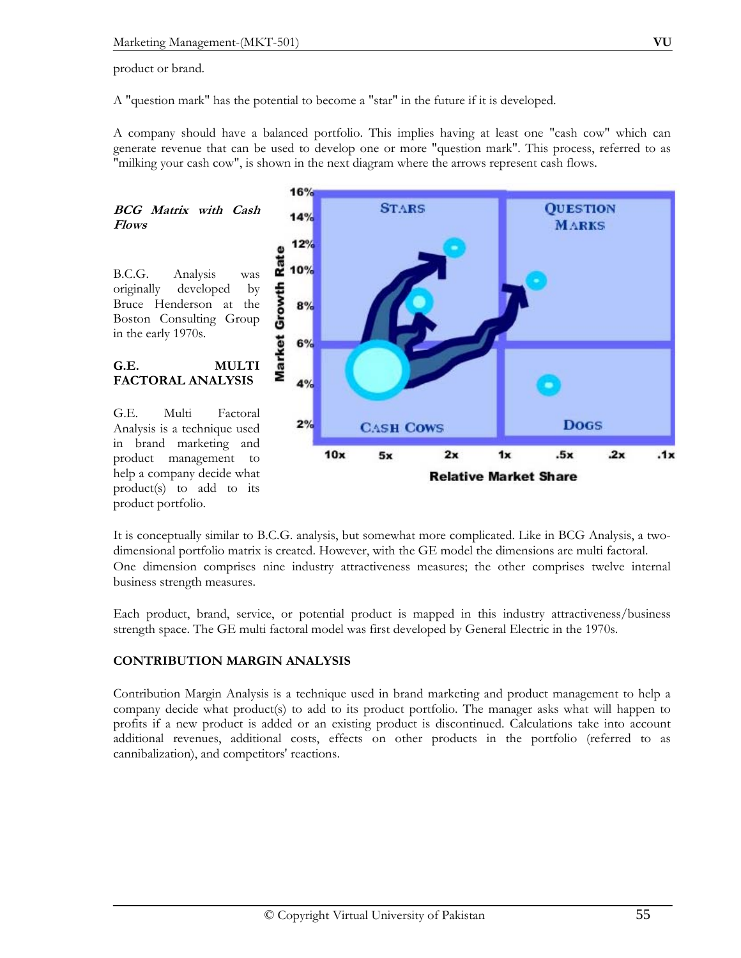product or brand.

A "question mark" has the potential to become a "star" in the future if it is developed.

A company should have a balanced portfolio. This implies having at least one "cash cow" which can generate revenue that can be used to develop one or more "question mark". This process, referred to as "milking your cash cow", is shown in the next diagram where the arrows represent cash flows.



It is conceptually similar to B.C.G. analysis, but somewhat more complicated. Like in BCG Analysis, a twodimensional portfolio matrix is created. However, with the GE model the dimensions are multi factoral. One dimension comprises nine industry attractiveness measures; the other comprises twelve internal business strength measures.

Each product, brand, service, or potential product is mapped in this industry attractiveness/business strength space. The GE multi factoral model was first developed by General Electric in the 1970s.

## **CONTRIBUTION MARGIN ANALYSIS**

Contribution Margin Analysis is a technique used in brand marketing and product management to help a company decide what product(s) to add to its product portfolio. The manager asks what will happen to profits if a new product is added or an existing product is discontinued. Calculations take into account additional revenues, additional costs, effects on other products in the portfolio (referred to as cannibalization), and competitors' reactions.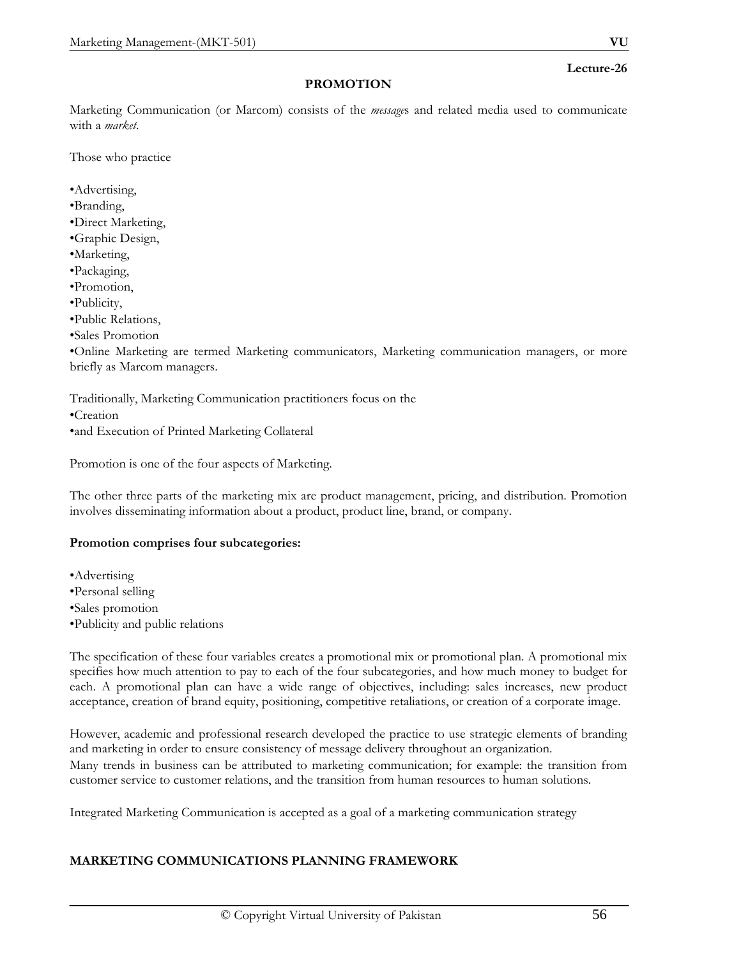## **PROMOTION**

Marketing Communication (or Marcom) consists of the *message*s and related media used to communicate with a *market*.

Those who practice

•Advertising,

•Branding,

- •Direct Marketing,
- •Graphic Design,
- •Marketing,
- •Packaging,
- •Promotion,
- •Publicity,
- •Public Relations,
- •Sales Promotion

•Online Marketing are termed Marketing communicators, Marketing communication managers, or more briefly as Marcom managers.

Traditionally, Marketing Communication practitioners focus on the •Creation •and Execution of Printed Marketing Collateral

Promotion is one of the four aspects of Marketing.

The other three parts of the marketing mix are product management, pricing, and distribution. Promotion involves disseminating information about a product, product line, brand, or company.

### **Promotion comprises four subcategories:**

•Advertising •Personal selling •Sales promotion •Publicity and public relations

The specification of these four variables creates a promotional mix or promotional plan. A promotional mix specifies how much attention to pay to each of the four subcategories, and how much money to budget for each. A promotional plan can have a wide range of objectives, including: sales increases, new product acceptance, creation of brand equity, positioning, competitive retaliations, or creation of a corporate image.

However, academic and professional research developed the practice to use strategic elements of branding and marketing in order to ensure consistency of message delivery throughout an organization. Many trends in business can be attributed to marketing communication; for example: the transition from customer service to customer relations, and the transition from human resources to human solutions.

Integrated Marketing Communication is accepted as a goal of a marketing communication strategy

## **MARKETING COMMUNICATIONS PLANNING FRAMEWORK**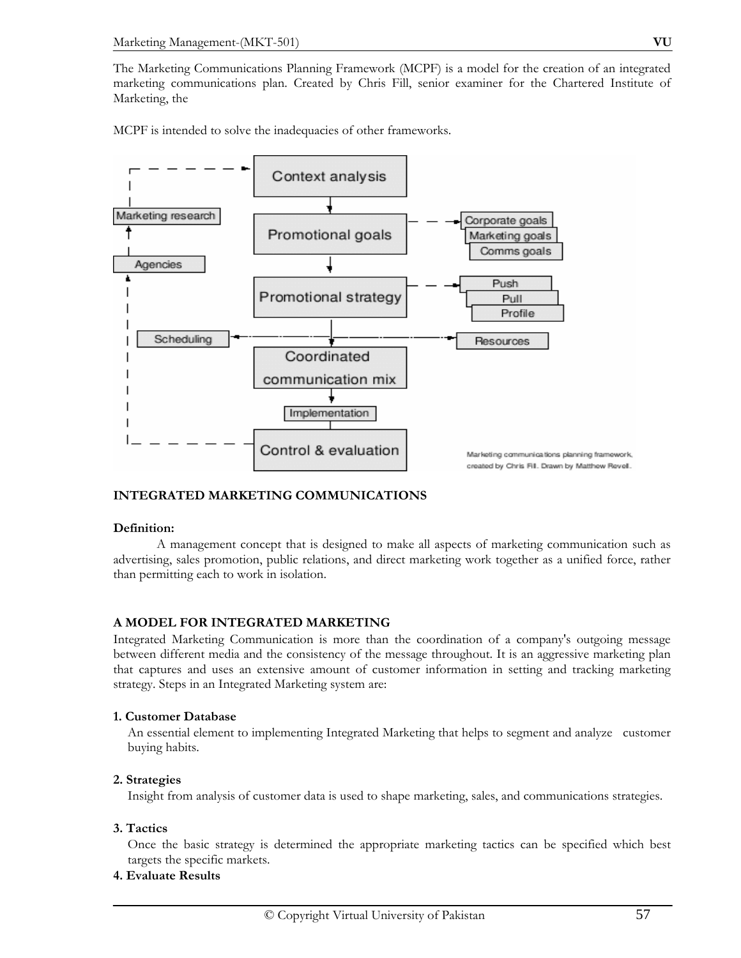The Marketing Communications Planning Framework (MCPF) is a model for the creation of an integrated marketing communications plan. Created by Chris Fill, senior examiner for the Chartered Institute of Marketing, the

MCPF is intended to solve the inadequacies of other frameworks.



### **INTEGRATED MARKETING COMMUNICATIONS**

### **Definition:**

A management concept that is designed to make all aspects of marketing communication such as advertising, sales promotion, public relations, and direct marketing work together as a unified force, rather than permitting each to work in isolation.

## **A MODEL FOR INTEGRATED MARKETING**

Integrated Marketing Communication is more than the coordination of a company's outgoing message between different media and the consistency of the message throughout. It is an aggressive marketing plan that captures and uses an extensive amount of customer information in setting and tracking marketing strategy. Steps in an Integrated Marketing system are:

### **1. Customer Database**

An essential element to implementing Integrated Marketing that helps to segment and analyze customer buying habits.

### **2. Strategies**

Insight from analysis of customer data is used to shape marketing, sales, and communications strategies.

### **3. Tactics**

Once the basic strategy is determined the appropriate marketing tactics can be specified which best targets the specific markets.

### **4. Evaluate Results**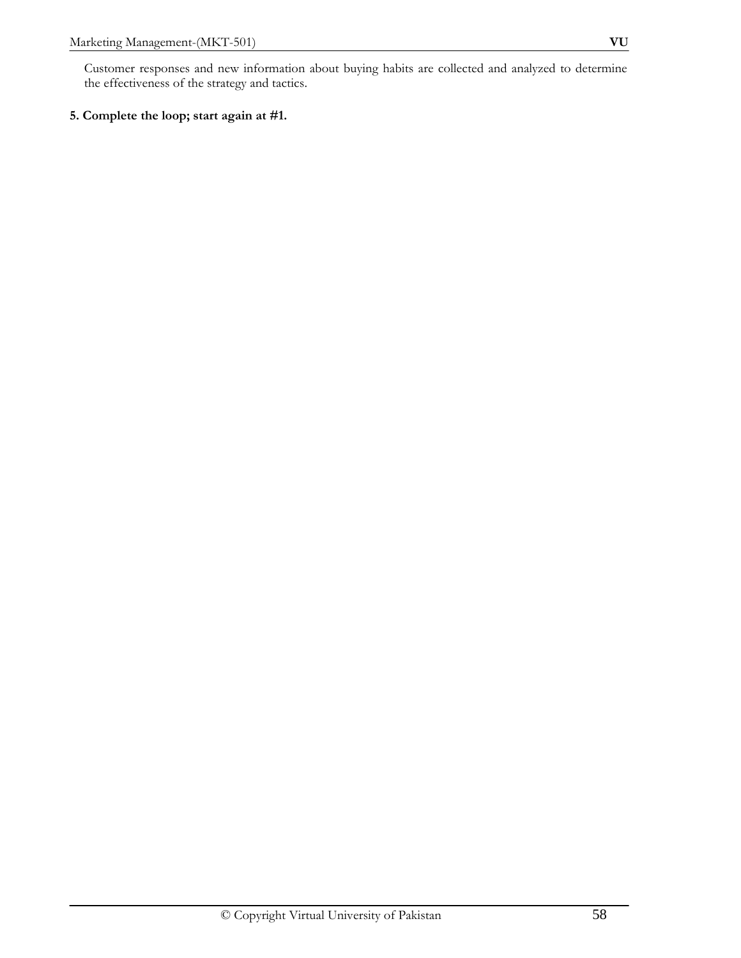Customer responses and new information about buying habits are collected and analyzed to determine the effectiveness of the strategy and tactics.

# **5. Complete the loop; start again at #1.**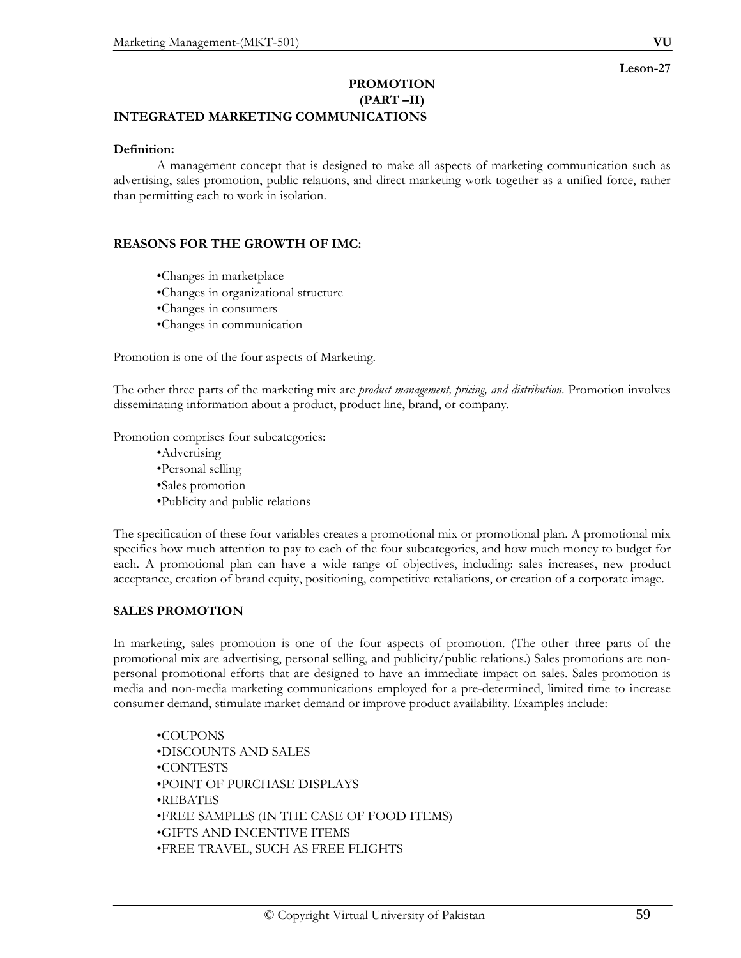### **PROMOTION (PART –II) INTEGRATED MARKETING COMMUNICATIONS**

## **Definition:**

A management concept that is designed to make all aspects of marketing communication such as advertising, sales promotion, public relations, and direct marketing work together as a unified force, rather than permitting each to work in isolation.

# **REASONS FOR THE GROWTH OF IMC:**

- •Changes in marketplace
- •Changes in organizational structure
- •Changes in consumers
- •Changes in communication

Promotion is one of the four aspects of Marketing.

The other three parts of the marketing mix are *product management, pricing, and distribution*. Promotion involves disseminating information about a product, product line, brand, or company.

Promotion comprises four subcategories:

•Advertising •Personal selling •Sales promotion •Publicity and public relations

The specification of these four variables creates a promotional mix or promotional plan. A promotional mix specifies how much attention to pay to each of the four subcategories, and how much money to budget for each. A promotional plan can have a wide range of objectives, including: sales increases, new product acceptance, creation of brand equity, positioning, competitive retaliations, or creation of a corporate image.

## **SALES PROMOTION**

In marketing, sales promotion is one of the four aspects of promotion. (The other three parts of the promotional mix are advertising, personal selling, and publicity/public relations.) Sales promotions are nonpersonal promotional efforts that are designed to have an immediate impact on sales. Sales promotion is media and non-media marketing communications employed for a pre-determined, limited time to increase consumer demand, stimulate market demand or improve product availability. Examples include:

•COUPONS •DISCOUNTS AND SALES •CONTESTS •POINT OF PURCHASE DISPLAYS •REBATES •FREE SAMPLES (IN THE CASE OF FOOD ITEMS) •GIFTS AND INCENTIVE ITEMS •FREE TRAVEL, SUCH AS FREE FLIGHTS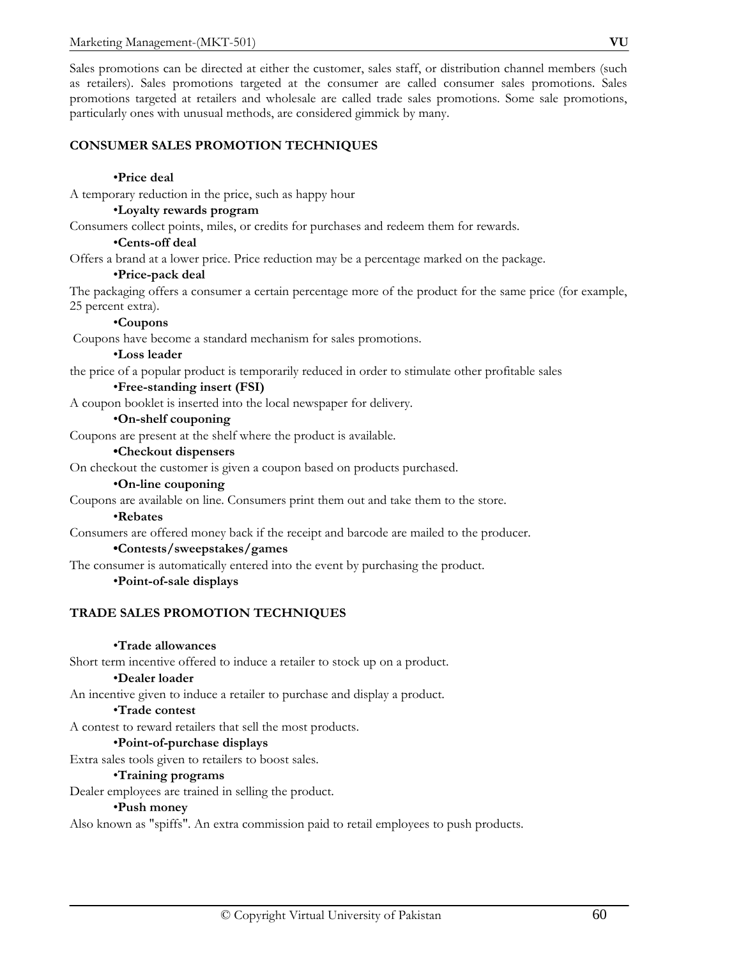Sales promotions can be directed at either the customer, sales staff, or distribution channel members (such as retailers). Sales promotions targeted at the consumer are called consumer sales promotions. Sales promotions targeted at retailers and wholesale are called trade sales promotions. Some sale promotions, particularly ones with unusual methods, are considered gimmick by many.

## **CONSUMER SALES PROMOTION TECHNIQUES**

### •**Price deal**

A temporary reduction in the price, such as happy hour

#### •**Loyalty rewards program**

Consumers collect points, miles, or credits for purchases and redeem them for rewards.

#### •**Cents-off deal**

Offers a brand at a lower price. Price reduction may be a percentage marked on the package.

#### •**Price-pack deal**

The packaging offers a consumer a certain percentage more of the product for the same price (for example, 25 percent extra).

#### •**Coupons**

Coupons have become a standard mechanism for sales promotions.

#### •**Loss leader**

the price of a popular product is temporarily reduced in order to stimulate other profitable sales

### •**Free-standing insert (FSI)**

A coupon booklet is inserted into the local newspaper for delivery.

#### •**On-shelf couponing**

Coupons are present at the shelf where the product is available.

### **•Checkout dispensers**

On checkout the customer is given a coupon based on products purchased.

#### •**On-line couponing**

Coupons are available on line. Consumers print them out and take them to the store.

#### •**Rebates**

Consumers are offered money back if the receipt and barcode are mailed to the producer.

### **•Contests/sweepstakes/games**

The consumer is automatically entered into the event by purchasing the product.

### •**Point-of-sale displays**

## **TRADE SALES PROMOTION TECHNIQUES**

#### •**Trade allowances**

Short term incentive offered to induce a retailer to stock up on a product.

#### •**Dealer loader**

An incentive given to induce a retailer to purchase and display a product.

### •**Trade contest**

A contest to reward retailers that sell the most products.

#### •**Point-of-purchase displays**

Extra sales tools given to retailers to boost sales.

#### •**Training programs**

Dealer employees are trained in selling the product.

#### •**Push money**

Also known as "spiffs". An extra commission paid to retail employees to push products.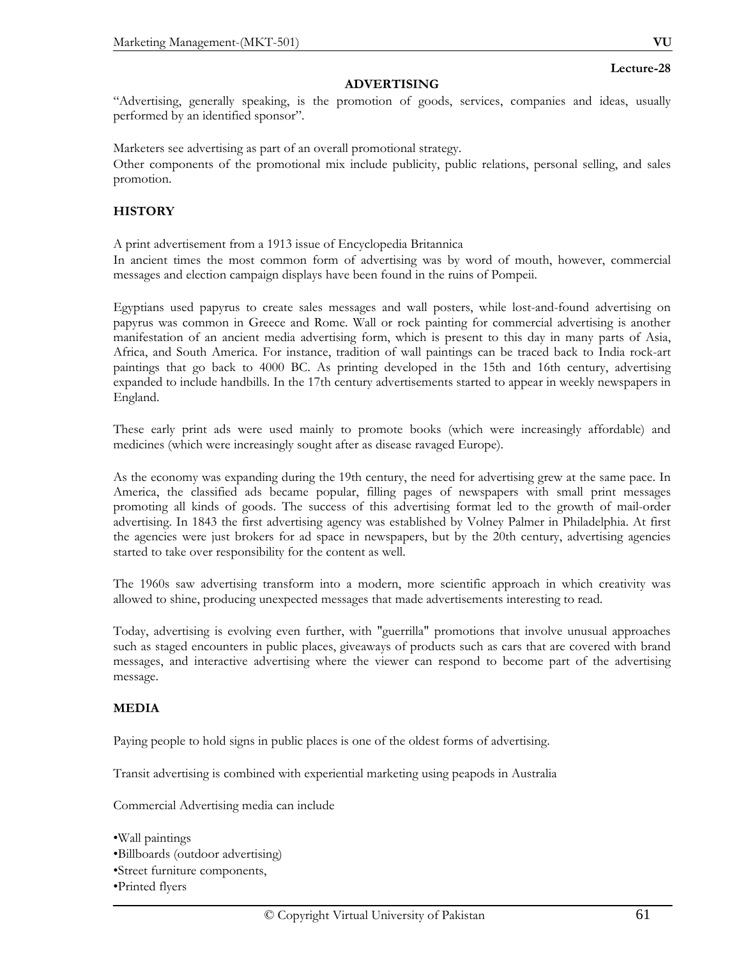### **Lecture-28**

#### **ADVERTISING**

"Advertising, generally speaking, is the promotion of goods, services, companies and ideas, usually performed by an identified sponsor".

Marketers see advertising as part of an overall promotional strategy.

Other components of the promotional mix include publicity, public relations, personal selling, and sales promotion.

#### **HISTORY**

A print advertisement from a 1913 issue of Encyclopedia Britannica

In ancient times the most common form of advertising was by word of mouth, however, commercial messages and election campaign displays have been found in the ruins of Pompeii.

Egyptians used papyrus to create sales messages and wall posters, while lost-and-found advertising on papyrus was common in Greece and Rome. Wall or rock painting for commercial advertising is another manifestation of an ancient media advertising form, which is present to this day in many parts of Asia, Africa, and South America. For instance, tradition of wall paintings can be traced back to India rock-art paintings that go back to 4000 BC. As printing developed in the 15th and 16th century, advertising expanded to include handbills. In the 17th century advertisements started to appear in weekly newspapers in England.

These early print ads were used mainly to promote books (which were increasingly affordable) and medicines (which were increasingly sought after as disease ravaged Europe).

As the economy was expanding during the 19th century, the need for advertising grew at the same pace. In America, the classified ads became popular, filling pages of newspapers with small print messages promoting all kinds of goods. The success of this advertising format led to the growth of mail-order advertising. In 1843 the first advertising agency was established by Volney Palmer in Philadelphia. At first the agencies were just brokers for ad space in newspapers, but by the 20th century, advertising agencies started to take over responsibility for the content as well.

The 1960s saw advertising transform into a modern, more scientific approach in which creativity was allowed to shine, producing unexpected messages that made advertisements interesting to read.

Today, advertising is evolving even further, with "guerrilla" promotions that involve unusual approaches such as staged encounters in public places, giveaways of products such as cars that are covered with brand messages, and interactive advertising where the viewer can respond to become part of the advertising message.

### **MEDIA**

Paying people to hold signs in public places is one of the oldest forms of advertising.

Transit advertising is combined with experiential marketing using peapods in Australia

Commercial Advertising media can include

•Wall paintings •Billboards (outdoor advertising) •Street furniture components, •Printed flyers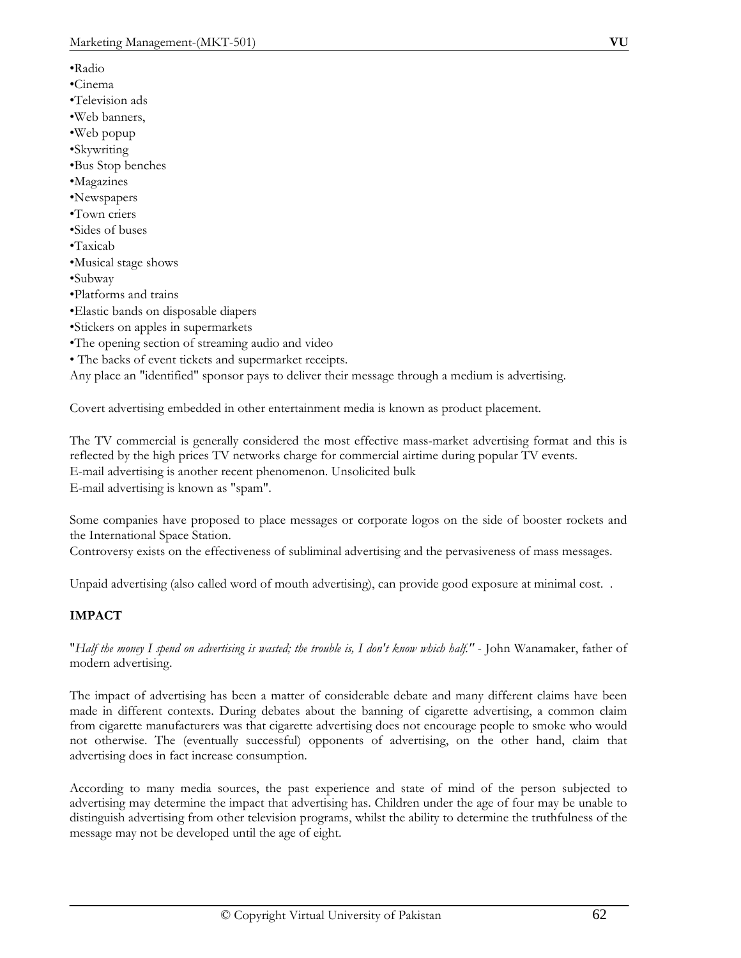- •Radio
- •Cinema
- •Television ads
- •Web banners,
- •Web popup
- •Skywriting
- •Bus Stop benches
- •Magazines
- •Newspapers
- •Town criers
- •Sides of buses
- •Taxicab
- •Musical stage shows
- •Subway
- •Platforms and trains
- •Elastic bands on disposable diapers
- •Stickers on apples in supermarkets
- •The opening section of streaming audio and video
- The backs of event tickets and supermarket receipts.

Any place an "identified" sponsor pays to deliver their message through a medium is advertising.

Covert advertising embedded in other entertainment media is known as product placement.

The TV commercial is generally considered the most effective mass-market advertising format and this is reflected by the high prices TV networks charge for commercial airtime during popular TV events. E-mail advertising is another recent phenomenon. Unsolicited bulk E-mail advertising is known as "spam".

Some companies have proposed to place messages or corporate logos on the side of booster rockets and the International Space Station.

Controversy exists on the effectiveness of subliminal advertising and the pervasiveness of mass messages.

Unpaid advertising (also called word of mouth advertising), can provide good exposure at minimal cost. .

# **IMPACT**

"*Half the money I spend on advertising is wasted; the trouble is, I don't know which half."* - John Wanamaker, father of modern advertising.

The impact of advertising has been a matter of considerable debate and many different claims have been made in different contexts. During debates about the banning of cigarette advertising, a common claim from cigarette manufacturers was that cigarette advertising does not encourage people to smoke who would not otherwise. The (eventually successful) opponents of advertising, on the other hand, claim that advertising does in fact increase consumption.

According to many media sources, the past experience and state of mind of the person subjected to advertising may determine the impact that advertising has. Children under the age of four may be unable to distinguish advertising from other television programs, whilst the ability to determine the truthfulness of the message may not be developed until the age of eight.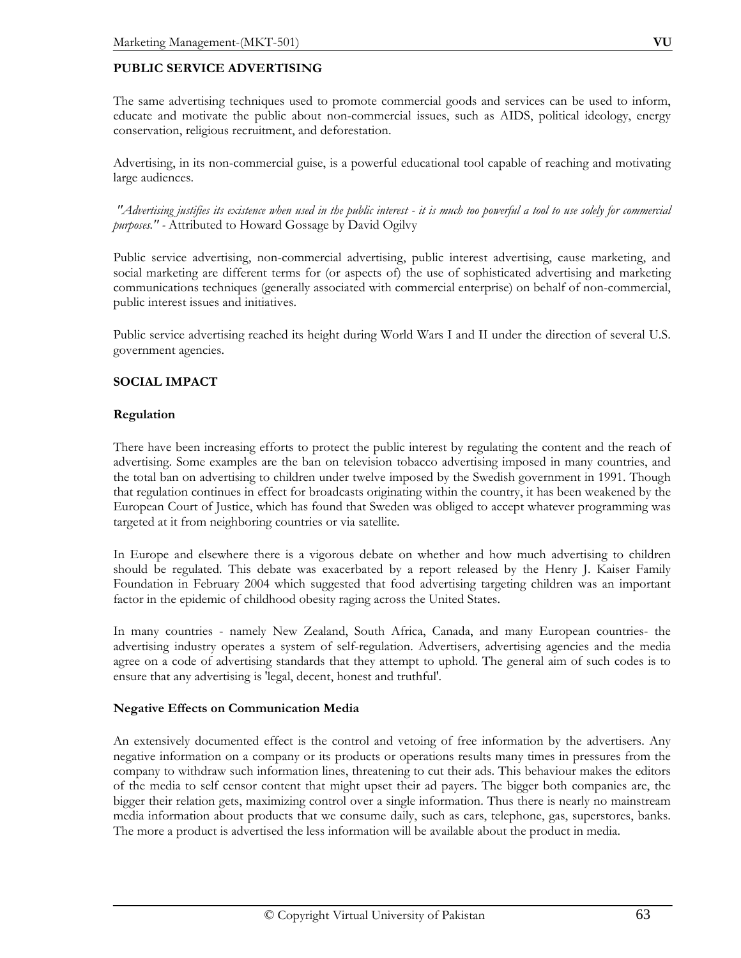## **PUBLIC SERVICE ADVERTISING**

The same advertising techniques used to promote commercial goods and services can be used to inform, educate and motivate the public about non-commercial issues, such as AIDS, political ideology, energy conservation, religious recruitment, and deforestation.

Advertising, in its non-commercial guise, is a powerful educational tool capable of reaching and motivating large audiences.

*"Advertising justifies its existence when used in the public interest - it is much too powerful a tool to use solely for commercial purposes." -* Attributed to Howard Gossage by David Ogilvy

Public service advertising, non-commercial advertising, public interest advertising, cause marketing, and social marketing are different terms for (or aspects of) the use of sophisticated advertising and marketing communications techniques (generally associated with commercial enterprise) on behalf of non-commercial, public interest issues and initiatives.

Public service advertising reached its height during World Wars I and II under the direction of several U.S. government agencies.

### **SOCIAL IMPACT**

#### **Regulation**

There have been increasing efforts to protect the public interest by regulating the content and the reach of advertising. Some examples are the ban on television tobacco advertising imposed in many countries, and the total ban on advertising to children under twelve imposed by the Swedish government in 1991. Though that regulation continues in effect for broadcasts originating within the country, it has been weakened by the European Court of Justice, which has found that Sweden was obliged to accept whatever programming was targeted at it from neighboring countries or via satellite.

In Europe and elsewhere there is a vigorous debate on whether and how much advertising to children should be regulated. This debate was exacerbated by a report released by the Henry J. Kaiser Family Foundation in February 2004 which suggested that food advertising targeting children was an important factor in the epidemic of childhood obesity raging across the United States.

In many countries - namely New Zealand, South Africa, Canada, and many European countries- the advertising industry operates a system of self-regulation. Advertisers, advertising agencies and the media agree on a code of advertising standards that they attempt to uphold. The general aim of such codes is to ensure that any advertising is 'legal, decent, honest and truthful'.

### **Negative Effects on Communication Media**

An extensively documented effect is the control and vetoing of free information by the advertisers. Any negative information on a company or its products or operations results many times in pressures from the company to withdraw such information lines, threatening to cut their ads. This behaviour makes the editors of the media to self censor content that might upset their ad payers. The bigger both companies are, the bigger their relation gets, maximizing control over a single information. Thus there is nearly no mainstream media information about products that we consume daily, such as cars, telephone, gas, superstores, banks. The more a product is advertised the less information will be available about the product in media.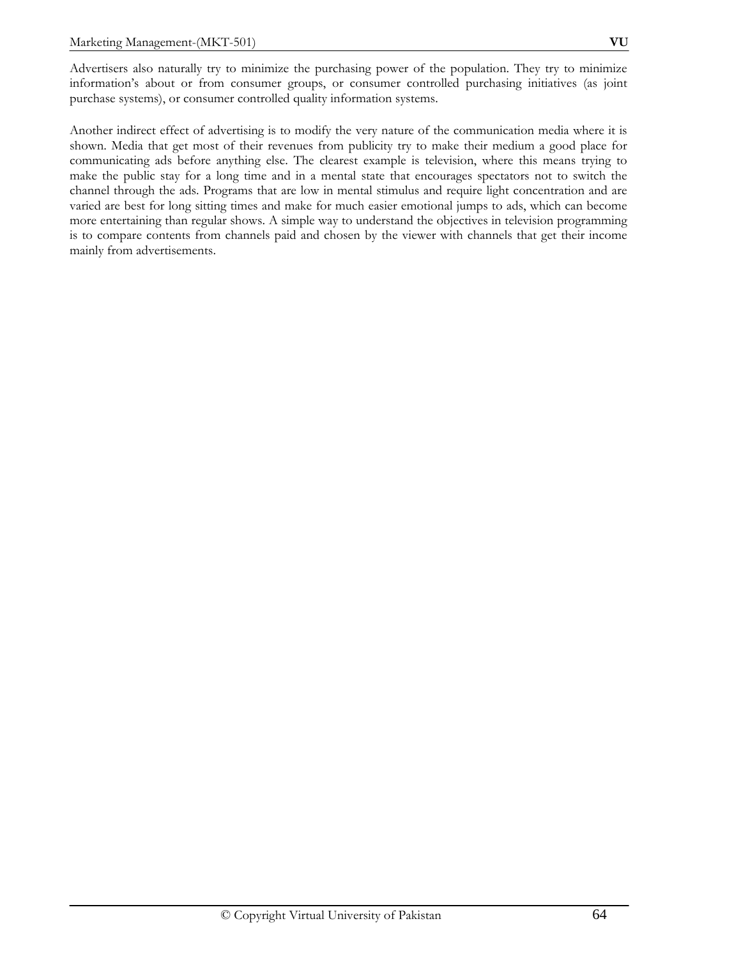Another indirect effect of advertising is to modify the very nature of the communication media where it is shown. Media that get most of their revenues from publicity try to make their medium a good place for communicating ads before anything else. The clearest example is television, where this means trying to make the public stay for a long time and in a mental state that encourages spectators not to switch the channel through the ads. Programs that are low in mental stimulus and require light concentration and are varied are best for long sitting times and make for much easier emotional jumps to ads, which can become more entertaining than regular shows. A simple way to understand the objectives in television programming is to compare contents from channels paid and chosen by the viewer with channels that get their income mainly from advertisements.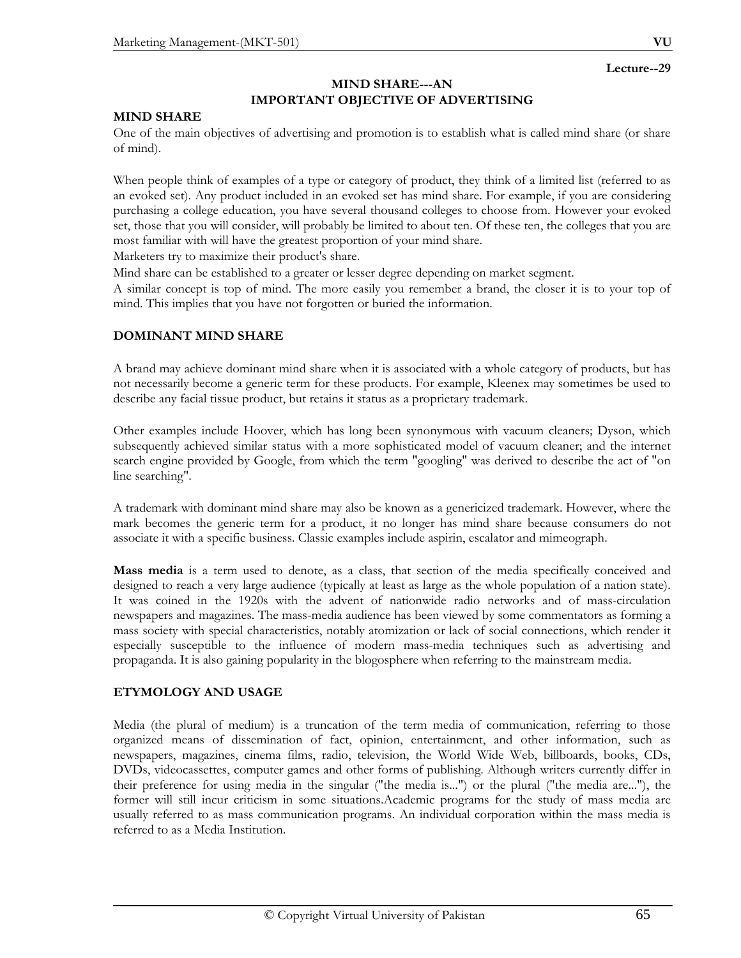# **MIND SHARE---AN IMPORTANT OBJECTIVE OF ADVERTISING**

# **MIND SHARE**

One of the main objectives of advertising and promotion is to establish what is called mind share (or share of mind).

When people think of examples of a type or category of product, they think of a limited list (referred to as an evoked set). Any product included in an evoked set has mind share. For example, if you are considering purchasing a college education, you have several thousand colleges to choose from. However your evoked set, those that you will consider, will probably be limited to about ten. Of these ten, the colleges that you are most familiar with will have the greatest proportion of your mind share.

Marketers try to maximize their product's share.

Mind share can be established to a greater or lesser degree depending on market segment.

A similar concept is top of mind. The more easily you remember a brand, the closer it is to your top of mind. This implies that you have not forgotten or buried the information.

# **DOMINANT MIND SHARE**

A brand may achieve dominant mind share when it is associated with a whole category of products, but has not necessarily become a generic term for these products. For example, Kleenex may sometimes be used to describe any facial tissue product, but retains it status as a proprietary trademark.

Other examples include Hoover, which has long been synonymous with vacuum cleaners; Dyson, which subsequently achieved similar status with a more sophisticated model of vacuum cleaner; and the internet search engine provided by Google, from which the term "googling" was derived to describe the act of "on line searching".

A trademark with dominant mind share may also be known as a genericized trademark. However, where the mark becomes the generic term for a product, it no longer has mind share because consumers do not associate it with a specific business. Classic examples include aspirin, escalator and mimeograph.

**Mass media** is a term used to denote, as a class, that section of the media specifically conceived and designed to reach a very large audience (typically at least as large as the whole population of a nation state). It was coined in the 1920s with the advent of nationwide radio networks and of mass-circulation newspapers and magazines. The mass-media audience has been viewed by some commentators as forming a mass society with special characteristics, notably atomization or lack of social connections, which render it especially susceptible to the influence of modern mass-media techniques such as advertising and propaganda. It is also gaining popularity in the blogosphere when referring to the mainstream media.

# **ETYMOLOGY AND USAGE**

Media (the plural of medium) is a truncation of the term media of communication, referring to those organized means of dissemination of fact, opinion, entertainment, and other information, such as newspapers, magazines, cinema films, radio, television, the World Wide Web, billboards, books, CDs, DVDs, videocassettes, computer games and other forms of publishing. Although writers currently differ in their preference for using media in the singular ("the media is...") or the plural ("the media are..."), the former will still incur criticism in some situations.Academic programs for the study of mass media are usually referred to as mass communication programs. An individual corporation within the mass media is referred to as a Media Institution.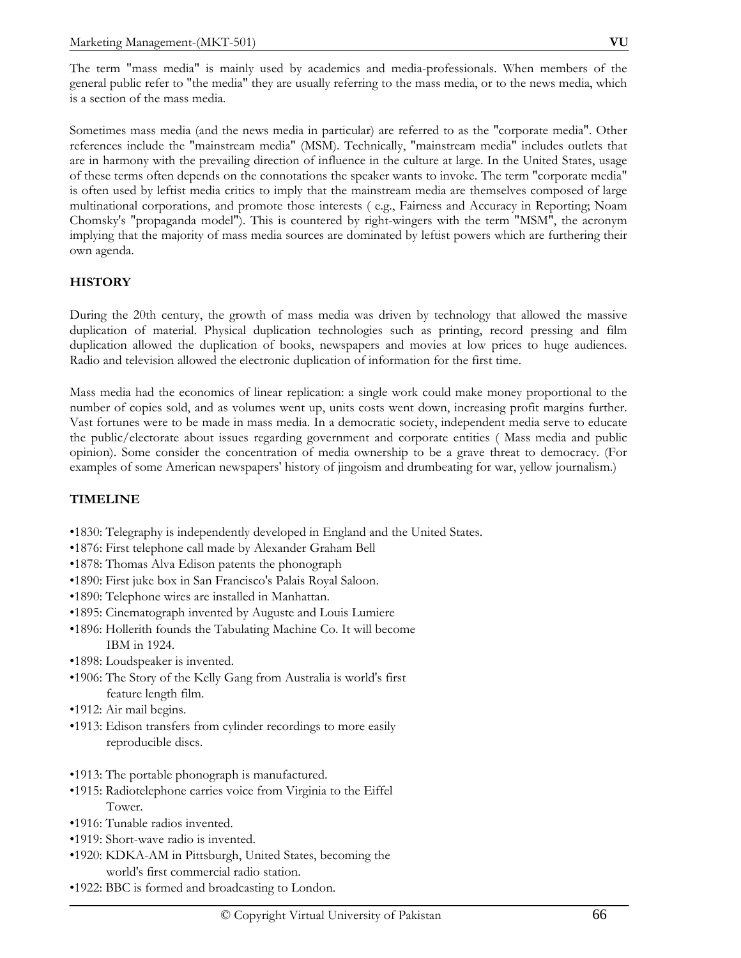The term "mass media" is mainly used by academics and media-professionals. When members of the general public refer to "the media" they are usually referring to the mass media, or to the news media, which is a section of the mass media.

Sometimes mass media (and the news media in particular) are referred to as the "corporate media". Other references include the "mainstream media" (MSM). Technically, "mainstream media" includes outlets that are in harmony with the prevailing direction of influence in the culture at large. In the United States, usage of these terms often depends on the connotations the speaker wants to invoke. The term "corporate media" is often used by leftist media critics to imply that the mainstream media are themselves composed of large multinational corporations, and promote those interests ( e.g., Fairness and Accuracy in Reporting; Noam Chomsky's "propaganda model"). This is countered by right-wingers with the term "MSM", the acronym implying that the majority of mass media sources are dominated by leftist powers which are furthering their own agenda.

# **HISTORY**

During the 20th century, the growth of mass media was driven by technology that allowed the massive duplication of material. Physical duplication technologies such as printing, record pressing and film duplication allowed the duplication of books, newspapers and movies at low prices to huge audiences. Radio and television allowed the electronic duplication of information for the first time.

Mass media had the economics of linear replication: a single work could make money proportional to the number of copies sold, and as volumes went up, units costs went down, increasing profit margins further. Vast fortunes were to be made in mass media. In a democratic society, independent media serve to educate the public/electorate about issues regarding government and corporate entities ( Mass media and public opinion). Some consider the concentration of media ownership to be a grave threat to democracy. (For examples of some American newspapers' history of jingoism and drumbeating for war, yellow journalism.)

# **TIMELINE**

- •1830: Telegraphy is independently developed in England and the United States.
- •1876: First telephone call made by Alexander Graham Bell
- •1878: Thomas Alva Edison patents the phonograph
- •1890: First juke box in San Francisco's Palais Royal Saloon.
- •1890: Telephone wires are installed in Manhattan.
- •1895: Cinematograph invented by Auguste and Louis Lumiere
- •1896: Hollerith founds the Tabulating Machine Co. It will become IBM in 1924.
- •1898: Loudspeaker is invented.
- •1906: The Story of the Kelly Gang from Australia is world's first feature length film.
- •1912: Air mail begins.
- •1913: Edison transfers from cylinder recordings to more easily reproducible discs.
- •1913: The portable phonograph is manufactured.
- •1915: Radiotelephone carries voice from Virginia to the Eiffel Tower.
- •1916: Tunable radios invented.
- •1919: Short-wave radio is invented.
- •1920: KDKA-AM in Pittsburgh, United States, becoming the world's first commercial radio station.
- •1922: BBC is formed and broadcasting to London.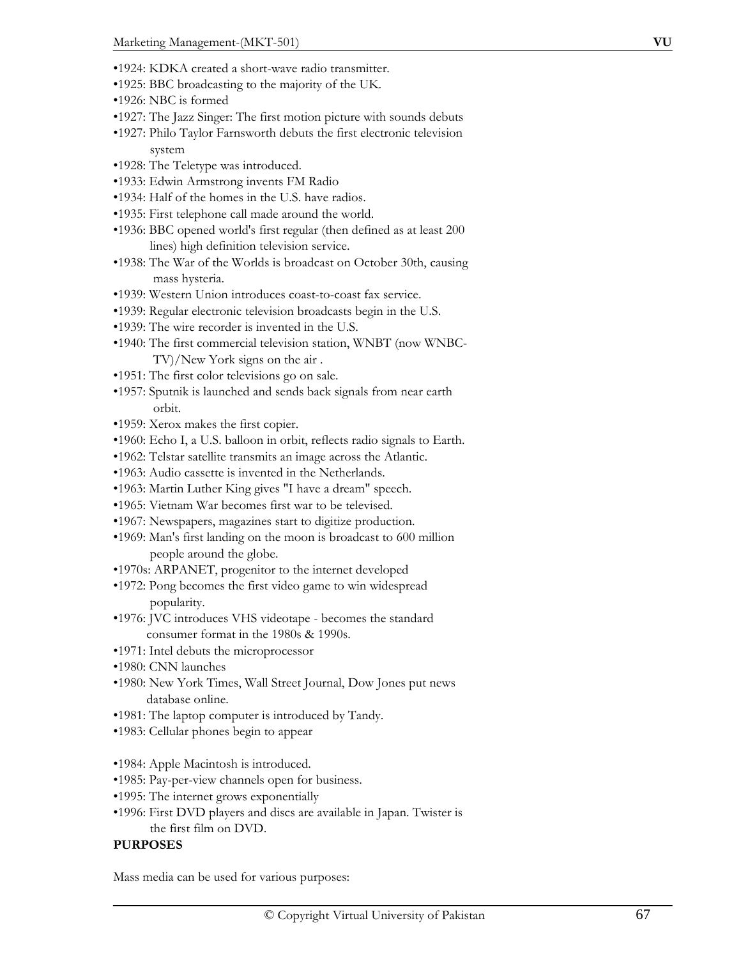- •1924: KDKA created a short-wave radio transmitter.
- •1925: BBC broadcasting to the majority of the UK.
- •1926: NBC is formed
- •1927: The Jazz Singer: The first motion picture with sounds debuts
- •1927: Philo Taylor Farnsworth debuts the first electronic television system
- •1928: The Teletype was introduced.
- •1933: Edwin Armstrong invents FM Radio
- •1934: Half of the homes in the U.S. have radios.
- •1935: First telephone call made around the world.
- •1936: BBC opened world's first regular (then defined as at least 200 lines) high definition television service.
- •1938: The War of the Worlds is broadcast on October 30th, causing mass hysteria.
- •1939: Western Union introduces coast-to-coast fax service.
- •1939: Regular electronic television broadcasts begin in the U.S.
- •1939: The wire recorder is invented in the U.S.
- •1940: The first commercial television station, WNBT (now WNBC- TV)/New York signs on the air .
- •1951: The first color televisions go on sale.
- •1957: Sputnik is launched and sends back signals from near earth orbit.
- •1959: Xerox makes the first copier.
- •1960: Echo I, a U.S. balloon in orbit, reflects radio signals to Earth.
- •1962: Telstar satellite transmits an image across the Atlantic.
- •1963: Audio cassette is invented in the Netherlands.
- •1963: Martin Luther King gives "I have a dream" speech.
- •1965: Vietnam War becomes first war to be televised.
- •1967: Newspapers, magazines start to digitize production.
- •1969: Man's first landing on the moon is broadcast to 600 million people around the globe.
- •1970s: ARPANET, progenitor to the internet developed
- •1972: Pong becomes the first video game to win widespread popularity.
- •1976: JVC introduces VHS videotape becomes the standard consumer format in the 1980s & 1990s.
- •1971: Intel debuts the microprocessor
- •1980: CNN launches
- •1980: New York Times, Wall Street Journal, Dow Jones put news database online.
- •1981: The laptop computer is introduced by Tandy.
- •1983: Cellular phones begin to appear
- •1984: Apple Macintosh is introduced.
- •1985: Pay-per-view channels open for business.
- •1995: The internet grows exponentially
- •1996: First DVD players and discs are available in Japan. Twister is the first film on DVD.

### **PURPOSES**

Mass media can be used for various purposes: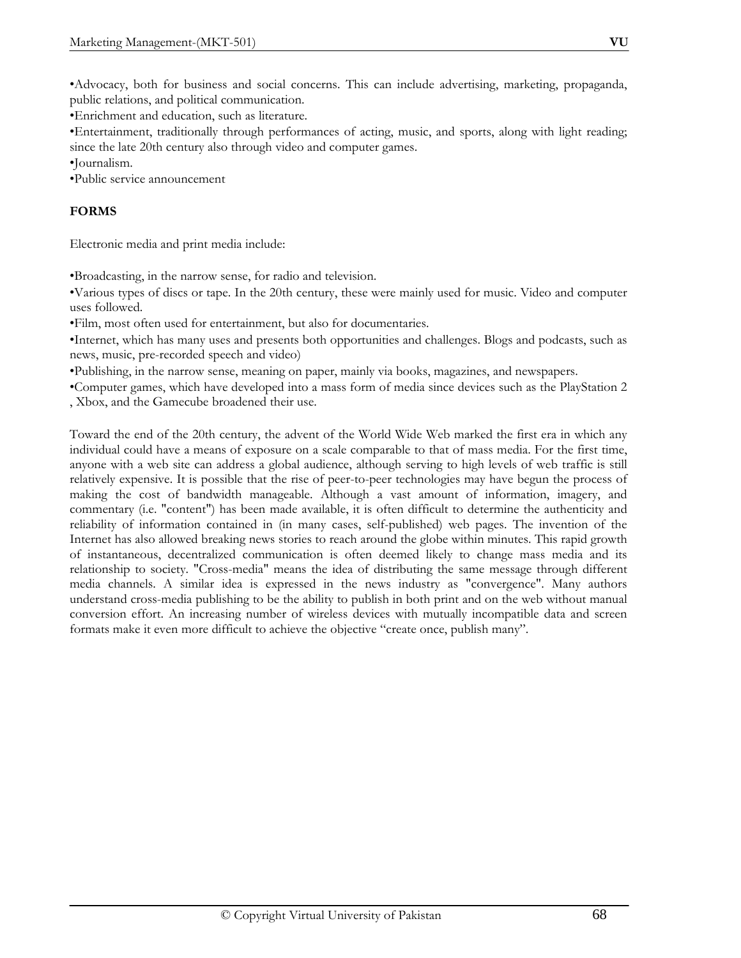•Advocacy, both for business and social concerns. This can include advertising, marketing, propaganda, public relations, and political communication.

•Enrichment and education, such as literature.

•Entertainment, traditionally through performances of acting, music, and sports, along with light reading; since the late 20th century also through video and computer games.

•Journalism.

•Public service announcement

# **FORMS**

Electronic media and print media include:

•Broadcasting, in the narrow sense, for radio and television.

•Various types of discs or tape. In the 20th century, these were mainly used for music. Video and computer uses followed.

•Film, most often used for entertainment, but also for documentaries.

•Internet, which has many uses and presents both opportunities and challenges. Blogs and podcasts, such as news, music, pre-recorded speech and video)

•Publishing, in the narrow sense, meaning on paper, mainly via books, magazines, and newspapers.

•Computer games, which have developed into a mass form of media since devices such as the PlayStation 2

, Xbox, and the Gamecube broadened their use.

Toward the end of the 20th century, the advent of the World Wide Web marked the first era in which any individual could have a means of exposure on a scale comparable to that of mass media. For the first time, anyone with a web site can address a global audience, although serving to high levels of web traffic is still relatively expensive. It is possible that the rise of peer-to-peer technologies may have begun the process of making the cost of bandwidth manageable. Although a vast amount of information, imagery, and commentary (i.e. "content") has been made available, it is often difficult to determine the authenticity and reliability of information contained in (in many cases, self-published) web pages. The invention of the Internet has also allowed breaking news stories to reach around the globe within minutes. This rapid growth of instantaneous, decentralized communication is often deemed likely to change mass media and its relationship to society. "Cross-media" means the idea of distributing the same message through different media channels. A similar idea is expressed in the news industry as "convergence". Many authors understand cross-media publishing to be the ability to publish in both print and on the web without manual conversion effort. An increasing number of wireless devices with mutually incompatible data and screen formats make it even more difficult to achieve the objective "create once, publish many".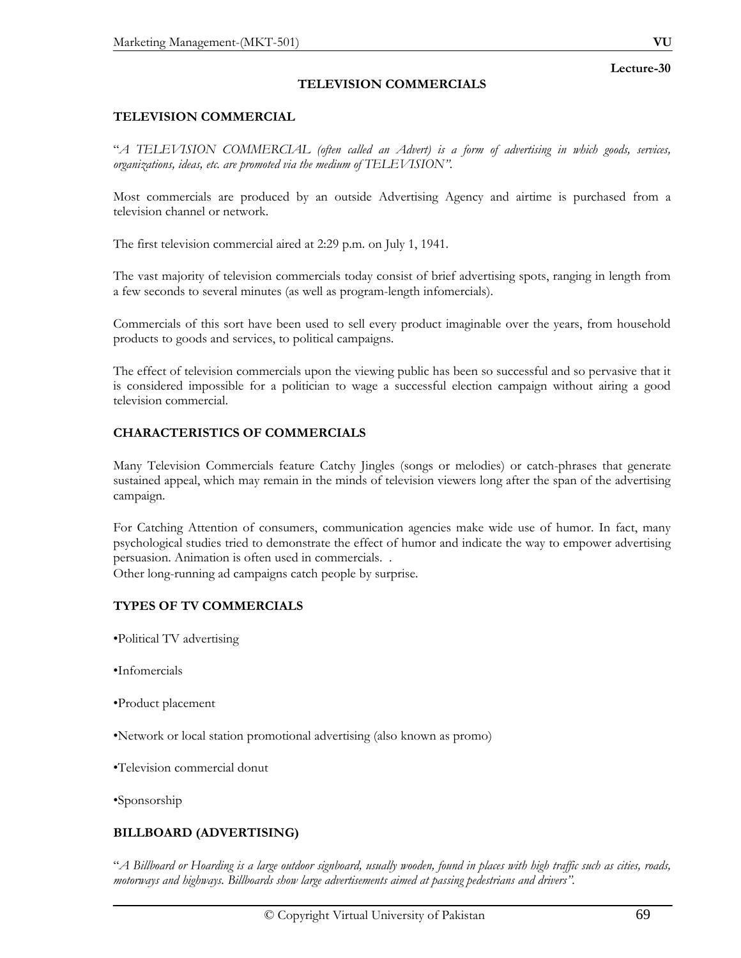## **TELEVISION COMMERCIAL**

"*A TELEVISION COMMERCIAL (often called an Advert) is a form of advertising in which goods, services, organizations, ideas, etc. are promoted via the medium of TELEVISION".* 

Most commercials are produced by an outside Advertising Agency and airtime is purchased from a television channel or network.

The first television commercial aired at 2:29 p.m. on July 1, 1941.

The vast majority of television commercials today consist of brief advertising spots, ranging in length from a few seconds to several minutes (as well as program-length infomercials).

Commercials of this sort have been used to sell every product imaginable over the years, from household products to goods and services, to political campaigns.

The effect of television commercials upon the viewing public has been so successful and so pervasive that it is considered impossible for a politician to wage a successful election campaign without airing a good television commercial.

## **CHARACTERISTICS OF COMMERCIALS**

Many Television Commercials feature Catchy Jingles (songs or melodies) or catch-phrases that generate sustained appeal, which may remain in the minds of television viewers long after the span of the advertising campaign.

For Catching Attention of consumers, communication agencies make wide use of humor. In fact, many psychological studies tried to demonstrate the effect of humor and indicate the way to empower advertising persuasion. Animation is often used in commercials. .

Other long-running ad campaigns catch people by surprise.

### **TYPES OF TV COMMERCIALS**

•Political TV advertising

•Infomercials

•Product placement

•Network or local station promotional advertising (also known as promo)

•Television commercial donut

•Sponsorship

## **BILLBOARD (ADVERTISING)**

"*A Billboard or Hoarding is a large outdoor signboard, usually wooden, found in places with high traffic such as cities, roads, motorways and highways. Billboards show large advertisements aimed at passing pedestrians and drivers".* 

## **Lecture-30**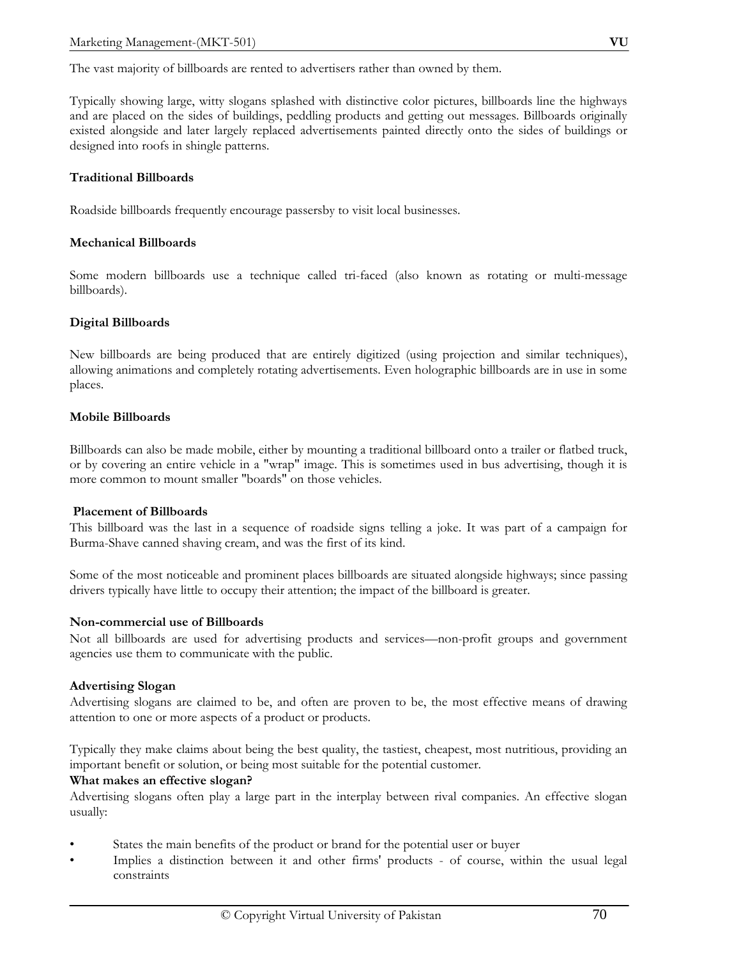The vast majority of billboards are rented to advertisers rather than owned by them.

Typically showing large, witty slogans splashed with distinctive color pictures, billboards line the highways and are placed on the sides of buildings, peddling products and getting out messages. Billboards originally existed alongside and later largely replaced advertisements painted directly onto the sides of buildings or designed into roofs in shingle patterns.

## **Traditional Billboards**

Roadside billboards frequently encourage passersby to visit local businesses.

## **Mechanical Billboards**

Some modern billboards use a technique called tri-faced (also known as rotating or multi-message billboards).

## **Digital Billboards**

New billboards are being produced that are entirely digitized (using projection and similar techniques), allowing animations and completely rotating advertisements. Even holographic billboards are in use in some places.

## **Mobile Billboards**

Billboards can also be made mobile, either by mounting a traditional billboard onto a trailer or flatbed truck, or by covering an entire vehicle in a "wrap" image. This is sometimes used in bus advertising, though it is more common to mount smaller "boards" on those vehicles.

### **Placement of Billboards**

This billboard was the last in a sequence of roadside signs telling a joke. It was part of a campaign for Burma-Shave canned shaving cream, and was the first of its kind.

Some of the most noticeable and prominent places billboards are situated alongside highways; since passing drivers typically have little to occupy their attention; the impact of the billboard is greater.

## **Non-commercial use of Billboards**

Not all billboards are used for advertising products and services—non-profit groups and government agencies use them to communicate with the public.

## **Advertising Slogan**

Advertising slogans are claimed to be, and often are proven to be, the most effective means of drawing attention to one or more aspects of a product or products.

Typically they make claims about being the best quality, the tastiest, cheapest, most nutritious, providing an important benefit or solution, or being most suitable for the potential customer.

### **What makes an effective slogan?**

Advertising slogans often play a large part in the interplay between rival companies. An effective slogan usually:

- States the main benefits of the product or brand for the potential user or buyer
- Implies a distinction between it and other firms' products of course, within the usual legal constraints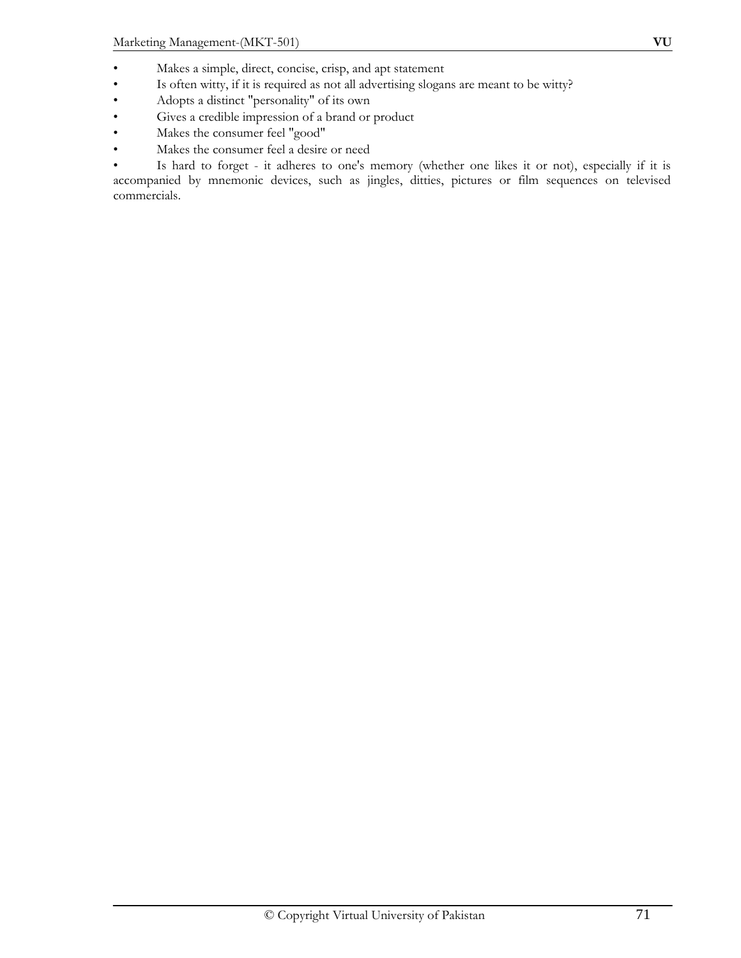- Makes a simple, direct, concise, crisp, and apt statement
- Is often witty, if it is required as not all advertising slogans are meant to be witty?
- Adopts a distinct "personality" of its own
- Gives a credible impression of a brand or product
- Makes the consumer feel "good"
- Makes the consumer feel a desire or need

Is hard to forget - it adheres to one's memory (whether one likes it or not), especially if it is accompanied by mnemonic devices, such as jingles, ditties, pictures or film sequences on televised commercials.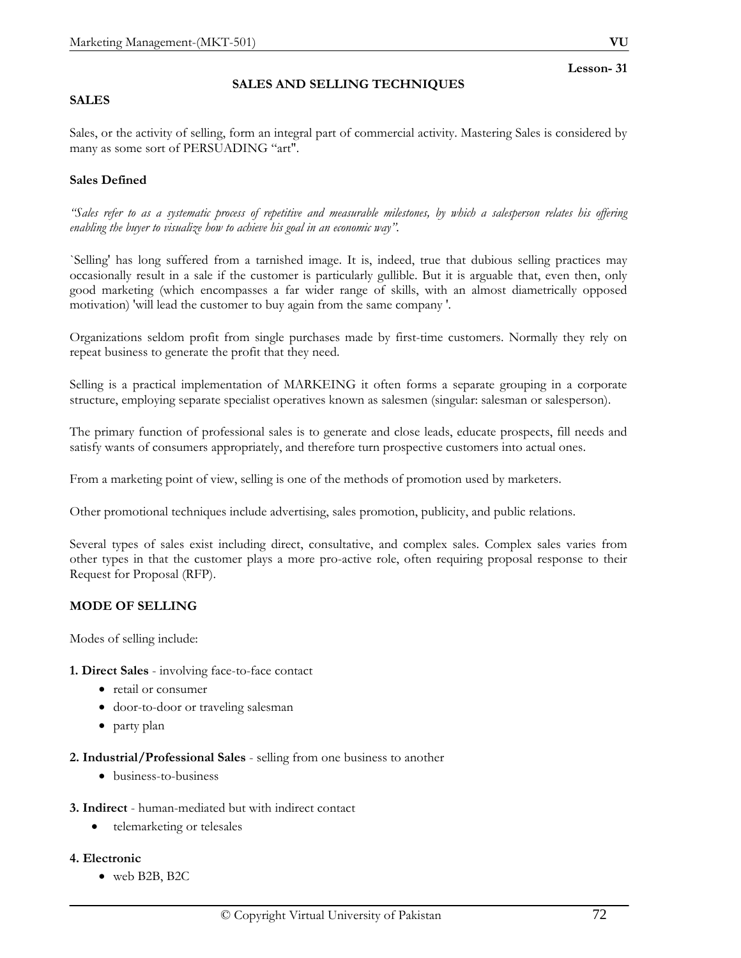### **SALES**

#### **SALES AND SELLING TECHNIQUES**

**Lesson- 31** 

Sales, or the activity of selling, form an integral part of commercial activity. Mastering Sales is considered by many as some sort of PERSUADING "art".

#### **Sales Defined**

*"Sales refer to as a systematic process of repetitive and measurable milestones, by which a salesperson relates his offering enabling the buyer to visualize how to achieve his goal in an economic way".* 

`Selling' has long suffered from a tarnished image. It is, indeed, true that dubious selling practices may occasionally result in a sale if the customer is particularly gullible. But it is arguable that, even then, only good marketing (which encompasses a far wider range of skills, with an almost diametrically opposed motivation) 'will lead the customer to buy again from the same company '.

Organizations seldom profit from single purchases made by first-time customers. Normally they rely on repeat business to generate the profit that they need.

Selling is a practical implementation of MARKEING it often forms a separate grouping in a corporate structure, employing separate specialist operatives known as salesmen (singular: salesman or salesperson).

The primary function of professional sales is to generate and close leads, educate prospects, fill needs and satisfy wants of consumers appropriately, and therefore turn prospective customers into actual ones.

From a marketing point of view, selling is one of the methods of promotion used by marketers.

Other promotional techniques include advertising, sales promotion, publicity, and public relations.

Several types of sales exist including direct, consultative, and complex sales. Complex sales varies from other types in that the customer plays a more pro-active role, often requiring proposal response to their Request for Proposal (RFP).

#### **MODE OF SELLING**

Modes of selling include:

**1. Direct Sales** - involving face-to-face contact

- retail or consumer
- door-to-door or traveling salesman
- party plan

**2. Industrial/Professional Sales** - selling from one business to another

• business-to-business

**3. Indirect** - human-mediated but with indirect contact

• telemarketing or telesales

#### **4. Electronic**

• web B2B, B2C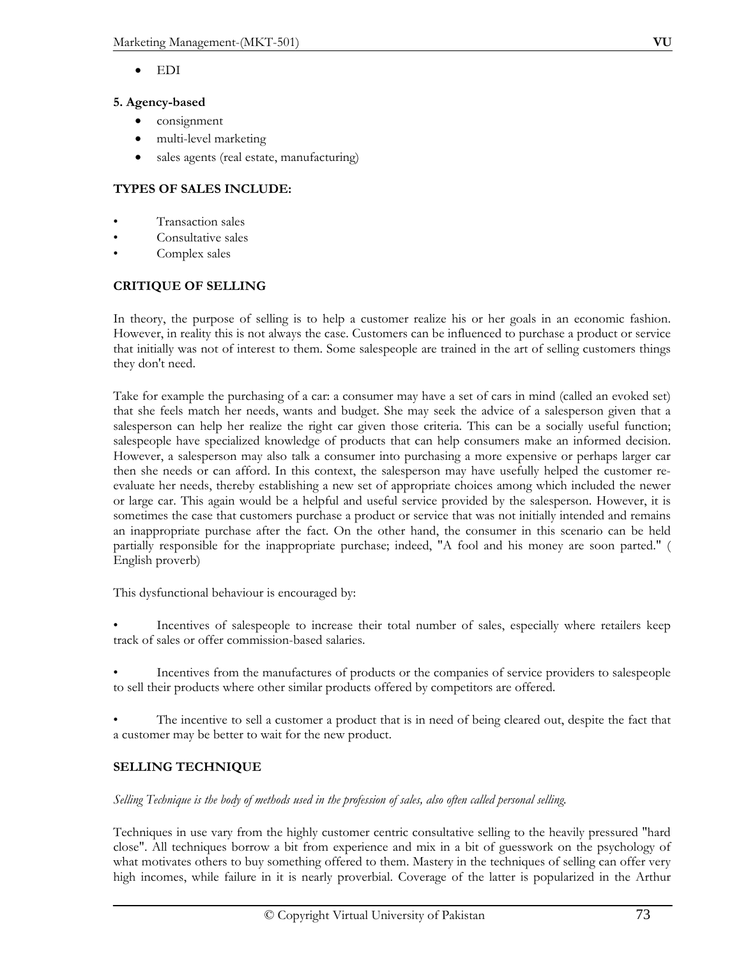• EDI

# **5. Agency-based**

- consignment
- multi-level marketing
- sales agents (real estate, manufacturing)

# **TYPES OF SALES INCLUDE:**

- Transaction sales
- Consultative sales
- Complex sales

# **CRITIQUE OF SELLING**

In theory, the purpose of selling is to help a customer realize his or her goals in an economic fashion. However, in reality this is not always the case. Customers can be influenced to purchase a product or service that initially was not of interest to them. Some salespeople are trained in the art of selling customers things they don't need.

Take for example the purchasing of a car: a consumer may have a set of cars in mind (called an evoked set) that she feels match her needs, wants and budget. She may seek the advice of a salesperson given that a salesperson can help her realize the right car given those criteria. This can be a socially useful function; salespeople have specialized knowledge of products that can help consumers make an informed decision. However, a salesperson may also talk a consumer into purchasing a more expensive or perhaps larger car then she needs or can afford. In this context, the salesperson may have usefully helped the customer reevaluate her needs, thereby establishing a new set of appropriate choices among which included the newer or large car. This again would be a helpful and useful service provided by the salesperson. However, it is sometimes the case that customers purchase a product or service that was not initially intended and remains an inappropriate purchase after the fact. On the other hand, the consumer in this scenario can be held partially responsible for the inappropriate purchase; indeed, "A fool and his money are soon parted." ( English proverb)

This dysfunctional behaviour is encouraged by:

Incentives of salespeople to increase their total number of sales, especially where retailers keep track of sales or offer commission-based salaries.

• Incentives from the manufactures of products or the companies of service providers to salespeople to sell their products where other similar products offered by competitors are offered.

The incentive to sell a customer a product that is in need of being cleared out, despite the fact that a customer may be better to wait for the new product.

# **SELLING TECHNIQUE**

*Selling Technique is the body of methods used in the profession of sales, also often called personal selling.* 

Techniques in use vary from the highly customer centric consultative selling to the heavily pressured "hard close". All techniques borrow a bit from experience and mix in a bit of guesswork on the psychology of what motivates others to buy something offered to them. Mastery in the techniques of selling can offer very high incomes, while failure in it is nearly proverbial. Coverage of the latter is popularized in the Arthur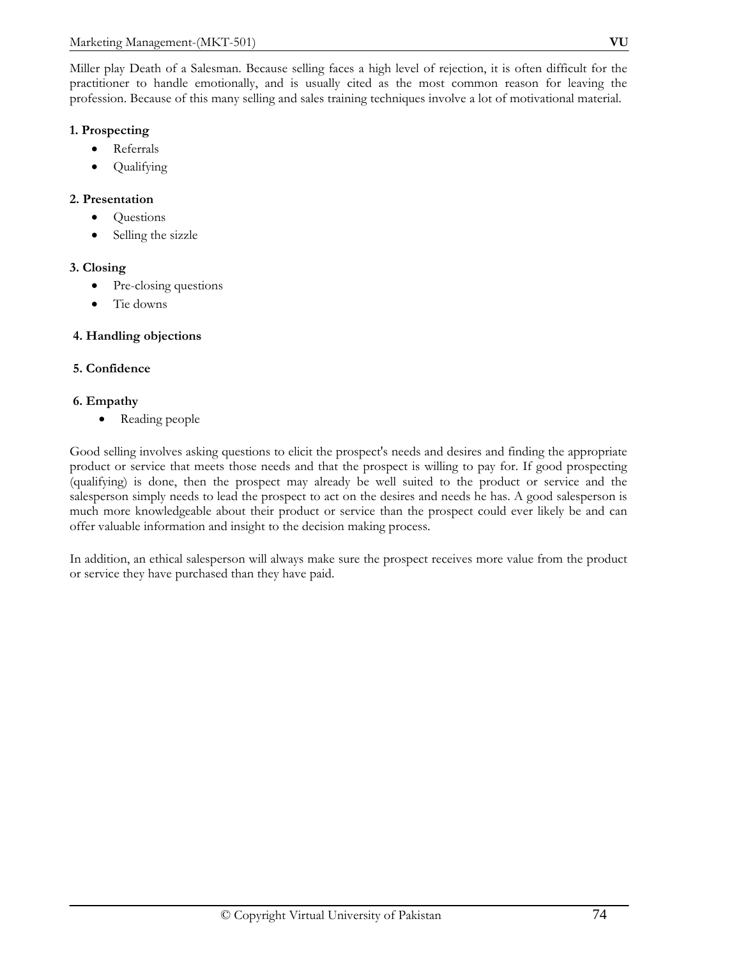Miller play Death of a Salesman. Because selling faces a high level of rejection, it is often difficult for the practitioner to handle emotionally, and is usually cited as the most common reason for leaving the profession. Because of this many selling and sales training techniques involve a lot of motivational material.

### **1. Prospecting**

- Referrals
- Qualifying

# **2. Presentation**

- **Ouestions**
- Selling the sizzle

# **3. Closing**

- Pre-closing questions
- Tie downs

# **4. Handling objections**

# **5. Confidence**

# **6. Empathy**

• Reading people

Good selling involves asking questions to elicit the prospect's needs and desires and finding the appropriate product or service that meets those needs and that the prospect is willing to pay for. If good prospecting (qualifying) is done, then the prospect may already be well suited to the product or service and the salesperson simply needs to lead the prospect to act on the desires and needs he has. A good salesperson is much more knowledgeable about their product or service than the prospect could ever likely be and can offer valuable information and insight to the decision making process.

In addition, an ethical salesperson will always make sure the prospect receives more value from the product or service they have purchased than they have paid.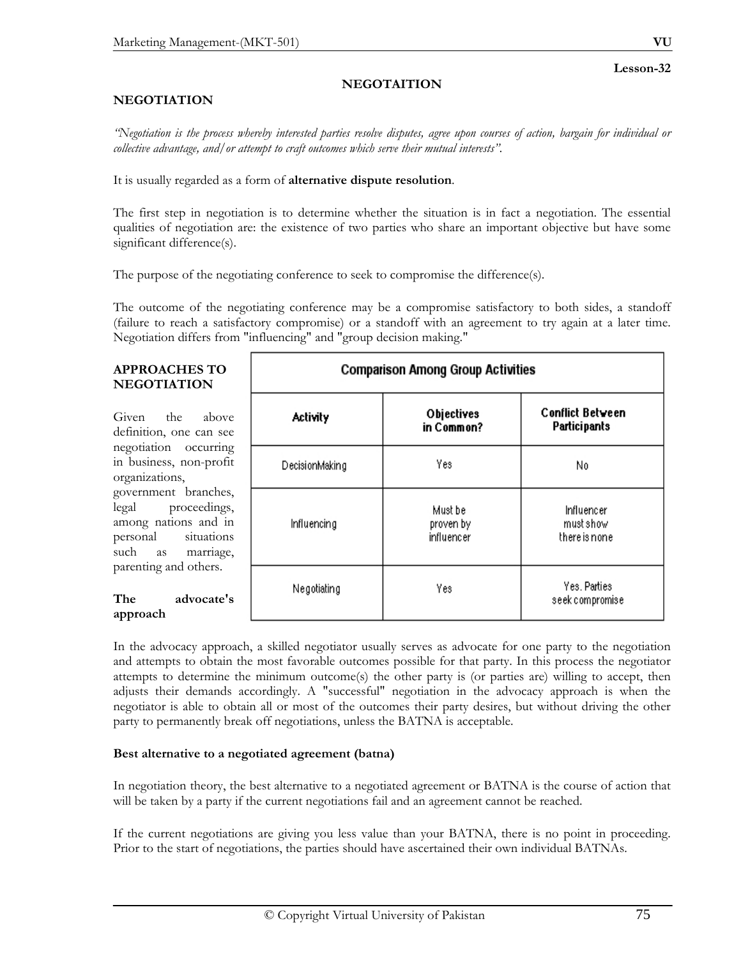#### **Lesson-32**

### **NEGOTAITION**

# **NEGOTIATION**

*"Negotiation is the process whereby interested parties resolve disputes, agree upon courses of action, bargain for individual or collective advantage, and/or attempt to craft outcomes which serve their mutual interests".* 

It is usually regarded as a form of **alternative dispute resolution**.

The first step in negotiation is to determine whether the situation is in fact a negotiation. The essential qualities of negotiation are: the existence of two parties who share an important objective but have some significant difference(s).

The purpose of the negotiating conference to seek to compromise the difference(s).

The outcome of the negotiating conference may be a compromise satisfactory to both sides, a standoff (failure to reach a satisfactory compromise) or a standoff with an agreement to try again at a later time. Negotiation differs from "influencing" and "group decision making."

| <b>APPROACHES TO</b><br><b>NEGOTIATION</b>                                                                                                                                                    | <b>Comparison Among Group Activities</b> |                                    |                                          |
|-----------------------------------------------------------------------------------------------------------------------------------------------------------------------------------------------|------------------------------------------|------------------------------------|------------------------------------------|
| Given<br>the<br>above<br>definition, one can see                                                                                                                                              | <b>Activity</b>                          | Objectives<br>in Common?           | Conflict Between<br>Participants         |
| negotiation occurring<br>in business, non-profit<br>organizations,<br>government branches,<br>legal<br>proceedings,<br>among nations and in<br>situations<br>personal<br>such as<br>marriage, | DecisionMaking                           | Yes                                | No.                                      |
|                                                                                                                                                                                               | Influencing                              | Must be<br>proven by<br>influencer | Influencer<br>must show<br>there is none |
| parenting and others.<br>The<br>advocate's<br>approach                                                                                                                                        | Negotiating                              | Yes                                | Yes, Parties<br>seek compromise          |

In the advocacy approach, a skilled negotiator usually serves as advocate for one party to the negotiation and attempts to obtain the most favorable outcomes possible for that party. In this process the negotiator attempts to determine the minimum outcome(s) the other party is (or parties are) willing to accept, then adjusts their demands accordingly. A "successful" negotiation in the advocacy approach is when the negotiator is able to obtain all or most of the outcomes their party desires, but without driving the other party to permanently break off negotiations, unless the BATNA is acceptable.

### **Best alternative to a negotiated agreement (batna)**

In negotiation theory, the best alternative to a negotiated agreement or BATNA is the course of action that will be taken by a party if the current negotiations fail and an agreement cannot be reached.

If the current negotiations are giving you less value than your BATNA, there is no point in proceeding. Prior to the start of negotiations, the parties should have ascertained their own individual BATNAs.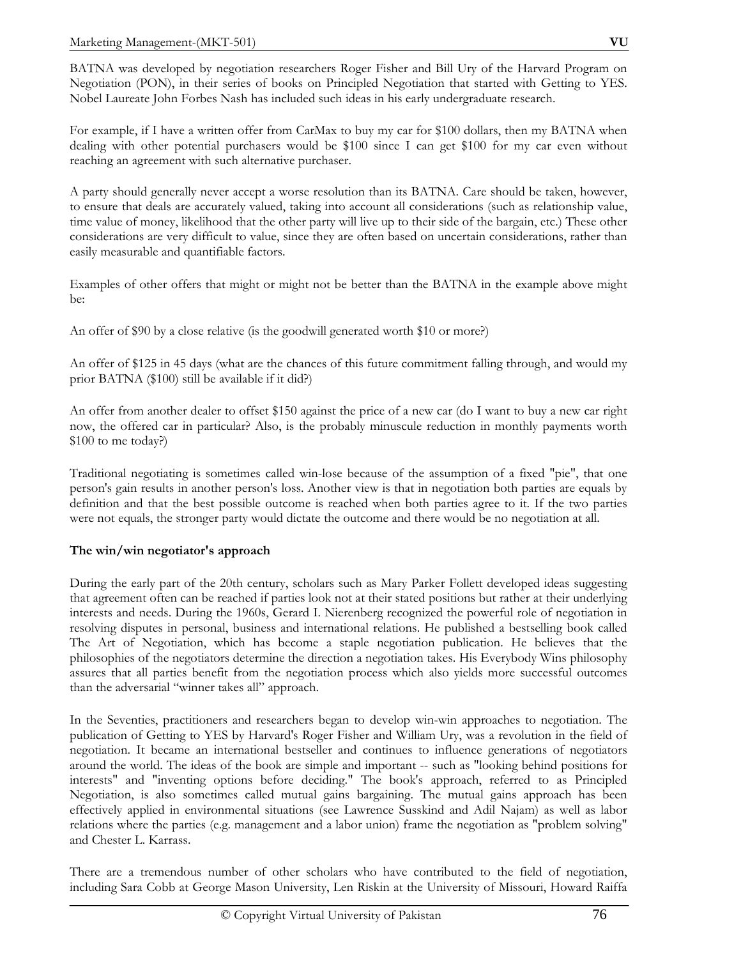BATNA was developed by negotiation researchers Roger Fisher and Bill Ury of the Harvard Program on Negotiation (PON), in their series of books on Principled Negotiation that started with Getting to YES. Nobel Laureate John Forbes Nash has included such ideas in his early undergraduate research.

For example, if I have a written offer from CarMax to buy my car for \$100 dollars, then my BATNA when dealing with other potential purchasers would be \$100 since I can get \$100 for my car even without reaching an agreement with such alternative purchaser.

A party should generally never accept a worse resolution than its BATNA. Care should be taken, however, to ensure that deals are accurately valued, taking into account all considerations (such as relationship value, time value of money, likelihood that the other party will live up to their side of the bargain, etc.) These other considerations are very difficult to value, since they are often based on uncertain considerations, rather than easily measurable and quantifiable factors.

Examples of other offers that might or might not be better than the BATNA in the example above might be:

An offer of \$90 by a close relative (is the goodwill generated worth \$10 or more?)

An offer of \$125 in 45 days (what are the chances of this future commitment falling through, and would my prior BATNA (\$100) still be available if it did?)

An offer from another dealer to offset \$150 against the price of a new car (do I want to buy a new car right now, the offered car in particular? Also, is the probably minuscule reduction in monthly payments worth \$100 to me today?)

Traditional negotiating is sometimes called win-lose because of the assumption of a fixed "pie", that one person's gain results in another person's loss. Another view is that in negotiation both parties are equals by definition and that the best possible outcome is reached when both parties agree to it. If the two parties were not equals, the stronger party would dictate the outcome and there would be no negotiation at all.

### **The win/win negotiator's approach**

During the early part of the 20th century, scholars such as Mary Parker Follett developed ideas suggesting that agreement often can be reached if parties look not at their stated positions but rather at their underlying interests and needs. During the 1960s, Gerard I. Nierenberg recognized the powerful role of negotiation in resolving disputes in personal, business and international relations. He published a bestselling book called The Art of Negotiation, which has become a staple negotiation publication. He believes that the philosophies of the negotiators determine the direction a negotiation takes. His Everybody Wins philosophy assures that all parties benefit from the negotiation process which also yields more successful outcomes than the adversarial "winner takes all" approach.

In the Seventies, practitioners and researchers began to develop win-win approaches to negotiation. The publication of Getting to YES by Harvard's Roger Fisher and William Ury, was a revolution in the field of negotiation. It became an international bestseller and continues to influence generations of negotiators around the world. The ideas of the book are simple and important -- such as "looking behind positions for interests" and "inventing options before deciding." The book's approach, referred to as Principled Negotiation, is also sometimes called mutual gains bargaining. The mutual gains approach has been effectively applied in environmental situations (see Lawrence Susskind and Adil Najam) as well as labor relations where the parties (e.g. management and a labor union) frame the negotiation as "problem solving" and Chester L. Karrass.

There are a tremendous number of other scholars who have contributed to the field of negotiation, including Sara Cobb at George Mason University, Len Riskin at the University of Missouri, Howard Raiffa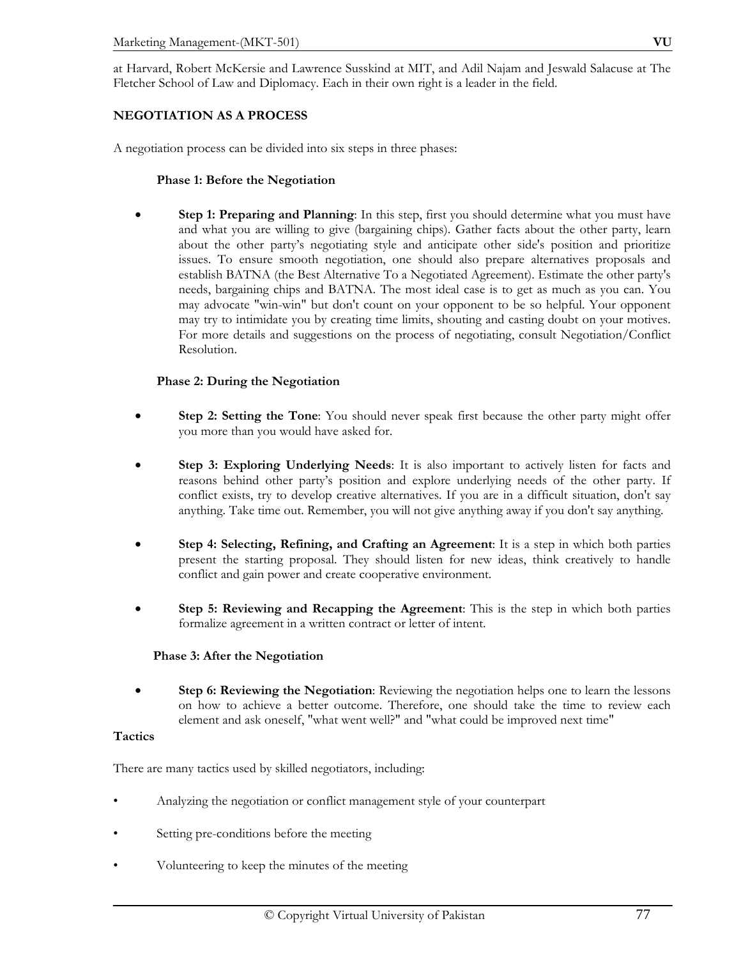## **NEGOTIATION AS A PROCESS**

A negotiation process can be divided into six steps in three phases:

### **Phase 1: Before the Negotiation**

• **Step 1: Preparing and Planning**: In this step, first you should determine what you must have and what you are willing to give (bargaining chips). Gather facts about the other party, learn about the other party's negotiating style and anticipate other side's position and prioritize issues. To ensure smooth negotiation, one should also prepare alternatives proposals and establish BATNA (the Best Alternative To a Negotiated Agreement). Estimate the other party's needs, bargaining chips and BATNA. The most ideal case is to get as much as you can. You may advocate "win-win" but don't count on your opponent to be so helpful. Your opponent may try to intimidate you by creating time limits, shouting and casting doubt on your motives. For more details and suggestions on the process of negotiating, consult Negotiation/Conflict Resolution.

### **Phase 2: During the Negotiation**

- **Step 2: Setting the Tone**: You should never speak first because the other party might offer you more than you would have asked for.
- **Step 3: Exploring Underlying Needs**: It is also important to actively listen for facts and reasons behind other party's position and explore underlying needs of the other party. If conflict exists, try to develop creative alternatives. If you are in a difficult situation, don't say anything. Take time out. Remember, you will not give anything away if you don't say anything.
- **Step 4: Selecting, Refining, and Crafting an Agreement**: It is a step in which both parties present the starting proposal. They should listen for new ideas, think creatively to handle conflict and gain power and create cooperative environment.
- **Step 5: Reviewing and Recapping the Agreement**: This is the step in which both parties formalize agreement in a written contract or letter of intent.

#### **Phase 3: After the Negotiation**

• **Step 6: Reviewing the Negotiation**: Reviewing the negotiation helps one to learn the lessons on how to achieve a better outcome. Therefore, one should take the time to review each element and ask oneself, "what went well?" and "what could be improved next time"

#### **Tactics**

There are many tactics used by skilled negotiators, including:

- Analyzing the negotiation or conflict management style of your counterpart
- Setting pre-conditions before the meeting
- Volunteering to keep the minutes of the meeting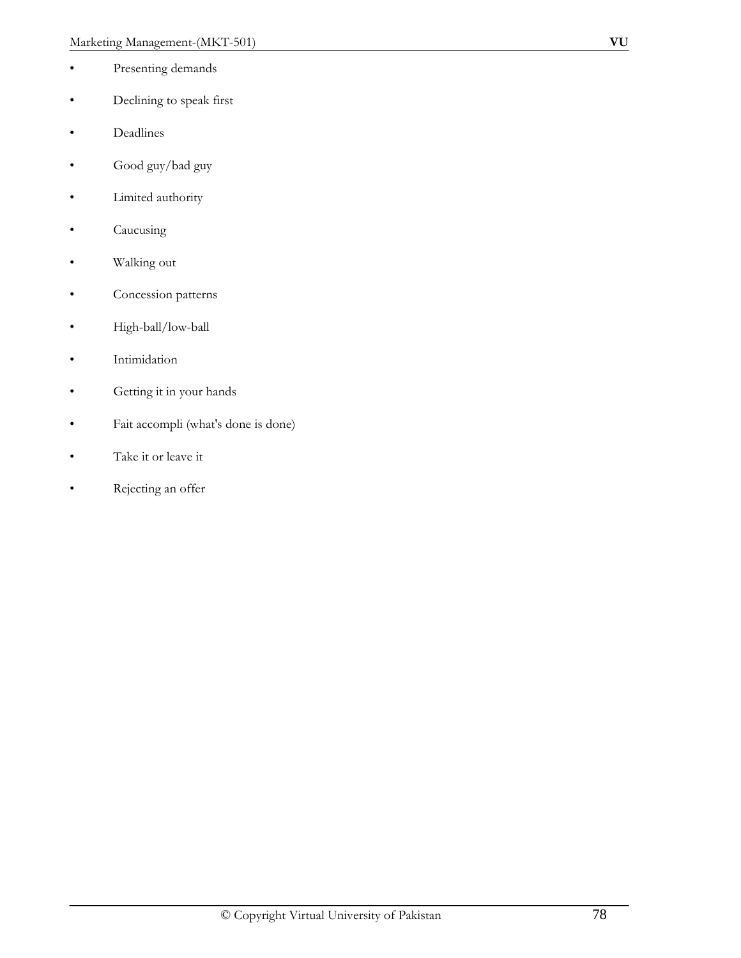- Presenting demands
- Declining to speak first
- Deadlines
- Good guy/bad guy
- Limited authority
- Caucusing
- Walking out
- Concession patterns
- High-ball/low-ball
- Intimidation
- Getting it in your hands
- Fait accompli (what's done is done)
- Take it or leave it
- Rejecting an offer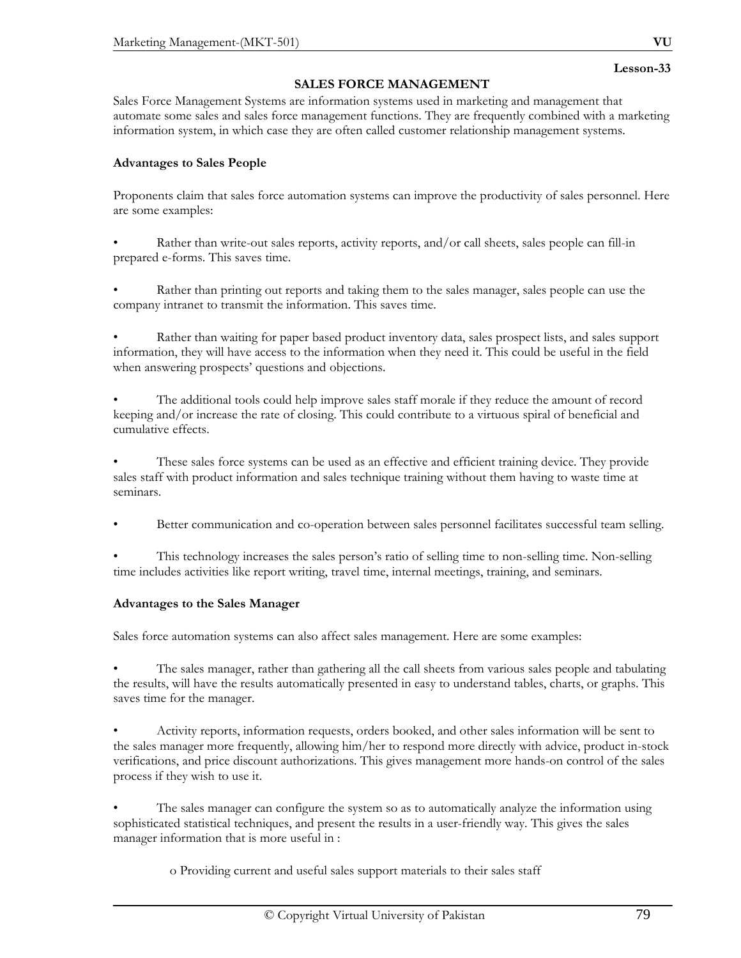### **SALES FORCE MANAGEMENT**

Sales Force Management Systems are information systems used in marketing and management that automate some sales and sales force management functions. They are frequently combined with a marketing information system, in which case they are often called customer relationship management systems.

### **Advantages to Sales People**

Proponents claim that sales force automation systems can improve the productivity of sales personnel. Here are some examples:

• Rather than write-out sales reports, activity reports, and/or call sheets, sales people can fill-in prepared e-forms. This saves time.

• Rather than printing out reports and taking them to the sales manager, sales people can use the company intranet to transmit the information. This saves time.

• Rather than waiting for paper based product inventory data, sales prospect lists, and sales support information, they will have access to the information when they need it. This could be useful in the field when answering prospects' questions and objections.

• The additional tools could help improve sales staff morale if they reduce the amount of record keeping and/or increase the rate of closing. This could contribute to a virtuous spiral of beneficial and cumulative effects.

These sales force systems can be used as an effective and efficient training device. They provide sales staff with product information and sales technique training without them having to waste time at seminars.

• Better communication and co-operation between sales personnel facilitates successful team selling.

• This technology increases the sales person's ratio of selling time to non-selling time. Non-selling time includes activities like report writing, travel time, internal meetings, training, and seminars.

#### **Advantages to the Sales Manager**

Sales force automation systems can also affect sales management. Here are some examples:

• The sales manager, rather than gathering all the call sheets from various sales people and tabulating the results, will have the results automatically presented in easy to understand tables, charts, or graphs. This saves time for the manager.

• Activity reports, information requests, orders booked, and other sales information will be sent to the sales manager more frequently, allowing him/her to respond more directly with advice, product in-stock verifications, and price discount authorizations. This gives management more hands-on control of the sales process if they wish to use it.

• The sales manager can configure the system so as to automatically analyze the information using sophisticated statistical techniques, and present the results in a user-friendly way. This gives the sales manager information that is more useful in :

o Providing current and useful sales support materials to their sales staff

**Lesson-33**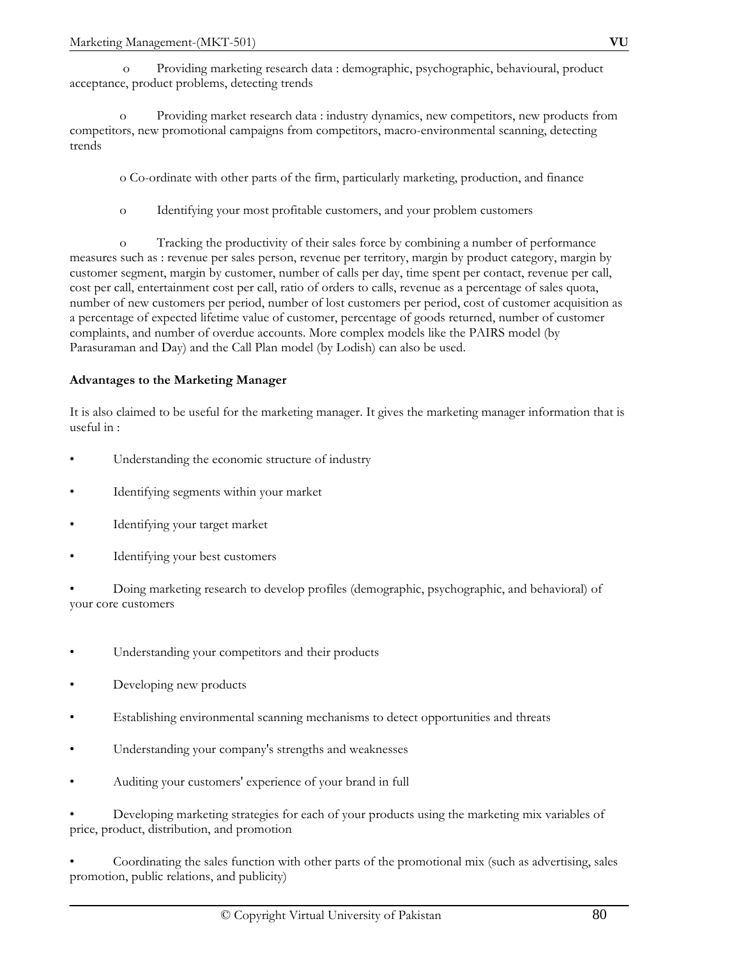Providing marketing research data : demographic, psychographic, behavioural, product acceptance, product problems, detecting trends

 o Providing market research data : industry dynamics, new competitors, new products from competitors, new promotional campaigns from competitors, macro-environmental scanning, detecting trends

o Co-ordinate with other parts of the firm, particularly marketing, production, and finance

o Identifying your most profitable customers, and your problem customers

 o Tracking the productivity of their sales force by combining a number of performance measures such as : revenue per sales person, revenue per territory, margin by product category, margin by customer segment, margin by customer, number of calls per day, time spent per contact, revenue per call, cost per call, entertainment cost per call, ratio of orders to calls, revenue as a percentage of sales quota, number of new customers per period, number of lost customers per period, cost of customer acquisition as a percentage of expected lifetime value of customer, percentage of goods returned, number of customer complaints, and number of overdue accounts. More complex models like the PAIRS model (by Parasuraman and Day) and the Call Plan model (by Lodish) can also be used.

### **Advantages to the Marketing Manager**

It is also claimed to be useful for the marketing manager. It gives the marketing manager information that is useful in :

- Understanding the economic structure of industry
- Identifying segments within your market
- Identifying your target market
- Identifying your best customers

• Doing marketing research to develop profiles (demographic, psychographic, and behavioral) of your core customers

- Understanding your competitors and their products
- Developing new products
- Establishing environmental scanning mechanisms to detect opportunities and threats
- Understanding your company's strengths and weaknesses
- Auditing your customers' experience of your brand in full

• Developing marketing strategies for each of your products using the marketing mix variables of price, product, distribution, and promotion

• Coordinating the sales function with other parts of the promotional mix (such as advertising, sales promotion, public relations, and publicity)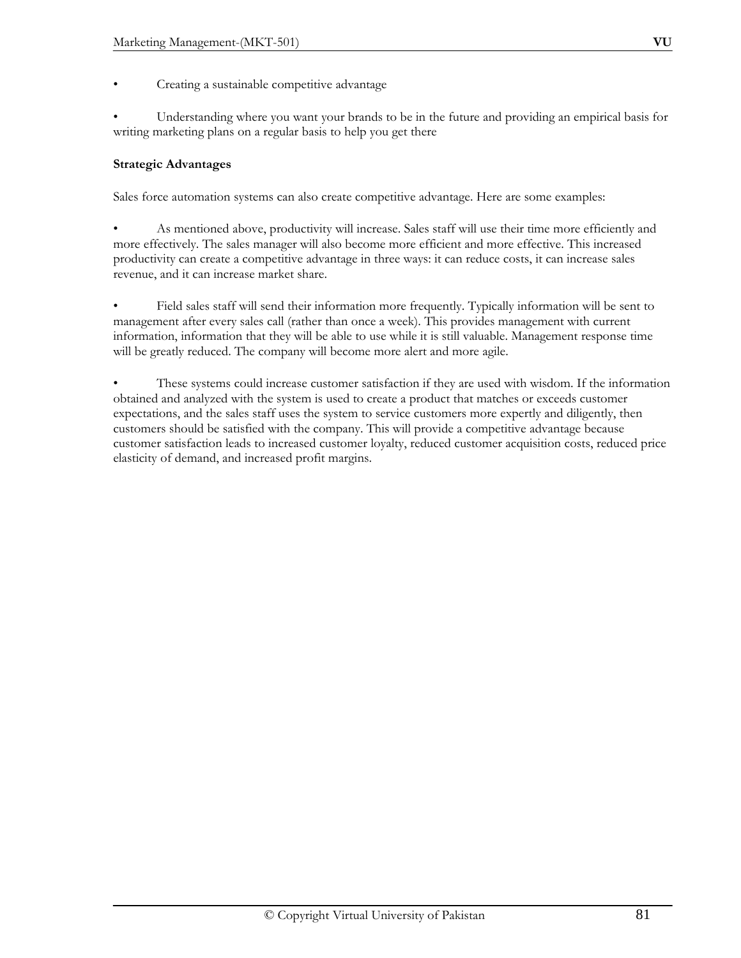• Creating a sustainable competitive advantage

• Understanding where you want your brands to be in the future and providing an empirical basis for writing marketing plans on a regular basis to help you get there

# **Strategic Advantages**

Sales force automation systems can also create competitive advantage. Here are some examples:

• As mentioned above, productivity will increase. Sales staff will use their time more efficiently and more effectively. The sales manager will also become more efficient and more effective. This increased productivity can create a competitive advantage in three ways: it can reduce costs, it can increase sales revenue, and it can increase market share.

• Field sales staff will send their information more frequently. Typically information will be sent to management after every sales call (rather than once a week). This provides management with current information, information that they will be able to use while it is still valuable. Management response time will be greatly reduced. The company will become more alert and more agile.

• These systems could increase customer satisfaction if they are used with wisdom. If the information obtained and analyzed with the system is used to create a product that matches or exceeds customer expectations, and the sales staff uses the system to service customers more expertly and diligently, then customers should be satisfied with the company. This will provide a competitive advantage because customer satisfaction leads to increased customer loyalty, reduced customer acquisition costs, reduced price elasticity of demand, and increased profit margins.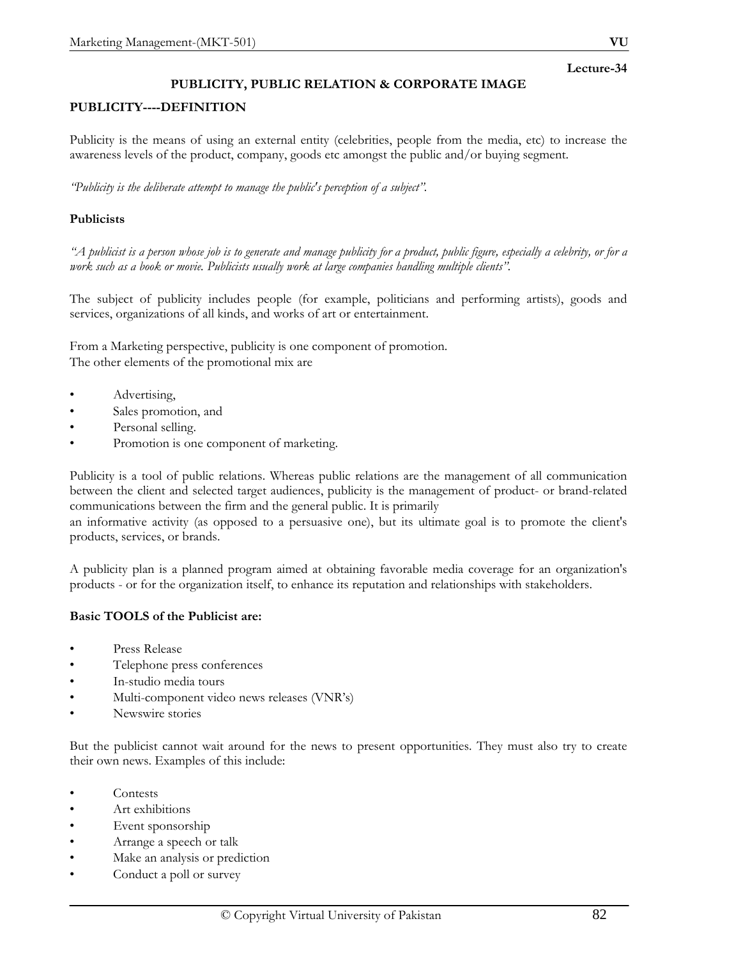### **PUBLICITY, PUBLIC RELATION & CORPORATE IMAGE**

### **PUBLICITY----DEFINITION**

Publicity is the means of using an external entity (celebrities, people from the media, etc) to increase the awareness levels of the product, company, goods etc amongst the public and/or buying segment.

*"Publicity is the deliberate attempt to manage the public's perception of a subject".* 

#### **Publicists**

*"A publicist is a person whose job is to generate and manage publicity for a product, public figure, especially a celebrity, or for a work such as a book or movie. Publicists usually work at large companies handling multiple clients".* 

The subject of publicity includes people (for example, politicians and performing artists), goods and services, organizations of all kinds, and works of art or entertainment.

From a Marketing perspective, publicity is one component of promotion. The other elements of the promotional mix are

- Advertising,
- Sales promotion, and
- Personal selling.
- Promotion is one component of marketing.

Publicity is a tool of public relations. Whereas public relations are the management of all communication between the client and selected target audiences, publicity is the management of product- or brand-related communications between the firm and the general public. It is primarily

an informative activity (as opposed to a persuasive one), but its ultimate goal is to promote the client's products, services, or brands.

A publicity plan is a planned program aimed at obtaining favorable media coverage for an organization's products - or for the organization itself, to enhance its reputation and relationships with stakeholders.

#### **Basic TOOLS of the Publicist are:**

- Press Release
- Telephone press conferences
- In-studio media tours
- Multi-component video news releases (VNR's)
- Newswire stories

But the publicist cannot wait around for the news to present opportunities. They must also try to create their own news. Examples of this include:

- **Contests**
- Art exhibitions
- Event sponsorship
- Arrange a speech or talk
- Make an analysis or prediction
- Conduct a poll or survey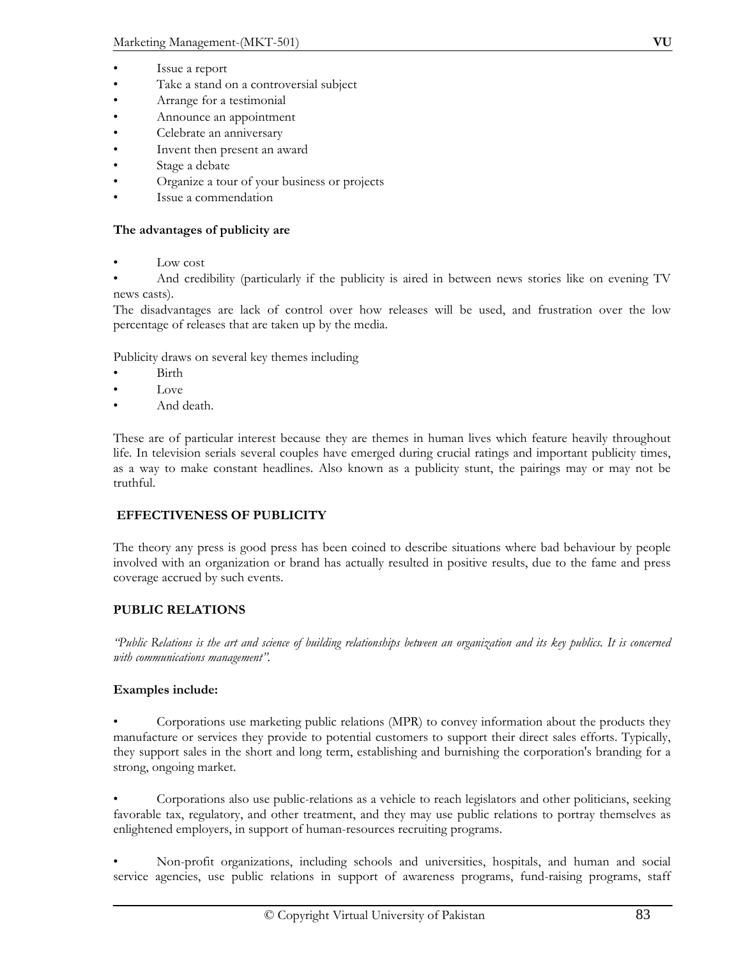- Issue a report
- Take a stand on a controversial subject
- Arrange for a testimonial
- Announce an appointment
- Celebrate an anniversary
- Invent then present an award
- Stage a debate
- Organize a tour of your business or projects
- Issue a commendation

### **The advantages of publicity are**

• Low cost

• And credibility (particularly if the publicity is aired in between news stories like on evening TV news casts).

The disadvantages are lack of control over how releases will be used, and frustration over the low percentage of releases that are taken up by the media.

Publicity draws on several key themes including

- Birth
- Love
- And death.

These are of particular interest because they are themes in human lives which feature heavily throughout life. In television serials several couples have emerged during crucial ratings and important publicity times, as a way to make constant headlines. Also known as a publicity stunt, the pairings may or may not be truthful.

### **EFFECTIVENESS OF PUBLICITY**

The theory any press is good press has been coined to describe situations where bad behaviour by people involved with an organization or brand has actually resulted in positive results, due to the fame and press coverage accrued by such events.

### **PUBLIC RELATIONS**

*"Public Relations is the art and science of building relationships between an organization and its key publics. It is concerned with communications management".*

#### **Examples include:**

• Corporations use marketing public relations (MPR) to convey information about the products they manufacture or services they provide to potential customers to support their direct sales efforts. Typically, they support sales in the short and long term, establishing and burnishing the corporation's branding for a strong, ongoing market.

• Corporations also use public-relations as a vehicle to reach legislators and other politicians, seeking favorable tax, regulatory, and other treatment, and they may use public relations to portray themselves as enlightened employers, in support of human-resources recruiting programs.

• Non-profit organizations, including schools and universities, hospitals, and human and social service agencies, use public relations in support of awareness programs, fund-raising programs, staff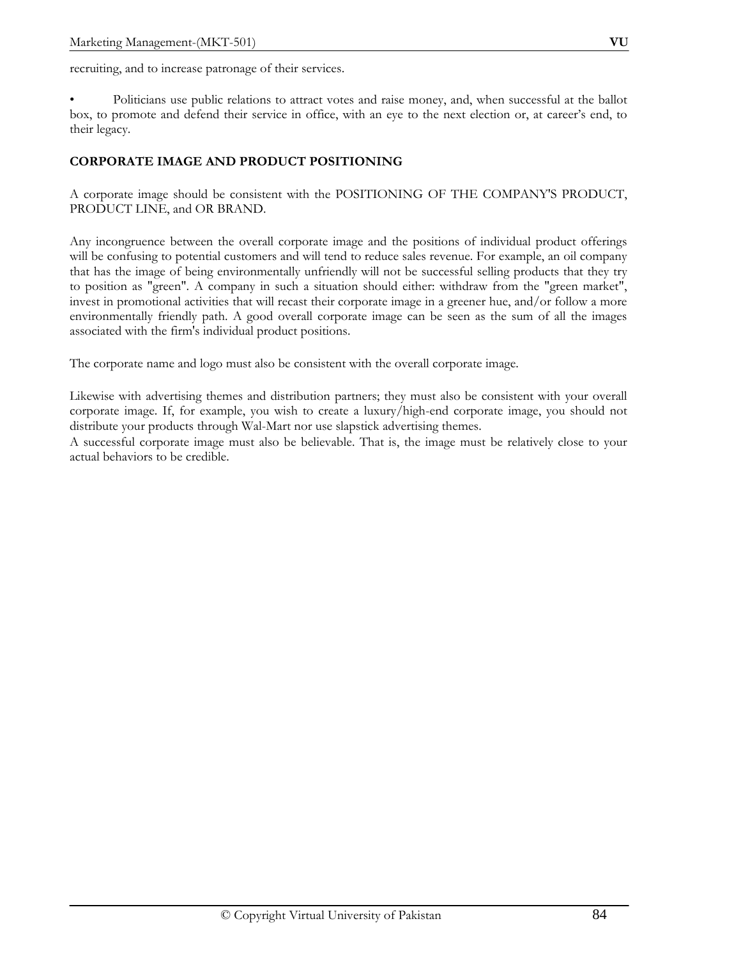recruiting, and to increase patronage of their services.

• Politicians use public relations to attract votes and raise money, and, when successful at the ballot box, to promote and defend their service in office, with an eye to the next election or, at career's end, to their legacy.

### **CORPORATE IMAGE AND PRODUCT POSITIONING**

A corporate image should be consistent with the POSITIONING OF THE COMPANY'S PRODUCT, PRODUCT LINE, and OR BRAND.

Any incongruence between the overall corporate image and the positions of individual product offerings will be confusing to potential customers and will tend to reduce sales revenue. For example, an oil company that has the image of being environmentally unfriendly will not be successful selling products that they try to position as "green". A company in such a situation should either: withdraw from the "green market", invest in promotional activities that will recast their corporate image in a greener hue, and/or follow a more environmentally friendly path. A good overall corporate image can be seen as the sum of all the images associated with the firm's individual product positions.

The corporate name and logo must also be consistent with the overall corporate image.

Likewise with advertising themes and distribution partners; they must also be consistent with your overall corporate image. If, for example, you wish to create a luxury/high-end corporate image, you should not distribute your products through Wal-Mart nor use slapstick advertising themes.

A successful corporate image must also be believable. That is, the image must be relatively close to your actual behaviors to be credible.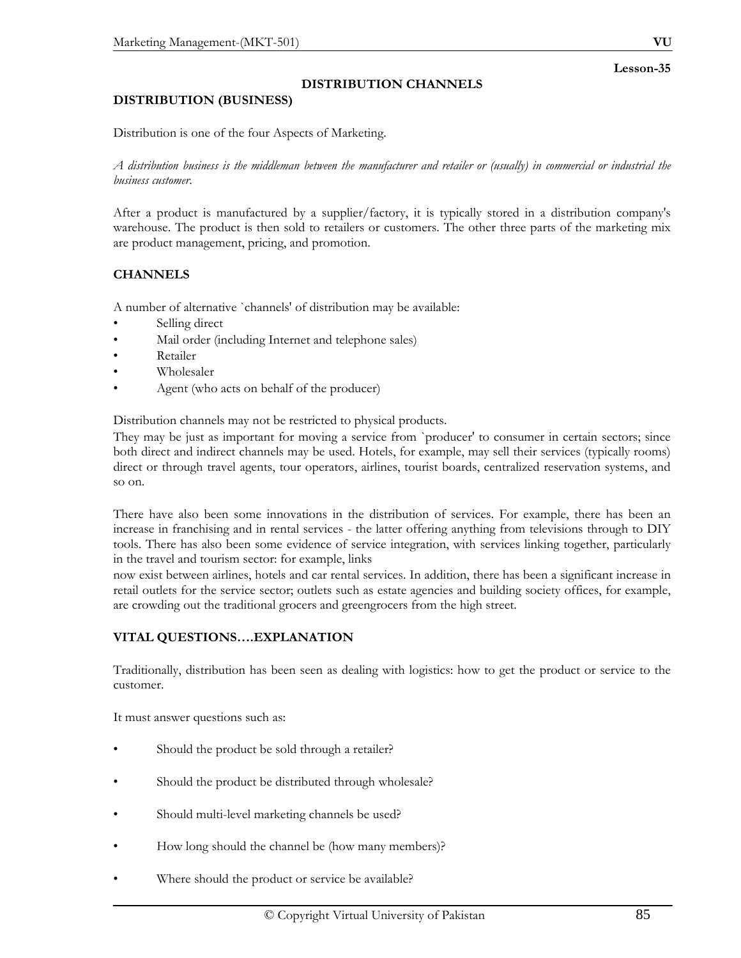#### **DISTRIBUTION CHANNELS**

### **DISTRIBUTION (BUSINESS)**

Distribution is one of the four Aspects of Marketing.

*A distribution business is the middleman between the manufacturer and retailer or (usually) in commercial or industrial the business customer*.

After a product is manufactured by a supplier/factory, it is typically stored in a distribution company's warehouse. The product is then sold to retailers or customers. The other three parts of the marketing mix are product management, pricing, and promotion.

### **CHANNELS**

A number of alternative `channels' of distribution may be available:

- Selling direct
- Mail order (including Internet and telephone sales)
- Retailer
- Wholesaler
- Agent (who acts on behalf of the producer)

Distribution channels may not be restricted to physical products.

They may be just as important for moving a service from `producer' to consumer in certain sectors; since both direct and indirect channels may be used. Hotels, for example, may sell their services (typically rooms) direct or through travel agents, tour operators, airlines, tourist boards, centralized reservation systems, and so on.

There have also been some innovations in the distribution of services. For example, there has been an increase in franchising and in rental services - the latter offering anything from televisions through to DIY tools. There has also been some evidence of service integration, with services linking together, particularly in the travel and tourism sector: for example, links

now exist between airlines, hotels and car rental services. In addition, there has been a significant increase in retail outlets for the service sector; outlets such as estate agencies and building society offices, for example, are crowding out the traditional grocers and greengrocers from the high street.

#### **VITAL QUESTIONS….EXPLANATION**

Traditionally, distribution has been seen as dealing with logistics: how to get the product or service to the customer.

It must answer questions such as:

- Should the product be sold through a retailer?
- Should the product be distributed through wholesale?
- Should multi-level marketing channels be used?
- How long should the channel be (how many members)?
- Where should the product or service be available?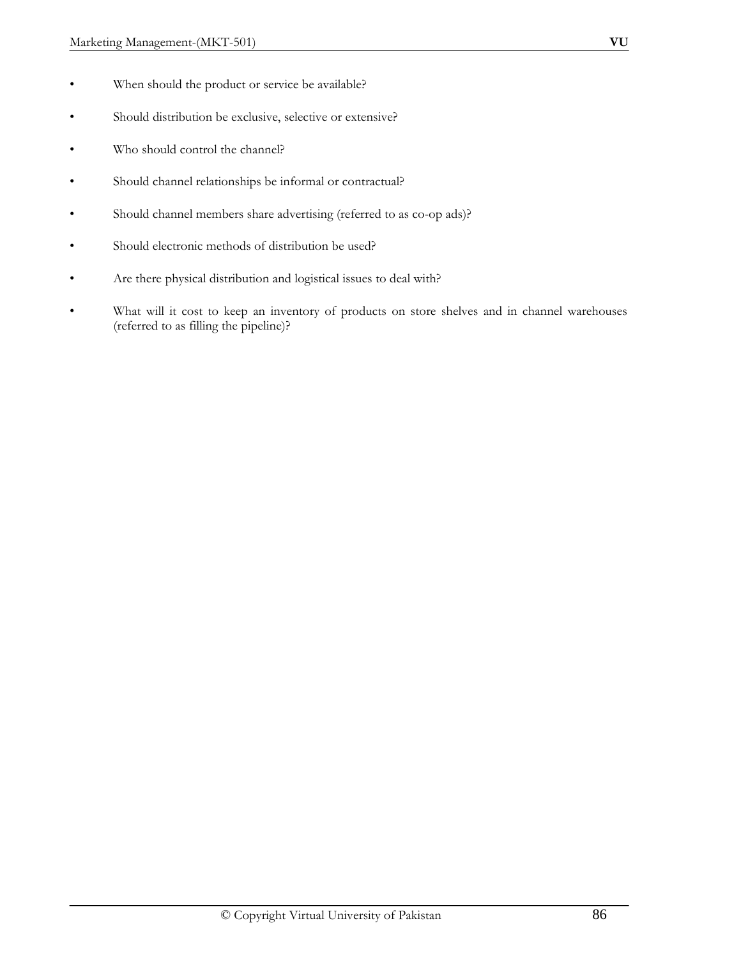- When should the product or service be available?
- Should distribution be exclusive, selective or extensive?
- Who should control the channel?
- Should channel relationships be informal or contractual?
- Should channel members share advertising (referred to as co-op ads)?
- Should electronic methods of distribution be used?
- Are there physical distribution and logistical issues to deal with?
- What will it cost to keep an inventory of products on store shelves and in channel warehouses (referred to as filling the pipeline)?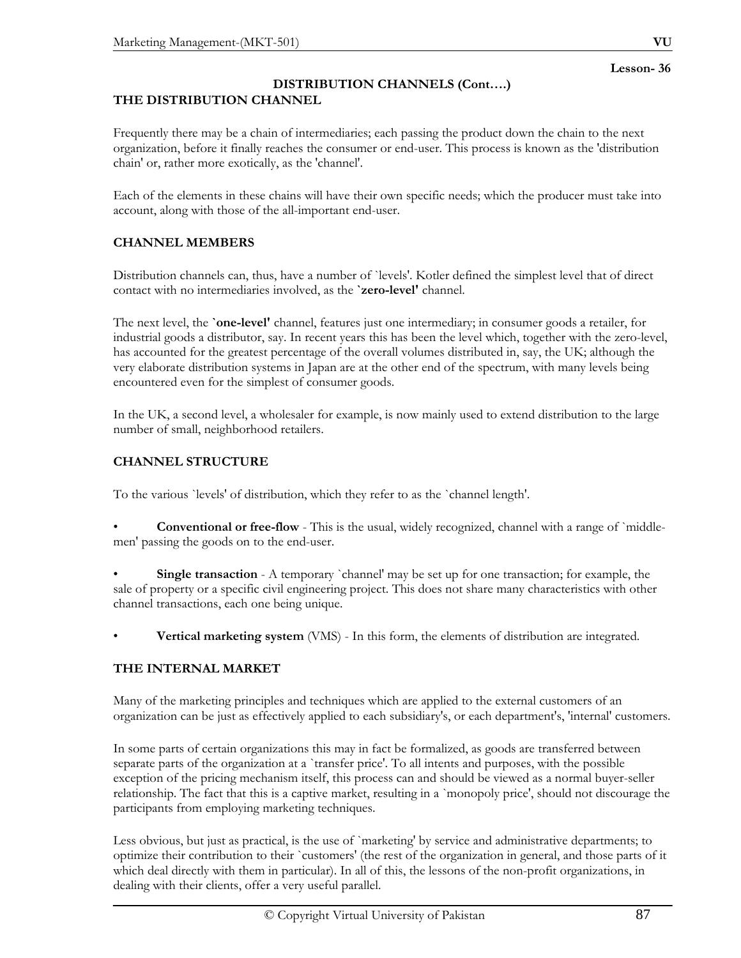Frequently there may be a chain of intermediaries; each passing the product down the chain to the next organization, before it finally reaches the consumer or end-user. This process is known as the 'distribution chain' or, rather more exotically, as the 'channel'.

Each of the elements in these chains will have their own specific needs; which the producer must take into account, along with those of the all-important end-user.

### **CHANNEL MEMBERS**

Distribution channels can, thus, have a number of `levels'. Kotler defined the simplest level that of direct contact with no intermediaries involved, as the **`zero-level'** channel.

The next level, the **`one-level'** channel, features just one intermediary; in consumer goods a retailer, for industrial goods a distributor, say. In recent years this has been the level which, together with the zero-level, has accounted for the greatest percentage of the overall volumes distributed in, say, the UK; although the very elaborate distribution systems in Japan are at the other end of the spectrum, with many levels being encountered even for the simplest of consumer goods.

In the UK, a second level, a wholesaler for example, is now mainly used to extend distribution to the large number of small, neighborhood retailers.

# **CHANNEL STRUCTURE**

To the various `levels' of distribution, which they refer to as the `channel length'.

• **Conventional or free-flow** - This is the usual, widely recognized, channel with a range of `middlemen' passing the goods on to the end-user.

**Single transaction** - A temporary `channel' may be set up for one transaction; for example, the sale of property or a specific civil engineering project. This does not share many characteristics with other channel transactions, each one being unique.

• **Vertical marketing system** (VMS) - In this form, the elements of distribution are integrated.

### **THE INTERNAL MARKET**

Many of the marketing principles and techniques which are applied to the external customers of an organization can be just as effectively applied to each subsidiary's, or each department's, 'internal' customers.

In some parts of certain organizations this may in fact be formalized, as goods are transferred between separate parts of the organization at a `transfer price'. To all intents and purposes, with the possible exception of the pricing mechanism itself, this process can and should be viewed as a normal buyer-seller relationship. The fact that this is a captive market, resulting in a `monopoly price', should not discourage the participants from employing marketing techniques.

Less obvious, but just as practical, is the use of `marketing' by service and administrative departments; to optimize their contribution to their `customers' (the rest of the organization in general, and those parts of it which deal directly with them in particular). In all of this, the lessons of the non-profit organizations, in dealing with their clients, offer a very useful parallel.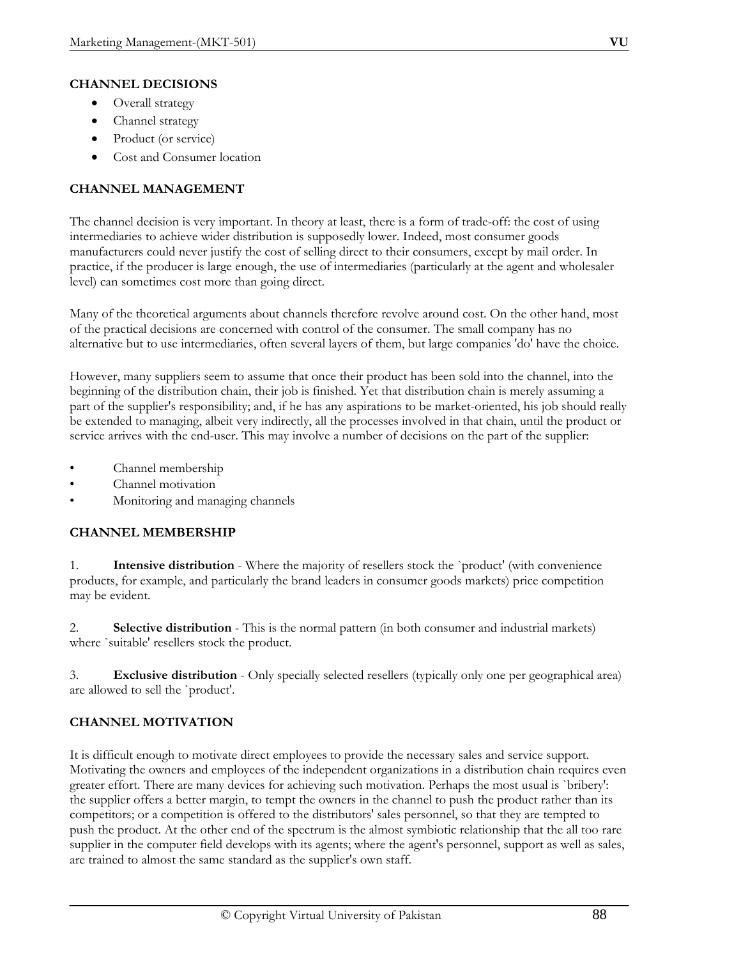# **CHANNEL DECISIONS**

- Overall strategy
- Channel strategy
- Product (or service)
- Cost and Consumer location

# **CHANNEL MANAGEMENT**

The channel decision is very important. In theory at least, there is a form of trade-off: the cost of using intermediaries to achieve wider distribution is supposedly lower. Indeed, most consumer goods manufacturers could never justify the cost of selling direct to their consumers, except by mail order. In practice, if the producer is large enough, the use of intermediaries (particularly at the agent and wholesaler level) can sometimes cost more than going direct.

Many of the theoretical arguments about channels therefore revolve around cost. On the other hand, most of the practical decisions are concerned with control of the consumer. The small company has no alternative but to use intermediaries, often several layers of them, but large companies 'do' have the choice.

However, many suppliers seem to assume that once their product has been sold into the channel, into the beginning of the distribution chain, their job is finished. Yet that distribution chain is merely assuming a part of the supplier's responsibility; and, if he has any aspirations to be market-oriented, his job should really be extended to managing, albeit very indirectly, all the processes involved in that chain, until the product or service arrives with the end-user. This may involve a number of decisions on the part of the supplier:

- Channel membership
- Channel motivation
- Monitoring and managing channels

### **CHANNEL MEMBERSHIP**

1. **Intensive distribution** - Where the majority of resellers stock the `product' (with convenience products, for example, and particularly the brand leaders in consumer goods markets) price competition may be evident.

2. **Selective distribution** - This is the normal pattern (in both consumer and industrial markets) where `suitable' resellers stock the product.

3. **Exclusive distribution** - Only specially selected resellers (typically only one per geographical area) are allowed to sell the `product'.

### **CHANNEL MOTIVATION**

It is difficult enough to motivate direct employees to provide the necessary sales and service support. Motivating the owners and employees of the independent organizations in a distribution chain requires even greater effort. There are many devices for achieving such motivation. Perhaps the most usual is `bribery': the supplier offers a better margin, to tempt the owners in the channel to push the product rather than its competitors; or a competition is offered to the distributors' sales personnel, so that they are tempted to push the product. At the other end of the spectrum is the almost symbiotic relationship that the all too rare supplier in the computer field develops with its agents; where the agent's personnel, support as well as sales, are trained to almost the same standard as the supplier's own staff.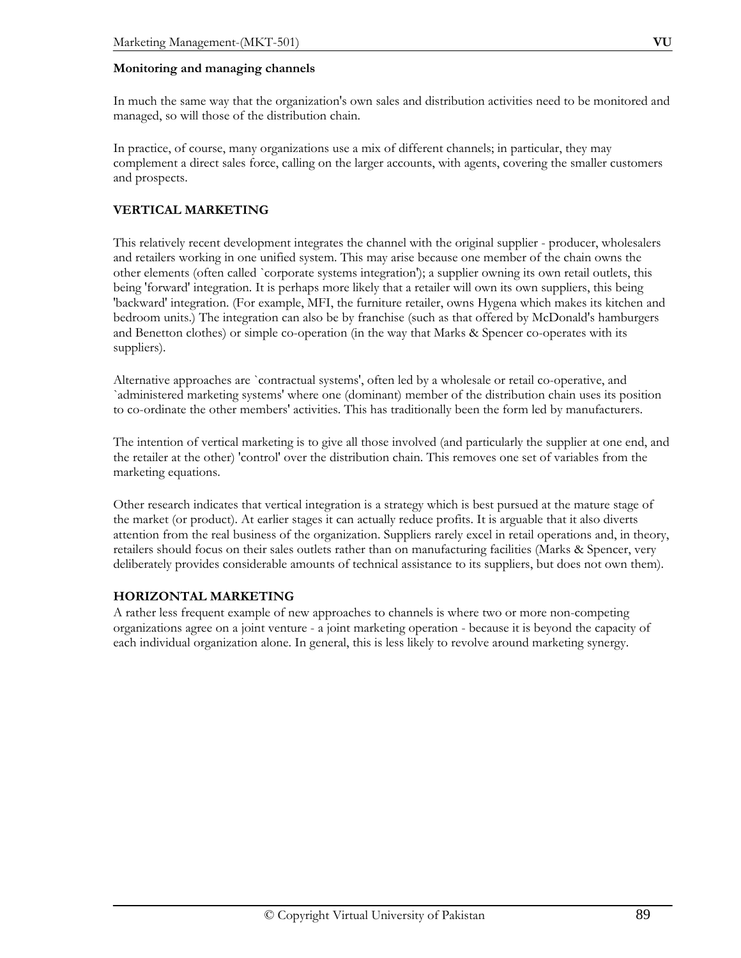#### **Monitoring and managing channels**

In much the same way that the organization's own sales and distribution activities need to be monitored and managed, so will those of the distribution chain.

In practice, of course, many organizations use a mix of different channels; in particular, they may complement a direct sales force, calling on the larger accounts, with agents, covering the smaller customers and prospects.

### **VERTICAL MARKETING**

This relatively recent development integrates the channel with the original supplier - producer, wholesalers and retailers working in one unified system. This may arise because one member of the chain owns the other elements (often called `corporate systems integration'); a supplier owning its own retail outlets, this being 'forward' integration. It is perhaps more likely that a retailer will own its own suppliers, this being 'backward' integration. (For example, MFI, the furniture retailer, owns Hygena which makes its kitchen and bedroom units.) The integration can also be by franchise (such as that offered by McDonald's hamburgers and Benetton clothes) or simple co-operation (in the way that Marks & Spencer co-operates with its suppliers).

Alternative approaches are `contractual systems', often led by a wholesale or retail co-operative, and `administered marketing systems' where one (dominant) member of the distribution chain uses its position to co-ordinate the other members' activities. This has traditionally been the form led by manufacturers.

The intention of vertical marketing is to give all those involved (and particularly the supplier at one end, and the retailer at the other) 'control' over the distribution chain. This removes one set of variables from the marketing equations.

Other research indicates that vertical integration is a strategy which is best pursued at the mature stage of the market (or product). At earlier stages it can actually reduce profits. It is arguable that it also diverts attention from the real business of the organization. Suppliers rarely excel in retail operations and, in theory, retailers should focus on their sales outlets rather than on manufacturing facilities (Marks & Spencer, very deliberately provides considerable amounts of technical assistance to its suppliers, but does not own them).

### **HORIZONTAL MARKETING**

A rather less frequent example of new approaches to channels is where two or more non-competing organizations agree on a joint venture - a joint marketing operation - because it is beyond the capacity of each individual organization alone. In general, this is less likely to revolve around marketing synergy.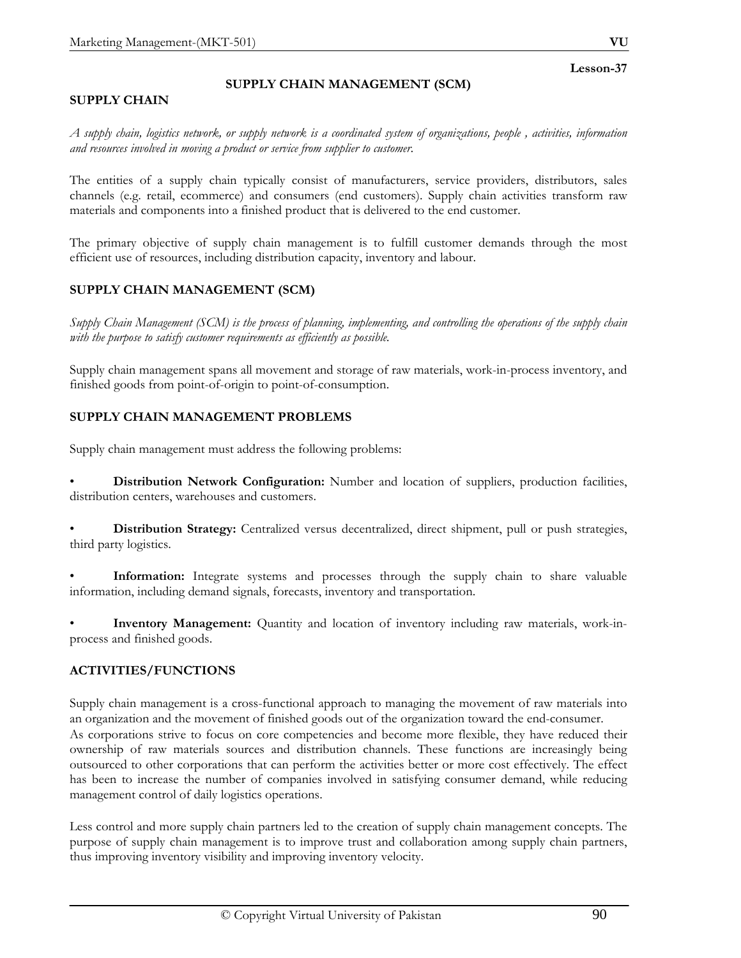#### **Lesson-37**

#### **SUPPLY CHAIN**

*A supply chain, logistics network, or supply network is a coordinated system of organizations, people , activities, information and resources involved in moving a product or service from supplier to customer.* 

**SUPPLY CHAIN MANAGEMENT (SCM)** 

The entities of a supply chain typically consist of manufacturers, service providers, distributors, sales channels (e.g. retail, ecommerce) and consumers (end customers). Supply chain activities transform raw materials and components into a finished product that is delivered to the end customer.

The primary objective of supply chain management is to fulfill customer demands through the most efficient use of resources, including distribution capacity, inventory and labour.

#### **SUPPLY CHAIN MANAGEMENT (SCM)**

*Supply Chain Management (SCM) is the process of planning, implementing, and controlling the operations of the supply chain with the purpose to satisfy customer requirements as efficiently as possible.* 

Supply chain management spans all movement and storage of raw materials, work-in-process inventory, and finished goods from point-of-origin to point-of-consumption.

#### **SUPPLY CHAIN MANAGEMENT PROBLEMS**

Supply chain management must address the following problems:

• **Distribution Network Configuration:** Number and location of suppliers, production facilities, distribution centers, warehouses and customers.

• **Distribution Strategy:** Centralized versus decentralized, direct shipment, pull or push strategies, third party logistics.

• **Information:** Integrate systems and processes through the supply chain to share valuable information, including demand signals, forecasts, inventory and transportation.

• **Inventory Management:** Quantity and location of inventory including raw materials, work-inprocess and finished goods.

#### **ACTIVITIES/FUNCTIONS**

Supply chain management is a cross-functional approach to managing the movement of raw materials into an organization and the movement of finished goods out of the organization toward the end-consumer. As corporations strive to focus on core competencies and become more flexible, they have reduced their ownership of raw materials sources and distribution channels. These functions are increasingly being outsourced to other corporations that can perform the activities better or more cost effectively. The effect has been to increase the number of companies involved in satisfying consumer demand, while reducing management control of daily logistics operations.

Less control and more supply chain partners led to the creation of supply chain management concepts. The purpose of supply chain management is to improve trust and collaboration among supply chain partners, thus improving inventory visibility and improving inventory velocity.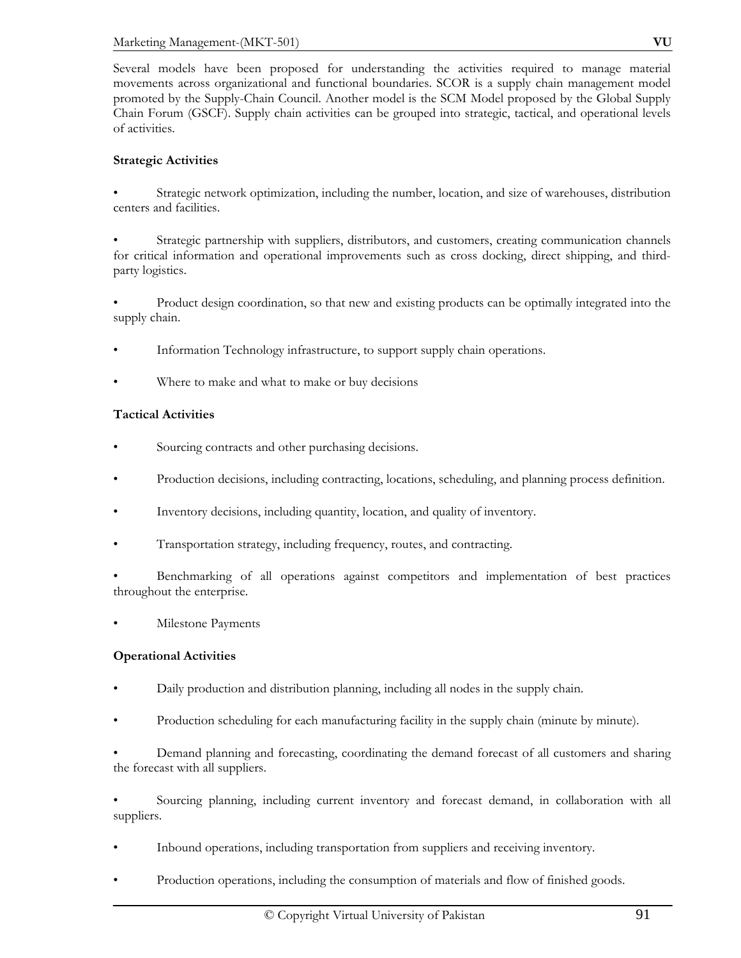Several models have been proposed for understanding the activities required to manage material movements across organizational and functional boundaries. SCOR is a supply chain management model promoted by the Supply-Chain Council. Another model is the SCM Model proposed by the Global Supply Chain Forum (GSCF). Supply chain activities can be grouped into strategic, tactical, and operational levels of activities.

# **Strategic Activities**

• Strategic network optimization, including the number, location, and size of warehouses, distribution centers and facilities.

Strategic partnership with suppliers, distributors, and customers, creating communication channels for critical information and operational improvements such as cross docking, direct shipping, and thirdparty logistics.

• Product design coordination, so that new and existing products can be optimally integrated into the supply chain.

- Information Technology infrastructure, to support supply chain operations.
- Where to make and what to make or buy decisions

### **Tactical Activities**

- Sourcing contracts and other purchasing decisions.
- Production decisions, including contracting, locations, scheduling, and planning process definition.
- Inventory decisions, including quantity, location, and quality of inventory.
- Transportation strategy, including frequency, routes, and contracting.

• Benchmarking of all operations against competitors and implementation of best practices throughout the enterprise.

• Milestone Payments

### **Operational Activities**

- Daily production and distribution planning, including all nodes in the supply chain.
- Production scheduling for each manufacturing facility in the supply chain (minute by minute).

• Demand planning and forecasting, coordinating the demand forecast of all customers and sharing the forecast with all suppliers.

• Sourcing planning, including current inventory and forecast demand, in collaboration with all suppliers.

- Inbound operations, including transportation from suppliers and receiving inventory.
- Production operations, including the consumption of materials and flow of finished goods.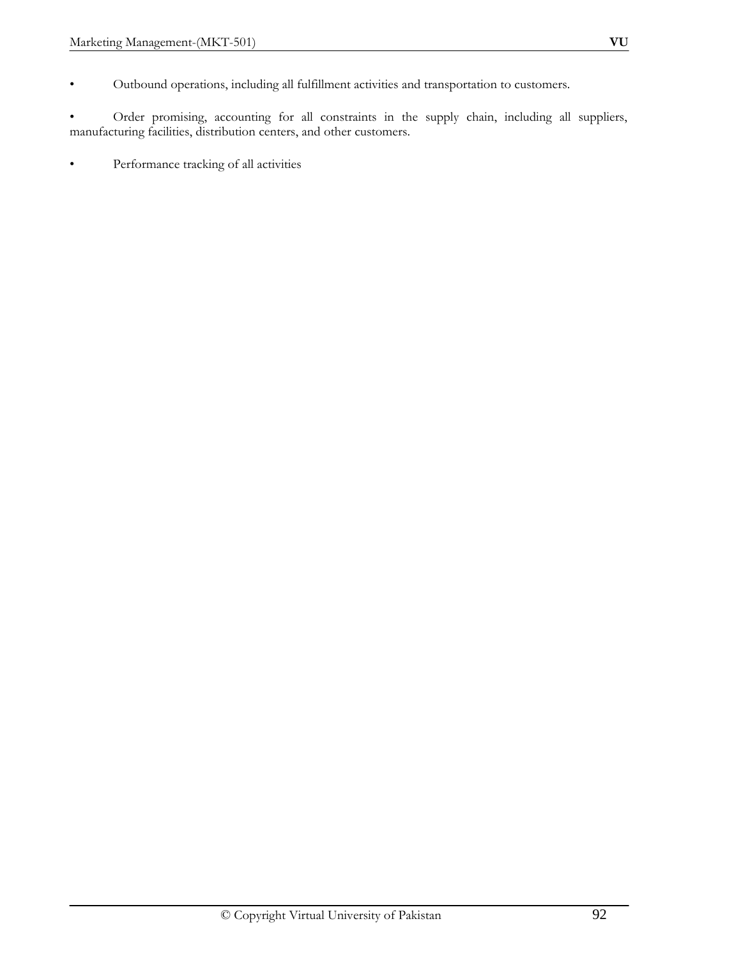• Outbound operations, including all fulfillment activities and transportation to customers.

• Order promising, accounting for all constraints in the supply chain, including all suppliers, manufacturing facilities, distribution centers, and other customers.

• Performance tracking of all activities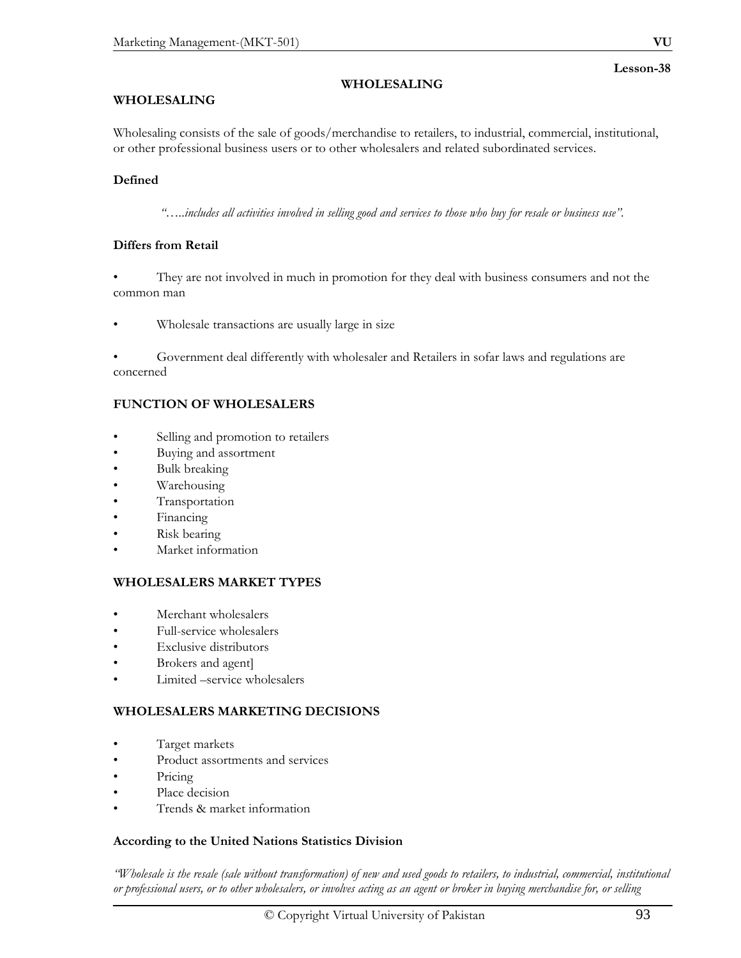### **WHOLESALING**

### **WHOLESALING**

Wholesaling consists of the sale of goods/merchandise to retailers, to industrial, commercial, institutional, or other professional business users or to other wholesalers and related subordinated services.

### **Defined**

*"…..includes all activities involved in selling good and services to those who buy for resale or business use".* 

### **Differs from Retail**

They are not involved in much in promotion for they deal with business consumers and not the common man

• Wholesale transactions are usually large in size

• Government deal differently with wholesaler and Retailers in sofar laws and regulations are concerned

### **FUNCTION OF WHOLESALERS**

- Selling and promotion to retailers
- Buying and assortment
- Bulk breaking
- Warehousing
- **Transportation**
- **Financing**
- Risk bearing
- Market information

#### **WHOLESALERS MARKET TYPES**

- Merchant wholesalers
- Full-service wholesalers
- **Exclusive distributors**
- Brokers and agent]
- Limited –service wholesalers

### **WHOLESALERS MARKETING DECISIONS**

- Target markets
- Product assortments and services
- Pricing
- Place decision
- Trends & market information

#### **According to the United Nations Statistics Division**

*"Wholesale is the resale (sale without transformation) of new and used goods to retailers, to industrial, commercial, institutional or professional users, or to other wholesalers, or involves acting as an agent or broker in buying merchandise for, or selling*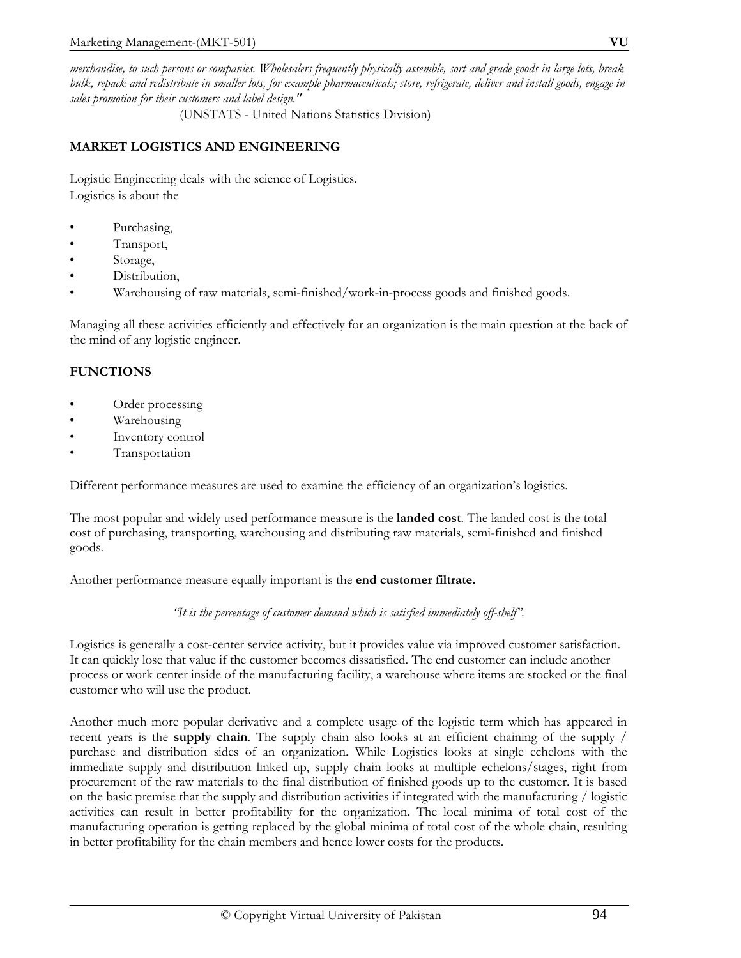*merchandise, to such persons or companies. Wholesalers frequently physically assemble, sort and grade goods in large lots, break bulk, repack and redistribute in smaller lots, for example pharmaceuticals; store, refrigerate, deliver and install goods, engage in sales promotion for their customers and label design."*

(UNSTATS - United Nations Statistics Division)

# **MARKET LOGISTICS AND ENGINEERING**

Logistic Engineering deals with the science of Logistics. Logistics is about the

- Purchasing,
- Transport,
- Storage,
- Distribution,
- Warehousing of raw materials, semi-finished/work-in-process goods and finished goods.

Managing all these activities efficiently and effectively for an organization is the main question at the back of the mind of any logistic engineer.

### **FUNCTIONS**

- Order processing
- Warehousing
- Inventory control
- **Transportation**

Different performance measures are used to examine the efficiency of an organization's logistics.

The most popular and widely used performance measure is the **landed cost**. The landed cost is the total cost of purchasing, transporting, warehousing and distributing raw materials, semi-finished and finished goods.

Another performance measure equally important is the **end customer filtrate.** 

*"It is the percentage of customer demand which is satisfied immediately off-shelf".* 

Logistics is generally a cost-center service activity, but it provides value via improved customer satisfaction. It can quickly lose that value if the customer becomes dissatisfied. The end customer can include another process or work center inside of the manufacturing facility, a warehouse where items are stocked or the final customer who will use the product.

Another much more popular derivative and a complete usage of the logistic term which has appeared in recent years is the **supply chain**. The supply chain also looks at an efficient chaining of the supply / purchase and distribution sides of an organization. While Logistics looks at single echelons with the immediate supply and distribution linked up, supply chain looks at multiple echelons/stages, right from procurement of the raw materials to the final distribution of finished goods up to the customer. It is based on the basic premise that the supply and distribution activities if integrated with the manufacturing / logistic activities can result in better profitability for the organization. The local minima of total cost of the manufacturing operation is getting replaced by the global minima of total cost of the whole chain, resulting in better profitability for the chain members and hence lower costs for the products.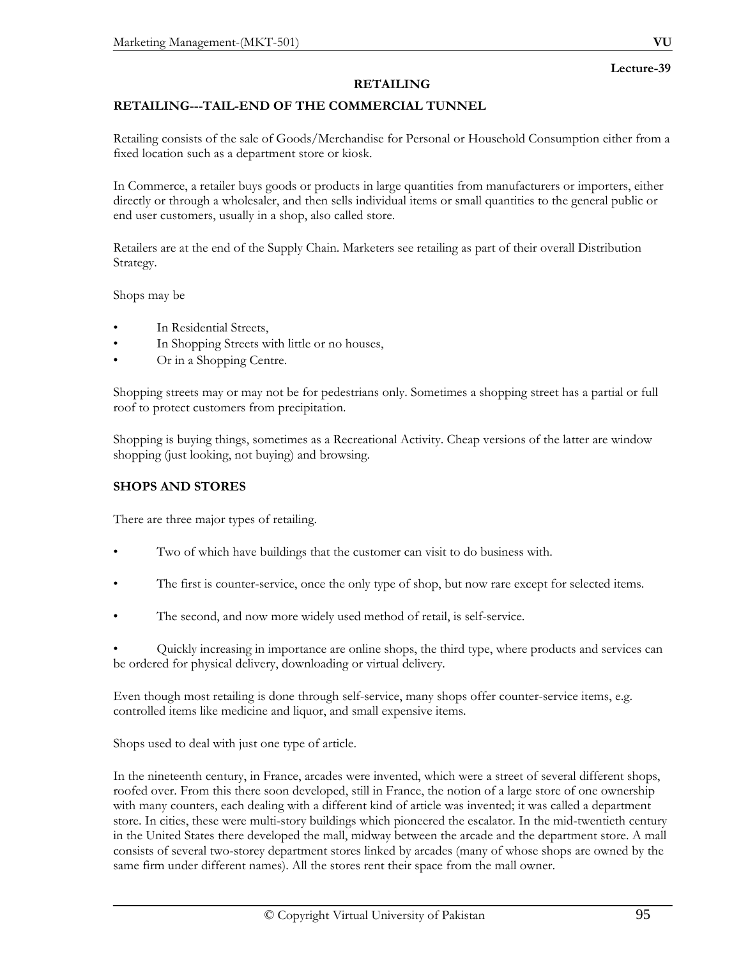#### **RETAILING**

#### **RETAILING---TAIL-END OF THE COMMERCIAL TUNNEL**

Retailing consists of the sale of Goods/Merchandise for Personal or Household Consumption either from a fixed location such as a department store or kiosk.

In Commerce, a retailer buys goods or products in large quantities from manufacturers or importers, either directly or through a wholesaler, and then sells individual items or small quantities to the general public or end user customers, usually in a shop, also called store.

Retailers are at the end of the Supply Chain. Marketers see retailing as part of their overall Distribution Strategy.

Shops may be

- In Residential Streets,
- In Shopping Streets with little or no houses,
- Or in a Shopping Centre.

Shopping streets may or may not be for pedestrians only. Sometimes a shopping street has a partial or full roof to protect customers from precipitation.

Shopping is buying things, sometimes as a Recreational Activity. Cheap versions of the latter are window shopping (just looking, not buying) and browsing.

### **SHOPS AND STORES**

There are three major types of retailing.

- Two of which have buildings that the customer can visit to do business with.
- The first is counter-service, once the only type of shop, but now rare except for selected items.
- The second, and now more widely used method of retail, is self-service.

• Quickly increasing in importance are online shops, the third type, where products and services can be ordered for physical delivery, downloading or virtual delivery.

Even though most retailing is done through self-service, many shops offer counter-service items, e.g. controlled items like medicine and liquor, and small expensive items.

Shops used to deal with just one type of article.

In the nineteenth century, in France, arcades were invented, which were a street of several different shops, roofed over. From this there soon developed, still in France, the notion of a large store of one ownership with many counters, each dealing with a different kind of article was invented; it was called a department store. In cities, these were multi-story buildings which pioneered the escalator. In the mid-twentieth century in the United States there developed the mall, midway between the arcade and the department store. A mall consists of several two-storey department stores linked by arcades (many of whose shops are owned by the same firm under different names). All the stores rent their space from the mall owner.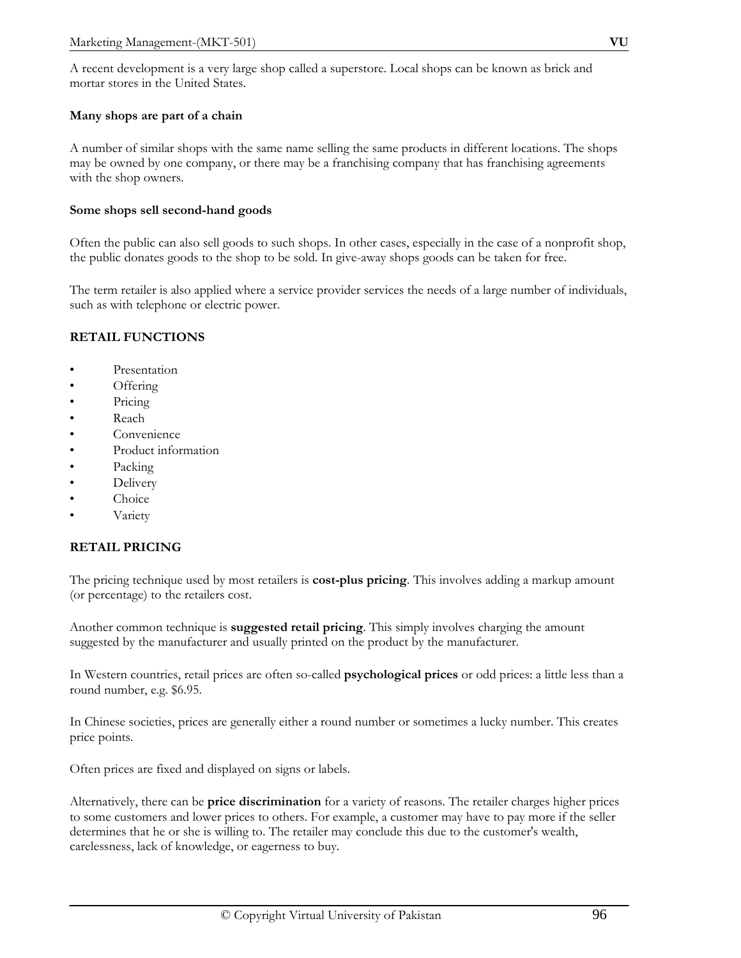A recent development is a very large shop called a superstore. Local shops can be known as brick and mortar stores in the United States.

#### **Many shops are part of a chain**

A number of similar shops with the same name selling the same products in different locations. The shops may be owned by one company, or there may be a franchising company that has franchising agreements with the shop owners.

#### **Some shops sell second-hand goods**

Often the public can also sell goods to such shops. In other cases, especially in the case of a nonprofit shop, the public donates goods to the shop to be sold. In give-away shops goods can be taken for free.

The term retailer is also applied where a service provider services the needs of a large number of individuals, such as with telephone or electric power.

#### **RETAIL FUNCTIONS**

- **Presentation**
- Offering
- Pricing
- Reach
- Convenience
- Product information
- Packing
- Delivery
- Choice
- **Variety**

#### **RETAIL PRICING**

The pricing technique used by most retailers is **cost-plus pricing**. This involves adding a markup amount (or percentage) to the retailers cost.

Another common technique is **suggested retail pricing**. This simply involves charging the amount suggested by the manufacturer and usually printed on the product by the manufacturer.

In Western countries, retail prices are often so-called **psychological prices** or odd prices: a little less than a round number, e.g. \$6.95.

In Chinese societies, prices are generally either a round number or sometimes a lucky number. This creates price points.

Often prices are fixed and displayed on signs or labels.

Alternatively, there can be **price discrimination** for a variety of reasons. The retailer charges higher prices to some customers and lower prices to others. For example, a customer may have to pay more if the seller determines that he or she is willing to. The retailer may conclude this due to the customer's wealth, carelessness, lack of knowledge, or eagerness to buy.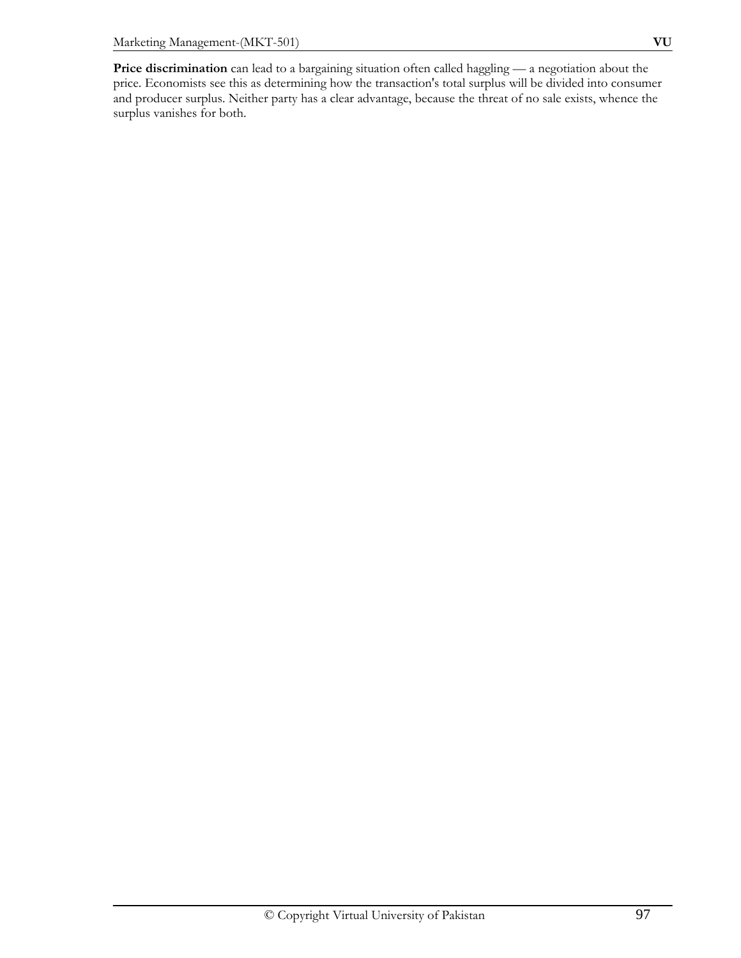Price discrimination can lead to a bargaining situation often called haggling — a negotiation about the price. Economists see this as determining how the transaction's total surplus will be divided into consumer and producer surplus. Neither party has a clear advantage, because the threat of no sale exists, whence the surplus vanishes for both.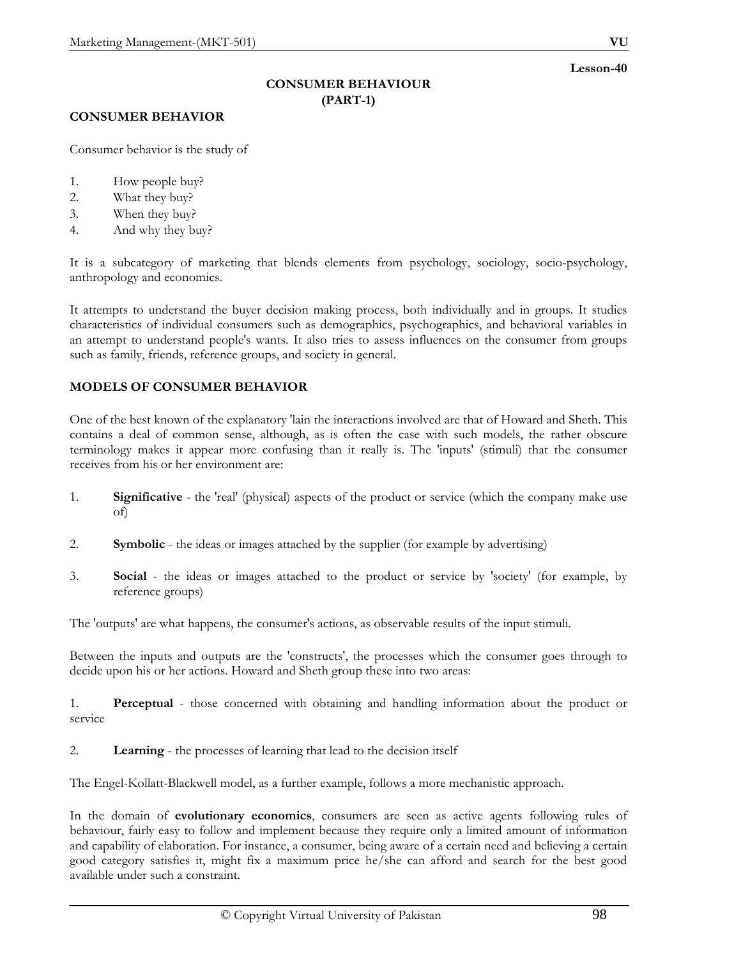### **Lesson-40**

# **CONSUMER BEHAVIOUR (PART-1)**

#### **CONSUMER BEHAVIOR**

Consumer behavior is the study of

- 1. How people buy?
- 2. What they buy?
- 3. When they buy?
- 4. And why they buy?

It is a subcategory of marketing that blends elements from psychology, sociology, socio-psychology, anthropology and economics.

It attempts to understand the buyer decision making process, both individually and in groups. It studies characteristics of individual consumers such as demographics, psychographics, and behavioral variables in an attempt to understand people's wants. It also tries to assess influences on the consumer from groups such as family, friends, reference groups, and society in general.

#### **MODELS OF CONSUMER BEHAVIOR**

One of the best known of the explanatory 'lain the interactions involved are that of Howard and Sheth. This contains a deal of common sense, although, as is often the case with such models, the rather obscure terminology makes it appear more confusing than it really is. The 'inputs' (stimuli) that the consumer receives from his or her environment are:

- 1. **Significative** the 'real' (physical) aspects of the product or service (which the company make use of)
- 2. **Symbolic**  the ideas or images attached by the supplier (for example by advertising)
- 3. **Social** the ideas or images attached to the product or service by 'society' (for example, by reference groups)

The 'outputs' are what happens, the consumer's actions, as observable results of the input stimuli.

Between the inputs and outputs are the 'constructs', the processes which the consumer goes through to decide upon his or her actions. Howard and Sheth group these into two areas:

1. **Perceptual** - those concerned with obtaining and handling information about the product or service

2. **Learning** - the processes of learning that lead to the decision itself

The Engel-Kollatt-Blackwell model, as a further example, follows a more mechanistic approach.

In the domain of **evolutionary economics**, consumers are seen as active agents following rules of behaviour, fairly easy to follow and implement because they require only a limited amount of information and capability of elaboration. For instance, a consumer, being aware of a certain need and believing a certain good category satisfies it, might fix a maximum price he/she can afford and search for the best good available under such a constraint.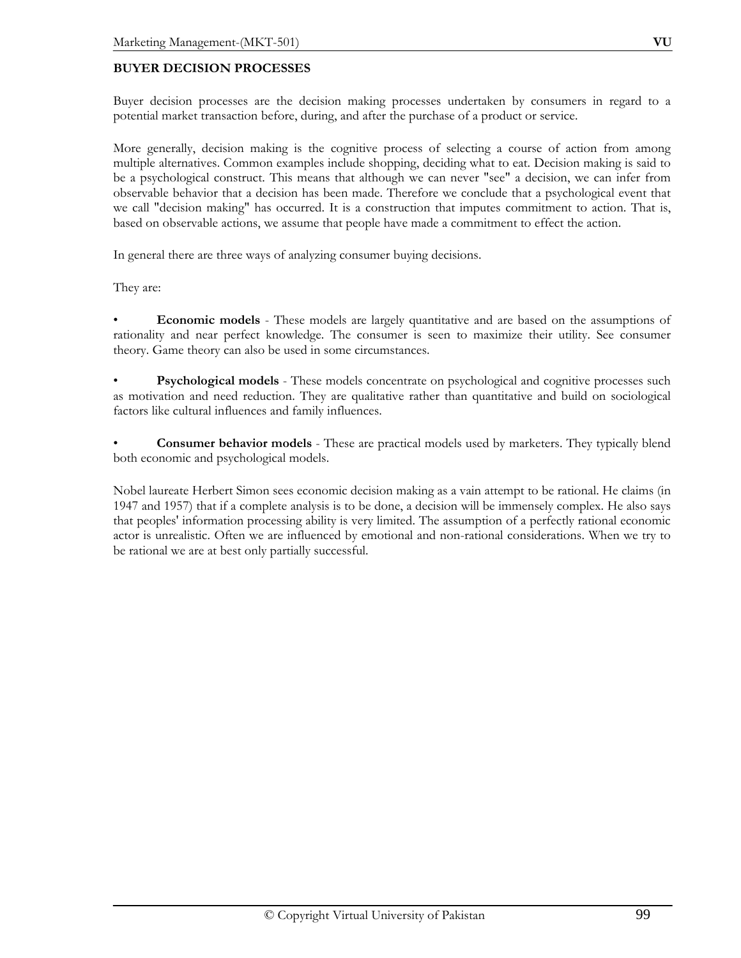### **BUYER DECISION PROCESSES**

Buyer decision processes are the decision making processes undertaken by consumers in regard to a potential market transaction before, during, and after the purchase of a product or service.

More generally, decision making is the cognitive process of selecting a course of action from among multiple alternatives. Common examples include shopping, deciding what to eat. Decision making is said to be a psychological construct. This means that although we can never "see" a decision, we can infer from observable behavior that a decision has been made. Therefore we conclude that a psychological event that we call "decision making" has occurred. It is a construction that imputes commitment to action. That is, based on observable actions, we assume that people have made a commitment to effect the action.

In general there are three ways of analyzing consumer buying decisions.

They are:

• **Economic models** - These models are largely quantitative and are based on the assumptions of rationality and near perfect knowledge. The consumer is seen to maximize their utility. See consumer theory. Game theory can also be used in some circumstances.

• **Psychological models** - These models concentrate on psychological and cognitive processes such as motivation and need reduction. They are qualitative rather than quantitative and build on sociological factors like cultural influences and family influences.

**Consumer behavior models** - These are practical models used by marketers. They typically blend both economic and psychological models.

Nobel laureate Herbert Simon sees economic decision making as a vain attempt to be rational. He claims (in 1947 and 1957) that if a complete analysis is to be done, a decision will be immensely complex. He also says that peoples' information processing ability is very limited. The assumption of a perfectly rational economic actor is unrealistic. Often we are influenced by emotional and non-rational considerations. When we try to be rational we are at best only partially successful.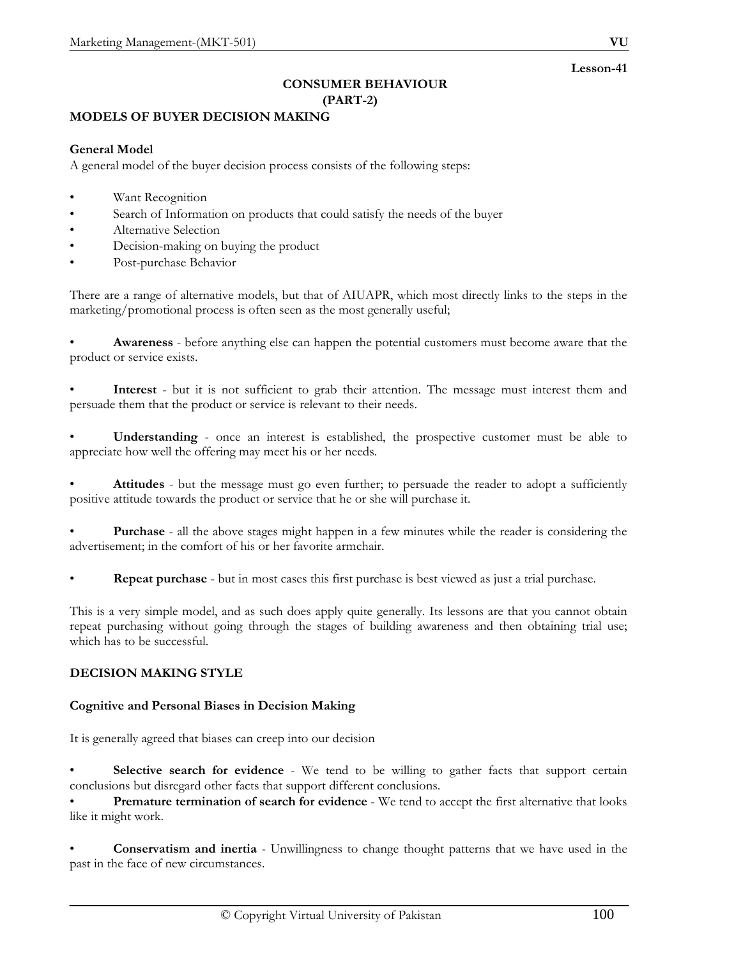### **Lesson-41**

#### **CONSUMER BEHAVIOUR (PART-2)**

### **MODELS OF BUYER DECISION MAKING**

#### **General Model**

A general model of the buyer decision process consists of the following steps:

- Want Recognition
- Search of Information on products that could satisfy the needs of the buyer
- Alternative Selection
- Decision-making on buying the product
- Post-purchase Behavior

There are a range of alternative models, but that of AIUAPR, which most directly links to the steps in the marketing/promotional process is often seen as the most generally useful;

• **Awareness** - before anything else can happen the potential customers must become aware that the product or service exists.

• **Interest** - but it is not sufficient to grab their attention. The message must interest them and persuade them that the product or service is relevant to their needs.

• **Understanding** - once an interest is established, the prospective customer must be able to appreciate how well the offering may meet his or her needs.

Attitudes - but the message must go even further; to persuade the reader to adopt a sufficiently positive attitude towards the product or service that he or she will purchase it.

• **Purchase** - all the above stages might happen in a few minutes while the reader is considering the advertisement; in the comfort of his or her favorite armchair.

• **Repeat purchase** - but in most cases this first purchase is best viewed as just a trial purchase.

This is a very simple model, and as such does apply quite generally. Its lessons are that you cannot obtain repeat purchasing without going through the stages of building awareness and then obtaining trial use; which has to be successful.

#### **DECISION MAKING STYLE**

#### **Cognitive and Personal Biases in Decision Making**

It is generally agreed that biases can creep into our decision

**Selective search for evidence** - We tend to be willing to gather facts that support certain conclusions but disregard other facts that support different conclusions.

• **Premature termination of search for evidence** - We tend to accept the first alternative that looks like it might work.

• **Conservatism and inertia** - Unwillingness to change thought patterns that we have used in the past in the face of new circumstances.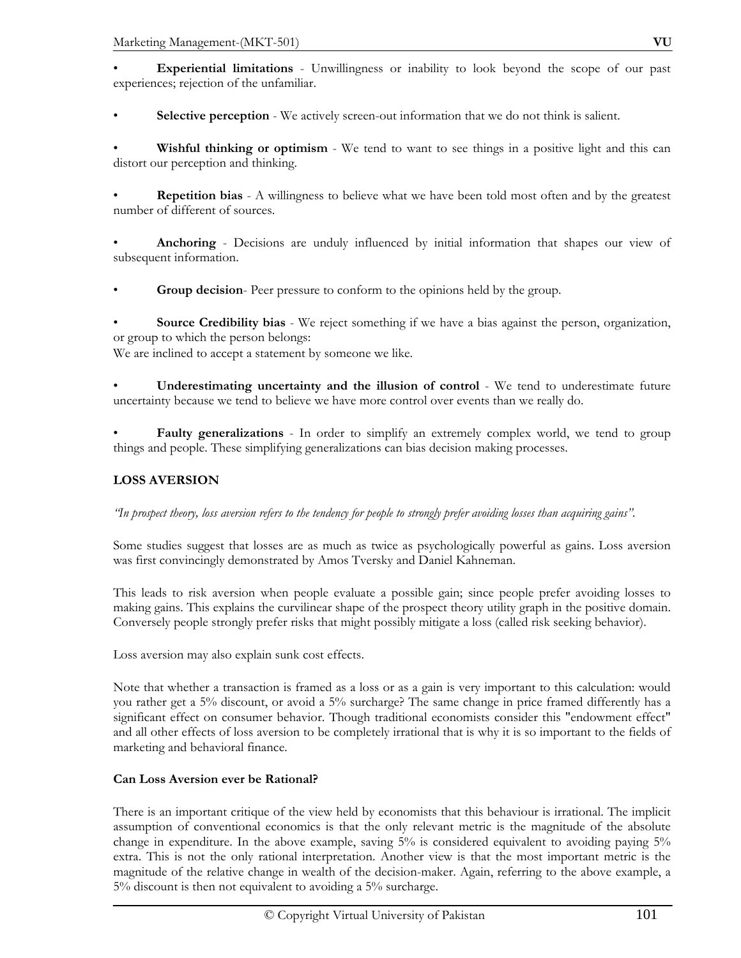• **Experiential limitations** - Unwillingness or inability to look beyond the scope of our past experiences; rejection of the unfamiliar.

**Selective perception** - We actively screen-out information that we do not think is salient.

• **Wishful thinking or optimism** - We tend to want to see things in a positive light and this can distort our perception and thinking.

**Repetition bias** - A willingness to believe what we have been told most often and by the greatest number of different of sources.

Anchoring - Decisions are unduly influenced by initial information that shapes our view of subsequent information.

**Group decision**- Peer pressure to conform to the opinions held by the group.

• **Source Credibility bias** - We reject something if we have a bias against the person, organization, or group to which the person belongs:

We are inclined to accept a statement by someone we like.

• **Underestimating uncertainty and the illusion of control** - We tend to underestimate future uncertainty because we tend to believe we have more control over events than we really do.

• **Faulty generalizations** - In order to simplify an extremely complex world, we tend to group things and people. These simplifying generalizations can bias decision making processes.

### **LOSS AVERSION**

*"In prospect theory, loss aversion refers to the tendency for people to strongly prefer avoiding losses than acquiring gains".* 

Some studies suggest that losses are as much as twice as psychologically powerful as gains. Loss aversion was first convincingly demonstrated by Amos Tversky and Daniel Kahneman.

This leads to risk aversion when people evaluate a possible gain; since people prefer avoiding losses to making gains. This explains the curvilinear shape of the prospect theory utility graph in the positive domain. Conversely people strongly prefer risks that might possibly mitigate a loss (called risk seeking behavior).

Loss aversion may also explain sunk cost effects.

Note that whether a transaction is framed as a loss or as a gain is very important to this calculation: would you rather get a 5% discount, or avoid a 5% surcharge? The same change in price framed differently has a significant effect on consumer behavior. Though traditional economists consider this "endowment effect" and all other effects of loss aversion to be completely irrational that is why it is so important to the fields of marketing and behavioral finance.

#### **Can Loss Aversion ever be Rational?**

There is an important critique of the view held by economists that this behaviour is irrational. The implicit assumption of conventional economics is that the only relevant metric is the magnitude of the absolute change in expenditure. In the above example, saving 5% is considered equivalent to avoiding paying 5% extra. This is not the only rational interpretation. Another view is that the most important metric is the magnitude of the relative change in wealth of the decision-maker. Again, referring to the above example, a 5% discount is then not equivalent to avoiding a 5% surcharge.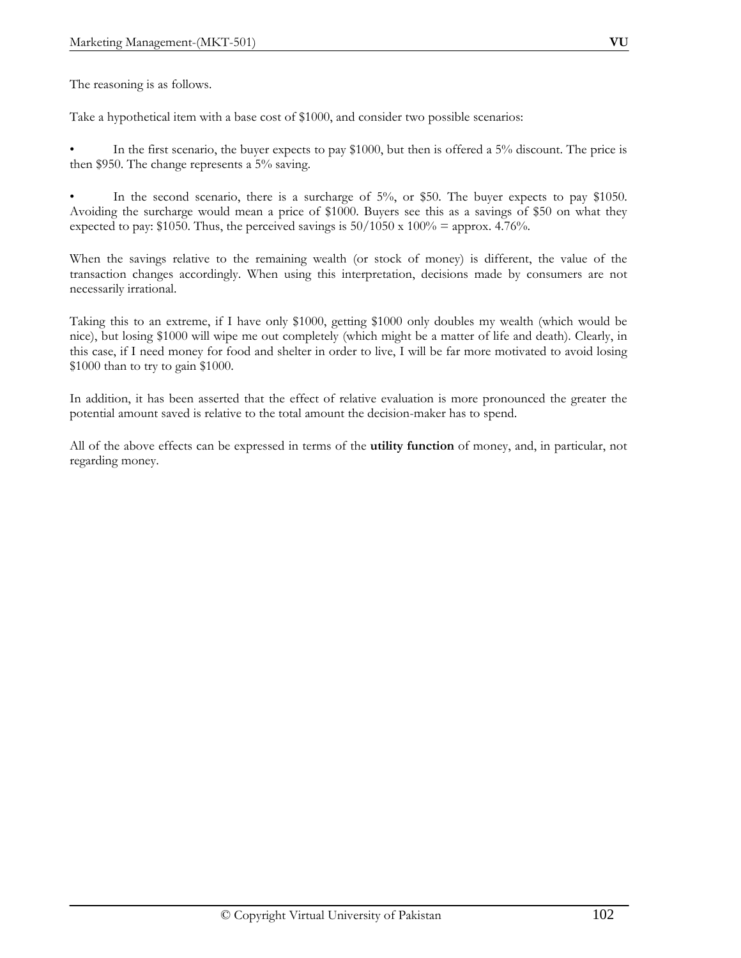The reasoning is as follows.

Take a hypothetical item with a base cost of \$1000, and consider two possible scenarios:

In the first scenario, the buyer expects to pay \$1000, but then is offered a 5% discount. The price is then \$950. The change represents a 5% saving.

In the second scenario, there is a surcharge of  $5\%$ , or \$50. The buyer expects to pay \$1050. Avoiding the surcharge would mean a price of \$1000. Buyers see this as a savings of \$50 on what they expected to pay: \$1050. Thus, the perceived savings is  $50/1050 \times 100\% =$  approx. 4.76%.

When the savings relative to the remaining wealth (or stock of money) is different, the value of the transaction changes accordingly. When using this interpretation, decisions made by consumers are not necessarily irrational.

Taking this to an extreme, if I have only \$1000, getting \$1000 only doubles my wealth (which would be nice), but losing \$1000 will wipe me out completely (which might be a matter of life and death). Clearly, in this case, if I need money for food and shelter in order to live, I will be far more motivated to avoid losing \$1000 than to try to gain \$1000.

In addition, it has been asserted that the effect of relative evaluation is more pronounced the greater the potential amount saved is relative to the total amount the decision-maker has to spend.

All of the above effects can be expressed in terms of the **utility function** of money, and, in particular, not regarding money.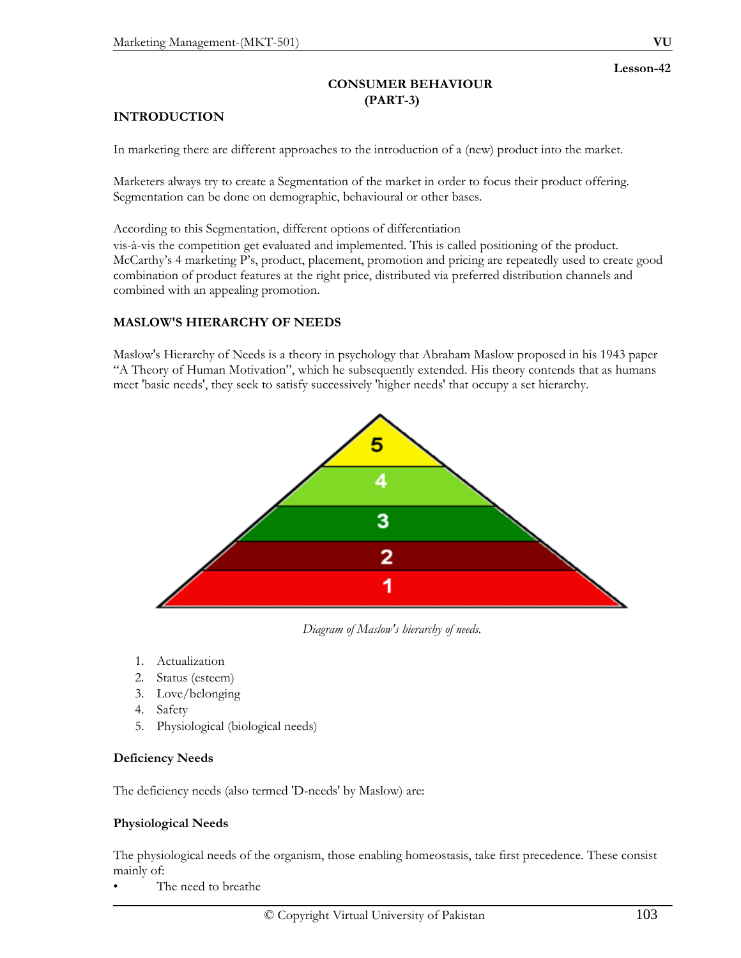# **CONSUMER BEHAVIOUR (PART-3)**

# **INTRODUCTION**

In marketing there are different approaches to the introduction of a (new) product into the market.

Marketers always try to create a Segmentation of the market in order to focus their product offering. Segmentation can be done on demographic, behavioural or other bases.

According to this Segmentation, different options of differentiation vis-à-vis the competition get evaluated and implemented. This is called positioning of the product. McCarthy's 4 marketing P's, product, placement, promotion and pricing are repeatedly used to create good combination of product features at the right price, distributed via preferred distribution channels and combined with an appealing promotion.

# **MASLOW'S HIERARCHY OF NEEDS**

Maslow's Hierarchy of Needs is a theory in psychology that Abraham Maslow proposed in his 1943 paper "A Theory of Human Motivation", which he subsequently extended. His theory contends that as humans meet 'basic needs', they seek to satisfy successively 'higher needs' that occupy a set hierarchy.



*Diagram of Maslow's hierarchy of needs.* 

- 1. Actualization
- 2. Status (esteem)
- 3. Love/belonging
- 4. Safety
- 5. Physiological (biological needs)

# **Deficiency Needs**

The deficiency needs (also termed 'D-needs' by Maslow) are:

### **Physiological Needs**

The physiological needs of the organism, those enabling homeostasis, take first precedence. These consist mainly of:

The need to breathe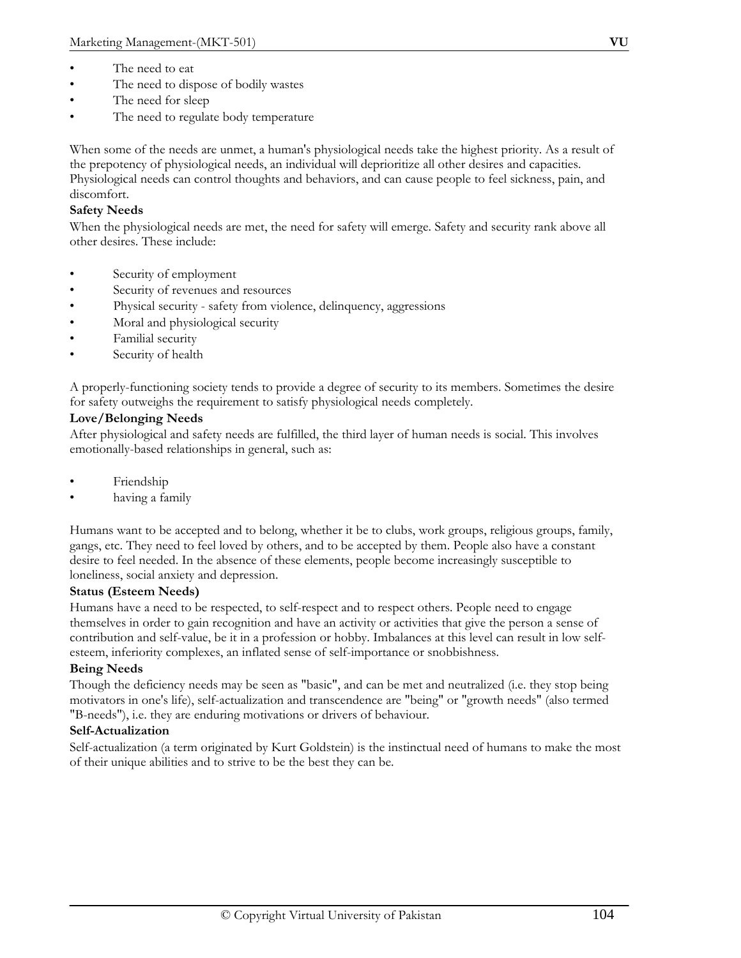- The need to eat
- The need to dispose of bodily wastes
- The need for sleep
- The need to regulate body temperature

When some of the needs are unmet, a human's physiological needs take the highest priority. As a result of the prepotency of physiological needs, an individual will deprioritize all other desires and capacities. Physiological needs can control thoughts and behaviors, and can cause people to feel sickness, pain, and discomfort.

### **Safety Needs**

When the physiological needs are met, the need for safety will emerge. Safety and security rank above all other desires. These include:

- Security of employment
- Security of revenues and resources
- Physical security safety from violence, delinquency, aggressions
- Moral and physiological security
- Familial security
- Security of health

A properly-functioning society tends to provide a degree of security to its members. Sometimes the desire for safety outweighs the requirement to satisfy physiological needs completely.

#### **Love/Belonging Needs**

After physiological and safety needs are fulfilled, the third layer of human needs is social. This involves emotionally-based relationships in general, such as:

- Friendship
- having a family

Humans want to be accepted and to belong, whether it be to clubs, work groups, religious groups, family, gangs, etc. They need to feel loved by others, and to be accepted by them. People also have a constant desire to feel needed. In the absence of these elements, people become increasingly susceptible to loneliness, social anxiety and depression.

#### **Status (Esteem Needs)**

Humans have a need to be respected, to self-respect and to respect others. People need to engage themselves in order to gain recognition and have an activity or activities that give the person a sense of contribution and self-value, be it in a profession or hobby. Imbalances at this level can result in low selfesteem, inferiority complexes, an inflated sense of self-importance or snobbishness.

### **Being Needs**

Though the deficiency needs may be seen as "basic", and can be met and neutralized (i.e. they stop being motivators in one's life), self-actualization and transcendence are "being" or "growth needs" (also termed "B-needs"), i.e. they are enduring motivations or drivers of behaviour.

#### **Self-Actualization**

Self-actualization (a term originated by Kurt Goldstein) is the instinctual need of humans to make the most of their unique abilities and to strive to be the best they can be.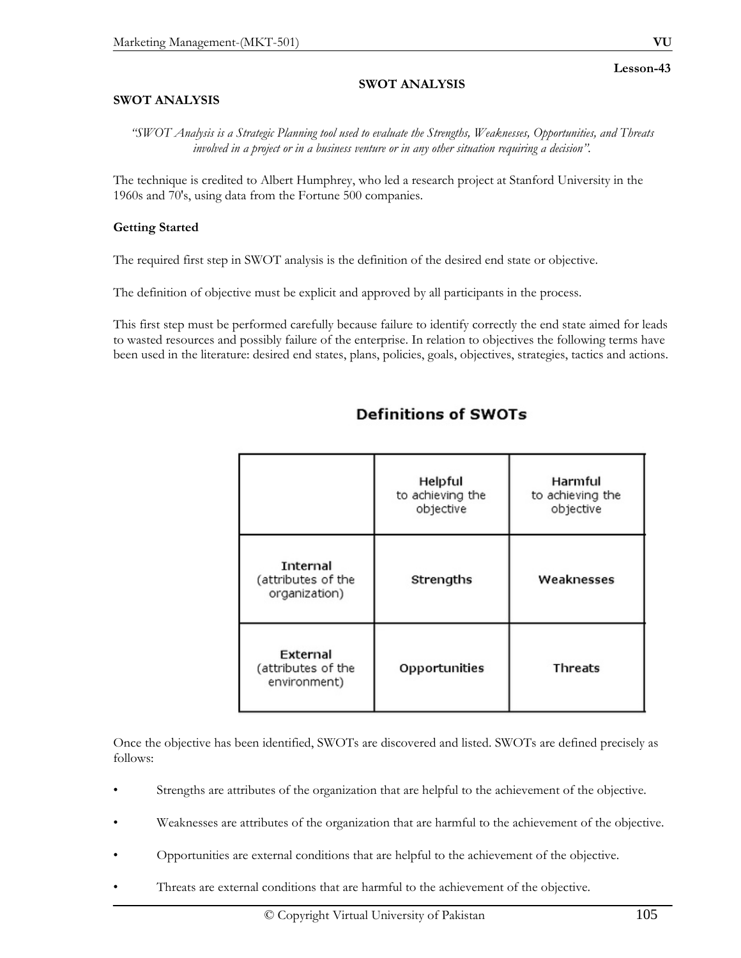#### **SWOT ANALYSIS**

*"SWOT Analysis is a Strategic Planning tool used to evaluate the Strengths, Weaknesses, Opportunities, and Threats involved in a project or in a business venture or in any other situation requiring a decision".* 

The technique is credited to Albert Humphrey, who led a research project at Stanford University in the 1960s and 70's, using data from the Fortune 500 companies.

#### **Getting Started**

The required first step in SWOT analysis is the definition of the desired end state or objective.

The definition of objective must be explicit and approved by all participants in the process.

This first step must be performed carefully because failure to identify correctly the end state aimed for leads to wasted resources and possibly failure of the enterprise. In relation to objectives the following terms have been used in the literature: desired end states, plans, policies, goals, objectives, strategies, tactics and actions.

|                                                 | Helpful<br>to achieving the<br>objective | Harmful<br>to achieving the<br>objective |
|-------------------------------------------------|------------------------------------------|------------------------------------------|
| Internal<br>(attributes of the<br>organization) | Strengths                                | Weaknesses                               |
| External<br>(attributes of the<br>environment)  | Opportunities                            | <b>Threats</b>                           |

# **Definitions of SWOTs**

Once the objective has been identified, SWOTs are discovered and listed. SWOTs are defined precisely as follows:

- Strengths are attributes of the organization that are helpful to the achievement of the objective.
- Weaknesses are attributes of the organization that are harmful to the achievement of the objective.
- Opportunities are external conditions that are helpful to the achievement of the objective.
- Threats are external conditions that are harmful to the achievement of the objective.

**Lesson-43**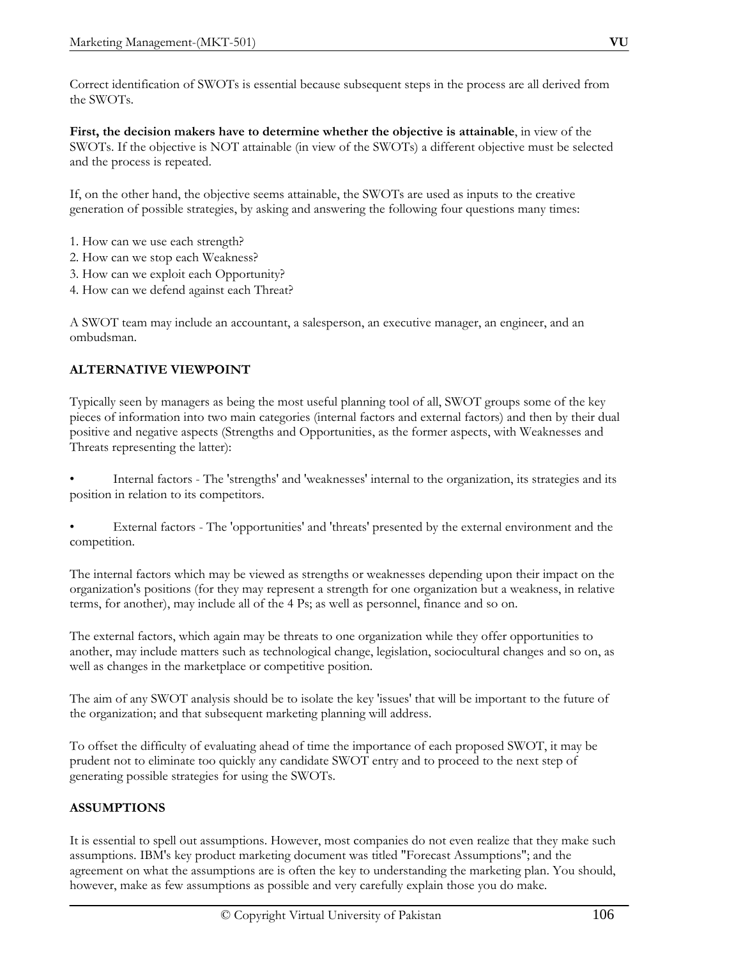Correct identification of SWOTs is essential because subsequent steps in the process are all derived from the SWOTs.

**First, the decision makers have to determine whether the objective is attainable**, in view of the SWOTs. If the objective is NOT attainable (in view of the SWOTs) a different objective must be selected and the process is repeated.

If, on the other hand, the objective seems attainable, the SWOTs are used as inputs to the creative generation of possible strategies, by asking and answering the following four questions many times:

- 1. How can we use each strength?
- 2. How can we stop each Weakness?
- 3. How can we exploit each Opportunity?
- 4. How can we defend against each Threat?

A SWOT team may include an accountant, a salesperson, an executive manager, an engineer, and an ombudsman.

# **ALTERNATIVE VIEWPOINT**

Typically seen by managers as being the most useful planning tool of all, SWOT groups some of the key pieces of information into two main categories (internal factors and external factors) and then by their dual positive and negative aspects (Strengths and Opportunities, as the former aspects, with Weaknesses and Threats representing the latter):

• Internal factors - The 'strengths' and 'weaknesses' internal to the organization, its strategies and its position in relation to its competitors.

• External factors - The 'opportunities' and 'threats' presented by the external environment and the competition.

The internal factors which may be viewed as strengths or weaknesses depending upon their impact on the organization's positions (for they may represent a strength for one organization but a weakness, in relative terms, for another), may include all of the 4 Ps; as well as personnel, finance and so on.

The external factors, which again may be threats to one organization while they offer opportunities to another, may include matters such as technological change, legislation, sociocultural changes and so on, as well as changes in the marketplace or competitive position.

The aim of any SWOT analysis should be to isolate the key 'issues' that will be important to the future of the organization; and that subsequent marketing planning will address.

To offset the difficulty of evaluating ahead of time the importance of each proposed SWOT, it may be prudent not to eliminate too quickly any candidate SWOT entry and to proceed to the next step of generating possible strategies for using the SWOTs.

### **ASSUMPTIONS**

It is essential to spell out assumptions. However, most companies do not even realize that they make such assumptions. IBM's key product marketing document was titled "Forecast Assumptions"; and the agreement on what the assumptions are is often the key to understanding the marketing plan. You should, however, make as few assumptions as possible and very carefully explain those you do make.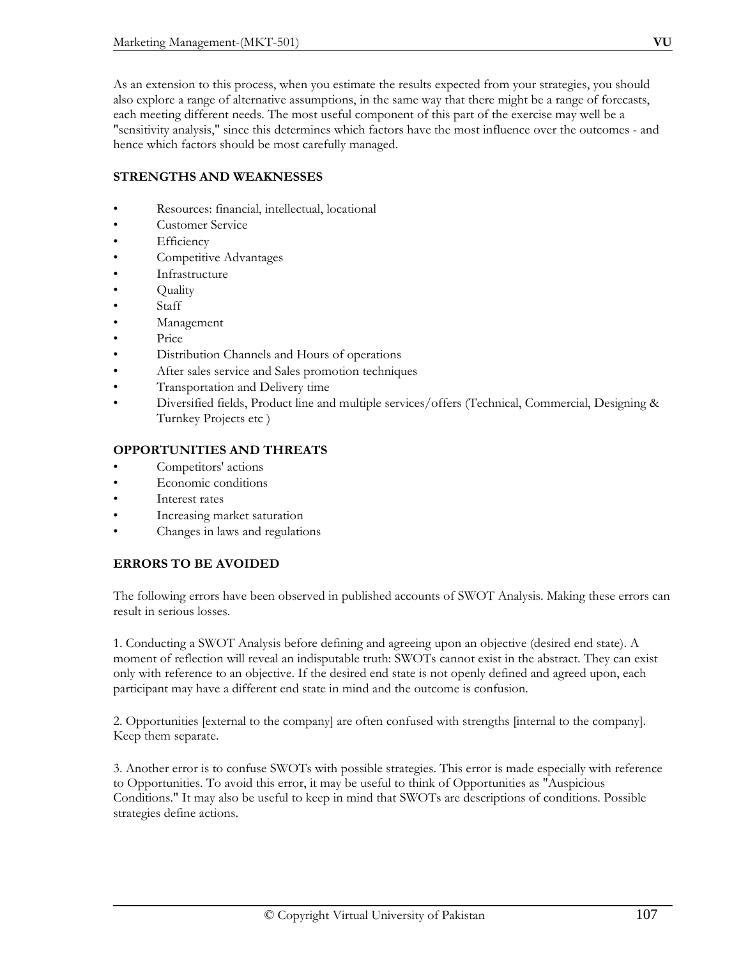As an extension to this process, when you estimate the results expected from your strategies, you should also explore a range of alternative assumptions, in the same way that there might be a range of forecasts, each meeting different needs. The most useful component of this part of the exercise may well be a "sensitivity analysis," since this determines which factors have the most influence over the outcomes - and hence which factors should be most carefully managed.

# **STRENGTHS AND WEAKNESSES**

- Resources: financial, intellectual, locational
- Customer Service
- **Efficiency**
- Competitive Advantages
- **Infrastructure**
- Quality
- Staff
- **Management**
- Price
- Distribution Channels and Hours of operations
- After sales service and Sales promotion techniques
- Transportation and Delivery time
- Diversified fields, Product line and multiple services/offers (Technical, Commercial, Designing & Turnkey Projects etc )

### **OPPORTUNITIES AND THREATS**

- Competitors' actions
- Economic conditions
- Interest rates
- Increasing market saturation
- Changes in laws and regulations

#### **ERRORS TO BE AVOIDED**

The following errors have been observed in published accounts of SWOT Analysis. Making these errors can result in serious losses.

1. Conducting a SWOT Analysis before defining and agreeing upon an objective (desired end state). A moment of reflection will reveal an indisputable truth: SWOTs cannot exist in the abstract. They can exist only with reference to an objective. If the desired end state is not openly defined and agreed upon, each participant may have a different end state in mind and the outcome is confusion.

2. Opportunities [external to the company] are often confused with strengths [internal to the company]. Keep them separate.

3. Another error is to confuse SWOTs with possible strategies. This error is made especially with reference to Opportunities. To avoid this error, it may be useful to think of Opportunities as "Auspicious Conditions." It may also be useful to keep in mind that SWOTs are descriptions of conditions. Possible strategies define actions.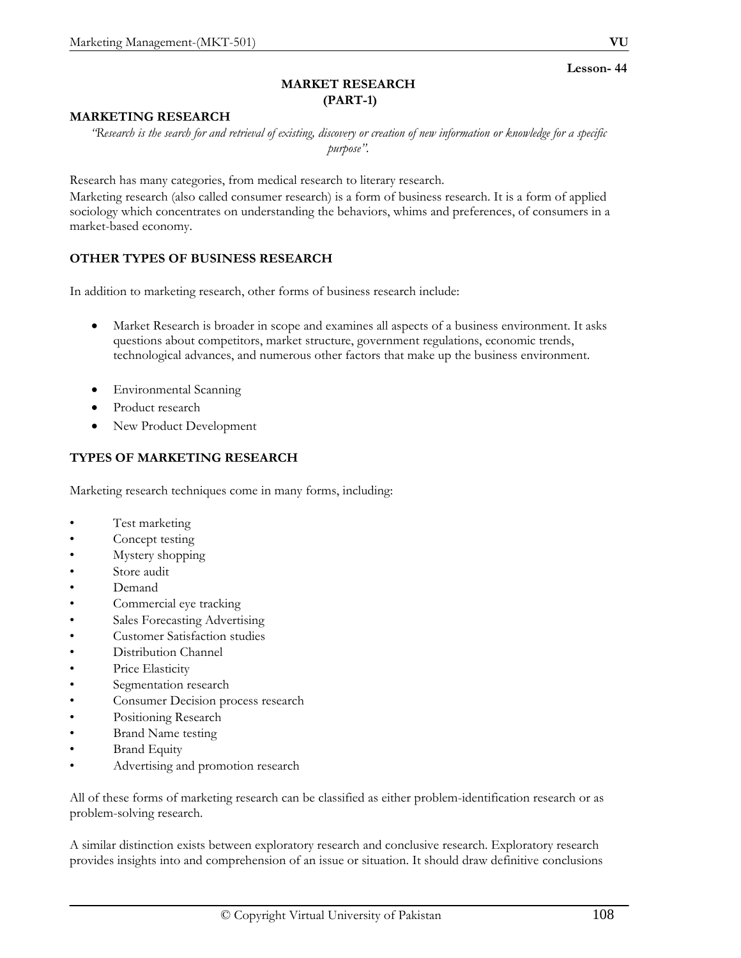**Lesson- 44** 

#### **MARKET RESEARCH (PART-1)**

#### **MARKETING RESEARCH**

*"Research is the search for and retrieval of existing, discovery or creation of new information or knowledge for a specific purpose".* 

Research has many categories, from medical research to literary research.

Marketing research (also called consumer research) is a form of business research. It is a form of applied sociology which concentrates on understanding the behaviors, whims and preferences, of consumers in a market-based economy.

## **OTHER TYPES OF BUSINESS RESEARCH**

In addition to marketing research, other forms of business research include:

- Market Research is broader in scope and examines all aspects of a business environment. It asks questions about competitors, market structure, government regulations, economic trends, technological advances, and numerous other factors that make up the business environment.
- Environmental Scanning
- Product research
- New Product Development

## **TYPES OF MARKETING RESEARCH**

Marketing research techniques come in many forms, including:

- Test marketing
- Concept testing
- Mystery shopping
- Store audit
- Demand
- Commercial eye tracking
- Sales Forecasting Advertising
- Customer Satisfaction studies
- Distribution Channel
- Price Elasticity
- Segmentation research
- Consumer Decision process research
- Positioning Research
- Brand Name testing
- **Brand Equity**
- Advertising and promotion research

All of these forms of marketing research can be classified as either problem-identification research or as problem-solving research.

A similar distinction exists between exploratory research and conclusive research. Exploratory research provides insights into and comprehension of an issue or situation. It should draw definitive conclusions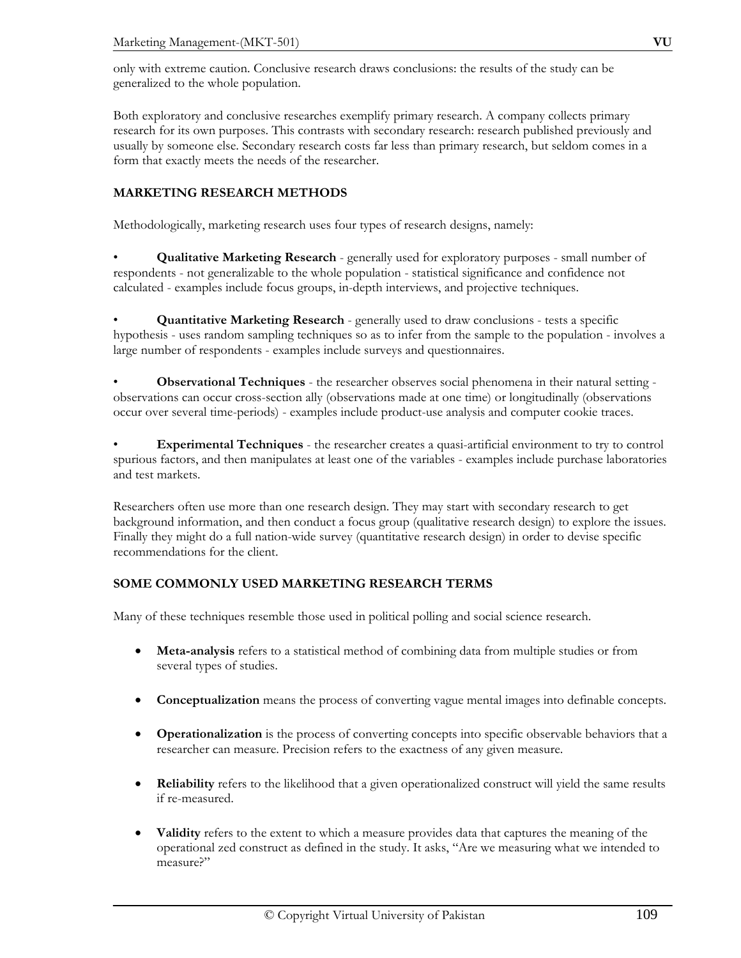Both exploratory and conclusive researches exemplify primary research. A company collects primary research for its own purposes. This contrasts with secondary research: research published previously and usually by someone else. Secondary research costs far less than primary research, but seldom comes in a form that exactly meets the needs of the researcher.

# **MARKETING RESEARCH METHODS**

Methodologically, marketing research uses four types of research designs, namely:

• **Qualitative Marketing Research** - generally used for exploratory purposes - small number of respondents - not generalizable to the whole population - statistical significance and confidence not calculated - examples include focus groups, in-depth interviews, and projective techniques.

• **Quantitative Marketing Research** - generally used to draw conclusions - tests a specific hypothesis - uses random sampling techniques so as to infer from the sample to the population - involves a large number of respondents - examples include surveys and questionnaires.

• **Observational Techniques** - the researcher observes social phenomena in their natural setting observations can occur cross-section ally (observations made at one time) or longitudinally (observations occur over several time-periods) - examples include product-use analysis and computer cookie traces.

• **Experimental Techniques** - the researcher creates a quasi-artificial environment to try to control spurious factors, and then manipulates at least one of the variables - examples include purchase laboratories and test markets.

Researchers often use more than one research design. They may start with secondary research to get background information, and then conduct a focus group (qualitative research design) to explore the issues. Finally they might do a full nation-wide survey (quantitative research design) in order to devise specific recommendations for the client.

## **SOME COMMONLY USED MARKETING RESEARCH TERMS**

Many of these techniques resemble those used in political polling and social science research.

- **Meta-analysis** refers to a statistical method of combining data from multiple studies or from several types of studies.
- **Conceptualization** means the process of converting vague mental images into definable concepts.
- **Operationalization** is the process of converting concepts into specific observable behaviors that a researcher can measure. Precision refers to the exactness of any given measure.
- **Reliability** refers to the likelihood that a given operationalized construct will yield the same results if re-measured.
- **Validity** refers to the extent to which a measure provides data that captures the meaning of the operational zed construct as defined in the study. It asks, "Are we measuring what we intended to measure?"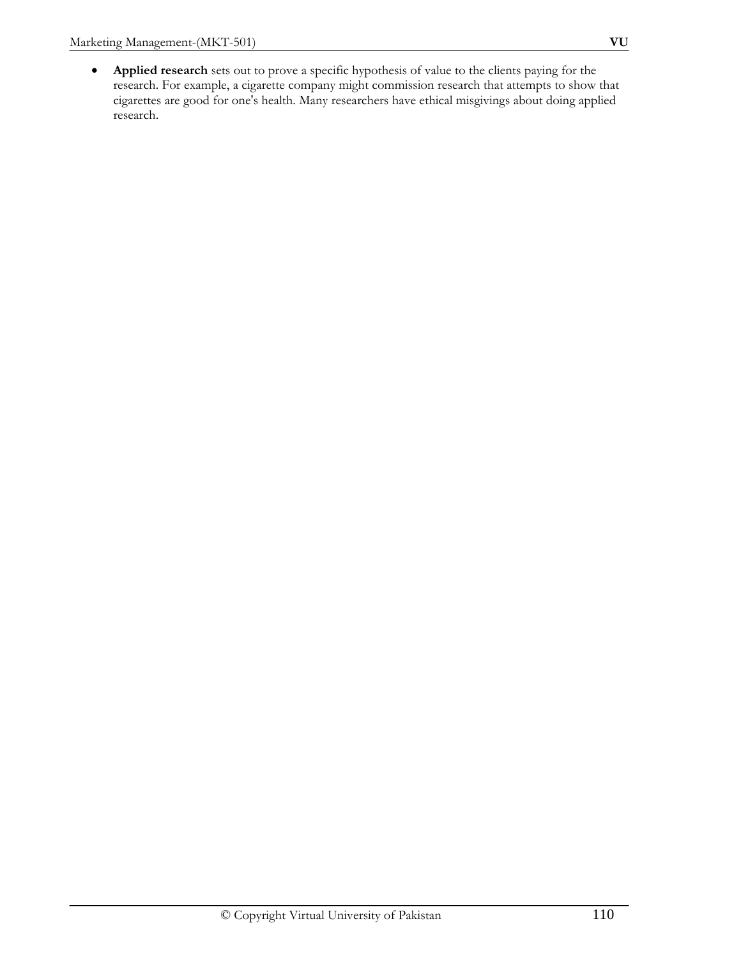• **Applied research** sets out to prove a specific hypothesis of value to the clients paying for the research. For example, a cigarette company might commission research that attempts to show that cigarettes are good for one's health. Many researchers have ethical misgivings about doing applied research.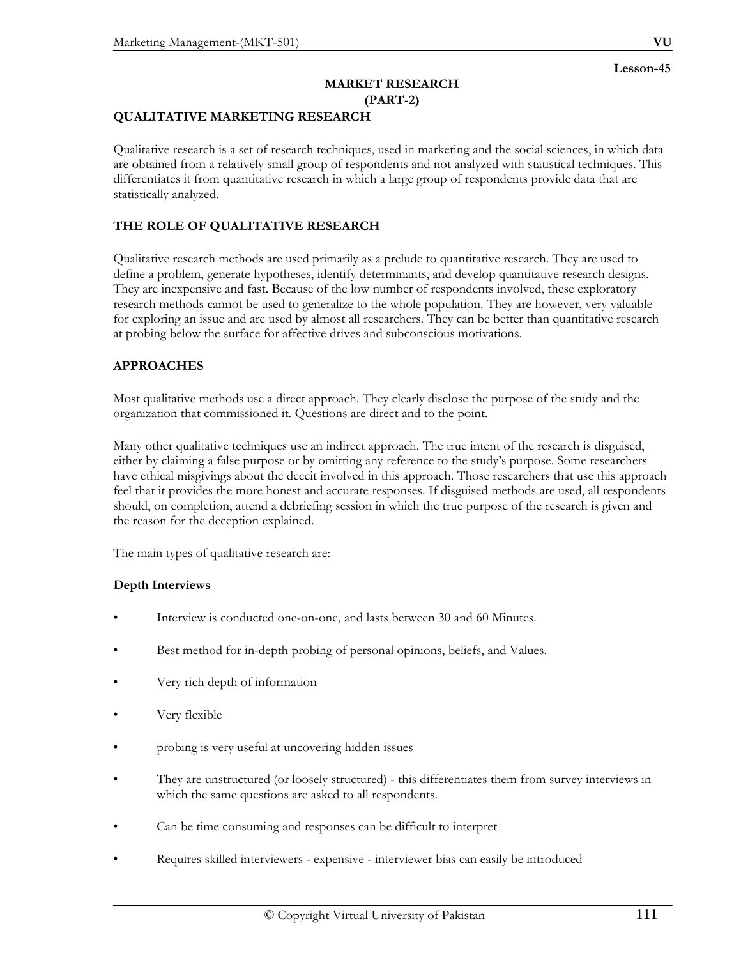#### **Lesson-45**

# **MARKET RESEARCH (PART-2)**

## **QUALITATIVE MARKETING RESEARCH**

Qualitative research is a set of research techniques, used in marketing and the social sciences, in which data are obtained from a relatively small group of respondents and not analyzed with statistical techniques. This differentiates it from quantitative research in which a large group of respondents provide data that are statistically analyzed.

## **THE ROLE OF QUALITATIVE RESEARCH**

Qualitative research methods are used primarily as a prelude to quantitative research. They are used to define a problem, generate hypotheses, identify determinants, and develop quantitative research designs. They are inexpensive and fast. Because of the low number of respondents involved, these exploratory research methods cannot be used to generalize to the whole population. They are however, very valuable for exploring an issue and are used by almost all researchers. They can be better than quantitative research at probing below the surface for affective drives and subconscious motivations.

#### **APPROACHES**

Most qualitative methods use a direct approach. They clearly disclose the purpose of the study and the organization that commissioned it. Questions are direct and to the point.

Many other qualitative techniques use an indirect approach. The true intent of the research is disguised, either by claiming a false purpose or by omitting any reference to the study's purpose. Some researchers have ethical misgivings about the deceit involved in this approach. Those researchers that use this approach feel that it provides the more honest and accurate responses. If disguised methods are used, all respondents should, on completion, attend a debriefing session in which the true purpose of the research is given and the reason for the deception explained.

The main types of qualitative research are:

## **Depth Interviews**

- Interview is conducted one-on-one, and lasts between 30 and 60 Minutes.
- Best method for in-depth probing of personal opinions, beliefs, and Values.
- Very rich depth of information
- Very flexible
- probing is very useful at uncovering hidden issues
- They are unstructured (or loosely structured) this differentiates them from survey interviews in which the same questions are asked to all respondents.
- Can be time consuming and responses can be difficult to interpret
- Requires skilled interviewers expensive interviewer bias can easily be introduced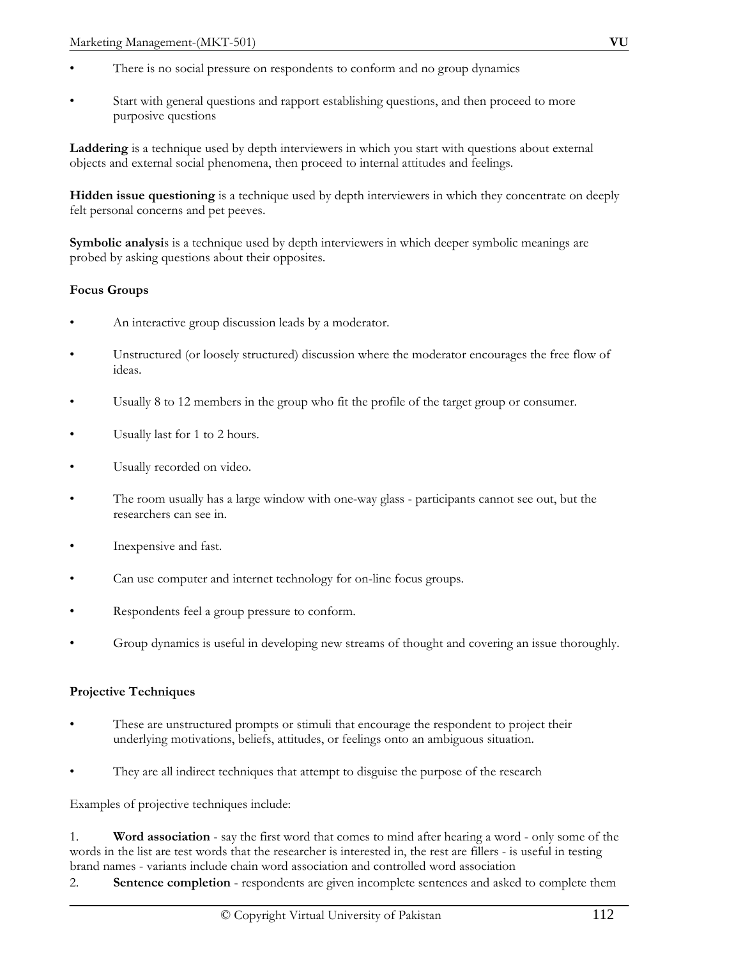- There is no social pressure on respondents to conform and no group dynamics
- Start with general questions and rapport establishing questions, and then proceed to more purposive questions

**Laddering** is a technique used by depth interviewers in which you start with questions about external objects and external social phenomena, then proceed to internal attitudes and feelings.

**Hidden issue questioning** is a technique used by depth interviewers in which they concentrate on deeply felt personal concerns and pet peeves.

**Symbolic analysi**s is a technique used by depth interviewers in which deeper symbolic meanings are probed by asking questions about their opposites.

#### **Focus Groups**

- An interactive group discussion leads by a moderator.
- Unstructured (or loosely structured) discussion where the moderator encourages the free flow of ideas.
- Usually 8 to 12 members in the group who fit the profile of the target group or consumer.
- Usually last for 1 to 2 hours.
- Usually recorded on video.
- The room usually has a large window with one-way glass participants cannot see out, but the researchers can see in.
- Inexpensive and fast.
- Can use computer and internet technology for on-line focus groups.
- Respondents feel a group pressure to conform.
- Group dynamics is useful in developing new streams of thought and covering an issue thoroughly.

#### **Projective Techniques**

- These are unstructured prompts or stimuli that encourage the respondent to project their underlying motivations, beliefs, attitudes, or feelings onto an ambiguous situation.
- They are all indirect techniques that attempt to disguise the purpose of the research

Examples of projective techniques include:

1. **Word association** - say the first word that comes to mind after hearing a word - only some of the words in the list are test words that the researcher is interested in, the rest are fillers - is useful in testing brand names - variants include chain word association and controlled word association

2. **Sentence completion** - respondents are given incomplete sentences and asked to complete them